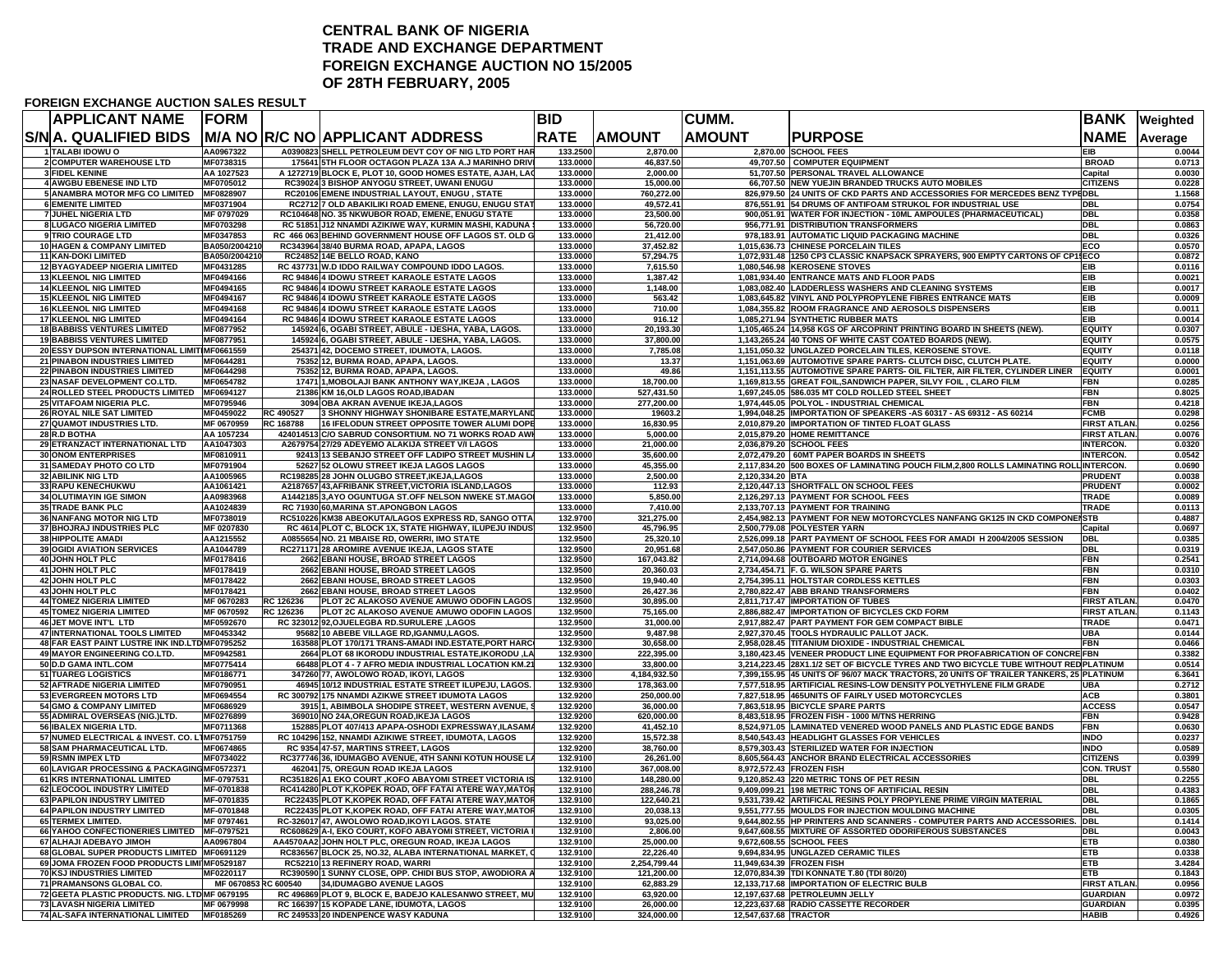## **CENTRAL BANK OF NIGERIATRADE AND EXCHANGE DEPARTMENT FOREIGN EXCHANGE AUCTION NO 15/2005 OF 28TH FEBRUARY, 2005**

#### **FOREIGN EXCHANGE AUCTION SALES RESULT**

| APPLICANT NAME                                                                | <b>FORM</b>                |           |                                                                                                                    | <b>BID</b>           |                            | CUMM.                     |                                                                                                                                                              | BANK                                  | Weighted         |
|-------------------------------------------------------------------------------|----------------------------|-----------|--------------------------------------------------------------------------------------------------------------------|----------------------|----------------------------|---------------------------|--------------------------------------------------------------------------------------------------------------------------------------------------------------|---------------------------------------|------------------|
| S/NA. QUALIFIED BIDS                                                          |                            |           | <b>IM/A NO R/C NO APPLICANT ADDRESS</b>                                                                            | <b>RATE</b>          | <b>AMOUNT</b>              | <b>AMOUNT</b>             | <b>PURPOSE</b>                                                                                                                                               | <b>NAME</b>                           | Average          |
| 1 TALABI IDOWU O                                                              | AA0967322                  |           | A0390823 SHELL PETROLEUM DEVT COY OF NIG LTD PORT HAR                                                              | 133.2500             | 2,870.00                   |                           | 2.870.00 SCHOOL FEES                                                                                                                                         | EIB                                   | 0.0044           |
| 2 COMPUTER WAREHOUSE LTD                                                      | MF0738315                  |           | 175641 5TH FLOOR OCTAGON PLAZA 13A A.J MARINHO DRIVI                                                               | 133.0000             | 46,837.50                  |                           | 49,707.50 COMPUTER EQUIPMENT                                                                                                                                 | <b>BROAD</b>                          | 0.0713           |
| <b>3 FIDEL KENINE</b><br>4 AWGBU EBENESE IND LTD                              | AA 1027523<br>MF0705012    |           | A 1272719 BLOCK E, PLOT 10, GOOD HOMES ESTATE, AJAH, LAG<br>RC39024 3 BISHOP ANYOGU STREET, UWANI ENUGU            | 133,0000<br>133.0000 | 2,000.00<br>15,000.00      |                           | 51,707.50 PERSONAL TRAVEL ALLOWANCE<br>66,707.50 NEW YUEJIN BRANDED TRUCKS AUTO MOBILES                                                                      | Capital<br><b>CITIZENS</b>            | 0.0030<br>0.0228 |
| <b>5 ANAMBRA MOTOR MFG CO LIMITED</b>                                         | MF0828907                  |           | RC20106 EMENE INDUSTRIAL LAYOUT, ENUGU, STATE                                                                      | 133.0000             | 760,272.00                 |                           | 826,979.50 24 UNITS OF CKD PARTS AND ACCESSORIES FOR MERCEDES BENZ TYPEDBL                                                                                   |                                       | 1.1568           |
| <b>6 EMENITE LIMITED</b>                                                      | MF0371904                  |           | RC2712 7 OLD ABAKILIKI ROAD EMENE, ENUGU, ENUGU STA1                                                               | 133.0000             | 49,572.41                  |                           | 876,551.91 54 DRUMS OF ANTIFOAM STRUKOL FOR INDUSTRIAL USE                                                                                                   | <b>DBL</b>                            | 0.0754           |
| 7 JUHEL NIGERIA LTD                                                           | MF 0797029                 |           | RC104648 NO. 35 NKWUBOR ROAD, EMENE, ENUGU STATE                                                                   | 133.0000             | 23,500.00                  |                           | 900,051.91 WATER FOR INJECTION - 10ML AMPOULES (PHARMACEUTICAL)                                                                                              | <b>DBL</b>                            | 0.0358           |
| 8 LUGACO NIGERIA LIMITED                                                      | MF0703298                  |           | RC 51851 J12 NNAMDI AZIKIWE WAY, KURMIN MASHI, KADUNA                                                              | 133.0000             | 56,720.00                  |                           | 956,771.91 DISTRIBUTION TRANSFORMERS                                                                                                                         | <b>DBL</b>                            | 0.0863           |
| 9 TRIO COURAGE LTD                                                            | MF0347853                  |           | RC 466 063 BEHIND GOVERNMENT HOUSE OFF LAGOS ST. OLD G                                                             | 133.0000             | 21,412.00                  |                           | 978,183.91 AUTOMATIC LIQUID PACKAGING MACHINE                                                                                                                | <b>DBL</b>                            | 0.0326           |
| 10 HAGEN & COMPANY LIMITED                                                    | BA050/2004210              |           | RC343964 38/40 BURMA ROAD, APAPA, LAGOS                                                                            | 133.0000             | 37,452.82                  |                           | 1,015,636.73 CHINESE PORCELAIN TILES                                                                                                                         | ECO                                   | 0.0570           |
| <b>11 KAN-DOKI LIMITED</b><br><b>12 BYAGYADEEP NIGERIA LIMITED</b>            | BA050/2004210<br>MF0431285 |           | RC24852 14E BELLO ROAD, KANO                                                                                       | 133,0000<br>133,0000 | 57,294.75<br>7.615.50      |                           | 1,072,931.48 1250 CP3 CLASSIC KNAPSACK SPRAYERS, 900 EMPTY CARTONS OF CP15ECO<br>1.080.546.98 KEROSENE STOVES                                                | <b>EIB</b>                            | 0.0872<br>0.0116 |
| <b>13 KLEENOL NIG LIMITED</b>                                                 | MF0494166                  |           | RC 437731 W.D IDDO RAILWAY COMPOUND IDDO LAGOS.<br>RC 94846 4 IDOWU STREET KARAOLE ESTATE LAGOS                    | 133.0000             | 1,387.42                   |                           | 1,081,934.40 ENTRANCE MATS AND FLOOR PADS                                                                                                                    | EIB                                   | 0.0021           |
| <b>14 KLEENOL NIG LIMITED</b>                                                 | MF0494165                  |           | RC 94846 4 IDOWU STREET KARAOLE ESTATE LAGOS                                                                       | 133.0000             | 1,148.00                   |                           | 1,083,082.40 LADDERLESS WASHERS AND CLEANING SYSTEMS                                                                                                         | <b>EIB</b>                            | 0.0017           |
| <b>15 KLEENOL NIG LIMITED</b>                                                 | MF0494167                  |           | RC 94846 4 IDOWU STREET KARAOLE ESTATE LAGOS                                                                       | 133.0000             | 563.42                     |                           | 1,083,645.82 VINYL AND POLYPROPYLENE FIBRES ENTRANCE MATS                                                                                                    | EIB                                   | 0.0009           |
| <b>16 KLEENOL NIG LIMITED</b>                                                 | MF0494168                  |           | RC 94846 4 IDOWU STREET KARAOLE ESTATE LAGOS                                                                       | 133.0000             | 710.00                     |                           | 1,084,355.82 ROOM FRAGRANCE AND AEROSOLS DISPENSERS                                                                                                          | <b>EIB</b>                            | 0.0011           |
| 17 KLEENOL NIG LIMITED                                                        | MF0494164                  |           | RC 94846 4 IDOWU STREET KARAOLE ESTATE LAGOS                                                                       | 133.0000             | 916.12                     |                           | 1,085,271.94 SYNTHETIC RUBBER MATS                                                                                                                           | <b>EIB</b>                            | 0.0014           |
| <b>18 BABBISS VENTURES LIMITED</b>                                            | MF0877952                  |           | 145924 6, OGABI STREET, ABULE - IJESHA, YABA, LAGOS.                                                               | 133.0000             | 20,193.30                  |                           | 1,105,465.24 14,958 KGS OF ARCOPRINT PRINTING BOARD IN SHEETS (NEW).                                                                                         | <b>EQUITY</b>                         | 0.0307           |
| <b>19 BABBISS VENTURES LIMITED</b>                                            | MF0877951                  |           | 145924 6, OGABI STREET, ABULE - IJESHA, YABA, LAGOS.                                                               | 133.0000             | 37,800.00                  |                           | 1,143,265.24 40 TONS OF WHITE CAST COATED BOARDS (NEW).                                                                                                      | <b>EQUITY</b>                         | 0.0575           |
| 20 ESSY DUPSON INTERNATIONAL LIMITIMF0661559<br>21 PINABON INDUSTRIES LIMITED | MF0644281                  |           | 254371 42, DOCEMO STREET, IDUMOTA, LAGOS.<br>75352 12, BURMA ROAD, APAPA, LAGOS.                                   | 133.0000<br>133.0000 | 7,785.08<br>13.37          |                           | 1,151,050.32 UNGLAZED PORCELAIN TILES, KEROSENE STOVE<br>1,151,063.69 AUTOMOTIVE SPARE PARTS- CLUTCH DISC, CLUTCH PLATE.                                     | <b>EQUITY</b><br><b>EQUITY</b>        | 0.0118<br>0.0000 |
| <b>22 PINABON INDUSTRIES LIMITED</b>                                          | MF0644298                  |           | 75352 12, BURMA ROAD, APAPA, LAGOS.                                                                                | 133.0000             | 49.86                      |                           | 1,151,113.55 AUTOMOTIVE SPARE PARTS- OIL FILTER, AIR FILTER, CYLINDER LINER                                                                                  | <b>EQUITY</b>                         | 0.0001           |
| 23 NASAF DEVELOPMENT CO.LTD.                                                  | MF0654782                  |           | 17471 1, MOBOLAJI BANK ANTHONY WAY, IKEJA, LAGOS                                                                   | 133.0000             | 18,700.00                  |                           | 1,169,813.55 GREAT FOIL, SANDWICH PAPER, SILVY FOIL, CLARO FILM                                                                                              | <b>FBN</b>                            | 0.0285           |
| 24 ROLLED STEEL PRODUCTS LIMITED MF0694127                                    |                            |           | 21386 KM 16, OLD LAGOS ROAD, IBADAN                                                                                | 133.0000             | 527,431.50                 |                           | 1,697,245.05 586.035 MT COLD ROLLED STEEL SHEET                                                                                                              | <b>FBN</b>                            | 0.8025           |
| 25 VITAFOAM NIGERIA PLC.                                                      | MF0795946                  |           | 3094 OBA AKRAN AVENUE IKEJA, LAGOS                                                                                 | 133.0000             | 277,200.00                 |                           | 1,974,445.05 POLYOL - INDUSTRIAL CHEMICAL                                                                                                                    | <b>FRN</b>                            | 0.4218           |
| 26 ROYAL NILE SAT LIMITED                                                     | MF0459022                  | RC 490527 | 3 SHONNY HIGHWAY SHONIBARE ESTATE, MARYLAND                                                                        | 133.0000             | 19603.2                    |                           | 1,994,048.25 IMPORTATION OF SPEAKERS -AS 60317 - AS 69312 - AS 60214                                                                                         | <b>FCMB</b>                           | 0.0298           |
| 27 QUAMOT INDUSTRIES LTD.                                                     | MF 0670959                 | RC 168788 | 16 IFELODUN STREET OPPOSITE TOWER ALUMI DOPE                                                                       | 133,0000             | 16.830.95                  |                           | 2.010.879.20 IMPORTATION OF TINTED FLOAT GLASS                                                                                                               | <b>FIRST ATLAN</b>                    | 0.0256           |
| 28 R.D BOTHA                                                                  | AA 1057234                 |           | 424014513 C/O SABRUD CONSORTIUM. NO 71 WORKS ROAD AWK                                                              | 133.000              | 5,000.00                   |                           | 2,015,879.20 HOME REMITTANCE                                                                                                                                 | <b>FIRST ATLAN</b>                    | 0.0076           |
| 29 ETRANZACT INTERNATIONAL LTD                                                | AA1047303                  |           | A2679754 27/29 ADEYEMO ALAKIJA STREET V/I LAGOS                                                                    | 133.0000             | 21,000.00                  |                           | 2,036,879.20 SCHOOL FEES                                                                                                                                     | <b>INTERCON.</b>                      | 0.0320           |
| <b>30 ONOM ENTERPRISES</b>                                                    | MF0810911                  |           | 92413 13 SEBANJO STREET OFF LADIPO STREET MUSHIN LA                                                                | 133.0000             | 35,600.00                  |                           | 2,072,479.20 60MT PAPER BOARDS IN SHEETS                                                                                                                     | <b>INTERCON.</b>                      | 0.0542<br>0.0690 |
| 31 SAMEDAY PHOTO CO LTD<br>32 ABILINK NIG LTD                                 | MF0791904<br>AA1005965     |           | 52627 52 OLOWU STREET IKEJA LAGOS LAGOS<br>RC198285 28 JOHN OLUGBO STREET, IKEJA, LAGOS                            | 133.0000<br>133.0000 | 45,355.00<br>2,500.00      | 2,120,334.20 BTA          | 2,117,834.20 500 BOXES OF LAMINATING POUCH FILM,2,800 ROLLS LAMINATING ROLL INTERCON.                                                                        | <b>PRUDENT</b>                        | 0.0038           |
| 33 RAPU KENECHUKWU                                                            | AA1061421                  |           | A2187657 43, AFRIBANK STREET, VICTORIA ISLAND, LAGOS                                                               | 133,0000             | 112.93                     |                           | 2,120,447.13 SHORTFALL ON SCHOOL FEES                                                                                                                        | <b>PRUDENT</b>                        | 0.0002           |
| <b>34 OLUTIMAYIN IGE SIMON</b>                                                | AA0983968                  |           | A1442185 3.AYO OGUNTUGA ST.OFF NELSON NWEKE ST.MAGO                                                                | 133,0000             | 5.850.00                   |                           | 2.126.297.13 PAYMENT FOR SCHOOL FEES                                                                                                                         | <b>TRADE</b>                          | 0.0089           |
| 35 TRADE BANK PLC                                                             | AA1024839                  |           | RC 71930 60, MARINA ST. APONGBON LAGOS                                                                             | 133.0000             | 7,410.00                   |                           | 2,133,707.13 PAYMENT FOR TRAINING                                                                                                                            | <b>TRADE</b>                          | 0.0113           |
| <b>36 NANFANG MOTOR NIG LTD</b>                                               | MF0738019                  |           | RC510226 KM38 ABEOKUTA/LAGOS EXPRESS RD, SANGO OTTA                                                                | 132.9700             | 321,275.00                 |                           | 2,454,982.13 PAYMENT FOR NEW MOTORCYCLES NANFANG GK125 IN CKD COMPONENSTB                                                                                    |                                       | 0.4887           |
| 37 BHOJRAJ INDUSTRIES PLC                                                     | MF 0207830                 |           | RC 4614 PLOT C, BLOCK 1X, STATE HIGHWAY, ILUPEJU INDUS                                                             | 132.9500             | 45,796.95                  |                           | 2,500,779.08 POLYESTER YARN                                                                                                                                  | Capital                               | 0.0697           |
| <b>38 HIPPOLITE AMADI</b>                                                     | AA1215552                  |           | A0855654 NO. 21 MBAISE RD, OWERRI, IMO STATE                                                                       | 132.9500             | 25,320.10                  |                           | 2,526,099.18 PART PAYMENT OF SCHOOL FEES FOR AMADI H 2004/2005 SESSION                                                                                       | <b>DBL</b>                            | 0.0385           |
| 39 OGIDI AVIATION SERVICES                                                    | AA1044789                  |           | RC271171 28 AROMIRE AVENUE IKEJA, LAGOS STATE                                                                      | 132.9500             | 20,951.68                  |                           | 2,547,050.86 PAYMENT FOR COURIER SERVICES                                                                                                                    | <b>DBL</b>                            | 0.0319           |
| 40 JOHN HOLT PLC                                                              | MF0178416                  |           | 2662 EBANI HOUSE, BROAD STREET LAGOS                                                                               | 132,9500             | 167.043.82                 |                           | 2,714,094.68 OUTBOARD MOTOR ENGINES                                                                                                                          | <b>FBN</b>                            | 0.2541           |
| 41 JOHN HOLT PLC<br>42 JOHN HOLT PLC                                          | MF0178419<br>MF0178422     |           | 2662 EBANI HOUSE, BROAD STREET LAGOS<br>2662 EBANI HOUSE, BROAD STREET LAGOS                                       | 132.9500<br>132.9500 | 20,360.03<br>19,940.40     |                           | 2,734,454.71 F. G. WILSON SPARE PARTS<br>2,754,395.11 HOLTSTAR CORDLESS KETTLES                                                                              | <b>FBN</b><br><b>FBN</b>              | 0.0310<br>0.0303 |
| 43 JOHN HOLT PLC                                                              | MF0178421                  |           | 2662 EBANI HOUSE, BROAD STREET LAGOS                                                                               | 132.9500             | 26,427.36                  |                           | 2,780,822.47 ABB BRAND TRANSFORMERS                                                                                                                          | <b>FBN</b>                            | 0.0402           |
| <b>44 TOMEZ NIGERIA LIMITED</b>                                               | MF 0670283                 | RC 126236 | PLOT 2C ALAKOSO AVENUE AMUWO ODOFIN LAGOS                                                                          | 132.9500             | 30,895.00                  |                           | 2,811,717.47 IMPORTATION OF TUBES                                                                                                                            | <b>FIRST ATLAN</b>                    | 0.0470           |
| <b>45 TOMEZ NIGERIA LIMITED</b>                                               | MF 0670592                 | RC 126236 | PLOT 2C ALAKOSO AVENUE AMUWO ODOFIN LAGOS                                                                          | 132.9500             | 75,165.00                  |                           | 2,886,882.47 IMPORTATION OF BICYCLES CKD FORM                                                                                                                | <b>FIRST ATLAN</b>                    | 0.1143           |
| 46 JET MOVE INT'L LTD                                                         | MF0592670                  |           | RC 323012 92, OJUELEGBA RD.SURULERE, LAGOS                                                                         | 132.9500             | 31,000.00                  |                           | 2,917,882.47 PART PAYMENT FOR GEM COMPACT BIBLE                                                                                                              | <b>TRADE</b>                          | 0.0471           |
| 47 INTERNATIONAL TOOLS LIMITED                                                | MF0453342                  |           | 95682 10 ABEBE VILLAGE RD,IGANMU,LAGOS.                                                                            | 132.9500             | 9,487.98                   |                           | 2,927,370.45 TOOLS HYDRAULIC PALLOT JACK.                                                                                                                    | <b>UBA</b>                            | 0.0144           |
| 48 FAR EAST PAINT LUSTRE INK IND.LTD MF0795252                                |                            |           | 163588 PLOT 170/171 TRANS-AMADI IND.ESTATE, PORT HARC                                                              | 132.9300             | 30,658.00                  |                           | 2,958,028.45 TITANIUM DIOXIDE - INDUSTRIAL CHEMICAL                                                                                                          | <b>FBN</b>                            | 0.0466           |
| <b>49 MAYOR ENGINEERING CO.LTD.</b>                                           | MF0942581                  |           | 2664 PLOT 68 IKORODU INDUSTRIAL ESTATE.IKORODU .LA                                                                 | 132.9300             | 222.395.00                 |                           | 3,180,423.45 VENEER PRODUCT LINE EQUIPMENT FOR PROFABRICATION OF CONCRE FBN                                                                                  |                                       | 0.3382           |
| 50 D.D GAMA INTL.COM                                                          | MF0775414                  |           | 66488 PLOT 4 - 7 AFRO MEDIA INDUSTRIAL LOCATION KM.21                                                              | 132.9300             | 33,800.00                  |                           | 3,214,223.45 28X1.1/2 SET OF BICYCLE TYRES AND TWO BICYCLE TUBE WITHOUT REDPLATINUM                                                                          |                                       | 0.0514           |
| 51 TUAREG LOGISTICS<br>52 AFTRADE NIGERIA LIMITED                             | MF0186771<br>MF0790951     |           | 347260 77, AWOLOWO ROAD, IKOYI, LAGOS<br>46945 10/12 INDUSTRIAL ESTATE STREET ILUPEJU, LAGOS.                      | 132.9300<br>132.9300 | 4,184,932.50<br>178,363.00 |                           | 7,399,155.95 45 UNITS OF 96/07 MACK TRACTORS, 20 UNITS OF TRAILER TANKERS, 25 PLATINUM<br>7,577,518.95 ARTIFICIAL RESINS-LOW DENSITY POLYETHYLENE FILM GRADE | <b>UBA</b>                            | 6.3641<br>0.2712 |
| 53 EVERGREEN MOTORS LTD                                                       | MF0694554                  |           | RC 300792 175 NNAMDI AZIKWE STREET IDUMOTA LAGOS                                                                   | 132.9200             | 250.000.00                 |                           | 7,827,518.95 465UNITS OF FAIRLY USED MOTORCYCLES                                                                                                             | <b>ACB</b>                            | 0.3801           |
| 54 GMO & COMPANY LIMITED                                                      | MF0686929                  |           | 3915 1, ABIMBOLA SHODIPE STREET, WESTERN AVENUE,                                                                   | 132.9200             | 36,000.00                  |                           | 7,863,518.95 BICYCLE SPARE PARTS                                                                                                                             | <b>ACCESS</b>                         | 0.0547           |
| 55 ADMIRAL OVERSEAS (NIG.)LTD.                                                | MF0276899                  |           | 369010 NO 24A.OREGUN ROAD.IKEJA LAGOS                                                                              | 132.9200             | 620.000.00                 |                           | 8.483.518.95 FROZEN FISH - 1000 M/TNS HERRING                                                                                                                | <b>FBN</b>                            | 0.9428           |
| 56 IBALEX NIGERIA LTD.                                                        | MF0711368                  |           | 152885 PLOT 407/413 APAPA-OSHODI EXPRESSWAY, ILASAMA                                                               | 132.9200             | 41,452.10                  |                           | 8,524,971.05 LAMINATED VENERED WOOD PANELS AND PLASTIC EDGE BANDS                                                                                            | FBN                                   | 0.0630           |
| 57 NUMED ELECTRICAL & INVEST. CO. L1MF0751759                                 |                            |           | RC 104296 152, NNAMDI AZIKIWE STREET, IDUMOTA, LAGOS                                                               | 132.9200             | 15,572.38                  |                           | 8,540,543.43 HEADLIGHT GLASSES FOR VEHICLES                                                                                                                  | <b>INDO</b>                           | 0.0237           |
| 58 SAM PHARMACEUTICAL LTD.                                                    | MF0674865                  |           | RC 9354 47-57, MARTINS STREET, LAGOS                                                                               | 132.9200             | 38.760.00                  |                           | 8,579,303.43 STERILIZED WATER FOR INJECTION                                                                                                                  | <b>INDO</b>                           | 0.0589           |
| 59 RSMN IMPEX LTD                                                             | MF0734022                  |           | RC377746 36, IDUMAGBO AVENUE, 4TH SANNI KOTUN HOUSE L                                                              | 132.9100             | 26,261.00                  |                           | 8,605,564.43 ANCHOR BRAND ELECTRICAL ACCESSORIES                                                                                                             | <b>CITIZENS</b>                       | 0.0399           |
| 60 LAVIGAR PROCESSING & PACKAGINGMF0572371                                    |                            |           | 462041 75, OREGUN ROAD IKEJA LAGOS                                                                                 | 132.9100             | 367,008.00                 |                           | 8,972,572.43 FROZEN FISH                                                                                                                                     | <b>CON. TRUST</b>                     | 0.5580           |
| 61 KRS INTERNATIONAL LIMITED<br>62 LEOCOOL INDUSTRY LIMITED                   | MF-0797531<br>MF-0701838   |           | RC351826 A1 EKO COURT , KOFO ABAYOMI STREET VICTORIA IS<br>RC414280 PLOT K, KOPEK ROAD, OFF FATAI ATERE WAY, MATOR | 132.9100<br>132.9100 | 148,280.00<br>288,246.78   |                           | 9,120,852.43 220 METRIC TONS OF PET RESIN<br>9,409,099.21 198 METRIC TONS OF ARTIFICIAL RESIN                                                                | <b>DBL</b><br><b>DBL</b>              | 0.2255<br>0.4383 |
| 63 PAPILON INDUSTRY LIMITED                                                   | MF-0701835                 |           | RC22435 PLOT K, KOPEK ROAD, OFF FATAI ATERE WAY, MATOR                                                             | 132.9100             | 122,640.21                 |                           | 9,531,739.42 ARTIFICAL RESINS POLY PROPYLENE PRIME VIRGIN MATERIAL                                                                                           | <b>DBL</b>                            | 0.1865           |
| 64 PAPILON INDUSTRY LIMITED                                                   | MF-0701848                 |           | RC22435 PLOT K.KOPEK ROAD. OFF FATAI ATERE WAY MATOR                                                               | 132.9100             | 20.038.13                  |                           | 9.551.777.55 MOULDS FOR INJECTION MOULDING MACHINE                                                                                                           | <b>DBL</b>                            | 0.0305           |
| <b>65 TERMEX LIMITED</b>                                                      | MF 079746                  |           | RC-326017 47, AWOLOWO ROAD, IKOYI LAGOS. STATE                                                                     | 132.9100             | 93,025.00                  |                           | 9,644,802.55 HP PRINTERS AND SCANNERS - COMPUTER PARTS AND ACCESSORIES.                                                                                      | <b>DBL</b>                            | 0.1414           |
| 66 YAHOO CONFECTIONERIES LIMITED MF-0797521                                   |                            |           | RC608629 A-I, EKO COURT, KOFO ABAYOMI STREET, VICTORIA                                                             | 132.9100             | 2,806.00                   |                           | 9,647,608.55 MIXTURE OF ASSORTED ODORIFEROUS SUBSTANCES                                                                                                      | <b>DBL</b>                            | 0.0043           |
| 67 ALHAJI ADEBAYO JIMOH                                                       | AA0967804                  |           | AA4570AA2 JOHN HOLT PLC, OREGUN ROAD, IKEJA LAGOS                                                                  | 132.9100             | 25,000.00                  |                           | 9,672,608.55 SCHOOL FEES                                                                                                                                     | <b>ETB</b>                            | 0.0380           |
| 68 GLOBAL SUPER PRODUCTS LIMITED MF0691129                                    |                            |           | RC836567 BLOCK 25, NO.32, ALABA INTERNATIONAL MARKET, O                                                            | 132.9100             | 22,226.40                  |                           | 9,694,834.95 UNGLAZED CERAMIC TILES                                                                                                                          | <b>ETB</b>                            | 0.0338           |
| 69 JOMA FROZEN FOOD PRODUCTS LIMI MF0529187                                   |                            |           | RC52210 13 REFINERY ROAD, WARRI                                                                                    | 132.9100             | 2,254,799.44               | 11.949.634.39 FROZEN FISH |                                                                                                                                                              | <b>ETB</b>                            | 3.4284           |
| 70 KSJ INDUSTRIES LIMITED                                                     | MF0220117                  |           | RC390590 1 SUNNY CLOSE, OPP. CHIDI BUS STOP, AWODIORA A                                                            | 132.9100             | 121,200.00                 |                           | 12,070,834.39 TDI KONNATE T.80 (TDI 80/20)                                                                                                                   | <b>ETB</b>                            | 0.1843           |
| 71 PRAMANSONS GLOBAL CO.<br>72 GEETA PLASTIC PRODUCTS. NIG. LTD MF 0679195    | MF 0670853                 | C 600540  | 34, IDUMAGBO AVENUE LAGOS<br>RC 496869 PLOT 9, BLOCK E, BADEJO KALESANWO STREET, MU                                | 132.9100<br>132.9100 | 62,883.29<br>63,920.00     |                           | 12,133,717.68 IMPORTATION OF ELECTRIC BULB<br>12,197,637.68 PETROLEUMN JELLY                                                                                 | <b>FIRST ATLAN</b><br><b>GUARDIAN</b> | 0.0956<br>0.0972 |
| <b>73 LAVASH NIGERIA LIMITED</b>                                              | MF 0679998                 |           | RC 166397 15 KOPADE LANE, IDUMOTA, LAGOS                                                                           | 132.9100             | 26,000.00                  |                           | 12,223,637.68 RADIO CASSETTE RECORDER                                                                                                                        | <b>GUARDIAN</b>                       | 0.0395           |
| 74 AL-SAFA INTERNATIONAL LIMITED                                              | MF0185269                  |           | RC 249533 20 INDENPENCE WASY KADUNA                                                                                | 132.9100             | 324,000.00                 | 12,547,637.68 TRACTOR     |                                                                                                                                                              | <b>HABIB</b>                          | 0.4926           |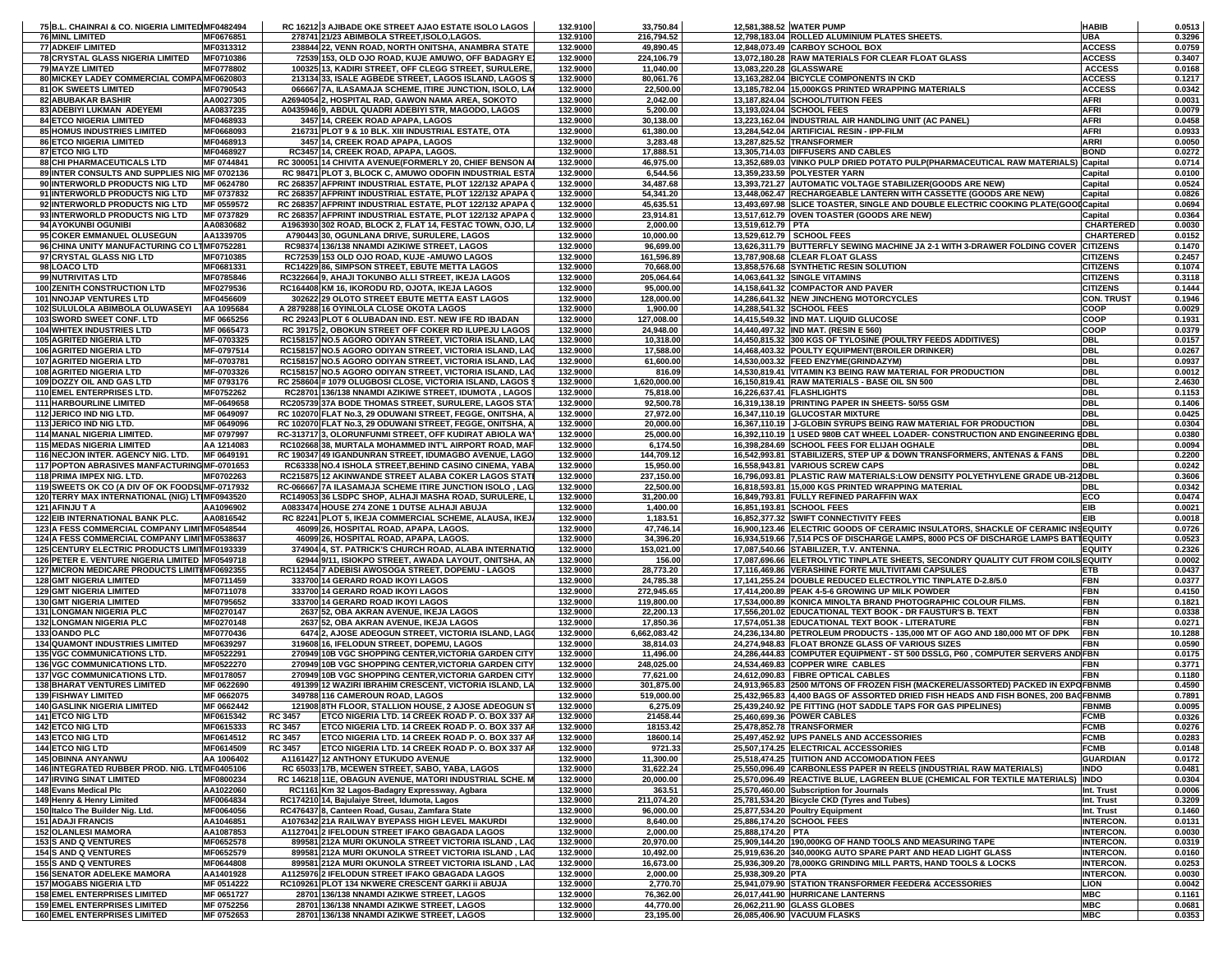| <b>76 MINL LIMITED</b><br>MF0676851<br>278741 21/23 ABIMBOLA STREET, ISOLO, LAGOS.<br>132.9100<br>216,794.52<br>12,798,183.04 ROLLED ALUMINIUM PLATES SHEETS.<br>UBA<br>0.3296<br><b>77 ADKEIF LIMITED</b><br>MF0313312<br>238844 22, VENN ROAD, NORTH ONITSHA, ANAMBRA STATE<br>132.9000<br>49,890.45<br>12,848,073.49 CARBOY SCHOOL BOX<br><b>ACCESS</b><br>0.0759<br><b>78 CRYSTAL GLASS NIGERIA LIMITED</b><br>MF0710386<br>72539 153, OLD OJO ROAD, KUJE AMUWO, OFF BADAGRY E.<br>132.9000<br>224,106.79<br>13,072,180.28 RAW MATERIALS FOR CLEAR FLOAT GLASS<br><b>ACCESS</b><br>0.3407<br>MF0778802<br>100325 13, KADIRI STREET, OFF CLEGG STREET, SURULERE,<br>132.9000<br>13,083,220.28 GLASSWARE<br><b>ACCESS</b><br>0.0168<br><b>79 MAYZE LIMITED</b><br>11,040.00<br>80 MICKEY LADEY COMMERCIAL COMPA MF0620803<br>132.9000<br><b>ACCESS</b><br>0.1217<br>213134 33, ISALE AGBEDE STREET, LAGOS ISLAND, LAGOS S<br>80,061.76<br>13,163,282.04 BICYCLE COMPONENTS IN CKD<br><b>81 OK SWEETS LIMITED</b><br>MF0790543<br>066667 7A, ILASAMAJA SCHEME, ITIRE JUNCTION, ISOLO, LA<br>132.9000<br>22,500.00<br>13,185,782.04 15,000KGS PRINTED WRAPPING MATERIALS<br><b>ACCESS</b><br>0.0342<br>0.0031<br>82 ABUBAKAR BASHIR<br>AA0027305<br>A2694054 2, HOSPITAL RAD, GAWON NAMA AREA, SOKOTO<br>132.9000<br>2,042.00<br>13,187,824.04 SCHOOL/TUITION FEES<br>AFRI<br>83 ADEBIYI LUKMAN ADEYEMI<br>AA0837235<br>A0435946 9, ABDUL QUADRI ADEBIYI STR, MAGODO, LAGOS<br>132.9000<br>5,200.00<br>13,193,024.04 SCHOOL FEES<br>AFRI<br>0.0079<br><b>AFRI</b><br>0.0458<br>MF0468933<br>3457 14, CREEK ROAD APAPA, LAGOS<br>132.9000<br>30,138.00<br>13,223,162.04 INDUSTRIAL AIR HANDLING UNIT (AC PANEL)<br><b>84 ETCO NIGERIA LIMITED</b><br>85 HOMUS INDUSTRIES LIMITED<br>MF0668093<br>216731 PLOT 9 & 10 BLK. XIII INDUSTRIAL ESTATE, OTA<br>132.9000<br>61,380.00<br>13,284,542.04 ARTIFICIAL RESIN - IPP-FILM<br><b>AFRI</b><br>0.0933<br>MF0468913<br>3457 14, CREEK ROAD APAPA, LAGOS<br>132.9000<br>13,287,825.52 TRANSFORMER<br><b>ARRI</b><br>0.0050<br><b>86 ETCO NIGERIA LIMITED</b><br>3,283.48<br>87 ETCO NIG LTD<br>MF0468927<br>RC3457 14, CREEK ROAD, APAPA, LAGOS<br>132.9000<br>17,888.51<br>13,305,714.03 DIFFUSERS AND CABLES<br><b>BOND</b><br>0.0272<br>MF 0744841<br>132.9000<br>13,352,689.03 VINKO PULP DRIED POTATO PULP(PHARMACEUTICAL RAW MATERIALS) Capital<br>0.0714<br>88 CHI PHARMACEUTICALS LTD<br>RC 300051 14 CHIVITA AVENUE(FORMERLY 20, CHIEF BENSON AI<br>46,975.00<br>89 INTER CONSULTS AND SUPPLIES NIG MF 0702136<br>RC 98471 PLOT 3, BLOCK C, AMUWO ODOFIN INDUSTRIAL ESTA<br>132.9000<br>6,544.56<br>13,359,233.59 POLYESTER YARN<br>0.0100<br>Capital<br>90 INTERWORLD PRODUCTS NIG LTD<br>MF 0624780<br>RC 268357 AFPRINT INDUSTRIAL ESTATE, PLOT 122/132 APAPA O<br>132.9000<br>34,487.68<br>13,393,721.27 AUTOMATIC VOLTAGE STABILIZER(GOODS ARE NEW)<br>0.0524<br>Capital<br>RC 268357 AFPRINT INDUSTRIAL ESTATE, PLOT 122/132 APAPA O<br>91 INTERWORLD PRODUCTS NIG LTD<br>MF 0737832<br>132.9000<br>54,341.20<br>13,448,062.47 RECHARGEABLE LANTERN WITH CASSETTE (GOODS ARE NEW)<br>0.0826<br>Capital<br>RC 268357 AFPRINT INDUSTRIAL ESTATE, PLOT 122/132 APAPA C<br>132.9000<br>0.0694<br>92 INTERWORLD PRODUCTS NIG LTD<br>MF 0559572<br>45,635.51<br>13,493,697.98 SLICE TOASTER, SINGLE AND DOUBLE ELECTRIC COOKING PLATE(GOOI Capital<br>93 INTERWORLD PRODUCTS NIG LTD<br>MF 0737829<br>RC 268357 AFPRINT INDUSTRIAL ESTATE, PLOT 122/132 APAPA O<br>132.9000<br>13,517,612.79 OVEN TOASTER (GOODS ARE NEW)<br>0.0364<br>23,914.81<br>Capital<br>0.0030<br>94 AYOKUNBI OGUNIBI<br>AA0830682<br>A1963930 302 ROAD, BLOCK 2, FLAT 14, FESTAC TOWN, OJO, LA<br>132.9000<br>2,000.00<br>13,519,612.79 PTA<br><b>CHARTERED</b><br>95 COKER EMMANUEL OLUSEGUN<br>AA1339705<br>A790443 30, OGUNLANA DRIVE, SURULERE, LAGOS<br>132.9000<br>10,000.00<br>13.529.612.79 SCHOOL FEES<br><b>CHARTERED</b><br>0.0152<br>96 CHINA UNITY MANUFACTURING CO LTMF0752281<br>RC98374 136/138 NNAMDI AZIKIWE STREET, LAGOS<br><b>CITIZENS</b><br>0.1470<br>132.9000<br>96,699.00<br>13,626,311.79 BUTTERFLY SEWING MACHINE JA 2-1 WITH 3-DRAWER FOLDING COVER<br>97 CRYSTAL GLASS NIG LTD<br>MF0710385<br>RC72539 153 OLD OJO ROAD, KUJE - AMUWO LAGOS<br>132.9000<br>161,596.89<br>13,787,908.68 CLEAR FLOAT GLASS<br><b>CITIZENS</b><br>0.2457<br>0.1074<br>98 LOACO LTD<br>MF0681331<br>RC14229 86, SIMPSON STREET, EBUTE METTA LAGOS<br>132.9000<br>70,668.00<br>13,858,576.68 SYNTHETIC RESIN SOLUTION<br><b>CITIZENS</b><br>99 NUTRIVITAS LTD<br>MF0785846<br>RC322664 9, AHAJI TOKUNBO ALLI STREET, IKEJA LAGOS<br>132.9000<br>205,064.64<br>14,063,641.32 SINGLE VITAMINS<br><b>CITIZENS</b><br>0.3118<br>MF0279536<br>RC164408 KM 16, IKORODU RD, OJOTA, IKEJA LAGOS<br>14,158,641.32 COMPACTOR AND PAVER<br><b>CITIZENS</b><br>0.1444<br>100 ZENITH CONSTRUCTION LTD<br>132.9000<br>95,000.00<br><b>101 NNOJAP VENTURES LTD</b><br>MF0456609<br>302622 29 OLOTO STREET EBUTE METTA EAST LAGOS<br>132.9000<br>128,000.00<br>14,286,641.32 NEW JINCHENG MOTORCYCLES<br><b>CON. TRUST</b><br>0.1946<br>102 SULULOLA ABIMBOLA OLUWASEYI   AA 1095684<br>A 2879288 16 OYINLOLA CLOSE OKOTA LAGOS<br>14,288,541.32 SCHOOL FEES<br>COOP<br>0.0029<br>132.9000<br>1,900.00<br>103 SWORD SWEET CONF. LTD<br>MF 0665256<br>RC 29243 PLOT 6 OLUBADAN IND. EST. NEW IFE RD IBADAN<br>132.9000<br>127,008.00<br>14,415,549.32 IND MAT. LIQUID GLUCOSE<br>COOP<br>0.1931<br>104 WHITEX INDUSTRIES LTD<br>MF 0665473<br>RC 39175 2, OBOKUN STREET OFF COKER RD ILUPEJU LAGOS<br>132.9000<br>COOP<br>0.0379<br>24,948.00<br>14,440,497.32 IND MAT. (RESIN E 560)<br><b>DBL</b><br>0.0157<br><b>105 AGRITED NIGERIA LTD</b><br>MF-0703325<br>RC158157 NO.5 AGORO ODIYAN STREET, VICTORIA ISLAND, LAC<br>132.9000<br>10,318.00<br>14,450,815.32 300 KGS OF TYLOSINE (POULTRY FEEDS ADDITIVES)<br>106 AGRITED NIGERIA LTD<br>MF-0797514<br>RC158157 NO.5 AGORO ODIYAN STREET, VICTORIA ISLAND, LAC<br>132.9000<br>17,588.00<br>14,468,403.32 POULTY EQUIPMENT(BROILER DRINKER)<br><b>DBL</b><br>0.0267<br><b>DBL</b><br>0.0937<br>107 AGRITED NIGERIA LTD<br>RC158157 NO.5 AGORO ODIYAN STREET, VICTORIA ISLAND, LAC<br>132.9000<br>14,530,003.32 FEED ENZYME(GRINDAZYM)<br>MF-0703781<br>61,600.00<br>108 AGRITED NIGERIA LTD<br>MF-0703326<br>RC158157 NO.5 AGORO ODIYAN STREET, VICTORIA ISLAND, LAC<br>132.9000<br>816.09<br>14,530,819.41 VITAMIN K3 BEING RAW MATERIAL FOR PRODUCTION<br><b>DBL</b><br>0.0012<br><b>DBL</b><br>2.4630<br>109 DOZZY OIL AND GAS LTD<br>MF 0793176<br>RC 258604 # 1079 OLUGBOSI CLOSE, VICTORIA ISLAND, LAGOS \$<br>132.9000<br>16,150,819.41 RAW MATERIALS - BASE OIL SN 500<br>1,620,000.00<br><b>DBL</b><br>110 EMEL ENTERPRISES LTD.<br>MF0752262<br>RC28701 136/138 NNAMDI AZIKIWE STREET, IDUMOTA, LAGOS<br>132.9000<br>75,818.00<br>16,226,637.41 FLASHLIGHTS<br>0.1153<br>MF-0649658<br>RC205739 37A BODE THOMAS STREET, SURULERE, LAGOS STA<br>132.9000<br>92,500.78<br>16,319,138.19 PRINTING PAPER IN SHEETS- 50/55 GSM<br><b>DBL</b><br>0.1406<br><b>111 HARBOURLINE LIMITED</b><br>112 JERICO IND NIG LTD.<br>MF 0649097<br>RC 102070 FLAT No.3, 29 ODUWANI STREET, FEGGE, ONITSHA, A<br>132.9000<br>27,972.00<br>16,347,110.19 GLUCOSTAR MIXTURE<br><b>DBL</b><br>0.0425<br>MF 0649096<br>132.9000<br>16,367,110.19 J-GLOBIN SYRUPS BEING RAW MATERIAL FOR PRODUCTION<br><b>DBL</b><br>0.0304<br>113 JERICO IND NIG LTD.<br>RC 102070 FLAT No.3, 29 ODUWANI STREET, FEGGE, ONITSHA, A<br>20,000.00<br>114 MANAL NIGERIA LIMITED.<br>MF 0797997<br>RC-313717 3, OLORUNFUNMI STREET, OFF KUDIRAT ABIOLA WAY<br>132.9000<br>25,000.00<br>16,392,110.19 1 USED 980B CAT WHEEL LOADER- CONSTRUCTION AND ENGINEERING EDBL<br>0.0380<br>RC102668 38, MURTALA MOHAMMED INT'L AIRPORT ROAD, MAF<br>132.9000<br>16,398,284.69 SCHOOL FEES FOR ELIJAH OGHALE<br>0.0094<br><b>115 MEDAS NIGERIA LIMITED</b><br>AA 1214083<br>6,174.50<br>DBL<br>MF 0649191<br>RC 190347 49 IGANDUNRAN STREET, IDUMAGBO AVENUE, LAGO<br>16,542,993.81 STABILIZERS, STEP UP & DOWN TRANSFORMERS, ANTENAS & FANS<br>116 NECJON INTER. AGENCY NIG. LTD.<br>132.9000<br>144,709.12<br><b>DBL</b><br>0.2200<br><b>DBL</b><br>132.9000<br>0.0242<br>117 POPTON ABRASIVES MANFACTURING MF-0701653<br>RC63338 NO.4 ISHOLA STREET, BEHIND CASINO CINEMA, YABA<br>15,950.00<br>16,558,943.81 VARIOUS SCREW CAPS<br>118 PRIMA IMPEX NIG. LTD.<br>MF0702263<br>RC215875 12 AKINWANDE STREET ALABA COKER LAGOS STATE<br>132.9000<br>237,150.00<br>16,796,093.81 PLASTIC RAW MATERIALS:LOW DENSITY POLYETHYLENE GRADE UB-212DBL<br>0.3606<br>132.9000<br>0.0342<br>119 SWEETS OK CO (A DIV OF OK FOODSL MF-0717932<br>RC-066667 7A ILASAMAJA SCHEME ITIRE JUNCTION ISOLO, LAG<br>22,500.00<br>16,818,593.81 15,000 KGS PRINTED WRAPPING MATERIAL<br>DBL<br>120 TERRY MAX INTERNATIONAL (NIG) LT MF0943520<br>RC149053 36 LSDPC SHOP, ALHAJI MASHA ROAD, SURULERE, L.<br>132.9000<br>31,200.00<br>16,849,793.81 FULLY REFINED PARAFFIN WAX<br>ECO<br>0.0474<br>A0833474 HOUSE 274 ZONE 1 DUTSE ALHAJI ABUJA<br>16,851,193.81 SCHOOL FEES<br><b>EIB</b><br>0.0021<br>121 AFINJU T A<br>AA1096902<br>132.9000<br>1,400.00<br>EIB<br>122 EIB INTERNATIONAL BANK PLC.<br>AA0816542<br>RC 82241 PLOT 5, IKEJA COMMERCIAL SCHEME, ALAUSA, IKEJ/<br>132.9000<br>1,183.51<br>16,852,377.32 SWIFT CONNECTIVITY FEES<br>0.0018<br>123 A FESS COMMERCIAL COMPANY LIMITMF0548544<br>16,900,123.46 ELECTRIC GOODS OF CERAMIC INSULATORS, SHACKLE OF CERAMIC INSEQUITY<br>0.0726<br>46099 26, HOSPITAL ROAD, APAPA, LAGOS<br>132.9000<br>47,746.14<br>124 A FESS COMMERCIAL COMPANY LIMITMF0538637<br>46099 26, HOSPITAL ROAD, APAPA, LAGOS.<br>132.9000<br>34,396.20<br>16,934,519.66 7,514 PCS OF DISCHARGE LAMPS, 8000 PCS OF DISCHARGE LAMPS BATTEQUITY<br>0.0523<br>125 CENTURY ELECTRIC PRODUCTS LIMIT MF0193339<br>374904 4, ST. PATRICK'S CHURCH ROAD, ALABA INTERNATIO<br>0.2326<br>132.9000<br>153,021.00<br>17,087,540.66 STABILIZER, T.V. ANTENNA.<br><b>EQUITY</b><br>126 PETER E. VENTURE NIGERIA LIMITED MF0549718<br>62944 9/11, ISIOKPO STREET, AWADA LAYOUT, ONITSHA, AN<br>132.9000<br>156.00<br>17,087,696.66 ELETROLYTIC TINPLATE SHEETS, SECONDRY QUALITY CUT FROM COILS EQUITY<br>0.0002<br>127 MICRON MEDICARE PRODUCTS LIMITI MF0692355<br>RC112454 7 ADEBISI AWOSOGA STREET, DOPEMU - LAGOS<br>132.9000<br>28,773.20<br>17,116,469.86 VERASHINE FORTE MULTIVITAMI CAPSULES<br>0.0437<br>ETB<br><b>128 GMT NIGERIA LIMITED</b><br>MF0711459<br>333700 14 GERARD ROAD IKOYI LAGOS<br>132.9000<br>24,785.38<br>17,141,255.24 DOUBLE REDUCED ELECTROLYTIC TINPLATE D-2.8/5.0<br><b>FBN</b><br>0.0377<br><b>129 GMT NIGERIA LIMITED</b><br>333700 14 GERARD ROAD IKOYI LAGOS<br>17,414,200.89 PEAK 4-5-6 GROWING UP MILK POWDER<br><b>FBN</b><br>0.4150<br><b>MF0711078</b><br>132.9000<br>272,945.65<br><b>FBN</b><br>0.1821<br><b>130 GMT NIGERIA LIMITED</b><br>MF0795652<br>333700 14 GERARD ROAD IKOYI LAGOS<br>132.9000<br>119,800.00<br>17,534,000.89 KONICA MINOLTA BRAND PHOTOGRAPHIC COLOUR FILMS.<br><b>131 LONGMAN NIGERIA PLC</b><br>MF0270147<br>2637 52, OBA AKRAN AVENUE, IKEJA LAGOS<br>132.9000<br>22,200.13<br>17,556,201.02 EDUCATIONAL TEXT BOOK - DR FAUSTUR'S B. TEXT<br><b>FBN</b><br>0.0338<br>0.0271<br><b>132 LONGMAN NIGERIA PLC</b><br>MF0270148<br>2637 52, OBA AKRAN AVENUE, IKEJA LAGOS<br>132.9000<br>17,850.36<br>17,574,051.38 EDUCATIONAL TEXT BOOK - LITERATURE<br><b>FBN</b><br>133 OANDO PLC<br>MF0770436<br>6474 2, AJOSE ADEOGUN STREET, VICTORIA ISLAND, LAGO<br>132.9000<br>6,662,083.42<br>24,236,134.80 PETROLEUM PRODUCTS - 135,000 MT OF AGO AND 180,000 MT OF DPK<br><b>FBN</b><br>10.1288<br><b>FBN</b><br>0.0590<br><b>134 QUAMONT INDUSTRIES LIMITED</b><br>MF0639297<br>319608 16, IFELODUN STREET, DOPEMU, LAGOS<br>132.9000<br>38,814.03<br>24,274,948.83 FLOAT BRONZE GLASS OF VARIOUS SIZES<br>24,286,444.83 COMPUTER EQUIPMENT - ST 500 DSSLG, P60, COMPUTER SERVERS AND FBN<br>135 VGC COMMUNICATIONS LTD.<br>MF0522291<br>270949 10B VGC SHOPPING CENTER, VICTORIA GARDEN CITY<br>132.9000<br>11,496.00<br>0.0175<br>136 VGC COMMUNICATIONS LTD.<br>MF0522270<br>270949 10B VGC SHOPPING CENTER, VICTORIA GARDEN CITY<br>132.9000<br>24,534,469.83 COPPER WIRE CABLES<br><b>FBN</b><br>0.3771<br>248,025.00<br><b>137 VGC COMMUNICATIONS LTD.</b><br>MF0178057<br>270949 10B VGC SHOPPING CENTER, VICTORIA GARDEN CITY<br>132.9000<br>77,621.00<br>24,612,090.83 FIBRE OPTICAL CABLES<br><b>FBN</b><br>0.1180<br>491399 12 WAZIRI IBRAHIM CRESCENT, VICTORIA ISLAND, LA<br>24,913,965.83 2500 M/TONS OF FROZEN FISH (MACKEREL/ASSORTED) PACKED IN EXPOFBNMB<br>0.4590<br><b>138 BHARAT VENTURES LIMITED</b><br>MF 0622690<br>132.9000<br>301,875.00<br><b>139 FISHWAY LIMITED</b><br>MF 0662075<br>349788 116 CAMEROUN ROAD, LAGOS<br>132.9000<br>519,000.00<br>25,432,965.83 4,400 BAGS OF ASSORTED DRIED FISH HEADS AND FISH BONES, 200 BAGFBNMB<br>0.7891<br>121908 8TH FLOOR, STALLION HOUSE, 2 AJOSE ADEOGUN ST<br>25,439,240.92 PE FITTING (HOT SADDLE TAPS FOR GAS PIPELINES)<br><b>140 GASLINK NIGERIA LIMITED</b><br>MF 0662442<br>132.9000<br>6,275.09<br>0.0095<br><b>FBNMB</b><br><b>141 ETCO NIG LTD</b><br>MF0615342<br>RC 3457 ETCO NIGERIA LTD. 14 CREEK ROAD P.O. BOX 337 AP<br>132.9000<br>21458.44<br>25,460,699.36 POWER CABLES<br><b>FCMB</b><br>0.0326<br>MF0615333<br><b>RC 3457</b><br>ETCO NIGERIA LTD. 14 CREEK ROAD P. O. BOX 337 AP<br>132.9000<br>18153.42<br>25,478,852.78 TRANSFORMER<br><b>FCMB</b><br>142 ETCO NIG LTD<br>0.0276<br>18600.14<br><b>FCMB</b><br><b>143 ETCO NIG LTD</b><br>MF0614512<br><b>RC 3457</b><br>ETCO NIGERIA LTD. 14 CREEK ROAD P. O. BOX 337 AP<br>132.9000<br>25,497,452.92 UPS PANELS AND ACCESSORIES<br>0.0283<br>144 ETCO NIG LTD<br>MF0614509<br><b>RC 3457</b><br>ETCO NIGERIA LTD. 14 CREEK ROAD P. O. BOX 337 AP<br>132.9000<br>9721.33<br>25,507,174.25 ELECTRICAL ACCESSORIES<br><b>FCMB</b><br>0.0148<br><b>145 OBINNA ANYANWU</b><br>25.518.474.25 TUITION AND ACCOMODATION FEES<br><b>GUARDIAN</b><br>AA 1006402<br>A1161427 12 ANTHONY ETUKUDO AVENUE<br>132.9000<br>11,300.00<br>0.0172<br>146 INTEGRATED RUBBER PROD. NIG. LTDMF0405106<br>RC 65033 17B, MCEWEN STREET, SABO, YABA, LAGOS<br>132.9000<br>31,622.24<br>25,550,096.49 CARBONLESS PAPER IN REELS (INDUSTRIAL RAW MATERIALS)<br><b>INDO</b><br>0.0481<br>RC 146218 11E, OBAGUN AVENUE, MATORI INDUSTRIAL SCHE. M<br>25,570,096.49 REACTIVE BLUE, LAGREEN BLUE (CHEMICAL FOR TEXTILE MATERIALS) INDO<br><b>147 IRVING SINAT LIMITED</b><br>MF0800234<br>132.9000<br>20,000.00<br>0.0304<br>148 Evans Medical Plc<br>AA1022060<br>132.9000<br>363.51<br>25,570,460.00 Subscription for Journals<br>Int. Trust<br>0.0006<br>RC1161 Km 32 Lagos-Badagry Expressway, Agbara<br>149 Henry & Henry Limited<br>MF0064834<br>RC174210 14. Baiulaive Street, Idumota, Lagos<br>132.9000<br>211,074.20<br>25,781,534.20 Bicycle CKD (Tyres and Tubes)<br>Int. Trust<br>0.3209<br>150 Italco The Builder Nig. Ltd.<br>MF0064056<br>RC476437 8, Canteen Road, Gusau, Zamfara State<br>132.9000<br>96,000.00<br>25,877,534.20 Poultry Equipment<br>Int. Trust<br>0.1460<br>132.9000<br>25.886.174.20 SCHOOL FEES<br><b>INTERCON.</b><br><b>151 ADAJI FRANCIS</b><br>AA1046851<br>A1076342 21A RAILWAY BYEPASS HIGH LEVEL MAKURDI<br>8,640.00<br>0.0131<br><b>152 OLANLESI MAMORA</b><br>AA1087853<br>A1127041 2 IFELODUN STREET IFAKO GBAGADA LAGOS<br>132.9000<br>2,000.00<br>25,888,174.20 PTA<br><b>INTERCON.</b><br>0.0030<br>153 S AND Q VENTURES<br>25.909.144.20 190.000KG OF HAND TOOLS AND MEASURING TAPE<br>MF0652578<br>899581 212A MURI OKUNOLA STREET VICTORIA ISLAND. LAG<br>132.9000<br>20,970.00<br><b>INTERCON.</b><br>0.0319<br>154 S AND Q VENTURES<br>MF0652579<br>899581 212A MURI OKUNOLA STREET VICTORIA ISLAND, LAC<br>132.9000<br>10,492.00<br>25,919,636.20 340,000KG AUTO SPARE PART AND HEAD LIGHT GLASS<br><b>INTERCON.</b><br>0.0160<br>155 S AND Q VENTURES<br>MF0644808<br>132.9000<br>16,673.00<br>25,936,309.20 78,000KG GRINDING MILL PARTS, HAND TOOLS & LOCKS<br>899581 212A MURI OKUNOLA STREET VICTORIA ISLAND, LAG<br><b>INTERCON.</b><br>0.0253<br><b>156 SENATOR ADELEKE MAMORA</b><br>AA1401928<br>A1125976 2 IFELODUN STREET IFAKO GBAGADA LAGOS<br>132.9000<br>2,000.00<br>25,938,309.20 PTA<br><b>INTERCON.</b><br>0.0030<br>25,941,079.90 STATION TRANSFORMER FEEDER& ACCESSORIES<br><b>157 MOGABS NIGERIA LTD</b><br>MF 0514222<br>RC109261 PLOT 134 NKWERE CRESCENT GARKI II ABUJA<br>132.9000<br>2,770.70<br>0.0042<br><b>LION</b><br><b>158 EMEL ENTERPRISES LIMITED</b><br>MF 0651727<br>28701 136/138 NNAMDI AZIKWE STREET, LAGOS<br>132.9000<br>76,362.00<br>26,017,441.90 HURRICANE LANTERNS<br><b>MBC</b><br>0.1161<br><b>MBC</b><br><b>159 EMEL ENTERPRISES LIMITED</b><br>MF 0752256<br>28701 136/138 NNAMDI AZIKWE STREET, LAGOS<br>132.9000<br>44,770.00<br>26,062,211.90 GLASS GLOBES<br>0.0681<br><b>160 EMEL ENTERPRISES LIMITED</b><br>28701 136/138 NNAMDI AZIKWE STREET, LAGOS<br>26,085,406.90 VACUUM FLASKS<br><b>MBC</b> | 75 B.L. CHAINRAI & CO. NIGERIA LIMITED MF0482494 |            | RC 16212 3 AJIBADE OKE STREET AJAO ESTATE ISOLO LAGOS | 132.9100 | 33,750.84 | 12,581,388.52 WATER PUMP | <b>HABIB</b> | 0.0513 |
|-------------------------------------------------------------------------------------------------------------------------------------------------------------------------------------------------------------------------------------------------------------------------------------------------------------------------------------------------------------------------------------------------------------------------------------------------------------------------------------------------------------------------------------------------------------------------------------------------------------------------------------------------------------------------------------------------------------------------------------------------------------------------------------------------------------------------------------------------------------------------------------------------------------------------------------------------------------------------------------------------------------------------------------------------------------------------------------------------------------------------------------------------------------------------------------------------------------------------------------------------------------------------------------------------------------------------------------------------------------------------------------------------------------------------------------------------------------------------------------------------------------------------------------------------------------------------------------------------------------------------------------------------------------------------------------------------------------------------------------------------------------------------------------------------------------------------------------------------------------------------------------------------------------------------------------------------------------------------------------------------------------------------------------------------------------------------------------------------------------------------------------------------------------------------------------------------------------------------------------------------------------------------------------------------------------------------------------------------------------------------------------------------------------------------------------------------------------------------------------------------------------------------------------------------------------------------------------------------------------------------------------------------------------------------------------------------------------------------------------------------------------------------------------------------------------------------------------------------------------------------------------------------------------------------------------------------------------------------------------------------------------------------------------------------------------------------------------------------------------------------------------------------------------------------------------------------------------------------------------------------------------------------------------------------------------------------------------------------------------------------------------------------------------------------------------------------------------------------------------------------------------------------------------------------------------------------------------------------------------------------------------------------------------------------------------------------------------------------------------------------------------------------------------------------------------------------------------------------------------------------------------------------------------------------------------------------------------------------------------------------------------------------------------------------------------------------------------------------------------------------------------------------------------------------------------------------------------------------------------------------------------------------------------------------------------------------------------------------------------------------------------------------------------------------------------------------------------------------------------------------------------------------------------------------------------------------------------------------------------------------------------------------------------------------------------------------------------------------------------------------------------------------------------------------------------------------------------------------------------------------------------------------------------------------------------------------------------------------------------------------------------------------------------------------------------------------------------------------------------------------------------------------------------------------------------------------------------------------------------------------------------------------------------------------------------------------------------------------------------------------------------------------------------------------------------------------------------------------------------------------------------------------------------------------------------------------------------------------------------------------------------------------------------------------------------------------------------------------------------------------------------------------------------------------------------------------------------------------------------------------------------------------------------------------------------------------------------------------------------------------------------------------------------------------------------------------------------------------------------------------------------------------------------------------------------------------------------------------------------------------------------------------------------------------------------------------------------------------------------------------------------------------------------------------------------------------------------------------------------------------------------------------------------------------------------------------------------------------------------------------------------------------------------------------------------------------------------------------------------------------------------------------------------------------------------------------------------------------------------------------------------------------------------------------------------------------------------------------------------------------------------------------------------------------------------------------------------------------------------------------------------------------------------------------------------------------------------------------------------------------------------------------------------------------------------------------------------------------------------------------------------------------------------------------------------------------------------------------------------------------------------------------------------------------------------------------------------------------------------------------------------------------------------------------------------------------------------------------------------------------------------------------------------------------------------------------------------------------------------------------------------------------------------------------------------------------------------------------------------------------------------------------------------------------------------------------------------------------------------------------------------------------------------------------------------------------------------------------------------------------------------------------------------------------------------------------------------------------------------------------------------------------------------------------------------------------------------------------------------------------------------------------------------------------------------------------------------------------------------------------------------------------------------------------------------------------------------------------------------------------------------------------------------------------------------------------------------------------------------------------------------------------------------------------------------------------------------------------------------------------------------------------------------------------------------------------------------------------------------------------------------------------------------------------------------------------------------------------------------------------------------------------------------------------------------------------------------------------------------------------------------------------------------------------------------------------------------------------------------------------------------------------------------------------------------------------------------------------------------------------------------------------------------------------------------------------------------------------------------------------------------------------------------------------------------------------------------------------------------------------------------------------------------------------------------------------------------------------------------------------------------------------------------------------------------------------------------------------------------------------------------------------------------------------------------------------------------------------------------------------------------------------------------------------------------------------------------------------------------------------------------------------------------------------------------------------------------------------------------------------------------------------------------------------------------------------------------------------------------------------------------------------------------------------------------------------------------------------------------------------------------------------------------------------------------------------------------------------------------------------------------------------------------------------------------------------------------------------------------------------------------------------------------------------------------------------------------------------------------------------------------------------------------------------------------------------------------------------------------------------------------------------------------------------------------------------------------------------------------------------------------------------------------------------------------------------------------------------------------------------------------------------------------------------------------------------------------------------------------------------------------------------------------------------------------------------------------------------------------------------------------------------------------------------------------------------------------------------------------------------------------------------------------------------------------------------------------------------------------------------------------------------------------------------------------------------------------------------------------------------------------------------------------------------------------------------------------------------------------------------------------------------------------------------------------------------------------------------------------------------------------------------------------------------------------------------------------------------------------------------------------------------------------------------------------------------------------------------------------------------------------------------------------------------------------------------------------------------------------------------------------------------------------------------------------------------------------------------------------------------------------------------------------------------------------------------------------------------------------------------------------------------------------------------------------------------------------------------------------------------------------------------------------------------------------------------------------------------------------------------------------------------------------------------------------------------------------------------------------------------------------------------------------------------------------------------------------------------------------------------------------------------------------------------------------------------------------------------------------------------------------------------------------------------------------------------------------------------------------------------------------------------------------------------------------------------------------------------------------------------------------------------------------------------------------------------------------------------------------------------------------------------------------------------------------------------------------------------------------------------------------------------------------------------------------------------------------------------------------------------------------------------------------------------------------------------------------------------------------------------------------------------------------------------------------------------------------------------------------------------------------------------------------------------------------------------------------------------------------------------------------------------------------------------------------------------------------------------------------------------------------------------------------------------------------------------------------------------------------------------------------------------------------------------------------------------------------------------------------------------------------------------------------------------------------------------------------------------------------------------------------------------------------------------------------------------------------------------------------------------------------------------------------------------------------------------------------------------------------------------------------------------------------------------------------------------------------------------------------------------------------------------------------------------------------------------------------------------------------------------------------------------------------------------------------------------------------------------------------------------------------------------------------------------------------------------------------------------------------------------------------------------------------------------------------------------------------------------------------------------------------------------------------------------------------------------------------------------------------------------------------------------------------------------------------------------------------------------------------------------------------------------------------------------------------------------------------------------------------------------------------------------------------------------------------------------------------------------------------------------------------------------------------------------------------------------------------------------------------------------------------------------------------------------------------------------------------------------------------------------------------------------------------------------------------------------------------------------------------------------------------------------------------------------------------------------------------------------------------------------------------------------------------------------------------------------------------------------------------------------------------------------------------------------------------------------------------------------------------|--------------------------------------------------|------------|-------------------------------------------------------|----------|-----------|--------------------------|--------------|--------|
|                                                                                                                                                                                                                                                                                                                                                                                                                                                                                                                                                                                                                                                                                                                                                                                                                                                                                                                                                                                                                                                                                                                                                                                                                                                                                                                                                                                                                                                                                                                                                                                                                                                                                                                                                                                                                                                                                                                                                                                                                                                                                                                                                                                                                                                                                                                                                                                                                                                                                                                                                                                                                                                                                                                                                                                                                                                                                                                                                                                                                                                                                                                                                                                                                                                                                                                                                                                                                                                                                                                                                                                                                                                                                                                                                                                                                                                                                                                                                                                                                                                                                                                                                                                                                                                                                                                                                                                                                                                                                                                                                                                                                                                                                                                                                                                                                                                                                                                                                                                                                                                                                                                                                                                                                                                                                                                                                                                                                                                                                                                                                                                                                                                                                                                                                                                                                                                                                                                                                                                                                                                                                                                                                                                                                                                                                                                                                                                                                                                                                                                                                                                                                                                                                                                                                                                                                                                                                                                                                                                                                                                                                                                                                                                                                                                                                                                                                                                                                                                                                                                                                                                                                                                                                                                                                                                                                                                                                                                                                                                                                                                                                                                                                                                                                                                                                                                                                                                                                                                                                                                                                                                                                                                                                                                                                                                                                                                                                                                                                                                                                                                                                                                                                                                                                                                                                                                                                                                                                                                                                                                                                                                                                                                                                                                                                                                                                                                                                                                                                                                                                                                                                                                                                                                                                                                                                                                                                                                                                                                                                                                                                                                                                                                                                                                                                                                                                                                                                                                                                                                                                                                                                                                                                                                                                                                                                                                                                                                                                                                                                                                                                                                                                                                                                                                                                                                                                                                                                                                                                                                                                                                                                                                                                                                                                                                                                                                                                                                                                                                                                                                                                                                                                                                                                                                                                                                                                                                                                                                                                                                                                                                                                                                                                                                                                                                                                                                                                                                                                                                                                                                                                                                                                                                                                                                                                                                                                                                                                                                                                                                                                                                                                                                                                                                                                                                                                                                                                                                                                                                                                                                                                                                                                                                                                                                                                                                                                                                                                                                                                                                                                                                                                                                                                                                                                                                                                                                                                                                                                                                                                                                                                                                                                                                                                                                                                                                                                                                                                                                                                                                                                                                                                                                                                                                                                                                                                                                                                                                                                                                                                                                                                                                                                                                                                                                                                                                                                                                                                                                                                                                                                                                                                                                                                                                                                                     |                                                  |            |                                                       |          |           |                          |              |        |
|                                                                                                                                                                                                                                                                                                                                                                                                                                                                                                                                                                                                                                                                                                                                                                                                                                                                                                                                                                                                                                                                                                                                                                                                                                                                                                                                                                                                                                                                                                                                                                                                                                                                                                                                                                                                                                                                                                                                                                                                                                                                                                                                                                                                                                                                                                                                                                                                                                                                                                                                                                                                                                                                                                                                                                                                                                                                                                                                                                                                                                                                                                                                                                                                                                                                                                                                                                                                                                                                                                                                                                                                                                                                                                                                                                                                                                                                                                                                                                                                                                                                                                                                                                                                                                                                                                                                                                                                                                                                                                                                                                                                                                                                                                                                                                                                                                                                                                                                                                                                                                                                                                                                                                                                                                                                                                                                                                                                                                                                                                                                                                                                                                                                                                                                                                                                                                                                                                                                                                                                                                                                                                                                                                                                                                                                                                                                                                                                                                                                                                                                                                                                                                                                                                                                                                                                                                                                                                                                                                                                                                                                                                                                                                                                                                                                                                                                                                                                                                                                                                                                                                                                                                                                                                                                                                                                                                                                                                                                                                                                                                                                                                                                                                                                                                                                                                                                                                                                                                                                                                                                                                                                                                                                                                                                                                                                                                                                                                                                                                                                                                                                                                                                                                                                                                                                                                                                                                                                                                                                                                                                                                                                                                                                                                                                                                                                                                                                                                                                                                                                                                                                                                                                                                                                                                                                                                                                                                                                                                                                                                                                                                                                                                                                                                                                                                                                                                                                                                                                                                                                                                                                                                                                                                                                                                                                                                                                                                                                                                                                                                                                                                                                                                                                                                                                                                                                                                                                                                                                                                                                                                                                                                                                                                                                                                                                                                                                                                                                                                                                                                                                                                                                                                                                                                                                                                                                                                                                                                                                                                                                                                                                                                                                                                                                                                                                                                                                                                                                                                                                                                                                                                                                                                                                                                                                                                                                                                                                                                                                                                                                                                                                                                                                                                                                                                                                                                                                                                                                                                                                                                                                                                                                                                                                                                                                                                                                                                                                                                                                                                                                                                                                                                                                                                                                                                                                                                                                                                                                                                                                                                                                                                                                                                                                                                                                                                                                                                                                                                                                                                                                                                                                                                                                                                                                                                                                                                                                                                                                                                                                                                                                                                                                                                                                                                                                                                                                                                                                                                                                                                                                                                                                                                                                                                                                                                     |                                                  |            |                                                       |          |           |                          |              |        |
|                                                                                                                                                                                                                                                                                                                                                                                                                                                                                                                                                                                                                                                                                                                                                                                                                                                                                                                                                                                                                                                                                                                                                                                                                                                                                                                                                                                                                                                                                                                                                                                                                                                                                                                                                                                                                                                                                                                                                                                                                                                                                                                                                                                                                                                                                                                                                                                                                                                                                                                                                                                                                                                                                                                                                                                                                                                                                                                                                                                                                                                                                                                                                                                                                                                                                                                                                                                                                                                                                                                                                                                                                                                                                                                                                                                                                                                                                                                                                                                                                                                                                                                                                                                                                                                                                                                                                                                                                                                                                                                                                                                                                                                                                                                                                                                                                                                                                                                                                                                                                                                                                                                                                                                                                                                                                                                                                                                                                                                                                                                                                                                                                                                                                                                                                                                                                                                                                                                                                                                                                                                                                                                                                                                                                                                                                                                                                                                                                                                                                                                                                                                                                                                                                                                                                                                                                                                                                                                                                                                                                                                                                                                                                                                                                                                                                                                                                                                                                                                                                                                                                                                                                                                                                                                                                                                                                                                                                                                                                                                                                                                                                                                                                                                                                                                                                                                                                                                                                                                                                                                                                                                                                                                                                                                                                                                                                                                                                                                                                                                                                                                                                                                                                                                                                                                                                                                                                                                                                                                                                                                                                                                                                                                                                                                                                                                                                                                                                                                                                                                                                                                                                                                                                                                                                                                                                                                                                                                                                                                                                                                                                                                                                                                                                                                                                                                                                                                                                                                                                                                                                                                                                                                                                                                                                                                                                                                                                                                                                                                                                                                                                                                                                                                                                                                                                                                                                                                                                                                                                                                                                                                                                                                                                                                                                                                                                                                                                                                                                                                                                                                                                                                                                                                                                                                                                                                                                                                                                                                                                                                                                                                                                                                                                                                                                                                                                                                                                                                                                                                                                                                                                                                                                                                                                                                                                                                                                                                                                                                                                                                                                                                                                                                                                                                                                                                                                                                                                                                                                                                                                                                                                                                                                                                                                                                                                                                                                                                                                                                                                                                                                                                                                                                                                                                                                                                                                                                                                                                                                                                                                                                                                                                                                                                                                                                                                                                                                                                                                                                                                                                                                                                                                                                                                                                                                                                                                                                                                                                                                                                                                                                                                                                                                                                                                                                                                                                                                                                                                                                                                                                                                                                                                                                                                                                                                                     |                                                  |            |                                                       |          |           |                          |              |        |
|                                                                                                                                                                                                                                                                                                                                                                                                                                                                                                                                                                                                                                                                                                                                                                                                                                                                                                                                                                                                                                                                                                                                                                                                                                                                                                                                                                                                                                                                                                                                                                                                                                                                                                                                                                                                                                                                                                                                                                                                                                                                                                                                                                                                                                                                                                                                                                                                                                                                                                                                                                                                                                                                                                                                                                                                                                                                                                                                                                                                                                                                                                                                                                                                                                                                                                                                                                                                                                                                                                                                                                                                                                                                                                                                                                                                                                                                                                                                                                                                                                                                                                                                                                                                                                                                                                                                                                                                                                                                                                                                                                                                                                                                                                                                                                                                                                                                                                                                                                                                                                                                                                                                                                                                                                                                                                                                                                                                                                                                                                                                                                                                                                                                                                                                                                                                                                                                                                                                                                                                                                                                                                                                                                                                                                                                                                                                                                                                                                                                                                                                                                                                                                                                                                                                                                                                                                                                                                                                                                                                                                                                                                                                                                                                                                                                                                                                                                                                                                                                                                                                                                                                                                                                                                                                                                                                                                                                                                                                                                                                                                                                                                                                                                                                                                                                                                                                                                                                                                                                                                                                                                                                                                                                                                                                                                                                                                                                                                                                                                                                                                                                                                                                                                                                                                                                                                                                                                                                                                                                                                                                                                                                                                                                                                                                                                                                                                                                                                                                                                                                                                                                                                                                                                                                                                                                                                                                                                                                                                                                                                                                                                                                                                                                                                                                                                                                                                                                                                                                                                                                                                                                                                                                                                                                                                                                                                                                                                                                                                                                                                                                                                                                                                                                                                                                                                                                                                                                                                                                                                                                                                                                                                                                                                                                                                                                                                                                                                                                                                                                                                                                                                                                                                                                                                                                                                                                                                                                                                                                                                                                                                                                                                                                                                                                                                                                                                                                                                                                                                                                                                                                                                                                                                                                                                                                                                                                                                                                                                                                                                                                                                                                                                                                                                                                                                                                                                                                                                                                                                                                                                                                                                                                                                                                                                                                                                                                                                                                                                                                                                                                                                                                                                                                                                                                                                                                                                                                                                                                                                                                                                                                                                                                                                                                                                                                                                                                                                                                                                                                                                                                                                                                                                                                                                                                                                                                                                                                                                                                                                                                                                                                                                                                                                                                                                                                                                                                                                                                                                                                                                                                                                                                                                                                                                                                                                     |                                                  |            |                                                       |          |           |                          |              |        |
|                                                                                                                                                                                                                                                                                                                                                                                                                                                                                                                                                                                                                                                                                                                                                                                                                                                                                                                                                                                                                                                                                                                                                                                                                                                                                                                                                                                                                                                                                                                                                                                                                                                                                                                                                                                                                                                                                                                                                                                                                                                                                                                                                                                                                                                                                                                                                                                                                                                                                                                                                                                                                                                                                                                                                                                                                                                                                                                                                                                                                                                                                                                                                                                                                                                                                                                                                                                                                                                                                                                                                                                                                                                                                                                                                                                                                                                                                                                                                                                                                                                                                                                                                                                                                                                                                                                                                                                                                                                                                                                                                                                                                                                                                                                                                                                                                                                                                                                                                                                                                                                                                                                                                                                                                                                                                                                                                                                                                                                                                                                                                                                                                                                                                                                                                                                                                                                                                                                                                                                                                                                                                                                                                                                                                                                                                                                                                                                                                                                                                                                                                                                                                                                                                                                                                                                                                                                                                                                                                                                                                                                                                                                                                                                                                                                                                                                                                                                                                                                                                                                                                                                                                                                                                                                                                                                                                                                                                                                                                                                                                                                                                                                                                                                                                                                                                                                                                                                                                                                                                                                                                                                                                                                                                                                                                                                                                                                                                                                                                                                                                                                                                                                                                                                                                                                                                                                                                                                                                                                                                                                                                                                                                                                                                                                                                                                                                                                                                                                                                                                                                                                                                                                                                                                                                                                                                                                                                                                                                                                                                                                                                                                                                                                                                                                                                                                                                                                                                                                                                                                                                                                                                                                                                                                                                                                                                                                                                                                                                                                                                                                                                                                                                                                                                                                                                                                                                                                                                                                                                                                                                                                                                                                                                                                                                                                                                                                                                                                                                                                                                                                                                                                                                                                                                                                                                                                                                                                                                                                                                                                                                                                                                                                                                                                                                                                                                                                                                                                                                                                                                                                                                                                                                                                                                                                                                                                                                                                                                                                                                                                                                                                                                                                                                                                                                                                                                                                                                                                                                                                                                                                                                                                                                                                                                                                                                                                                                                                                                                                                                                                                                                                                                                                                                                                                                                                                                                                                                                                                                                                                                                                                                                                                                                                                                                                                                                                                                                                                                                                                                                                                                                                                                                                                                                                                                                                                                                                                                                                                                                                                                                                                                                                                                                                                                                                                                                                                                                                                                                                                                                                                                                                                                                                                                                                                                                     |                                                  |            |                                                       |          |           |                          |              |        |
|                                                                                                                                                                                                                                                                                                                                                                                                                                                                                                                                                                                                                                                                                                                                                                                                                                                                                                                                                                                                                                                                                                                                                                                                                                                                                                                                                                                                                                                                                                                                                                                                                                                                                                                                                                                                                                                                                                                                                                                                                                                                                                                                                                                                                                                                                                                                                                                                                                                                                                                                                                                                                                                                                                                                                                                                                                                                                                                                                                                                                                                                                                                                                                                                                                                                                                                                                                                                                                                                                                                                                                                                                                                                                                                                                                                                                                                                                                                                                                                                                                                                                                                                                                                                                                                                                                                                                                                                                                                                                                                                                                                                                                                                                                                                                                                                                                                                                                                                                                                                                                                                                                                                                                                                                                                                                                                                                                                                                                                                                                                                                                                                                                                                                                                                                                                                                                                                                                                                                                                                                                                                                                                                                                                                                                                                                                                                                                                                                                                                                                                                                                                                                                                                                                                                                                                                                                                                                                                                                                                                                                                                                                                                                                                                                                                                                                                                                                                                                                                                                                                                                                                                                                                                                                                                                                                                                                                                                                                                                                                                                                                                                                                                                                                                                                                                                                                                                                                                                                                                                                                                                                                                                                                                                                                                                                                                                                                                                                                                                                                                                                                                                                                                                                                                                                                                                                                                                                                                                                                                                                                                                                                                                                                                                                                                                                                                                                                                                                                                                                                                                                                                                                                                                                                                                                                                                                                                                                                                                                                                                                                                                                                                                                                                                                                                                                                                                                                                                                                                                                                                                                                                                                                                                                                                                                                                                                                                                                                                                                                                                                                                                                                                                                                                                                                                                                                                                                                                                                                                                                                                                                                                                                                                                                                                                                                                                                                                                                                                                                                                                                                                                                                                                                                                                                                                                                                                                                                                                                                                                                                                                                                                                                                                                                                                                                                                                                                                                                                                                                                                                                                                                                                                                                                                                                                                                                                                                                                                                                                                                                                                                                                                                                                                                                                                                                                                                                                                                                                                                                                                                                                                                                                                                                                                                                                                                                                                                                                                                                                                                                                                                                                                                                                                                                                                                                                                                                                                                                                                                                                                                                                                                                                                                                                                                                                                                                                                                                                                                                                                                                                                                                                                                                                                                                                                                                                                                                                                                                                                                                                                                                                                                                                                                                                                                                                                                                                                                                                                                                                                                                                                                                                                                                                                                                                                                                     |                                                  |            |                                                       |          |           |                          |              |        |
|                                                                                                                                                                                                                                                                                                                                                                                                                                                                                                                                                                                                                                                                                                                                                                                                                                                                                                                                                                                                                                                                                                                                                                                                                                                                                                                                                                                                                                                                                                                                                                                                                                                                                                                                                                                                                                                                                                                                                                                                                                                                                                                                                                                                                                                                                                                                                                                                                                                                                                                                                                                                                                                                                                                                                                                                                                                                                                                                                                                                                                                                                                                                                                                                                                                                                                                                                                                                                                                                                                                                                                                                                                                                                                                                                                                                                                                                                                                                                                                                                                                                                                                                                                                                                                                                                                                                                                                                                                                                                                                                                                                                                                                                                                                                                                                                                                                                                                                                                                                                                                                                                                                                                                                                                                                                                                                                                                                                                                                                                                                                                                                                                                                                                                                                                                                                                                                                                                                                                                                                                                                                                                                                                                                                                                                                                                                                                                                                                                                                                                                                                                                                                                                                                                                                                                                                                                                                                                                                                                                                                                                                                                                                                                                                                                                                                                                                                                                                                                                                                                                                                                                                                                                                                                                                                                                                                                                                                                                                                                                                                                                                                                                                                                                                                                                                                                                                                                                                                                                                                                                                                                                                                                                                                                                                                                                                                                                                                                                                                                                                                                                                                                                                                                                                                                                                                                                                                                                                                                                                                                                                                                                                                                                                                                                                                                                                                                                                                                                                                                                                                                                                                                                                                                                                                                                                                                                                                                                                                                                                                                                                                                                                                                                                                                                                                                                                                                                                                                                                                                                                                                                                                                                                                                                                                                                                                                                                                                                                                                                                                                                                                                                                                                                                                                                                                                                                                                                                                                                                                                                                                                                                                                                                                                                                                                                                                                                                                                                                                                                                                                                                                                                                                                                                                                                                                                                                                                                                                                                                                                                                                                                                                                                                                                                                                                                                                                                                                                                                                                                                                                                                                                                                                                                                                                                                                                                                                                                                                                                                                                                                                                                                                                                                                                                                                                                                                                                                                                                                                                                                                                                                                                                                                                                                                                                                                                                                                                                                                                                                                                                                                                                                                                                                                                                                                                                                                                                                                                                                                                                                                                                                                                                                                                                                                                                                                                                                                                                                                                                                                                                                                                                                                                                                                                                                                                                                                                                                                                                                                                                                                                                                                                                                                                                                                                                                                                                                                                                                                                                                                                                                                                                                                                                                                                                                                                     |                                                  |            |                                                       |          |           |                          |              |        |
|                                                                                                                                                                                                                                                                                                                                                                                                                                                                                                                                                                                                                                                                                                                                                                                                                                                                                                                                                                                                                                                                                                                                                                                                                                                                                                                                                                                                                                                                                                                                                                                                                                                                                                                                                                                                                                                                                                                                                                                                                                                                                                                                                                                                                                                                                                                                                                                                                                                                                                                                                                                                                                                                                                                                                                                                                                                                                                                                                                                                                                                                                                                                                                                                                                                                                                                                                                                                                                                                                                                                                                                                                                                                                                                                                                                                                                                                                                                                                                                                                                                                                                                                                                                                                                                                                                                                                                                                                                                                                                                                                                                                                                                                                                                                                                                                                                                                                                                                                                                                                                                                                                                                                                                                                                                                                                                                                                                                                                                                                                                                                                                                                                                                                                                                                                                                                                                                                                                                                                                                                                                                                                                                                                                                                                                                                                                                                                                                                                                                                                                                                                                                                                                                                                                                                                                                                                                                                                                                                                                                                                                                                                                                                                                                                                                                                                                                                                                                                                                                                                                                                                                                                                                                                                                                                                                                                                                                                                                                                                                                                                                                                                                                                                                                                                                                                                                                                                                                                                                                                                                                                                                                                                                                                                                                                                                                                                                                                                                                                                                                                                                                                                                                                                                                                                                                                                                                                                                                                                                                                                                                                                                                                                                                                                                                                                                                                                                                                                                                                                                                                                                                                                                                                                                                                                                                                                                                                                                                                                                                                                                                                                                                                                                                                                                                                                                                                                                                                                                                                                                                                                                                                                                                                                                                                                                                                                                                                                                                                                                                                                                                                                                                                                                                                                                                                                                                                                                                                                                                                                                                                                                                                                                                                                                                                                                                                                                                                                                                                                                                                                                                                                                                                                                                                                                                                                                                                                                                                                                                                                                                                                                                                                                                                                                                                                                                                                                                                                                                                                                                                                                                                                                                                                                                                                                                                                                                                                                                                                                                                                                                                                                                                                                                                                                                                                                                                                                                                                                                                                                                                                                                                                                                                                                                                                                                                                                                                                                                                                                                                                                                                                                                                                                                                                                                                                                                                                                                                                                                                                                                                                                                                                                                                                                                                                                                                                                                                                                                                                                                                                                                                                                                                                                                                                                                                                                                                                                                                                                                                                                                                                                                                                                                                                                                                                                                                                                                                                                                                                                                                                                                                                                                                                                                                                                                                                     |                                                  |            |                                                       |          |           |                          |              |        |
|                                                                                                                                                                                                                                                                                                                                                                                                                                                                                                                                                                                                                                                                                                                                                                                                                                                                                                                                                                                                                                                                                                                                                                                                                                                                                                                                                                                                                                                                                                                                                                                                                                                                                                                                                                                                                                                                                                                                                                                                                                                                                                                                                                                                                                                                                                                                                                                                                                                                                                                                                                                                                                                                                                                                                                                                                                                                                                                                                                                                                                                                                                                                                                                                                                                                                                                                                                                                                                                                                                                                                                                                                                                                                                                                                                                                                                                                                                                                                                                                                                                                                                                                                                                                                                                                                                                                                                                                                                                                                                                                                                                                                                                                                                                                                                                                                                                                                                                                                                                                                                                                                                                                                                                                                                                                                                                                                                                                                                                                                                                                                                                                                                                                                                                                                                                                                                                                                                                                                                                                                                                                                                                                                                                                                                                                                                                                                                                                                                                                                                                                                                                                                                                                                                                                                                                                                                                                                                                                                                                                                                                                                                                                                                                                                                                                                                                                                                                                                                                                                                                                                                                                                                                                                                                                                                                                                                                                                                                                                                                                                                                                                                                                                                                                                                                                                                                                                                                                                                                                                                                                                                                                                                                                                                                                                                                                                                                                                                                                                                                                                                                                                                                                                                                                                                                                                                                                                                                                                                                                                                                                                                                                                                                                                                                                                                                                                                                                                                                                                                                                                                                                                                                                                                                                                                                                                                                                                                                                                                                                                                                                                                                                                                                                                                                                                                                                                                                                                                                                                                                                                                                                                                                                                                                                                                                                                                                                                                                                                                                                                                                                                                                                                                                                                                                                                                                                                                                                                                                                                                                                                                                                                                                                                                                                                                                                                                                                                                                                                                                                                                                                                                                                                                                                                                                                                                                                                                                                                                                                                                                                                                                                                                                                                                                                                                                                                                                                                                                                                                                                                                                                                                                                                                                                                                                                                                                                                                                                                                                                                                                                                                                                                                                                                                                                                                                                                                                                                                                                                                                                                                                                                                                                                                                                                                                                                                                                                                                                                                                                                                                                                                                                                                                                                                                                                                                                                                                                                                                                                                                                                                                                                                                                                                                                                                                                                                                                                                                                                                                                                                                                                                                                                                                                                                                                                                                                                                                                                                                                                                                                                                                                                                                                                                                                                                                                                                                                                                                                                                                                                                                                                                                                                                                                                                                                                                     |                                                  |            |                                                       |          |           |                          |              |        |
|                                                                                                                                                                                                                                                                                                                                                                                                                                                                                                                                                                                                                                                                                                                                                                                                                                                                                                                                                                                                                                                                                                                                                                                                                                                                                                                                                                                                                                                                                                                                                                                                                                                                                                                                                                                                                                                                                                                                                                                                                                                                                                                                                                                                                                                                                                                                                                                                                                                                                                                                                                                                                                                                                                                                                                                                                                                                                                                                                                                                                                                                                                                                                                                                                                                                                                                                                                                                                                                                                                                                                                                                                                                                                                                                                                                                                                                                                                                                                                                                                                                                                                                                                                                                                                                                                                                                                                                                                                                                                                                                                                                                                                                                                                                                                                                                                                                                                                                                                                                                                                                                                                                                                                                                                                                                                                                                                                                                                                                                                                                                                                                                                                                                                                                                                                                                                                                                                                                                                                                                                                                                                                                                                                                                                                                                                                                                                                                                                                                                                                                                                                                                                                                                                                                                                                                                                                                                                                                                                                                                                                                                                                                                                                                                                                                                                                                                                                                                                                                                                                                                                                                                                                                                                                                                                                                                                                                                                                                                                                                                                                                                                                                                                                                                                                                                                                                                                                                                                                                                                                                                                                                                                                                                                                                                                                                                                                                                                                                                                                                                                                                                                                                                                                                                                                                                                                                                                                                                                                                                                                                                                                                                                                                                                                                                                                                                                                                                                                                                                                                                                                                                                                                                                                                                                                                                                                                                                                                                                                                                                                                                                                                                                                                                                                                                                                                                                                                                                                                                                                                                                                                                                                                                                                                                                                                                                                                                                                                                                                                                                                                                                                                                                                                                                                                                                                                                                                                                                                                                                                                                                                                                                                                                                                                                                                                                                                                                                                                                                                                                                                                                                                                                                                                                                                                                                                                                                                                                                                                                                                                                                                                                                                                                                                                                                                                                                                                                                                                                                                                                                                                                                                                                                                                                                                                                                                                                                                                                                                                                                                                                                                                                                                                                                                                                                                                                                                                                                                                                                                                                                                                                                                                                                                                                                                                                                                                                                                                                                                                                                                                                                                                                                                                                                                                                                                                                                                                                                                                                                                                                                                                                                                                                                                                                                                                                                                                                                                                                                                                                                                                                                                                                                                                                                                                                                                                                                                                                                                                                                                                                                                                                                                                                                                                                                                                                                                                                                                                                                                                                                                                                                                                                                                                                                                                                                                     |                                                  |            |                                                       |          |           |                          |              |        |
|                                                                                                                                                                                                                                                                                                                                                                                                                                                                                                                                                                                                                                                                                                                                                                                                                                                                                                                                                                                                                                                                                                                                                                                                                                                                                                                                                                                                                                                                                                                                                                                                                                                                                                                                                                                                                                                                                                                                                                                                                                                                                                                                                                                                                                                                                                                                                                                                                                                                                                                                                                                                                                                                                                                                                                                                                                                                                                                                                                                                                                                                                                                                                                                                                                                                                                                                                                                                                                                                                                                                                                                                                                                                                                                                                                                                                                                                                                                                                                                                                                                                                                                                                                                                                                                                                                                                                                                                                                                                                                                                                                                                                                                                                                                                                                                                                                                                                                                                                                                                                                                                                                                                                                                                                                                                                                                                                                                                                                                                                                                                                                                                                                                                                                                                                                                                                                                                                                                                                                                                                                                                                                                                                                                                                                                                                                                                                                                                                                                                                                                                                                                                                                                                                                                                                                                                                                                                                                                                                                                                                                                                                                                                                                                                                                                                                                                                                                                                                                                                                                                                                                                                                                                                                                                                                                                                                                                                                                                                                                                                                                                                                                                                                                                                                                                                                                                                                                                                                                                                                                                                                                                                                                                                                                                                                                                                                                                                                                                                                                                                                                                                                                                                                                                                                                                                                                                                                                                                                                                                                                                                                                                                                                                                                                                                                                                                                                                                                                                                                                                                                                                                                                                                                                                                                                                                                                                                                                                                                                                                                                                                                                                                                                                                                                                                                                                                                                                                                                                                                                                                                                                                                                                                                                                                                                                                                                                                                                                                                                                                                                                                                                                                                                                                                                                                                                                                                                                                                                                                                                                                                                                                                                                                                                                                                                                                                                                                                                                                                                                                                                                                                                                                                                                                                                                                                                                                                                                                                                                                                                                                                                                                                                                                                                                                                                                                                                                                                                                                                                                                                                                                                                                                                                                                                                                                                                                                                                                                                                                                                                                                                                                                                                                                                                                                                                                                                                                                                                                                                                                                                                                                                                                                                                                                                                                                                                                                                                                                                                                                                                                                                                                                                                                                                                                                                                                                                                                                                                                                                                                                                                                                                                                                                                                                                                                                                                                                                                                                                                                                                                                                                                                                                                                                                                                                                                                                                                                                                                                                                                                                                                                                                                                                                                                                                                                                                                                                                                                                                                                                                                                                                                                                                                                                                                                                                                     |                                                  |            |                                                       |          |           |                          |              |        |
|                                                                                                                                                                                                                                                                                                                                                                                                                                                                                                                                                                                                                                                                                                                                                                                                                                                                                                                                                                                                                                                                                                                                                                                                                                                                                                                                                                                                                                                                                                                                                                                                                                                                                                                                                                                                                                                                                                                                                                                                                                                                                                                                                                                                                                                                                                                                                                                                                                                                                                                                                                                                                                                                                                                                                                                                                                                                                                                                                                                                                                                                                                                                                                                                                                                                                                                                                                                                                                                                                                                                                                                                                                                                                                                                                                                                                                                                                                                                                                                                                                                                                                                                                                                                                                                                                                                                                                                                                                                                                                                                                                                                                                                                                                                                                                                                                                                                                                                                                                                                                                                                                                                                                                                                                                                                                                                                                                                                                                                                                                                                                                                                                                                                                                                                                                                                                                                                                                                                                                                                                                                                                                                                                                                                                                                                                                                                                                                                                                                                                                                                                                                                                                                                                                                                                                                                                                                                                                                                                                                                                                                                                                                                                                                                                                                                                                                                                                                                                                                                                                                                                                                                                                                                                                                                                                                                                                                                                                                                                                                                                                                                                                                                                                                                                                                                                                                                                                                                                                                                                                                                                                                                                                                                                                                                                                                                                                                                                                                                                                                                                                                                                                                                                                                                                                                                                                                                                                                                                                                                                                                                                                                                                                                                                                                                                                                                                                                                                                                                                                                                                                                                                                                                                                                                                                                                                                                                                                                                                                                                                                                                                                                                                                                                                                                                                                                                                                                                                                                                                                                                                                                                                                                                                                                                                                                                                                                                                                                                                                                                                                                                                                                                                                                                                                                                                                                                                                                                                                                                                                                                                                                                                                                                                                                                                                                                                                                                                                                                                                                                                                                                                                                                                                                                                                                                                                                                                                                                                                                                                                                                                                                                                                                                                                                                                                                                                                                                                                                                                                                                                                                                                                                                                                                                                                                                                                                                                                                                                                                                                                                                                                                                                                                                                                                                                                                                                                                                                                                                                                                                                                                                                                                                                                                                                                                                                                                                                                                                                                                                                                                                                                                                                                                                                                                                                                                                                                                                                                                                                                                                                                                                                                                                                                                                                                                                                                                                                                                                                                                                                                                                                                                                                                                                                                                                                                                                                                                                                                                                                                                                                                                                                                                                                                                                                                                                                                                                                                                                                                                                                                                                                                                                                                                                                                                                                                     |                                                  |            |                                                       |          |           |                          |              |        |
|                                                                                                                                                                                                                                                                                                                                                                                                                                                                                                                                                                                                                                                                                                                                                                                                                                                                                                                                                                                                                                                                                                                                                                                                                                                                                                                                                                                                                                                                                                                                                                                                                                                                                                                                                                                                                                                                                                                                                                                                                                                                                                                                                                                                                                                                                                                                                                                                                                                                                                                                                                                                                                                                                                                                                                                                                                                                                                                                                                                                                                                                                                                                                                                                                                                                                                                                                                                                                                                                                                                                                                                                                                                                                                                                                                                                                                                                                                                                                                                                                                                                                                                                                                                                                                                                                                                                                                                                                                                                                                                                                                                                                                                                                                                                                                                                                                                                                                                                                                                                                                                                                                                                                                                                                                                                                                                                                                                                                                                                                                                                                                                                                                                                                                                                                                                                                                                                                                                                                                                                                                                                                                                                                                                                                                                                                                                                                                                                                                                                                                                                                                                                                                                                                                                                                                                                                                                                                                                                                                                                                                                                                                                                                                                                                                                                                                                                                                                                                                                                                                                                                                                                                                                                                                                                                                                                                                                                                                                                                                                                                                                                                                                                                                                                                                                                                                                                                                                                                                                                                                                                                                                                                                                                                                                                                                                                                                                                                                                                                                                                                                                                                                                                                                                                                                                                                                                                                                                                                                                                                                                                                                                                                                                                                                                                                                                                                                                                                                                                                                                                                                                                                                                                                                                                                                                                                                                                                                                                                                                                                                                                                                                                                                                                                                                                                                                                                                                                                                                                                                                                                                                                                                                                                                                                                                                                                                                                                                                                                                                                                                                                                                                                                                                                                                                                                                                                                                                                                                                                                                                                                                                                                                                                                                                                                                                                                                                                                                                                                                                                                                                                                                                                                                                                                                                                                                                                                                                                                                                                                                                                                                                                                                                                                                                                                                                                                                                                                                                                                                                                                                                                                                                                                                                                                                                                                                                                                                                                                                                                                                                                                                                                                                                                                                                                                                                                                                                                                                                                                                                                                                                                                                                                                                                                                                                                                                                                                                                                                                                                                                                                                                                                                                                                                                                                                                                                                                                                                                                                                                                                                                                                                                                                                                                                                                                                                                                                                                                                                                                                                                                                                                                                                                                                                                                                                                                                                                                                                                                                                                                                                                                                                                                                                                                                                                                                                                                                                                                                                                                                                                                                                                                                                                                                                                                                                                     |                                                  |            |                                                       |          |           |                          |              |        |
|                                                                                                                                                                                                                                                                                                                                                                                                                                                                                                                                                                                                                                                                                                                                                                                                                                                                                                                                                                                                                                                                                                                                                                                                                                                                                                                                                                                                                                                                                                                                                                                                                                                                                                                                                                                                                                                                                                                                                                                                                                                                                                                                                                                                                                                                                                                                                                                                                                                                                                                                                                                                                                                                                                                                                                                                                                                                                                                                                                                                                                                                                                                                                                                                                                                                                                                                                                                                                                                                                                                                                                                                                                                                                                                                                                                                                                                                                                                                                                                                                                                                                                                                                                                                                                                                                                                                                                                                                                                                                                                                                                                                                                                                                                                                                                                                                                                                                                                                                                                                                                                                                                                                                                                                                                                                                                                                                                                                                                                                                                                                                                                                                                                                                                                                                                                                                                                                                                                                                                                                                                                                                                                                                                                                                                                                                                                                                                                                                                                                                                                                                                                                                                                                                                                                                                                                                                                                                                                                                                                                                                                                                                                                                                                                                                                                                                                                                                                                                                                                                                                                                                                                                                                                                                                                                                                                                                                                                                                                                                                                                                                                                                                                                                                                                                                                                                                                                                                                                                                                                                                                                                                                                                                                                                                                                                                                                                                                                                                                                                                                                                                                                                                                                                                                                                                                                                                                                                                                                                                                                                                                                                                                                                                                                                                                                                                                                                                                                                                                                                                                                                                                                                                                                                                                                                                                                                                                                                                                                                                                                                                                                                                                                                                                                                                                                                                                                                                                                                                                                                                                                                                                                                                                                                                                                                                                                                                                                                                                                                                                                                                                                                                                                                                                                                                                                                                                                                                                                                                                                                                                                                                                                                                                                                                                                                                                                                                                                                                                                                                                                                                                                                                                                                                                                                                                                                                                                                                                                                                                                                                                                                                                                                                                                                                                                                                                                                                                                                                                                                                                                                                                                                                                                                                                                                                                                                                                                                                                                                                                                                                                                                                                                                                                                                                                                                                                                                                                                                                                                                                                                                                                                                                                                                                                                                                                                                                                                                                                                                                                                                                                                                                                                                                                                                                                                                                                                                                                                                                                                                                                                                                                                                                                                                                                                                                                                                                                                                                                                                                                                                                                                                                                                                                                                                                                                                                                                                                                                                                                                                                                                                                                                                                                                                                                                                                                                                                                                                                                                                                                                                                                                                                                                                                                                                                                                                     |                                                  |            |                                                       |          |           |                          |              |        |
|                                                                                                                                                                                                                                                                                                                                                                                                                                                                                                                                                                                                                                                                                                                                                                                                                                                                                                                                                                                                                                                                                                                                                                                                                                                                                                                                                                                                                                                                                                                                                                                                                                                                                                                                                                                                                                                                                                                                                                                                                                                                                                                                                                                                                                                                                                                                                                                                                                                                                                                                                                                                                                                                                                                                                                                                                                                                                                                                                                                                                                                                                                                                                                                                                                                                                                                                                                                                                                                                                                                                                                                                                                                                                                                                                                                                                                                                                                                                                                                                                                                                                                                                                                                                                                                                                                                                                                                                                                                                                                                                                                                                                                                                                                                                                                                                                                                                                                                                                                                                                                                                                                                                                                                                                                                                                                                                                                                                                                                                                                                                                                                                                                                                                                                                                                                                                                                                                                                                                                                                                                                                                                                                                                                                                                                                                                                                                                                                                                                                                                                                                                                                                                                                                                                                                                                                                                                                                                                                                                                                                                                                                                                                                                                                                                                                                                                                                                                                                                                                                                                                                                                                                                                                                                                                                                                                                                                                                                                                                                                                                                                                                                                                                                                                                                                                                                                                                                                                                                                                                                                                                                                                                                                                                                                                                                                                                                                                                                                                                                                                                                                                                                                                                                                                                                                                                                                                                                                                                                                                                                                                                                                                                                                                                                                                                                                                                                                                                                                                                                                                                                                                                                                                                                                                                                                                                                                                                                                                                                                                                                                                                                                                                                                                                                                                                                                                                                                                                                                                                                                                                                                                                                                                                                                                                                                                                                                                                                                                                                                                                                                                                                                                                                                                                                                                                                                                                                                                                                                                                                                                                                                                                                                                                                                                                                                                                                                                                                                                                                                                                                                                                                                                                                                                                                                                                                                                                                                                                                                                                                                                                                                                                                                                                                                                                                                                                                                                                                                                                                                                                                                                                                                                                                                                                                                                                                                                                                                                                                                                                                                                                                                                                                                                                                                                                                                                                                                                                                                                                                                                                                                                                                                                                                                                                                                                                                                                                                                                                                                                                                                                                                                                                                                                                                                                                                                                                                                                                                                                                                                                                                                                                                                                                                                                                                                                                                                                                                                                                                                                                                                                                                                                                                                                                                                                                                                                                                                                                                                                                                                                                                                                                                                                                                                                                                                                                                                                                                                                                                                                                                                                                                                                                                                                                                                                                                     |                                                  |            |                                                       |          |           |                          |              |        |
|                                                                                                                                                                                                                                                                                                                                                                                                                                                                                                                                                                                                                                                                                                                                                                                                                                                                                                                                                                                                                                                                                                                                                                                                                                                                                                                                                                                                                                                                                                                                                                                                                                                                                                                                                                                                                                                                                                                                                                                                                                                                                                                                                                                                                                                                                                                                                                                                                                                                                                                                                                                                                                                                                                                                                                                                                                                                                                                                                                                                                                                                                                                                                                                                                                                                                                                                                                                                                                                                                                                                                                                                                                                                                                                                                                                                                                                                                                                                                                                                                                                                                                                                                                                                                                                                                                                                                                                                                                                                                                                                                                                                                                                                                                                                                                                                                                                                                                                                                                                                                                                                                                                                                                                                                                                                                                                                                                                                                                                                                                                                                                                                                                                                                                                                                                                                                                                                                                                                                                                                                                                                                                                                                                                                                                                                                                                                                                                                                                                                                                                                                                                                                                                                                                                                                                                                                                                                                                                                                                                                                                                                                                                                                                                                                                                                                                                                                                                                                                                                                                                                                                                                                                                                                                                                                                                                                                                                                                                                                                                                                                                                                                                                                                                                                                                                                                                                                                                                                                                                                                                                                                                                                                                                                                                                                                                                                                                                                                                                                                                                                                                                                                                                                                                                                                                                                                                                                                                                                                                                                                                                                                                                                                                                                                                                                                                                                                                                                                                                                                                                                                                                                                                                                                                                                                                                                                                                                                                                                                                                                                                                                                                                                                                                                                                                                                                                                                                                                                                                                                                                                                                                                                                                                                                                                                                                                                                                                                                                                                                                                                                                                                                                                                                                                                                                                                                                                                                                                                                                                                                                                                                                                                                                                                                                                                                                                                                                                                                                                                                                                                                                                                                                                                                                                                                                                                                                                                                                                                                                                                                                                                                                                                                                                                                                                                                                                                                                                                                                                                                                                                                                                                                                                                                                                                                                                                                                                                                                                                                                                                                                                                                                                                                                                                                                                                                                                                                                                                                                                                                                                                                                                                                                                                                                                                                                                                                                                                                                                                                                                                                                                                                                                                                                                                                                                                                                                                                                                                                                                                                                                                                                                                                                                                                                                                                                                                                                                                                                                                                                                                                                                                                                                                                                                                                                                                                                                                                                                                                                                                                                                                                                                                                                                                                                                                                                                                                                                                                                                                                                                                                                                                                                                                                                                                                                                                     |                                                  |            |                                                       |          |           |                          |              |        |
|                                                                                                                                                                                                                                                                                                                                                                                                                                                                                                                                                                                                                                                                                                                                                                                                                                                                                                                                                                                                                                                                                                                                                                                                                                                                                                                                                                                                                                                                                                                                                                                                                                                                                                                                                                                                                                                                                                                                                                                                                                                                                                                                                                                                                                                                                                                                                                                                                                                                                                                                                                                                                                                                                                                                                                                                                                                                                                                                                                                                                                                                                                                                                                                                                                                                                                                                                                                                                                                                                                                                                                                                                                                                                                                                                                                                                                                                                                                                                                                                                                                                                                                                                                                                                                                                                                                                                                                                                                                                                                                                                                                                                                                                                                                                                                                                                                                                                                                                                                                                                                                                                                                                                                                                                                                                                                                                                                                                                                                                                                                                                                                                                                                                                                                                                                                                                                                                                                                                                                                                                                                                                                                                                                                                                                                                                                                                                                                                                                                                                                                                                                                                                                                                                                                                                                                                                                                                                                                                                                                                                                                                                                                                                                                                                                                                                                                                                                                                                                                                                                                                                                                                                                                                                                                                                                                                                                                                                                                                                                                                                                                                                                                                                                                                                                                                                                                                                                                                                                                                                                                                                                                                                                                                                                                                                                                                                                                                                                                                                                                                                                                                                                                                                                                                                                                                                                                                                                                                                                                                                                                                                                                                                                                                                                                                                                                                                                                                                                                                                                                                                                                                                                                                                                                                                                                                                                                                                                                                                                                                                                                                                                                                                                                                                                                                                                                                                                                                                                                                                                                                                                                                                                                                                                                                                                                                                                                                                                                                                                                                                                                                                                                                                                                                                                                                                                                                                                                                                                                                                                                                                                                                                                                                                                                                                                                                                                                                                                                                                                                                                                                                                                                                                                                                                                                                                                                                                                                                                                                                                                                                                                                                                                                                                                                                                                                                                                                                                                                                                                                                                                                                                                                                                                                                                                                                                                                                                                                                                                                                                                                                                                                                                                                                                                                                                                                                                                                                                                                                                                                                                                                                                                                                                                                                                                                                                                                                                                                                                                                                                                                                                                                                                                                                                                                                                                                                                                                                                                                                                                                                                                                                                                                                                                                                                                                                                                                                                                                                                                                                                                                                                                                                                                                                                                                                                                                                                                                                                                                                                                                                                                                                                                                                                                                                                                                                                                                                                                                                                                                                                                                                                                                                                                                                                                                                                                     |                                                  |            |                                                       |          |           |                          |              |        |
|                                                                                                                                                                                                                                                                                                                                                                                                                                                                                                                                                                                                                                                                                                                                                                                                                                                                                                                                                                                                                                                                                                                                                                                                                                                                                                                                                                                                                                                                                                                                                                                                                                                                                                                                                                                                                                                                                                                                                                                                                                                                                                                                                                                                                                                                                                                                                                                                                                                                                                                                                                                                                                                                                                                                                                                                                                                                                                                                                                                                                                                                                                                                                                                                                                                                                                                                                                                                                                                                                                                                                                                                                                                                                                                                                                                                                                                                                                                                                                                                                                                                                                                                                                                                                                                                                                                                                                                                                                                                                                                                                                                                                                                                                                                                                                                                                                                                                                                                                                                                                                                                                                                                                                                                                                                                                                                                                                                                                                                                                                                                                                                                                                                                                                                                                                                                                                                                                                                                                                                                                                                                                                                                                                                                                                                                                                                                                                                                                                                                                                                                                                                                                                                                                                                                                                                                                                                                                                                                                                                                                                                                                                                                                                                                                                                                                                                                                                                                                                                                                                                                                                                                                                                                                                                                                                                                                                                                                                                                                                                                                                                                                                                                                                                                                                                                                                                                                                                                                                                                                                                                                                                                                                                                                                                                                                                                                                                                                                                                                                                                                                                                                                                                                                                                                                                                                                                                                                                                                                                                                                                                                                                                                                                                                                                                                                                                                                                                                                                                                                                                                                                                                                                                                                                                                                                                                                                                                                                                                                                                                                                                                                                                                                                                                                                                                                                                                                                                                                                                                                                                                                                                                                                                                                                                                                                                                                                                                                                                                                                                                                                                                                                                                                                                                                                                                                                                                                                                                                                                                                                                                                                                                                                                                                                                                                                                                                                                                                                                                                                                                                                                                                                                                                                                                                                                                                                                                                                                                                                                                                                                                                                                                                                                                                                                                                                                                                                                                                                                                                                                                                                                                                                                                                                                                                                                                                                                                                                                                                                                                                                                                                                                                                                                                                                                                                                                                                                                                                                                                                                                                                                                                                                                                                                                                                                                                                                                                                                                                                                                                                                                                                                                                                                                                                                                                                                                                                                                                                                                                                                                                                                                                                                                                                                                                                                                                                                                                                                                                                                                                                                                                                                                                                                                                                                                                                                                                                                                                                                                                                                                                                                                                                                                                                                                                                                                                                                                                                                                                                                                                                                                                                                                                                                                                                                                                                     |                                                  |            |                                                       |          |           |                          |              |        |
|                                                                                                                                                                                                                                                                                                                                                                                                                                                                                                                                                                                                                                                                                                                                                                                                                                                                                                                                                                                                                                                                                                                                                                                                                                                                                                                                                                                                                                                                                                                                                                                                                                                                                                                                                                                                                                                                                                                                                                                                                                                                                                                                                                                                                                                                                                                                                                                                                                                                                                                                                                                                                                                                                                                                                                                                                                                                                                                                                                                                                                                                                                                                                                                                                                                                                                                                                                                                                                                                                                                                                                                                                                                                                                                                                                                                                                                                                                                                                                                                                                                                                                                                                                                                                                                                                                                                                                                                                                                                                                                                                                                                                                                                                                                                                                                                                                                                                                                                                                                                                                                                                                                                                                                                                                                                                                                                                                                                                                                                                                                                                                                                                                                                                                                                                                                                                                                                                                                                                                                                                                                                                                                                                                                                                                                                                                                                                                                                                                                                                                                                                                                                                                                                                                                                                                                                                                                                                                                                                                                                                                                                                                                                                                                                                                                                                                                                                                                                                                                                                                                                                                                                                                                                                                                                                                                                                                                                                                                                                                                                                                                                                                                                                                                                                                                                                                                                                                                                                                                                                                                                                                                                                                                                                                                                                                                                                                                                                                                                                                                                                                                                                                                                                                                                                                                                                                                                                                                                                                                                                                                                                                                                                                                                                                                                                                                                                                                                                                                                                                                                                                                                                                                                                                                                                                                                                                                                                                                                                                                                                                                                                                                                                                                                                                                                                                                                                                                                                                                                                                                                                                                                                                                                                                                                                                                                                                                                                                                                                                                                                                                                                                                                                                                                                                                                                                                                                                                                                                                                                                                                                                                                                                                                                                                                                                                                                                                                                                                                                                                                                                                                                                                                                                                                                                                                                                                                                                                                                                                                                                                                                                                                                                                                                                                                                                                                                                                                                                                                                                                                                                                                                                                                                                                                                                                                                                                                                                                                                                                                                                                                                                                                                                                                                                                                                                                                                                                                                                                                                                                                                                                                                                                                                                                                                                                                                                                                                                                                                                                                                                                                                                                                                                                                                                                                                                                                                                                                                                                                                                                                                                                                                                                                                                                                                                                                                                                                                                                                                                                                                                                                                                                                                                                                                                                                                                                                                                                                                                                                                                                                                                                                                                                                                                                                                                                                                                                                                                                                                                                                                                                                                                                                                                                                                                                                                                     |                                                  |            |                                                       |          |           |                          |              |        |
|                                                                                                                                                                                                                                                                                                                                                                                                                                                                                                                                                                                                                                                                                                                                                                                                                                                                                                                                                                                                                                                                                                                                                                                                                                                                                                                                                                                                                                                                                                                                                                                                                                                                                                                                                                                                                                                                                                                                                                                                                                                                                                                                                                                                                                                                                                                                                                                                                                                                                                                                                                                                                                                                                                                                                                                                                                                                                                                                                                                                                                                                                                                                                                                                                                                                                                                                                                                                                                                                                                                                                                                                                                                                                                                                                                                                                                                                                                                                                                                                                                                                                                                                                                                                                                                                                                                                                                                                                                                                                                                                                                                                                                                                                                                                                                                                                                                                                                                                                                                                                                                                                                                                                                                                                                                                                                                                                                                                                                                                                                                                                                                                                                                                                                                                                                                                                                                                                                                                                                                                                                                                                                                                                                                                                                                                                                                                                                                                                                                                                                                                                                                                                                                                                                                                                                                                                                                                                                                                                                                                                                                                                                                                                                                                                                                                                                                                                                                                                                                                                                                                                                                                                                                                                                                                                                                                                                                                                                                                                                                                                                                                                                                                                                                                                                                                                                                                                                                                                                                                                                                                                                                                                                                                                                                                                                                                                                                                                                                                                                                                                                                                                                                                                                                                                                                                                                                                                                                                                                                                                                                                                                                                                                                                                                                                                                                                                                                                                                                                                                                                                                                                                                                                                                                                                                                                                                                                                                                                                                                                                                                                                                                                                                                                                                                                                                                                                                                                                                                                                                                                                                                                                                                                                                                                                                                                                                                                                                                                                                                                                                                                                                                                                                                                                                                                                                                                                                                                                                                                                                                                                                                                                                                                                                                                                                                                                                                                                                                                                                                                                                                                                                                                                                                                                                                                                                                                                                                                                                                                                                                                                                                                                                                                                                                                                                                                                                                                                                                                                                                                                                                                                                                                                                                                                                                                                                                                                                                                                                                                                                                                                                                                                                                                                                                                                                                                                                                                                                                                                                                                                                                                                                                                                                                                                                                                                                                                                                                                                                                                                                                                                                                                                                                                                                                                                                                                                                                                                                                                                                                                                                                                                                                                                                                                                                                                                                                                                                                                                                                                                                                                                                                                                                                                                                                                                                                                                                                                                                                                                                                                                                                                                                                                                                                                                                                                                                                                                                                                                                                                                                                                                                                                                                                                                                                                                                     |                                                  |            |                                                       |          |           |                          |              |        |
|                                                                                                                                                                                                                                                                                                                                                                                                                                                                                                                                                                                                                                                                                                                                                                                                                                                                                                                                                                                                                                                                                                                                                                                                                                                                                                                                                                                                                                                                                                                                                                                                                                                                                                                                                                                                                                                                                                                                                                                                                                                                                                                                                                                                                                                                                                                                                                                                                                                                                                                                                                                                                                                                                                                                                                                                                                                                                                                                                                                                                                                                                                                                                                                                                                                                                                                                                                                                                                                                                                                                                                                                                                                                                                                                                                                                                                                                                                                                                                                                                                                                                                                                                                                                                                                                                                                                                                                                                                                                                                                                                                                                                                                                                                                                                                                                                                                                                                                                                                                                                                                                                                                                                                                                                                                                                                                                                                                                                                                                                                                                                                                                                                                                                                                                                                                                                                                                                                                                                                                                                                                                                                                                                                                                                                                                                                                                                                                                                                                                                                                                                                                                                                                                                                                                                                                                                                                                                                                                                                                                                                                                                                                                                                                                                                                                                                                                                                                                                                                                                                                                                                                                                                                                                                                                                                                                                                                                                                                                                                                                                                                                                                                                                                                                                                                                                                                                                                                                                                                                                                                                                                                                                                                                                                                                                                                                                                                                                                                                                                                                                                                                                                                                                                                                                                                                                                                                                                                                                                                                                                                                                                                                                                                                                                                                                                                                                                                                                                                                                                                                                                                                                                                                                                                                                                                                                                                                                                                                                                                                                                                                                                                                                                                                                                                                                                                                                                                                                                                                                                                                                                                                                                                                                                                                                                                                                                                                                                                                                                                                                                                                                                                                                                                                                                                                                                                                                                                                                                                                                                                                                                                                                                                                                                                                                                                                                                                                                                                                                                                                                                                                                                                                                                                                                                                                                                                                                                                                                                                                                                                                                                                                                                                                                                                                                                                                                                                                                                                                                                                                                                                                                                                                                                                                                                                                                                                                                                                                                                                                                                                                                                                                                                                                                                                                                                                                                                                                                                                                                                                                                                                                                                                                                                                                                                                                                                                                                                                                                                                                                                                                                                                                                                                                                                                                                                                                                                                                                                                                                                                                                                                                                                                                                                                                                                                                                                                                                                                                                                                                                                                                                                                                                                                                                                                                                                                                                                                                                                                                                                                                                                                                                                                                                                                                                                                                                                                                                                                                                                                                                                                                                                                                                                                                                                                                                                     |                                                  |            |                                                       |          |           |                          |              |        |
|                                                                                                                                                                                                                                                                                                                                                                                                                                                                                                                                                                                                                                                                                                                                                                                                                                                                                                                                                                                                                                                                                                                                                                                                                                                                                                                                                                                                                                                                                                                                                                                                                                                                                                                                                                                                                                                                                                                                                                                                                                                                                                                                                                                                                                                                                                                                                                                                                                                                                                                                                                                                                                                                                                                                                                                                                                                                                                                                                                                                                                                                                                                                                                                                                                                                                                                                                                                                                                                                                                                                                                                                                                                                                                                                                                                                                                                                                                                                                                                                                                                                                                                                                                                                                                                                                                                                                                                                                                                                                                                                                                                                                                                                                                                                                                                                                                                                                                                                                                                                                                                                                                                                                                                                                                                                                                                                                                                                                                                                                                                                                                                                                                                                                                                                                                                                                                                                                                                                                                                                                                                                                                                                                                                                                                                                                                                                                                                                                                                                                                                                                                                                                                                                                                                                                                                                                                                                                                                                                                                                                                                                                                                                                                                                                                                                                                                                                                                                                                                                                                                                                                                                                                                                                                                                                                                                                                                                                                                                                                                                                                                                                                                                                                                                                                                                                                                                                                                                                                                                                                                                                                                                                                                                                                                                                                                                                                                                                                                                                                                                                                                                                                                                                                                                                                                                                                                                                                                                                                                                                                                                                                                                                                                                                                                                                                                                                                                                                                                                                                                                                                                                                                                                                                                                                                                                                                                                                                                                                                                                                                                                                                                                                                                                                                                                                                                                                                                                                                                                                                                                                                                                                                                                                                                                                                                                                                                                                                                                                                                                                                                                                                                                                                                                                                                                                                                                                                                                                                                                                                                                                                                                                                                                                                                                                                                                                                                                                                                                                                                                                                                                                                                                                                                                                                                                                                                                                                                                                                                                                                                                                                                                                                                                                                                                                                                                                                                                                                                                                                                                                                                                                                                                                                                                                                                                                                                                                                                                                                                                                                                                                                                                                                                                                                                                                                                                                                                                                                                                                                                                                                                                                                                                                                                                                                                                                                                                                                                                                                                                                                                                                                                                                                                                                                                                                                                                                                                                                                                                                                                                                                                                                                                                                                                                                                                                                                                                                                                                                                                                                                                                                                                                                                                                                                                                                                                                                                                                                                                                                                                                                                                                                                                                                                                                                                                                                                                                                                                                                                                                                                                                                                                                                                                                                                                                                                     |                                                  |            |                                                       |          |           |                          |              |        |
|                                                                                                                                                                                                                                                                                                                                                                                                                                                                                                                                                                                                                                                                                                                                                                                                                                                                                                                                                                                                                                                                                                                                                                                                                                                                                                                                                                                                                                                                                                                                                                                                                                                                                                                                                                                                                                                                                                                                                                                                                                                                                                                                                                                                                                                                                                                                                                                                                                                                                                                                                                                                                                                                                                                                                                                                                                                                                                                                                                                                                                                                                                                                                                                                                                                                                                                                                                                                                                                                                                                                                                                                                                                                                                                                                                                                                                                                                                                                                                                                                                                                                                                                                                                                                                                                                                                                                                                                                                                                                                                                                                                                                                                                                                                                                                                                                                                                                                                                                                                                                                                                                                                                                                                                                                                                                                                                                                                                                                                                                                                                                                                                                                                                                                                                                                                                                                                                                                                                                                                                                                                                                                                                                                                                                                                                                                                                                                                                                                                                                                                                                                                                                                                                                                                                                                                                                                                                                                                                                                                                                                                                                                                                                                                                                                                                                                                                                                                                                                                                                                                                                                                                                                                                                                                                                                                                                                                                                                                                                                                                                                                                                                                                                                                                                                                                                                                                                                                                                                                                                                                                                                                                                                                                                                                                                                                                                                                                                                                                                                                                                                                                                                                                                                                                                                                                                                                                                                                                                                                                                                                                                                                                                                                                                                                                                                                                                                                                                                                                                                                                                                                                                                                                                                                                                                                                                                                                                                                                                                                                                                                                                                                                                                                                                                                                                                                                                                                                                                                                                                                                                                                                                                                                                                                                                                                                                                                                                                                                                                                                                                                                                                                                                                                                                                                                                                                                                                                                                                                                                                                                                                                                                                                                                                                                                                                                                                                                                                                                                                                                                                                                                                                                                                                                                                                                                                                                                                                                                                                                                                                                                                                                                                                                                                                                                                                                                                                                                                                                                                                                                                                                                                                                                                                                                                                                                                                                                                                                                                                                                                                                                                                                                                                                                                                                                                                                                                                                                                                                                                                                                                                                                                                                                                                                                                                                                                                                                                                                                                                                                                                                                                                                                                                                                                                                                                                                                                                                                                                                                                                                                                                                                                                                                                                                                                                                                                                                                                                                                                                                                                                                                                                                                                                                                                                                                                                                                                                                                                                                                                                                                                                                                                                                                                                                                                                                                                                                                                                                                                                                                                                                                                                                                                                                                                                                                                     |                                                  |            |                                                       |          |           |                          |              |        |
|                                                                                                                                                                                                                                                                                                                                                                                                                                                                                                                                                                                                                                                                                                                                                                                                                                                                                                                                                                                                                                                                                                                                                                                                                                                                                                                                                                                                                                                                                                                                                                                                                                                                                                                                                                                                                                                                                                                                                                                                                                                                                                                                                                                                                                                                                                                                                                                                                                                                                                                                                                                                                                                                                                                                                                                                                                                                                                                                                                                                                                                                                                                                                                                                                                                                                                                                                                                                                                                                                                                                                                                                                                                                                                                                                                                                                                                                                                                                                                                                                                                                                                                                                                                                                                                                                                                                                                                                                                                                                                                                                                                                                                                                                                                                                                                                                                                                                                                                                                                                                                                                                                                                                                                                                                                                                                                                                                                                                                                                                                                                                                                                                                                                                                                                                                                                                                                                                                                                                                                                                                                                                                                                                                                                                                                                                                                                                                                                                                                                                                                                                                                                                                                                                                                                                                                                                                                                                                                                                                                                                                                                                                                                                                                                                                                                                                                                                                                                                                                                                                                                                                                                                                                                                                                                                                                                                                                                                                                                                                                                                                                                                                                                                                                                                                                                                                                                                                                                                                                                                                                                                                                                                                                                                                                                                                                                                                                                                                                                                                                                                                                                                                                                                                                                                                                                                                                                                                                                                                                                                                                                                                                                                                                                                                                                                                                                                                                                                                                                                                                                                                                                                                                                                                                                                                                                                                                                                                                                                                                                                                                                                                                                                                                                                                                                                                                                                                                                                                                                                                                                                                                                                                                                                                                                                                                                                                                                                                                                                                                                                                                                                                                                                                                                                                                                                                                                                                                                                                                                                                                                                                                                                                                                                                                                                                                                                                                                                                                                                                                                                                                                                                                                                                                                                                                                                                                                                                                                                                                                                                                                                                                                                                                                                                                                                                                                                                                                                                                                                                                                                                                                                                                                                                                                                                                                                                                                                                                                                                                                                                                                                                                                                                                                                                                                                                                                                                                                                                                                                                                                                                                                                                                                                                                                                                                                                                                                                                                                                                                                                                                                                                                                                                                                                                                                                                                                                                                                                                                                                                                                                                                                                                                                                                                                                                                                                                                                                                                                                                                                                                                                                                                                                                                                                                                                                                                                                                                                                                                                                                                                                                                                                                                                                                                                                                                                                                                                                                                                                                                                                                                                                                                                                                                                                                                                                                     |                                                  |            |                                                       |          |           |                          |              |        |
|                                                                                                                                                                                                                                                                                                                                                                                                                                                                                                                                                                                                                                                                                                                                                                                                                                                                                                                                                                                                                                                                                                                                                                                                                                                                                                                                                                                                                                                                                                                                                                                                                                                                                                                                                                                                                                                                                                                                                                                                                                                                                                                                                                                                                                                                                                                                                                                                                                                                                                                                                                                                                                                                                                                                                                                                                                                                                                                                                                                                                                                                                                                                                                                                                                                                                                                                                                                                                                                                                                                                                                                                                                                                                                                                                                                                                                                                                                                                                                                                                                                                                                                                                                                                                                                                                                                                                                                                                                                                                                                                                                                                                                                                                                                                                                                                                                                                                                                                                                                                                                                                                                                                                                                                                                                                                                                                                                                                                                                                                                                                                                                                                                                                                                                                                                                                                                                                                                                                                                                                                                                                                                                                                                                                                                                                                                                                                                                                                                                                                                                                                                                                                                                                                                                                                                                                                                                                                                                                                                                                                                                                                                                                                                                                                                                                                                                                                                                                                                                                                                                                                                                                                                                                                                                                                                                                                                                                                                                                                                                                                                                                                                                                                                                                                                                                                                                                                                                                                                                                                                                                                                                                                                                                                                                                                                                                                                                                                                                                                                                                                                                                                                                                                                                                                                                                                                                                                                                                                                                                                                                                                                                                                                                                                                                                                                                                                                                                                                                                                                                                                                                                                                                                                                                                                                                                                                                                                                                                                                                                                                                                                                                                                                                                                                                                                                                                                                                                                                                                                                                                                                                                                                                                                                                                                                                                                                                                                                                                                                                                                                                                                                                                                                                                                                                                                                                                                                                                                                                                                                                                                                                                                                                                                                                                                                                                                                                                                                                                                                                                                                                                                                                                                                                                                                                                                                                                                                                                                                                                                                                                                                                                                                                                                                                                                                                                                                                                                                                                                                                                                                                                                                                                                                                                                                                                                                                                                                                                                                                                                                                                                                                                                                                                                                                                                                                                                                                                                                                                                                                                                                                                                                                                                                                                                                                                                                                                                                                                                                                                                                                                                                                                                                                                                                                                                                                                                                                                                                                                                                                                                                                                                                                                                                                                                                                                                                                                                                                                                                                                                                                                                                                                                                                                                                                                                                                                                                                                                                                                                                                                                                                                                                                                                                                                                                                                                                                                                                                                                                                                                                                                                                                                                                                                                                                                                                     |                                                  |            |                                                       |          |           |                          |              |        |
|                                                                                                                                                                                                                                                                                                                                                                                                                                                                                                                                                                                                                                                                                                                                                                                                                                                                                                                                                                                                                                                                                                                                                                                                                                                                                                                                                                                                                                                                                                                                                                                                                                                                                                                                                                                                                                                                                                                                                                                                                                                                                                                                                                                                                                                                                                                                                                                                                                                                                                                                                                                                                                                                                                                                                                                                                                                                                                                                                                                                                                                                                                                                                                                                                                                                                                                                                                                                                                                                                                                                                                                                                                                                                                                                                                                                                                                                                                                                                                                                                                                                                                                                                                                                                                                                                                                                                                                                                                                                                                                                                                                                                                                                                                                                                                                                                                                                                                                                                                                                                                                                                                                                                                                                                                                                                                                                                                                                                                                                                                                                                                                                                                                                                                                                                                                                                                                                                                                                                                                                                                                                                                                                                                                                                                                                                                                                                                                                                                                                                                                                                                                                                                                                                                                                                                                                                                                                                                                                                                                                                                                                                                                                                                                                                                                                                                                                                                                                                                                                                                                                                                                                                                                                                                                                                                                                                                                                                                                                                                                                                                                                                                                                                                                                                                                                                                                                                                                                                                                                                                                                                                                                                                                                                                                                                                                                                                                                                                                                                                                                                                                                                                                                                                                                                                                                                                                                                                                                                                                                                                                                                                                                                                                                                                                                                                                                                                                                                                                                                                                                                                                                                                                                                                                                                                                                                                                                                                                                                                                                                                                                                                                                                                                                                                                                                                                                                                                                                                                                                                                                                                                                                                                                                                                                                                                                                                                                                                                                                                                                                                                                                                                                                                                                                                                                                                                                                                                                                                                                                                                                                                                                                                                                                                                                                                                                                                                                                                                                                                                                                                                                                                                                                                                                                                                                                                                                                                                                                                                                                                                                                                                                                                                                                                                                                                                                                                                                                                                                                                                                                                                                                                                                                                                                                                                                                                                                                                                                                                                                                                                                                                                                                                                                                                                                                                                                                                                                                                                                                                                                                                                                                                                                                                                                                                                                                                                                                                                                                                                                                                                                                                                                                                                                                                                                                                                                                                                                                                                                                                                                                                                                                                                                                                                                                                                                                                                                                                                                                                                                                                                                                                                                                                                                                                                                                                                                                                                                                                                                                                                                                                                                                                                                                                                                                                                                                                                                                                                                                                                                                                                                                                                                                                                                                                                                                                     |                                                  |            |                                                       |          |           |                          |              |        |
|                                                                                                                                                                                                                                                                                                                                                                                                                                                                                                                                                                                                                                                                                                                                                                                                                                                                                                                                                                                                                                                                                                                                                                                                                                                                                                                                                                                                                                                                                                                                                                                                                                                                                                                                                                                                                                                                                                                                                                                                                                                                                                                                                                                                                                                                                                                                                                                                                                                                                                                                                                                                                                                                                                                                                                                                                                                                                                                                                                                                                                                                                                                                                                                                                                                                                                                                                                                                                                                                                                                                                                                                                                                                                                                                                                                                                                                                                                                                                                                                                                                                                                                                                                                                                                                                                                                                                                                                                                                                                                                                                                                                                                                                                                                                                                                                                                                                                                                                                                                                                                                                                                                                                                                                                                                                                                                                                                                                                                                                                                                                                                                                                                                                                                                                                                                                                                                                                                                                                                                                                                                                                                                                                                                                                                                                                                                                                                                                                                                                                                                                                                                                                                                                                                                                                                                                                                                                                                                                                                                                                                                                                                                                                                                                                                                                                                                                                                                                                                                                                                                                                                                                                                                                                                                                                                                                                                                                                                                                                                                                                                                                                                                                                                                                                                                                                                                                                                                                                                                                                                                                                                                                                                                                                                                                                                                                                                                                                                                                                                                                                                                                                                                                                                                                                                                                                                                                                                                                                                                                                                                                                                                                                                                                                                                                                                                                                                                                                                                                                                                                                                                                                                                                                                                                                                                                                                                                                                                                                                                                                                                                                                                                                                                                                                                                                                                                                                                                                                                                                                                                                                                                                                                                                                                                                                                                                                                                                                                                                                                                                                                                                                                                                                                                                                                                                                                                                                                                                                                                                                                                                                                                                                                                                                                                                                                                                                                                                                                                                                                                                                                                                                                                                                                                                                                                                                                                                                                                                                                                                                                                                                                                                                                                                                                                                                                                                                                                                                                                                                                                                                                                                                                                                                                                                                                                                                                                                                                                                                                                                                                                                                                                                                                                                                                                                                                                                                                                                                                                                                                                                                                                                                                                                                                                                                                                                                                                                                                                                                                                                                                                                                                                                                                                                                                                                                                                                                                                                                                                                                                                                                                                                                                                                                                                                                                                                                                                                                                                                                                                                                                                                                                                                                                                                                                                                                                                                                                                                                                                                                                                                                                                                                                                                                                                                                                                                                                                                                                                                                                                                                                                                                                                                                                                                                                                                                     |                                                  |            |                                                       |          |           |                          |              |        |
|                                                                                                                                                                                                                                                                                                                                                                                                                                                                                                                                                                                                                                                                                                                                                                                                                                                                                                                                                                                                                                                                                                                                                                                                                                                                                                                                                                                                                                                                                                                                                                                                                                                                                                                                                                                                                                                                                                                                                                                                                                                                                                                                                                                                                                                                                                                                                                                                                                                                                                                                                                                                                                                                                                                                                                                                                                                                                                                                                                                                                                                                                                                                                                                                                                                                                                                                                                                                                                                                                                                                                                                                                                                                                                                                                                                                                                                                                                                                                                                                                                                                                                                                                                                                                                                                                                                                                                                                                                                                                                                                                                                                                                                                                                                                                                                                                                                                                                                                                                                                                                                                                                                                                                                                                                                                                                                                                                                                                                                                                                                                                                                                                                                                                                                                                                                                                                                                                                                                                                                                                                                                                                                                                                                                                                                                                                                                                                                                                                                                                                                                                                                                                                                                                                                                                                                                                                                                                                                                                                                                                                                                                                                                                                                                                                                                                                                                                                                                                                                                                                                                                                                                                                                                                                                                                                                                                                                                                                                                                                                                                                                                                                                                                                                                                                                                                                                                                                                                                                                                                                                                                                                                                                                                                                                                                                                                                                                                                                                                                                                                                                                                                                                                                                                                                                                                                                                                                                                                                                                                                                                                                                                                                                                                                                                                                                                                                                                                                                                                                                                                                                                                                                                                                                                                                                                                                                                                                                                                                                                                                                                                                                                                                                                                                                                                                                                                                                                                                                                                                                                                                                                                                                                                                                                                                                                                                                                                                                                                                                                                                                                                                                                                                                                                                                                                                                                                                                                                                                                                                                                                                                                                                                                                                                                                                                                                                                                                                                                                                                                                                                                                                                                                                                                                                                                                                                                                                                                                                                                                                                                                                                                                                                                                                                                                                                                                                                                                                                                                                                                                                                                                                                                                                                                                                                                                                                                                                                                                                                                                                                                                                                                                                                                                                                                                                                                                                                                                                                                                                                                                                                                                                                                                                                                                                                                                                                                                                                                                                                                                                                                                                                                                                                                                                                                                                                                                                                                                                                                                                                                                                                                                                                                                                                                                                                                                                                                                                                                                                                                                                                                                                                                                                                                                                                                                                                                                                                                                                                                                                                                                                                                                                                                                                                                                                                                                                                                                                                                                                                                                                                                                                                                                                                                                                                                                                                     |                                                  |            |                                                       |          |           |                          |              |        |
|                                                                                                                                                                                                                                                                                                                                                                                                                                                                                                                                                                                                                                                                                                                                                                                                                                                                                                                                                                                                                                                                                                                                                                                                                                                                                                                                                                                                                                                                                                                                                                                                                                                                                                                                                                                                                                                                                                                                                                                                                                                                                                                                                                                                                                                                                                                                                                                                                                                                                                                                                                                                                                                                                                                                                                                                                                                                                                                                                                                                                                                                                                                                                                                                                                                                                                                                                                                                                                                                                                                                                                                                                                                                                                                                                                                                                                                                                                                                                                                                                                                                                                                                                                                                                                                                                                                                                                                                                                                                                                                                                                                                                                                                                                                                                                                                                                                                                                                                                                                                                                                                                                                                                                                                                                                                                                                                                                                                                                                                                                                                                                                                                                                                                                                                                                                                                                                                                                                                                                                                                                                                                                                                                                                                                                                                                                                                                                                                                                                                                                                                                                                                                                                                                                                                                                                                                                                                                                                                                                                                                                                                                                                                                                                                                                                                                                                                                                                                                                                                                                                                                                                                                                                                                                                                                                                                                                                                                                                                                                                                                                                                                                                                                                                                                                                                                                                                                                                                                                                                                                                                                                                                                                                                                                                                                                                                                                                                                                                                                                                                                                                                                                                                                                                                                                                                                                                                                                                                                                                                                                                                                                                                                                                                                                                                                                                                                                                                                                                                                                                                                                                                                                                                                                                                                                                                                                                                                                                                                                                                                                                                                                                                                                                                                                                                                                                                                                                                                                                                                                                                                                                                                                                                                                                                                                                                                                                                                                                                                                                                                                                                                                                                                                                                                                                                                                                                                                                                                                                                                                                                                                                                                                                                                                                                                                                                                                                                                                                                                                                                                                                                                                                                                                                                                                                                                                                                                                                                                                                                                                                                                                                                                                                                                                                                                                                                                                                                                                                                                                                                                                                                                                                                                                                                                                                                                                                                                                                                                                                                                                                                                                                                                                                                                                                                                                                                                                                                                                                                                                                                                                                                                                                                                                                                                                                                                                                                                                                                                                                                                                                                                                                                                                                                                                                                                                                                                                                                                                                                                                                                                                                                                                                                                                                                                                                                                                                                                                                                                                                                                                                                                                                                                                                                                                                                                                                                                                                                                                                                                                                                                                                                                                                                                                                                                                                                                                                                                                                                                                                                                                                                                                                                                                                                                                                                                                     |                                                  |            |                                                       |          |           |                          |              |        |
|                                                                                                                                                                                                                                                                                                                                                                                                                                                                                                                                                                                                                                                                                                                                                                                                                                                                                                                                                                                                                                                                                                                                                                                                                                                                                                                                                                                                                                                                                                                                                                                                                                                                                                                                                                                                                                                                                                                                                                                                                                                                                                                                                                                                                                                                                                                                                                                                                                                                                                                                                                                                                                                                                                                                                                                                                                                                                                                                                                                                                                                                                                                                                                                                                                                                                                                                                                                                                                                                                                                                                                                                                                                                                                                                                                                                                                                                                                                                                                                                                                                                                                                                                                                                                                                                                                                                                                                                                                                                                                                                                                                                                                                                                                                                                                                                                                                                                                                                                                                                                                                                                                                                                                                                                                                                                                                                                                                                                                                                                                                                                                                                                                                                                                                                                                                                                                                                                                                                                                                                                                                                                                                                                                                                                                                                                                                                                                                                                                                                                                                                                                                                                                                                                                                                                                                                                                                                                                                                                                                                                                                                                                                                                                                                                                                                                                                                                                                                                                                                                                                                                                                                                                                                                                                                                                                                                                                                                                                                                                                                                                                                                                                                                                                                                                                                                                                                                                                                                                                                                                                                                                                                                                                                                                                                                                                                                                                                                                                                                                                                                                                                                                                                                                                                                                                                                                                                                                                                                                                                                                                                                                                                                                                                                                                                                                                                                                                                                                                                                                                                                                                                                                                                                                                                                                                                                                                                                                                                                                                                                                                                                                                                                                                                                                                                                                                                                                                                                                                                                                                                                                                                                                                                                                                                                                                                                                                                                                                                                                                                                                                                                                                                                                                                                                                                                                                                                                                                                                                                                                                                                                                                                                                                                                                                                                                                                                                                                                                                                                                                                                                                                                                                                                                                                                                                                                                                                                                                                                                                                                                                                                                                                                                                                                                                                                                                                                                                                                                                                                                                                                                                                                                                                                                                                                                                                                                                                                                                                                                                                                                                                                                                                                                                                                                                                                                                                                                                                                                                                                                                                                                                                                                                                                                                                                                                                                                                                                                                                                                                                                                                                                                                                                                                                                                                                                                                                                                                                                                                                                                                                                                                                                                                                                                                                                                                                                                                                                                                                                                                                                                                                                                                                                                                                                                                                                                                                                                                                                                                                                                                                                                                                                                                                                                                                                                                                                                                                                                                                                                                                                                                                                                                                                                                                                                                                                     |                                                  |            |                                                       |          |           |                          |              |        |
|                                                                                                                                                                                                                                                                                                                                                                                                                                                                                                                                                                                                                                                                                                                                                                                                                                                                                                                                                                                                                                                                                                                                                                                                                                                                                                                                                                                                                                                                                                                                                                                                                                                                                                                                                                                                                                                                                                                                                                                                                                                                                                                                                                                                                                                                                                                                                                                                                                                                                                                                                                                                                                                                                                                                                                                                                                                                                                                                                                                                                                                                                                                                                                                                                                                                                                                                                                                                                                                                                                                                                                                                                                                                                                                                                                                                                                                                                                                                                                                                                                                                                                                                                                                                                                                                                                                                                                                                                                                                                                                                                                                                                                                                                                                                                                                                                                                                                                                                                                                                                                                                                                                                                                                                                                                                                                                                                                                                                                                                                                                                                                                                                                                                                                                                                                                                                                                                                                                                                                                                                                                                                                                                                                                                                                                                                                                                                                                                                                                                                                                                                                                                                                                                                                                                                                                                                                                                                                                                                                                                                                                                                                                                                                                                                                                                                                                                                                                                                                                                                                                                                                                                                                                                                                                                                                                                                                                                                                                                                                                                                                                                                                                                                                                                                                                                                                                                                                                                                                                                                                                                                                                                                                                                                                                                                                                                                                                                                                                                                                                                                                                                                                                                                                                                                                                                                                                                                                                                                                                                                                                                                                                                                                                                                                                                                                                                                                                                                                                                                                                                                                                                                                                                                                                                                                                                                                                                                                                                                                                                                                                                                                                                                                                                                                                                                                                                                                                                                                                                                                                                                                                                                                                                                                                                                                                                                                                                                                                                                                                                                                                                                                                                                                                                                                                                                                                                                                                                                                                                                                                                                                                                                                                                                                                                                                                                                                                                                                                                                                                                                                                                                                                                                                                                                                                                                                                                                                                                                                                                                                                                                                                                                                                                                                                                                                                                                                                                                                                                                                                                                                                                                                                                                                                                                                                                                                                                                                                                                                                                                                                                                                                                                                                                                                                                                                                                                                                                                                                                                                                                                                                                                                                                                                                                                                                                                                                                                                                                                                                                                                                                                                                                                                                                                                                                                                                                                                                                                                                                                                                                                                                                                                                                                                                                                                                                                                                                                                                                                                                                                                                                                                                                                                                                                                                                                                                                                                                                                                                                                                                                                                                                                                                                                                                                                                                                                                                                                                                                                                                                                                                                                                                                                                                                                                                                                                     |                                                  |            |                                                       |          |           |                          |              |        |
|                                                                                                                                                                                                                                                                                                                                                                                                                                                                                                                                                                                                                                                                                                                                                                                                                                                                                                                                                                                                                                                                                                                                                                                                                                                                                                                                                                                                                                                                                                                                                                                                                                                                                                                                                                                                                                                                                                                                                                                                                                                                                                                                                                                                                                                                                                                                                                                                                                                                                                                                                                                                                                                                                                                                                                                                                                                                                                                                                                                                                                                                                                                                                                                                                                                                                                                                                                                                                                                                                                                                                                                                                                                                                                                                                                                                                                                                                                                                                                                                                                                                                                                                                                                                                                                                                                                                                                                                                                                                                                                                                                                                                                                                                                                                                                                                                                                                                                                                                                                                                                                                                                                                                                                                                                                                                                                                                                                                                                                                                                                                                                                                                                                                                                                                                                                                                                                                                                                                                                                                                                                                                                                                                                                                                                                                                                                                                                                                                                                                                                                                                                                                                                                                                                                                                                                                                                                                                                                                                                                                                                                                                                                                                                                                                                                                                                                                                                                                                                                                                                                                                                                                                                                                                                                                                                                                                                                                                                                                                                                                                                                                                                                                                                                                                                                                                                                                                                                                                                                                                                                                                                                                                                                                                                                                                                                                                                                                                                                                                                                                                                                                                                                                                                                                                                                                                                                                                                                                                                                                                                                                                                                                                                                                                                                                                                                                                                                                                                                                                                                                                                                                                                                                                                                                                                                                                                                                                                                                                                                                                                                                                                                                                                                                                                                                                                                                                                                                                                                                                                                                                                                                                                                                                                                                                                                                                                                                                                                                                                                                                                                                                                                                                                                                                                                                                                                                                                                                                                                                                                                                                                                                                                                                                                                                                                                                                                                                                                                                                                                                                                                                                                                                                                                                                                                                                                                                                                                                                                                                                                                                                                                                                                                                                                                                                                                                                                                                                                                                                                                                                                                                                                                                                                                                                                                                                                                                                                                                                                                                                                                                                                                                                                                                                                                                                                                                                                                                                                                                                                                                                                                                                                                                                                                                                                                                                                                                                                                                                                                                                                                                                                                                                                                                                                                                                                                                                                                                                                                                                                                                                                                                                                                                                                                                                                                                                                                                                                                                                                                                                                                                                                                                                                                                                                                                                                                                                                                                                                                                                                                                                                                                                                                                                                                                                                                                                                                                                                                                                                                                                                                                                                                                                                                                                                                                                                     |                                                  |            |                                                       |          |           |                          |              |        |
|                                                                                                                                                                                                                                                                                                                                                                                                                                                                                                                                                                                                                                                                                                                                                                                                                                                                                                                                                                                                                                                                                                                                                                                                                                                                                                                                                                                                                                                                                                                                                                                                                                                                                                                                                                                                                                                                                                                                                                                                                                                                                                                                                                                                                                                                                                                                                                                                                                                                                                                                                                                                                                                                                                                                                                                                                                                                                                                                                                                                                                                                                                                                                                                                                                                                                                                                                                                                                                                                                                                                                                                                                                                                                                                                                                                                                                                                                                                                                                                                                                                                                                                                                                                                                                                                                                                                                                                                                                                                                                                                                                                                                                                                                                                                                                                                                                                                                                                                                                                                                                                                                                                                                                                                                                                                                                                                                                                                                                                                                                                                                                                                                                                                                                                                                                                                                                                                                                                                                                                                                                                                                                                                                                                                                                                                                                                                                                                                                                                                                                                                                                                                                                                                                                                                                                                                                                                                                                                                                                                                                                                                                                                                                                                                                                                                                                                                                                                                                                                                                                                                                                                                                                                                                                                                                                                                                                                                                                                                                                                                                                                                                                                                                                                                                                                                                                                                                                                                                                                                                                                                                                                                                                                                                                                                                                                                                                                                                                                                                                                                                                                                                                                                                                                                                                                                                                                                                                                                                                                                                                                                                                                                                                                                                                                                                                                                                                                                                                                                                                                                                                                                                                                                                                                                                                                                                                                                                                                                                                                                                                                                                                                                                                                                                                                                                                                                                                                                                                                                                                                                                                                                                                                                                                                                                                                                                                                                                                                                                                                                                                                                                                                                                                                                                                                                                                                                                                                                                                                                                                                                                                                                                                                                                                                                                                                                                                                                                                                                                                                                                                                                                                                                                                                                                                                                                                                                                                                                                                                                                                                                                                                                                                                                                                                                                                                                                                                                                                                                                                                                                                                                                                                                                                                                                                                                                                                                                                                                                                                                                                                                                                                                                                                                                                                                                                                                                                                                                                                                                                                                                                                                                                                                                                                                                                                                                                                                                                                                                                                                                                                                                                                                                                                                                                                                                                                                                                                                                                                                                                                                                                                                                                                                                                                                                                                                                                                                                                                                                                                                                                                                                                                                                                                                                                                                                                                                                                                                                                                                                                                                                                                                                                                                                                                                                                                                                                                                                                                                                                                                                                                                                                                                                                                                                                                                                                     |                                                  |            |                                                       |          |           |                          |              |        |
|                                                                                                                                                                                                                                                                                                                                                                                                                                                                                                                                                                                                                                                                                                                                                                                                                                                                                                                                                                                                                                                                                                                                                                                                                                                                                                                                                                                                                                                                                                                                                                                                                                                                                                                                                                                                                                                                                                                                                                                                                                                                                                                                                                                                                                                                                                                                                                                                                                                                                                                                                                                                                                                                                                                                                                                                                                                                                                                                                                                                                                                                                                                                                                                                                                                                                                                                                                                                                                                                                                                                                                                                                                                                                                                                                                                                                                                                                                                                                                                                                                                                                                                                                                                                                                                                                                                                                                                                                                                                                                                                                                                                                                                                                                                                                                                                                                                                                                                                                                                                                                                                                                                                                                                                                                                                                                                                                                                                                                                                                                                                                                                                                                                                                                                                                                                                                                                                                                                                                                                                                                                                                                                                                                                                                                                                                                                                                                                                                                                                                                                                                                                                                                                                                                                                                                                                                                                                                                                                                                                                                                                                                                                                                                                                                                                                                                                                                                                                                                                                                                                                                                                                                                                                                                                                                                                                                                                                                                                                                                                                                                                                                                                                                                                                                                                                                                                                                                                                                                                                                                                                                                                                                                                                                                                                                                                                                                                                                                                                                                                                                                                                                                                                                                                                                                                                                                                                                                                                                                                                                                                                                                                                                                                                                                                                                                                                                                                                                                                                                                                                                                                                                                                                                                                                                                                                                                                                                                                                                                                                                                                                                                                                                                                                                                                                                                                                                                                                                                                                                                                                                                                                                                                                                                                                                                                                                                                                                                                                                                                                                                                                                                                                                                                                                                                                                                                                                                                                                                                                                                                                                                                                                                                                                                                                                                                                                                                                                                                                                                                                                                                                                                                                                                                                                                                                                                                                                                                                                                                                                                                                                                                                                                                                                                                                                                                                                                                                                                                                                                                                                                                                                                                                                                                                                                                                                                                                                                                                                                                                                                                                                                                                                                                                                                                                                                                                                                                                                                                                                                                                                                                                                                                                                                                                                                                                                                                                                                                                                                                                                                                                                                                                                                                                                                                                                                                                                                                                                                                                                                                                                                                                                                                                                                                                                                                                                                                                                                                                                                                                                                                                                                                                                                                                                                                                                                                                                                                                                                                                                                                                                                                                                                                                                                                                                                                                                                                                                                                                                                                                                                                                                                                                                                                                                                                                                                     |                                                  |            |                                                       |          |           |                          |              |        |
|                                                                                                                                                                                                                                                                                                                                                                                                                                                                                                                                                                                                                                                                                                                                                                                                                                                                                                                                                                                                                                                                                                                                                                                                                                                                                                                                                                                                                                                                                                                                                                                                                                                                                                                                                                                                                                                                                                                                                                                                                                                                                                                                                                                                                                                                                                                                                                                                                                                                                                                                                                                                                                                                                                                                                                                                                                                                                                                                                                                                                                                                                                                                                                                                                                                                                                                                                                                                                                                                                                                                                                                                                                                                                                                                                                                                                                                                                                                                                                                                                                                                                                                                                                                                                                                                                                                                                                                                                                                                                                                                                                                                                                                                                                                                                                                                                                                                                                                                                                                                                                                                                                                                                                                                                                                                                                                                                                                                                                                                                                                                                                                                                                                                                                                                                                                                                                                                                                                                                                                                                                                                                                                                                                                                                                                                                                                                                                                                                                                                                                                                                                                                                                                                                                                                                                                                                                                                                                                                                                                                                                                                                                                                                                                                                                                                                                                                                                                                                                                                                                                                                                                                                                                                                                                                                                                                                                                                                                                                                                                                                                                                                                                                                                                                                                                                                                                                                                                                                                                                                                                                                                                                                                                                                                                                                                                                                                                                                                                                                                                                                                                                                                                                                                                                                                                                                                                                                                                                                                                                                                                                                                                                                                                                                                                                                                                                                                                                                                                                                                                                                                                                                                                                                                                                                                                                                                                                                                                                                                                                                                                                                                                                                                                                                                                                                                                                                                                                                                                                                                                                                                                                                                                                                                                                                                                                                                                                                                                                                                                                                                                                                                                                                                                                                                                                                                                                                                                                                                                                                                                                                                                                                                                                                                                                                                                                                                                                                                                                                                                                                                                                                                                                                                                                                                                                                                                                                                                                                                                                                                                                                                                                                                                                                                                                                                                                                                                                                                                                                                                                                                                                                                                                                                                                                                                                                                                                                                                                                                                                                                                                                                                                                                                                                                                                                                                                                                                                                                                                                                                                                                                                                                                                                                                                                                                                                                                                                                                                                                                                                                                                                                                                                                                                                                                                                                                                                                                                                                                                                                                                                                                                                                                                                                                                                                                                                                                                                                                                                                                                                                                                                                                                                                                                                                                                                                                                                                                                                                                                                                                                                                                                                                                                                                                                                                                                                                                                                                                                                                                                                                                                                                                                                                                                                                                                                                     |                                                  |            |                                                       |          |           |                          |              |        |
|                                                                                                                                                                                                                                                                                                                                                                                                                                                                                                                                                                                                                                                                                                                                                                                                                                                                                                                                                                                                                                                                                                                                                                                                                                                                                                                                                                                                                                                                                                                                                                                                                                                                                                                                                                                                                                                                                                                                                                                                                                                                                                                                                                                                                                                                                                                                                                                                                                                                                                                                                                                                                                                                                                                                                                                                                                                                                                                                                                                                                                                                                                                                                                                                                                                                                                                                                                                                                                                                                                                                                                                                                                                                                                                                                                                                                                                                                                                                                                                                                                                                                                                                                                                                                                                                                                                                                                                                                                                                                                                                                                                                                                                                                                                                                                                                                                                                                                                                                                                                                                                                                                                                                                                                                                                                                                                                                                                                                                                                                                                                                                                                                                                                                                                                                                                                                                                                                                                                                                                                                                                                                                                                                                                                                                                                                                                                                                                                                                                                                                                                                                                                                                                                                                                                                                                                                                                                                                                                                                                                                                                                                                                                                                                                                                                                                                                                                                                                                                                                                                                                                                                                                                                                                                                                                                                                                                                                                                                                                                                                                                                                                                                                                                                                                                                                                                                                                                                                                                                                                                                                                                                                                                                                                                                                                                                                                                                                                                                                                                                                                                                                                                                                                                                                                                                                                                                                                                                                                                                                                                                                                                                                                                                                                                                                                                                                                                                                                                                                                                                                                                                                                                                                                                                                                                                                                                                                                                                                                                                                                                                                                                                                                                                                                                                                                                                                                                                                                                                                                                                                                                                                                                                                                                                                                                                                                                                                                                                                                                                                                                                                                                                                                                                                                                                                                                                                                                                                                                                                                                                                                                                                                                                                                                                                                                                                                                                                                                                                                                                                                                                                                                                                                                                                                                                                                                                                                                                                                                                                                                                                                                                                                                                                                                                                                                                                                                                                                                                                                                                                                                                                                                                                                                                                                                                                                                                                                                                                                                                                                                                                                                                                                                                                                                                                                                                                                                                                                                                                                                                                                                                                                                                                                                                                                                                                                                                                                                                                                                                                                                                                                                                                                                                                                                                                                                                                                                                                                                                                                                                                                                                                                                                                                                                                                                                                                                                                                                                                                                                                                                                                                                                                                                                                                                                                                                                                                                                                                                                                                                                                                                                                                                                                                                                                                                                                                                                                                                                                                                                                                                                                                                                                                                                                                                                                                                     |                                                  |            |                                                       |          |           |                          |              |        |
|                                                                                                                                                                                                                                                                                                                                                                                                                                                                                                                                                                                                                                                                                                                                                                                                                                                                                                                                                                                                                                                                                                                                                                                                                                                                                                                                                                                                                                                                                                                                                                                                                                                                                                                                                                                                                                                                                                                                                                                                                                                                                                                                                                                                                                                                                                                                                                                                                                                                                                                                                                                                                                                                                                                                                                                                                                                                                                                                                                                                                                                                                                                                                                                                                                                                                                                                                                                                                                                                                                                                                                                                                                                                                                                                                                                                                                                                                                                                                                                                                                                                                                                                                                                                                                                                                                                                                                                                                                                                                                                                                                                                                                                                                                                                                                                                                                                                                                                                                                                                                                                                                                                                                                                                                                                                                                                                                                                                                                                                                                                                                                                                                                                                                                                                                                                                                                                                                                                                                                                                                                                                                                                                                                                                                                                                                                                                                                                                                                                                                                                                                                                                                                                                                                                                                                                                                                                                                                                                                                                                                                                                                                                                                                                                                                                                                                                                                                                                                                                                                                                                                                                                                                                                                                                                                                                                                                                                                                                                                                                                                                                                                                                                                                                                                                                                                                                                                                                                                                                                                                                                                                                                                                                                                                                                                                                                                                                                                                                                                                                                                                                                                                                                                                                                                                                                                                                                                                                                                                                                                                                                                                                                                                                                                                                                                                                                                                                                                                                                                                                                                                                                                                                                                                                                                                                                                                                                                                                                                                                                                                                                                                                                                                                                                                                                                                                                                                                                                                                                                                                                                                                                                                                                                                                                                                                                                                                                                                                                                                                                                                                                                                                                                                                                                                                                                                                                                                                                                                                                                                                                                                                                                                                                                                                                                                                                                                                                                                                                                                                                                                                                                                                                                                                                                                                                                                                                                                                                                                                                                                                                                                                                                                                                                                                                                                                                                                                                                                                                                                                                                                                                                                                                                                                                                                                                                                                                                                                                                                                                                                                                                                                                                                                                                                                                                                                                                                                                                                                                                                                                                                                                                                                                                                                                                                                                                                                                                                                                                                                                                                                                                                                                                                                                                                                                                                                                                                                                                                                                                                                                                                                                                                                                                                                                                                                                                                                                                                                                                                                                                                                                                                                                                                                                                                                                                                                                                                                                                                                                                                                                                                                                                                                                                                                                                                                                                                                                                                                                                                                                                                                                                                                                                                                                                                                                                                     |                                                  |            |                                                       |          |           |                          |              |        |
|                                                                                                                                                                                                                                                                                                                                                                                                                                                                                                                                                                                                                                                                                                                                                                                                                                                                                                                                                                                                                                                                                                                                                                                                                                                                                                                                                                                                                                                                                                                                                                                                                                                                                                                                                                                                                                                                                                                                                                                                                                                                                                                                                                                                                                                                                                                                                                                                                                                                                                                                                                                                                                                                                                                                                                                                                                                                                                                                                                                                                                                                                                                                                                                                                                                                                                                                                                                                                                                                                                                                                                                                                                                                                                                                                                                                                                                                                                                                                                                                                                                                                                                                                                                                                                                                                                                                                                                                                                                                                                                                                                                                                                                                                                                                                                                                                                                                                                                                                                                                                                                                                                                                                                                                                                                                                                                                                                                                                                                                                                                                                                                                                                                                                                                                                                                                                                                                                                                                                                                                                                                                                                                                                                                                                                                                                                                                                                                                                                                                                                                                                                                                                                                                                                                                                                                                                                                                                                                                                                                                                                                                                                                                                                                                                                                                                                                                                                                                                                                                                                                                                                                                                                                                                                                                                                                                                                                                                                                                                                                                                                                                                                                                                                                                                                                                                                                                                                                                                                                                                                                                                                                                                                                                                                                                                                                                                                                                                                                                                                                                                                                                                                                                                                                                                                                                                                                                                                                                                                                                                                                                                                                                                                                                                                                                                                                                                                                                                                                                                                                                                                                                                                                                                                                                                                                                                                                                                                                                                                                                                                                                                                                                                                                                                                                                                                                                                                                                                                                                                                                                                                                                                                                                                                                                                                                                                                                                                                                                                                                                                                                                                                                                                                                                                                                                                                                                                                                                                                                                                                                                                                                                                                                                                                                                                                                                                                                                                                                                                                                                                                                                                                                                                                                                                                                                                                                                                                                                                                                                                                                                                                                                                                                                                                                                                                                                                                                                                                                                                                                                                                                                                                                                                                                                                                                                                                                                                                                                                                                                                                                                                                                                                                                                                                                                                                                                                                                                                                                                                                                                                                                                                                                                                                                                                                                                                                                                                                                                                                                                                                                                                                                                                                                                                                                                                                                                                                                                                                                                                                                                                                                                                                                                                                                                                                                                                                                                                                                                                                                                                                                                                                                                                                                                                                                                                                                                                                                                                                                                                                                                                                                                                                                                                                                                                                                                                                                                                                                                                                                                                                                                                                                                                                                                                                                                                                     |                                                  |            |                                                       |          |           |                          |              |        |
|                                                                                                                                                                                                                                                                                                                                                                                                                                                                                                                                                                                                                                                                                                                                                                                                                                                                                                                                                                                                                                                                                                                                                                                                                                                                                                                                                                                                                                                                                                                                                                                                                                                                                                                                                                                                                                                                                                                                                                                                                                                                                                                                                                                                                                                                                                                                                                                                                                                                                                                                                                                                                                                                                                                                                                                                                                                                                                                                                                                                                                                                                                                                                                                                                                                                                                                                                                                                                                                                                                                                                                                                                                                                                                                                                                                                                                                                                                                                                                                                                                                                                                                                                                                                                                                                                                                                                                                                                                                                                                                                                                                                                                                                                                                                                                                                                                                                                                                                                                                                                                                                                                                                                                                                                                                                                                                                                                                                                                                                                                                                                                                                                                                                                                                                                                                                                                                                                                                                                                                                                                                                                                                                                                                                                                                                                                                                                                                                                                                                                                                                                                                                                                                                                                                                                                                                                                                                                                                                                                                                                                                                                                                                                                                                                                                                                                                                                                                                                                                                                                                                                                                                                                                                                                                                                                                                                                                                                                                                                                                                                                                                                                                                                                                                                                                                                                                                                                                                                                                                                                                                                                                                                                                                                                                                                                                                                                                                                                                                                                                                                                                                                                                                                                                                                                                                                                                                                                                                                                                                                                                                                                                                                                                                                                                                                                                                                                                                                                                                                                                                                                                                                                                                                                                                                                                                                                                                                                                                                                                                                                                                                                                                                                                                                                                                                                                                                                                                                                                                                                                                                                                                                                                                                                                                                                                                                                                                                                                                                                                                                                                                                                                                                                                                                                                                                                                                                                                                                                                                                                                                                                                                                                                                                                                                                                                                                                                                                                                                                                                                                                                                                                                                                                                                                                                                                                                                                                                                                                                                                                                                                                                                                                                                                                                                                                                                                                                                                                                                                                                                                                                                                                                                                                                                                                                                                                                                                                                                                                                                                                                                                                                                                                                                                                                                                                                                                                                                                                                                                                                                                                                                                                                                                                                                                                                                                                                                                                                                                                                                                                                                                                                                                                                                                                                                                                                                                                                                                                                                                                                                                                                                                                                                                                                                                                                                                                                                                                                                                                                                                                                                                                                                                                                                                                                                                                                                                                                                                                                                                                                                                                                                                                                                                                                                                                                                                                                                                                                                                                                                                                                                                                                                                                                                                                                                                                     |                                                  |            |                                                       |          |           |                          |              |        |
|                                                                                                                                                                                                                                                                                                                                                                                                                                                                                                                                                                                                                                                                                                                                                                                                                                                                                                                                                                                                                                                                                                                                                                                                                                                                                                                                                                                                                                                                                                                                                                                                                                                                                                                                                                                                                                                                                                                                                                                                                                                                                                                                                                                                                                                                                                                                                                                                                                                                                                                                                                                                                                                                                                                                                                                                                                                                                                                                                                                                                                                                                                                                                                                                                                                                                                                                                                                                                                                                                                                                                                                                                                                                                                                                                                                                                                                                                                                                                                                                                                                                                                                                                                                                                                                                                                                                                                                                                                                                                                                                                                                                                                                                                                                                                                                                                                                                                                                                                                                                                                                                                                                                                                                                                                                                                                                                                                                                                                                                                                                                                                                                                                                                                                                                                                                                                                                                                                                                                                                                                                                                                                                                                                                                                                                                                                                                                                                                                                                                                                                                                                                                                                                                                                                                                                                                                                                                                                                                                                                                                                                                                                                                                                                                                                                                                                                                                                                                                                                                                                                                                                                                                                                                                                                                                                                                                                                                                                                                                                                                                                                                                                                                                                                                                                                                                                                                                                                                                                                                                                                                                                                                                                                                                                                                                                                                                                                                                                                                                                                                                                                                                                                                                                                                                                                                                                                                                                                                                                                                                                                                                                                                                                                                                                                                                                                                                                                                                                                                                                                                                                                                                                                                                                                                                                                                                                                                                                                                                                                                                                                                                                                                                                                                                                                                                                                                                                                                                                                                                                                                                                                                                                                                                                                                                                                                                                                                                                                                                                                                                                                                                                                                                                                                                                                                                                                                                                                                                                                                                                                                                                                                                                                                                                                                                                                                                                                                                                                                                                                                                                                                                                                                                                                                                                                                                                                                                                                                                                                                                                                                                                                                                                                                                                                                                                                                                                                                                                                                                                                                                                                                                                                                                                                                                                                                                                                                                                                                                                                                                                                                                                                                                                                                                                                                                                                                                                                                                                                                                                                                                                                                                                                                                                                                                                                                                                                                                                                                                                                                                                                                                                                                                                                                                                                                                                                                                                                                                                                                                                                                                                                                                                                                                                                                                                                                                                                                                                                                                                                                                                                                                                                                                                                                                                                                                                                                                                                                                                                                                                                                                                                                                                                                                                                                                                                                                                                                                                                                                                                                                                                                                                                                                                                                                                                                                                     |                                                  |            |                                                       |          |           |                          |              |        |
|                                                                                                                                                                                                                                                                                                                                                                                                                                                                                                                                                                                                                                                                                                                                                                                                                                                                                                                                                                                                                                                                                                                                                                                                                                                                                                                                                                                                                                                                                                                                                                                                                                                                                                                                                                                                                                                                                                                                                                                                                                                                                                                                                                                                                                                                                                                                                                                                                                                                                                                                                                                                                                                                                                                                                                                                                                                                                                                                                                                                                                                                                                                                                                                                                                                                                                                                                                                                                                                                                                                                                                                                                                                                                                                                                                                                                                                                                                                                                                                                                                                                                                                                                                                                                                                                                                                                                                                                                                                                                                                                                                                                                                                                                                                                                                                                                                                                                                                                                                                                                                                                                                                                                                                                                                                                                                                                                                                                                                                                                                                                                                                                                                                                                                                                                                                                                                                                                                                                                                                                                                                                                                                                                                                                                                                                                                                                                                                                                                                                                                                                                                                                                                                                                                                                                                                                                                                                                                                                                                                                                                                                                                                                                                                                                                                                                                                                                                                                                                                                                                                                                                                                                                                                                                                                                                                                                                                                                                                                                                                                                                                                                                                                                                                                                                                                                                                                                                                                                                                                                                                                                                                                                                                                                                                                                                                                                                                                                                                                                                                                                                                                                                                                                                                                                                                                                                                                                                                                                                                                                                                                                                                                                                                                                                                                                                                                                                                                                                                                                                                                                                                                                                                                                                                                                                                                                                                                                                                                                                                                                                                                                                                                                                                                                                                                                                                                                                                                                                                                                                                                                                                                                                                                                                                                                                                                                                                                                                                                                                                                                                                                                                                                                                                                                                                                                                                                                                                                                                                                                                                                                                                                                                                                                                                                                                                                                                                                                                                                                                                                                                                                                                                                                                                                                                                                                                                                                                                                                                                                                                                                                                                                                                                                                                                                                                                                                                                                                                                                                                                                                                                                                                                                                                                                                                                                                                                                                                                                                                                                                                                                                                                                                                                                                                                                                                                                                                                                                                                                                                                                                                                                                                                                                                                                                                                                                                                                                                                                                                                                                                                                                                                                                                                                                                                                                                                                                                                                                                                                                                                                                                                                                                                                                                                                                                                                                                                                                                                                                                                                                                                                                                                                                                                                                                                                                                                                                                                                                                                                                                                                                                                                                                                                                                                                                                                                                                                                                                                                                                                                                                                                                                                                                                                                                                                                                                     |                                                  |            |                                                       |          |           |                          |              |        |
|                                                                                                                                                                                                                                                                                                                                                                                                                                                                                                                                                                                                                                                                                                                                                                                                                                                                                                                                                                                                                                                                                                                                                                                                                                                                                                                                                                                                                                                                                                                                                                                                                                                                                                                                                                                                                                                                                                                                                                                                                                                                                                                                                                                                                                                                                                                                                                                                                                                                                                                                                                                                                                                                                                                                                                                                                                                                                                                                                                                                                                                                                                                                                                                                                                                                                                                                                                                                                                                                                                                                                                                                                                                                                                                                                                                                                                                                                                                                                                                                                                                                                                                                                                                                                                                                                                                                                                                                                                                                                                                                                                                                                                                                                                                                                                                                                                                                                                                                                                                                                                                                                                                                                                                                                                                                                                                                                                                                                                                                                                                                                                                                                                                                                                                                                                                                                                                                                                                                                                                                                                                                                                                                                                                                                                                                                                                                                                                                                                                                                                                                                                                                                                                                                                                                                                                                                                                                                                                                                                                                                                                                                                                                                                                                                                                                                                                                                                                                                                                                                                                                                                                                                                                                                                                                                                                                                                                                                                                                                                                                                                                                                                                                                                                                                                                                                                                                                                                                                                                                                                                                                                                                                                                                                                                                                                                                                                                                                                                                                                                                                                                                                                                                                                                                                                                                                                                                                                                                                                                                                                                                                                                                                                                                                                                                                                                                                                                                                                                                                                                                                                                                                                                                                                                                                                                                                                                                                                                                                                                                                                                                                                                                                                                                                                                                                                                                                                                                                                                                                                                                                                                                                                                                                                                                                                                                                                                                                                                                                                                                                                                                                                                                                                                                                                                                                                                                                                                                                                                                                                                                                                                                                                                                                                                                                                                                                                                                                                                                                                                                                                                                                                                                                                                                                                                                                                                                                                                                                                                                                                                                                                                                                                                                                                                                                                                                                                                                                                                                                                                                                                                                                                                                                                                                                                                                                                                                                                                                                                                                                                                                                                                                                                                                                                                                                                                                                                                                                                                                                                                                                                                                                                                                                                                                                                                                                                                                                                                                                                                                                                                                                                                                                                                                                                                                                                                                                                                                                                                                                                                                                                                                                                                                                                                                                                                                                                                                                                                                                                                                                                                                                                                                                                                                                                                                                                                                                                                                                                                                                                                                                                                                                                                                                                                                                                                                                                                                                                                                                                                                                                                                                                                                                                                                                                                                                                     |                                                  |            |                                                       |          |           |                          |              |        |
|                                                                                                                                                                                                                                                                                                                                                                                                                                                                                                                                                                                                                                                                                                                                                                                                                                                                                                                                                                                                                                                                                                                                                                                                                                                                                                                                                                                                                                                                                                                                                                                                                                                                                                                                                                                                                                                                                                                                                                                                                                                                                                                                                                                                                                                                                                                                                                                                                                                                                                                                                                                                                                                                                                                                                                                                                                                                                                                                                                                                                                                                                                                                                                                                                                                                                                                                                                                                                                                                                                                                                                                                                                                                                                                                                                                                                                                                                                                                                                                                                                                                                                                                                                                                                                                                                                                                                                                                                                                                                                                                                                                                                                                                                                                                                                                                                                                                                                                                                                                                                                                                                                                                                                                                                                                                                                                                                                                                                                                                                                                                                                                                                                                                                                                                                                                                                                                                                                                                                                                                                                                                                                                                                                                                                                                                                                                                                                                                                                                                                                                                                                                                                                                                                                                                                                                                                                                                                                                                                                                                                                                                                                                                                                                                                                                                                                                                                                                                                                                                                                                                                                                                                                                                                                                                                                                                                                                                                                                                                                                                                                                                                                                                                                                                                                                                                                                                                                                                                                                                                                                                                                                                                                                                                                                                                                                                                                                                                                                                                                                                                                                                                                                                                                                                                                                                                                                                                                                                                                                                                                                                                                                                                                                                                                                                                                                                                                                                                                                                                                                                                                                                                                                                                                                                                                                                                                                                                                                                                                                                                                                                                                                                                                                                                                                                                                                                                                                                                                                                                                                                                                                                                                                                                                                                                                                                                                                                                                                                                                                                                                                                                                                                                                                                                                                                                                                                                                                                                                                                                                                                                                                                                                                                                                                                                                                                                                                                                                                                                                                                                                                                                                                                                                                                                                                                                                                                                                                                                                                                                                                                                                                                                                                                                                                                                                                                                                                                                                                                                                                                                                                                                                                                                                                                                                                                                                                                                                                                                                                                                                                                                                                                                                                                                                                                                                                                                                                                                                                                                                                                                                                                                                                                                                                                                                                                                                                                                                                                                                                                                                                                                                                                                                                                                                                                                                                                                                                                                                                                                                                                                                                                                                                                                                                                                                                                                                                                                                                                                                                                                                                                                                                                                                                                                                                                                                                                                                                                                                                                                                                                                                                                                                                                                                                                                                                                                                                                                                                                                                                                                                                                                                                                                                                                                                                                                                     |                                                  |            |                                                       |          |           |                          |              |        |
|                                                                                                                                                                                                                                                                                                                                                                                                                                                                                                                                                                                                                                                                                                                                                                                                                                                                                                                                                                                                                                                                                                                                                                                                                                                                                                                                                                                                                                                                                                                                                                                                                                                                                                                                                                                                                                                                                                                                                                                                                                                                                                                                                                                                                                                                                                                                                                                                                                                                                                                                                                                                                                                                                                                                                                                                                                                                                                                                                                                                                                                                                                                                                                                                                                                                                                                                                                                                                                                                                                                                                                                                                                                                                                                                                                                                                                                                                                                                                                                                                                                                                                                                                                                                                                                                                                                                                                                                                                                                                                                                                                                                                                                                                                                                                                                                                                                                                                                                                                                                                                                                                                                                                                                                                                                                                                                                                                                                                                                                                                                                                                                                                                                                                                                                                                                                                                                                                                                                                                                                                                                                                                                                                                                                                                                                                                                                                                                                                                                                                                                                                                                                                                                                                                                                                                                                                                                                                                                                                                                                                                                                                                                                                                                                                                                                                                                                                                                                                                                                                                                                                                                                                                                                                                                                                                                                                                                                                                                                                                                                                                                                                                                                                                                                                                                                                                                                                                                                                                                                                                                                                                                                                                                                                                                                                                                                                                                                                                                                                                                                                                                                                                                                                                                                                                                                                                                                                                                                                                                                                                                                                                                                                                                                                                                                                                                                                                                                                                                                                                                                                                                                                                                                                                                                                                                                                                                                                                                                                                                                                                                                                                                                                                                                                                                                                                                                                                                                                                                                                                                                                                                                                                                                                                                                                                                                                                                                                                                                                                                                                                                                                                                                                                                                                                                                                                                                                                                                                                                                                                                                                                                                                                                                                                                                                                                                                                                                                                                                                                                                                                                                                                                                                                                                                                                                                                                                                                                                                                                                                                                                                                                                                                                                                                                                                                                                                                                                                                                                                                                                                                                                                                                                                                                                                                                                                                                                                                                                                                                                                                                                                                                                                                                                                                                                                                                                                                                                                                                                                                                                                                                                                                                                                                                                                                                                                                                                                                                                                                                                                                                                                                                                                                                                                                                                                                                                                                                                                                                                                                                                                                                                                                                                                                                                                                                                                                                                                                                                                                                                                                                                                                                                                                                                                                                                                                                                                                                                                                                                                                                                                                                                                                                                                                                                                                                                                                                                                                                                                                                                                                                                                                                                                                                                                                                                                                     |                                                  |            |                                                       |          |           |                          |              |        |
|                                                                                                                                                                                                                                                                                                                                                                                                                                                                                                                                                                                                                                                                                                                                                                                                                                                                                                                                                                                                                                                                                                                                                                                                                                                                                                                                                                                                                                                                                                                                                                                                                                                                                                                                                                                                                                                                                                                                                                                                                                                                                                                                                                                                                                                                                                                                                                                                                                                                                                                                                                                                                                                                                                                                                                                                                                                                                                                                                                                                                                                                                                                                                                                                                                                                                                                                                                                                                                                                                                                                                                                                                                                                                                                                                                                                                                                                                                                                                                                                                                                                                                                                                                                                                                                                                                                                                                                                                                                                                                                                                                                                                                                                                                                                                                                                                                                                                                                                                                                                                                                                                                                                                                                                                                                                                                                                                                                                                                                                                                                                                                                                                                                                                                                                                                                                                                                                                                                                                                                                                                                                                                                                                                                                                                                                                                                                                                                                                                                                                                                                                                                                                                                                                                                                                                                                                                                                                                                                                                                                                                                                                                                                                                                                                                                                                                                                                                                                                                                                                                                                                                                                                                                                                                                                                                                                                                                                                                                                                                                                                                                                                                                                                                                                                                                                                                                                                                                                                                                                                                                                                                                                                                                                                                                                                                                                                                                                                                                                                                                                                                                                                                                                                                                                                                                                                                                                                                                                                                                                                                                                                                                                                                                                                                                                                                                                                                                                                                                                                                                                                                                                                                                                                                                                                                                                                                                                                                                                                                                                                                                                                                                                                                                                                                                                                                                                                                                                                                                                                                                                                                                                                                                                                                                                                                                                                                                                                                                                                                                                                                                                                                                                                                                                                                                                                                                                                                                                                                                                                                                                                                                                                                                                                                                                                                                                                                                                                                                                                                                                                                                                                                                                                                                                                                                                                                                                                                                                                                                                                                                                                                                                                                                                                                                                                                                                                                                                                                                                                                                                                                                                                                                                                                                                                                                                                                                                                                                                                                                                                                                                                                                                                                                                                                                                                                                                                                                                                                                                                                                                                                                                                                                                                                                                                                                                                                                                                                                                                                                                                                                                                                                                                                                                                                                                                                                                                                                                                                                                                                                                                                                                                                                                                                                                                                                                                                                                                                                                                                                                                                                                                                                                                                                                                                                                                                                                                                                                                                                                                                                                                                                                                                                                                                                                                                                                                                                                                                                                                                                                                                                                                                                                                                                                                                                                                                     |                                                  |            |                                                       |          |           |                          |              |        |
|                                                                                                                                                                                                                                                                                                                                                                                                                                                                                                                                                                                                                                                                                                                                                                                                                                                                                                                                                                                                                                                                                                                                                                                                                                                                                                                                                                                                                                                                                                                                                                                                                                                                                                                                                                                                                                                                                                                                                                                                                                                                                                                                                                                                                                                                                                                                                                                                                                                                                                                                                                                                                                                                                                                                                                                                                                                                                                                                                                                                                                                                                                                                                                                                                                                                                                                                                                                                                                                                                                                                                                                                                                                                                                                                                                                                                                                                                                                                                                                                                                                                                                                                                                                                                                                                                                                                                                                                                                                                                                                                                                                                                                                                                                                                                                                                                                                                                                                                                                                                                                                                                                                                                                                                                                                                                                                                                                                                                                                                                                                                                                                                                                                                                                                                                                                                                                                                                                                                                                                                                                                                                                                                                                                                                                                                                                                                                                                                                                                                                                                                                                                                                                                                                                                                                                                                                                                                                                                                                                                                                                                                                                                                                                                                                                                                                                                                                                                                                                                                                                                                                                                                                                                                                                                                                                                                                                                                                                                                                                                                                                                                                                                                                                                                                                                                                                                                                                                                                                                                                                                                                                                                                                                                                                                                                                                                                                                                                                                                                                                                                                                                                                                                                                                                                                                                                                                                                                                                                                                                                                                                                                                                                                                                                                                                                                                                                                                                                                                                                                                                                                                                                                                                                                                                                                                                                                                                                                                                                                                                                                                                                                                                                                                                                                                                                                                                                                                                                                                                                                                                                                                                                                                                                                                                                                                                                                                                                                                                                                                                                                                                                                                                                                                                                                                                                                                                                                                                                                                                                                                                                                                                                                                                                                                                                                                                                                                                                                                                                                                                                                                                                                                                                                                                                                                                                                                                                                                                                                                                                                                                                                                                                                                                                                                                                                                                                                                                                                                                                                                                                                                                                                                                                                                                                                                                                                                                                                                                                                                                                                                                                                                                                                                                                                                                                                                                                                                                                                                                                                                                                                                                                                                                                                                                                                                                                                                                                                                                                                                                                                                                                                                                                                                                                                                                                                                                                                                                                                                                                                                                                                                                                                                                                                                                                                                                                                                                                                                                                                                                                                                                                                                                                                                                                                                                                                                                                                                                                                                                                                                                                                                                                                                                                                                                                                                                                                                                                                                                                                                                                                                                                                                                                                                                                                                                                                     |                                                  |            |                                                       |          |           |                          |              |        |
|                                                                                                                                                                                                                                                                                                                                                                                                                                                                                                                                                                                                                                                                                                                                                                                                                                                                                                                                                                                                                                                                                                                                                                                                                                                                                                                                                                                                                                                                                                                                                                                                                                                                                                                                                                                                                                                                                                                                                                                                                                                                                                                                                                                                                                                                                                                                                                                                                                                                                                                                                                                                                                                                                                                                                                                                                                                                                                                                                                                                                                                                                                                                                                                                                                                                                                                                                                                                                                                                                                                                                                                                                                                                                                                                                                                                                                                                                                                                                                                                                                                                                                                                                                                                                                                                                                                                                                                                                                                                                                                                                                                                                                                                                                                                                                                                                                                                                                                                                                                                                                                                                                                                                                                                                                                                                                                                                                                                                                                                                                                                                                                                                                                                                                                                                                                                                                                                                                                                                                                                                                                                                                                                                                                                                                                                                                                                                                                                                                                                                                                                                                                                                                                                                                                                                                                                                                                                                                                                                                                                                                                                                                                                                                                                                                                                                                                                                                                                                                                                                                                                                                                                                                                                                                                                                                                                                                                                                                                                                                                                                                                                                                                                                                                                                                                                                                                                                                                                                                                                                                                                                                                                                                                                                                                                                                                                                                                                                                                                                                                                                                                                                                                                                                                                                                                                                                                                                                                                                                                                                                                                                                                                                                                                                                                                                                                                                                                                                                                                                                                                                                                                                                                                                                                                                                                                                                                                                                                                                                                                                                                                                                                                                                                                                                                                                                                                                                                                                                                                                                                                                                                                                                                                                                                                                                                                                                                                                                                                                                                                                                                                                                                                                                                                                                                                                                                                                                                                                                                                                                                                                                                                                                                                                                                                                                                                                                                                                                                                                                                                                                                                                                                                                                                                                                                                                                                                                                                                                                                                                                                                                                                                                                                                                                                                                                                                                                                                                                                                                                                                                                                                                                                                                                                                                                                                                                                                                                                                                                                                                                                                                                                                                                                                                                                                                                                                                                                                                                                                                                                                                                                                                                                                                                                                                                                                                                                                                                                                                                                                                                                                                                                                                                                                                                                                                                                                                                                                                                                                                                                                                                                                                                                                                                                                                                                                                                                                                                                                                                                                                                                                                                                                                                                                                                                                                                                                                                                                                                                                                                                                                                                                                                                                                                                                                                                                                                                                                                                                                                                                                                                                                                                                                                                                                                                                                                     |                                                  |            |                                                       |          |           |                          |              |        |
|                                                                                                                                                                                                                                                                                                                                                                                                                                                                                                                                                                                                                                                                                                                                                                                                                                                                                                                                                                                                                                                                                                                                                                                                                                                                                                                                                                                                                                                                                                                                                                                                                                                                                                                                                                                                                                                                                                                                                                                                                                                                                                                                                                                                                                                                                                                                                                                                                                                                                                                                                                                                                                                                                                                                                                                                                                                                                                                                                                                                                                                                                                                                                                                                                                                                                                                                                                                                                                                                                                                                                                                                                                                                                                                                                                                                                                                                                                                                                                                                                                                                                                                                                                                                                                                                                                                                                                                                                                                                                                                                                                                                                                                                                                                                                                                                                                                                                                                                                                                                                                                                                                                                                                                                                                                                                                                                                                                                                                                                                                                                                                                                                                                                                                                                                                                                                                                                                                                                                                                                                                                                                                                                                                                                                                                                                                                                                                                                                                                                                                                                                                                                                                                                                                                                                                                                                                                                                                                                                                                                                                                                                                                                                                                                                                                                                                                                                                                                                                                                                                                                                                                                                                                                                                                                                                                                                                                                                                                                                                                                                                                                                                                                                                                                                                                                                                                                                                                                                                                                                                                                                                                                                                                                                                                                                                                                                                                                                                                                                                                                                                                                                                                                                                                                                                                                                                                                                                                                                                                                                                                                                                                                                                                                                                                                                                                                                                                                                                                                                                                                                                                                                                                                                                                                                                                                                                                                                                                                                                                                                                                                                                                                                                                                                                                                                                                                                                                                                                                                                                                                                                                                                                                                                                                                                                                                                                                                                                                                                                                                                                                                                                                                                                                                                                                                                                                                                                                                                                                                                                                                                                                                                                                                                                                                                                                                                                                                                                                                                                                                                                                                                                                                                                                                                                                                                                                                                                                                                                                                                                                                                                                                                                                                                                                                                                                                                                                                                                                                                                                                                                                                                                                                                                                                                                                                                                                                                                                                                                                                                                                                                                                                                                                                                                                                                                                                                                                                                                                                                                                                                                                                                                                                                                                                                                                                                                                                                                                                                                                                                                                                                                                                                                                                                                                                                                                                                                                                                                                                                                                                                                                                                                                                                                                                                                                                                                                                                                                                                                                                                                                                                                                                                                                                                                                                                                                                                                                                                                                                                                                                                                                                                                                                                                                                                                                                                                                                                                                                                                                                                                                                                                                                                                                                                                                                                                     |                                                  |            |                                                       |          |           |                          |              |        |
|                                                                                                                                                                                                                                                                                                                                                                                                                                                                                                                                                                                                                                                                                                                                                                                                                                                                                                                                                                                                                                                                                                                                                                                                                                                                                                                                                                                                                                                                                                                                                                                                                                                                                                                                                                                                                                                                                                                                                                                                                                                                                                                                                                                                                                                                                                                                                                                                                                                                                                                                                                                                                                                                                                                                                                                                                                                                                                                                                                                                                                                                                                                                                                                                                                                                                                                                                                                                                                                                                                                                                                                                                                                                                                                                                                                                                                                                                                                                                                                                                                                                                                                                                                                                                                                                                                                                                                                                                                                                                                                                                                                                                                                                                                                                                                                                                                                                                                                                                                                                                                                                                                                                                                                                                                                                                                                                                                                                                                                                                                                                                                                                                                                                                                                                                                                                                                                                                                                                                                                                                                                                                                                                                                                                                                                                                                                                                                                                                                                                                                                                                                                                                                                                                                                                                                                                                                                                                                                                                                                                                                                                                                                                                                                                                                                                                                                                                                                                                                                                                                                                                                                                                                                                                                                                                                                                                                                                                                                                                                                                                                                                                                                                                                                                                                                                                                                                                                                                                                                                                                                                                                                                                                                                                                                                                                                                                                                                                                                                                                                                                                                                                                                                                                                                                                                                                                                                                                                                                                                                                                                                                                                                                                                                                                                                                                                                                                                                                                                                                                                                                                                                                                                                                                                                                                                                                                                                                                                                                                                                                                                                                                                                                                                                                                                                                                                                                                                                                                                                                                                                                                                                                                                                                                                                                                                                                                                                                                                                                                                                                                                                                                                                                                                                                                                                                                                                                                                                                                                                                                                                                                                                                                                                                                                                                                                                                                                                                                                                                                                                                                                                                                                                                                                                                                                                                                                                                                                                                                                                                                                                                                                                                                                                                                                                                                                                                                                                                                                                                                                                                                                                                                                                                                                                                                                                                                                                                                                                                                                                                                                                                                                                                                                                                                                                                                                                                                                                                                                                                                                                                                                                                                                                                                                                                                                                                                                                                                                                                                                                                                                                                                                                                                                                                                                                                                                                                                                                                                                                                                                                                                                                                                                                                                                                                                                                                                                                                                                                                                                                                                                                                                                                                                                                                                                                                                                                                                                                                                                                                                                                                                                                                                                                                                                                                                                                                                                                                                                                                                                                                                                                                                                                                                                                                                                                                                     |                                                  |            |                                                       |          |           |                          |              |        |
|                                                                                                                                                                                                                                                                                                                                                                                                                                                                                                                                                                                                                                                                                                                                                                                                                                                                                                                                                                                                                                                                                                                                                                                                                                                                                                                                                                                                                                                                                                                                                                                                                                                                                                                                                                                                                                                                                                                                                                                                                                                                                                                                                                                                                                                                                                                                                                                                                                                                                                                                                                                                                                                                                                                                                                                                                                                                                                                                                                                                                                                                                                                                                                                                                                                                                                                                                                                                                                                                                                                                                                                                                                                                                                                                                                                                                                                                                                                                                                                                                                                                                                                                                                                                                                                                                                                                                                                                                                                                                                                                                                                                                                                                                                                                                                                                                                                                                                                                                                                                                                                                                                                                                                                                                                                                                                                                                                                                                                                                                                                                                                                                                                                                                                                                                                                                                                                                                                                                                                                                                                                                                                                                                                                                                                                                                                                                                                                                                                                                                                                                                                                                                                                                                                                                                                                                                                                                                                                                                                                                                                                                                                                                                                                                                                                                                                                                                                                                                                                                                                                                                                                                                                                                                                                                                                                                                                                                                                                                                                                                                                                                                                                                                                                                                                                                                                                                                                                                                                                                                                                                                                                                                                                                                                                                                                                                                                                                                                                                                                                                                                                                                                                                                                                                                                                                                                                                                                                                                                                                                                                                                                                                                                                                                                                                                                                                                                                                                                                                                                                                                                                                                                                                                                                                                                                                                                                                                                                                                                                                                                                                                                                                                                                                                                                                                                                                                                                                                                                                                                                                                                                                                                                                                                                                                                                                                                                                                                                                                                                                                                                                                                                                                                                                                                                                                                                                                                                                                                                                                                                                                                                                                                                                                                                                                                                                                                                                                                                                                                                                                                                                                                                                                                                                                                                                                                                                                                                                                                                                                                                                                                                                                                                                                                                                                                                                                                                                                                                                                                                                                                                                                                                                                                                                                                                                                                                                                                                                                                                                                                                                                                                                                                                                                                                                                                                                                                                                                                                                                                                                                                                                                                                                                                                                                                                                                                                                                                                                                                                                                                                                                                                                                                                                                                                                                                                                                                                                                                                                                                                                                                                                                                                                                                                                                                                                                                                                                                                                                                                                                                                                                                                                                                                                                                                                                                                                                                                                                                                                                                                                                                                                                                                                                                                                                                                                                                                                                                                                                                                                                                                                                                                                                                                                                                                                                                     |                                                  |            |                                                       |          |           |                          |              |        |
|                                                                                                                                                                                                                                                                                                                                                                                                                                                                                                                                                                                                                                                                                                                                                                                                                                                                                                                                                                                                                                                                                                                                                                                                                                                                                                                                                                                                                                                                                                                                                                                                                                                                                                                                                                                                                                                                                                                                                                                                                                                                                                                                                                                                                                                                                                                                                                                                                                                                                                                                                                                                                                                                                                                                                                                                                                                                                                                                                                                                                                                                                                                                                                                                                                                                                                                                                                                                                                                                                                                                                                                                                                                                                                                                                                                                                                                                                                                                                                                                                                                                                                                                                                                                                                                                                                                                                                                                                                                                                                                                                                                                                                                                                                                                                                                                                                                                                                                                                                                                                                                                                                                                                                                                                                                                                                                                                                                                                                                                                                                                                                                                                                                                                                                                                                                                                                                                                                                                                                                                                                                                                                                                                                                                                                                                                                                                                                                                                                                                                                                                                                                                                                                                                                                                                                                                                                                                                                                                                                                                                                                                                                                                                                                                                                                                                                                                                                                                                                                                                                                                                                                                                                                                                                                                                                                                                                                                                                                                                                                                                                                                                                                                                                                                                                                                                                                                                                                                                                                                                                                                                                                                                                                                                                                                                                                                                                                                                                                                                                                                                                                                                                                                                                                                                                                                                                                                                                                                                                                                                                                                                                                                                                                                                                                                                                                                                                                                                                                                                                                                                                                                                                                                                                                                                                                                                                                                                                                                                                                                                                                                                                                                                                                                                                                                                                                                                                                                                                                                                                                                                                                                                                                                                                                                                                                                                                                                                                                                                                                                                                                                                                                                                                                                                                                                                                                                                                                                                                                                                                                                                                                                                                                                                                                                                                                                                                                                                                                                                                                                                                                                                                                                                                                                                                                                                                                                                                                                                                                                                                                                                                                                                                                                                                                                                                                                                                                                                                                                                                                                                                                                                                                                                                                                                                                                                                                                                                                                                                                                                                                                                                                                                                                                                                                                                                                                                                                                                                                                                                                                                                                                                                                                                                                                                                                                                                                                                                                                                                                                                                                                                                                                                                                                                                                                                                                                                                                                                                                                                                                                                                                                                                                                                                                                                                                                                                                                                                                                                                                                                                                                                                                                                                                                                                                                                                                                                                                                                                                                                                                                                                                                                                                                                                                                                                                                                                                                                                                                                                                                                                                                                                                                                                                                                                                                                                     |                                                  |            |                                                       |          |           |                          |              |        |
|                                                                                                                                                                                                                                                                                                                                                                                                                                                                                                                                                                                                                                                                                                                                                                                                                                                                                                                                                                                                                                                                                                                                                                                                                                                                                                                                                                                                                                                                                                                                                                                                                                                                                                                                                                                                                                                                                                                                                                                                                                                                                                                                                                                                                                                                                                                                                                                                                                                                                                                                                                                                                                                                                                                                                                                                                                                                                                                                                                                                                                                                                                                                                                                                                                                                                                                                                                                                                                                                                                                                                                                                                                                                                                                                                                                                                                                                                                                                                                                                                                                                                                                                                                                                                                                                                                                                                                                                                                                                                                                                                                                                                                                                                                                                                                                                                                                                                                                                                                                                                                                                                                                                                                                                                                                                                                                                                                                                                                                                                                                                                                                                                                                                                                                                                                                                                                                                                                                                                                                                                                                                                                                                                                                                                                                                                                                                                                                                                                                                                                                                                                                                                                                                                                                                                                                                                                                                                                                                                                                                                                                                                                                                                                                                                                                                                                                                                                                                                                                                                                                                                                                                                                                                                                                                                                                                                                                                                                                                                                                                                                                                                                                                                                                                                                                                                                                                                                                                                                                                                                                                                                                                                                                                                                                                                                                                                                                                                                                                                                                                                                                                                                                                                                                                                                                                                                                                                                                                                                                                                                                                                                                                                                                                                                                                                                                                                                                                                                                                                                                                                                                                                                                                                                                                                                                                                                                                                                                                                                                                                                                                                                                                                                                                                                                                                                                                                                                                                                                                                                                                                                                                                                                                                                                                                                                                                                                                                                                                                                                                                                                                                                                                                                                                                                                                                                                                                                                                                                                                                                                                                                                                                                                                                                                                                                                                                                                                                                                                                                                                                                                                                                                                                                                                                                                                                                                                                                                                                                                                                                                                                                                                                                                                                                                                                                                                                                                                                                                                                                                                                                                                                                                                                                                                                                                                                                                                                                                                                                                                                                                                                                                                                                                                                                                                                                                                                                                                                                                                                                                                                                                                                                                                                                                                                                                                                                                                                                                                                                                                                                                                                                                                                                                                                                                                                                                                                                                                                                                                                                                                                                                                                                                                                                                                                                                                                                                                                                                                                                                                                                                                                                                                                                                                                                                                                                                                                                                                                                                                                                                                                                                                                                                                                                                                                                                                                                                                                                                                                                                                                                                                                                                                                                                                                                                                                                     |                                                  |            |                                                       |          |           |                          |              |        |
|                                                                                                                                                                                                                                                                                                                                                                                                                                                                                                                                                                                                                                                                                                                                                                                                                                                                                                                                                                                                                                                                                                                                                                                                                                                                                                                                                                                                                                                                                                                                                                                                                                                                                                                                                                                                                                                                                                                                                                                                                                                                                                                                                                                                                                                                                                                                                                                                                                                                                                                                                                                                                                                                                                                                                                                                                                                                                                                                                                                                                                                                                                                                                                                                                                                                                                                                                                                                                                                                                                                                                                                                                                                                                                                                                                                                                                                                                                                                                                                                                                                                                                                                                                                                                                                                                                                                                                                                                                                                                                                                                                                                                                                                                                                                                                                                                                                                                                                                                                                                                                                                                                                                                                                                                                                                                                                                                                                                                                                                                                                                                                                                                                                                                                                                                                                                                                                                                                                                                                                                                                                                                                                                                                                                                                                                                                                                                                                                                                                                                                                                                                                                                                                                                                                                                                                                                                                                                                                                                                                                                                                                                                                                                                                                                                                                                                                                                                                                                                                                                                                                                                                                                                                                                                                                                                                                                                                                                                                                                                                                                                                                                                                                                                                                                                                                                                                                                                                                                                                                                                                                                                                                                                                                                                                                                                                                                                                                                                                                                                                                                                                                                                                                                                                                                                                                                                                                                                                                                                                                                                                                                                                                                                                                                                                                                                                                                                                                                                                                                                                                                                                                                                                                                                                                                                                                                                                                                                                                                                                                                                                                                                                                                                                                                                                                                                                                                                                                                                                                                                                                                                                                                                                                                                                                                                                                                                                                                                                                                                                                                                                                                                                                                                                                                                                                                                                                                                                                                                                                                                                                                                                                                                                                                                                                                                                                                                                                                                                                                                                                                                                                                                                                                                                                                                                                                                                                                                                                                                                                                                                                                                                                                                                                                                                                                                                                                                                                                                                                                                                                                                                                                                                                                                                                                                                                                                                                                                                                                                                                                                                                                                                                                                                                                                                                                                                                                                                                                                                                                                                                                                                                                                                                                                                                                                                                                                                                                                                                                                                                                                                                                                                                                                                                                                                                                                                                                                                                                                                                                                                                                                                                                                                                                                                                                                                                                                                                                                                                                                                                                                                                                                                                                                                                                                                                                                                                                                                                                                                                                                                                                                                                                                                                                                                                                                                                                                                                                                                                                                                                                                                                                                                                                                                                                                                                                                     |                                                  |            |                                                       |          |           |                          |              |        |
|                                                                                                                                                                                                                                                                                                                                                                                                                                                                                                                                                                                                                                                                                                                                                                                                                                                                                                                                                                                                                                                                                                                                                                                                                                                                                                                                                                                                                                                                                                                                                                                                                                                                                                                                                                                                                                                                                                                                                                                                                                                                                                                                                                                                                                                                                                                                                                                                                                                                                                                                                                                                                                                                                                                                                                                                                                                                                                                                                                                                                                                                                                                                                                                                                                                                                                                                                                                                                                                                                                                                                                                                                                                                                                                                                                                                                                                                                                                                                                                                                                                                                                                                                                                                                                                                                                                                                                                                                                                                                                                                                                                                                                                                                                                                                                                                                                                                                                                                                                                                                                                                                                                                                                                                                                                                                                                                                                                                                                                                                                                                                                                                                                                                                                                                                                                                                                                                                                                                                                                                                                                                                                                                                                                                                                                                                                                                                                                                                                                                                                                                                                                                                                                                                                                                                                                                                                                                                                                                                                                                                                                                                                                                                                                                                                                                                                                                                                                                                                                                                                                                                                                                                                                                                                                                                                                                                                                                                                                                                                                                                                                                                                                                                                                                                                                                                                                                                                                                                                                                                                                                                                                                                                                                                                                                                                                                                                                                                                                                                                                                                                                                                                                                                                                                                                                                                                                                                                                                                                                                                                                                                                                                                                                                                                                                                                                                                                                                                                                                                                                                                                                                                                                                                                                                                                                                                                                                                                                                                                                                                                                                                                                                                                                                                                                                                                                                                                                                                                                                                                                                                                                                                                                                                                                                                                                                                                                                                                                                                                                                                                                                                                                                                                                                                                                                                                                                                                                                                                                                                                                                                                                                                                                                                                                                                                                                                                                                                                                                                                                                                                                                                                                                                                                                                                                                                                                                                                                                                                                                                                                                                                                                                                                                                                                                                                                                                                                                                                                                                                                                                                                                                                                                                                                                                                                                                                                                                                                                                                                                                                                                                                                                                                                                                                                                                                                                                                                                                                                                                                                                                                                                                                                                                                                                                                                                                                                                                                                                                                                                                                                                                                                                                                                                                                                                                                                                                                                                                                                                                                                                                                                                                                                                                                                                                                                                                                                                                                                                                                                                                                                                                                                                                                                                                                                                                                                                                                                                                                                                                                                                                                                                                                                                                                                                                                                                                                                                                                                                                                                                                                                                                                                                                                                                                                                                                                     |                                                  |            |                                                       |          |           |                          |              |        |
|                                                                                                                                                                                                                                                                                                                                                                                                                                                                                                                                                                                                                                                                                                                                                                                                                                                                                                                                                                                                                                                                                                                                                                                                                                                                                                                                                                                                                                                                                                                                                                                                                                                                                                                                                                                                                                                                                                                                                                                                                                                                                                                                                                                                                                                                                                                                                                                                                                                                                                                                                                                                                                                                                                                                                                                                                                                                                                                                                                                                                                                                                                                                                                                                                                                                                                                                                                                                                                                                                                                                                                                                                                                                                                                                                                                                                                                                                                                                                                                                                                                                                                                                                                                                                                                                                                                                                                                                                                                                                                                                                                                                                                                                                                                                                                                                                                                                                                                                                                                                                                                                                                                                                                                                                                                                                                                                                                                                                                                                                                                                                                                                                                                                                                                                                                                                                                                                                                                                                                                                                                                                                                                                                                                                                                                                                                                                                                                                                                                                                                                                                                                                                                                                                                                                                                                                                                                                                                                                                                                                                                                                                                                                                                                                                                                                                                                                                                                                                                                                                                                                                                                                                                                                                                                                                                                                                                                                                                                                                                                                                                                                                                                                                                                                                                                                                                                                                                                                                                                                                                                                                                                                                                                                                                                                                                                                                                                                                                                                                                                                                                                                                                                                                                                                                                                                                                                                                                                                                                                                                                                                                                                                                                                                                                                                                                                                                                                                                                                                                                                                                                                                                                                                                                                                                                                                                                                                                                                                                                                                                                                                                                                                                                                                                                                                                                                                                                                                                                                                                                                                                                                                                                                                                                                                                                                                                                                                                                                                                                                                                                                                                                                                                                                                                                                                                                                                                                                                                                                                                                                                                                                                                                                                                                                                                                                                                                                                                                                                                                                                                                                                                                                                                                                                                                                                                                                                                                                                                                                                                                                                                                                                                                                                                                                                                                                                                                                                                                                                                                                                                                                                                                                                                                                                                                                                                                                                                                                                                                                                                                                                                                                                                                                                                                                                                                                                                                                                                                                                                                                                                                                                                                                                                                                                                                                                                                                                                                                                                                                                                                                                                                                                                                                                                                                                                                                                                                                                                                                                                                                                                                                                                                                                                                                                                                                                                                                                                                                                                                                                                                                                                                                                                                                                                                                                                                                                                                                                                                                                                                                                                                                                                                                                                                                                                                                                                                                                                                                                                                                                                                                                                                                                                                                                                                                                                                     |                                                  |            |                                                       |          |           |                          |              |        |
|                                                                                                                                                                                                                                                                                                                                                                                                                                                                                                                                                                                                                                                                                                                                                                                                                                                                                                                                                                                                                                                                                                                                                                                                                                                                                                                                                                                                                                                                                                                                                                                                                                                                                                                                                                                                                                                                                                                                                                                                                                                                                                                                                                                                                                                                                                                                                                                                                                                                                                                                                                                                                                                                                                                                                                                                                                                                                                                                                                                                                                                                                                                                                                                                                                                                                                                                                                                                                                                                                                                                                                                                                                                                                                                                                                                                                                                                                                                                                                                                                                                                                                                                                                                                                                                                                                                                                                                                                                                                                                                                                                                                                                                                                                                                                                                                                                                                                                                                                                                                                                                                                                                                                                                                                                                                                                                                                                                                                                                                                                                                                                                                                                                                                                                                                                                                                                                                                                                                                                                                                                                                                                                                                                                                                                                                                                                                                                                                                                                                                                                                                                                                                                                                                                                                                                                                                                                                                                                                                                                                                                                                                                                                                                                                                                                                                                                                                                                                                                                                                                                                                                                                                                                                                                                                                                                                                                                                                                                                                                                                                                                                                                                                                                                                                                                                                                                                                                                                                                                                                                                                                                                                                                                                                                                                                                                                                                                                                                                                                                                                                                                                                                                                                                                                                                                                                                                                                                                                                                                                                                                                                                                                                                                                                                                                                                                                                                                                                                                                                                                                                                                                                                                                                                                                                                                                                                                                                                                                                                                                                                                                                                                                                                                                                                                                                                                                                                                                                                                                                                                                                                                                                                                                                                                                                                                                                                                                                                                                                                                                                                                                                                                                                                                                                                                                                                                                                                                                                                                                                                                                                                                                                                                                                                                                                                                                                                                                                                                                                                                                                                                                                                                                                                                                                                                                                                                                                                                                                                                                                                                                                                                                                                                                                                                                                                                                                                                                                                                                                                                                                                                                                                                                                                                                                                                                                                                                                                                                                                                                                                                                                                                                                                                                                                                                                                                                                                                                                                                                                                                                                                                                                                                                                                                                                                                                                                                                                                                                                                                                                                                                                                                                                                                                                                                                                                                                                                                                                                                                                                                                                                                                                                                                                                                                                                                                                                                                                                                                                                                                                                                                                                                                                                                                                                                                                                                                                                                                                                                                                                                                                                                                                                                                                                                                                                                                                                                                                                                                                                                                                                                                                                                                                                                                                                                                                                     |                                                  |            |                                                       |          |           |                          |              |        |
|                                                                                                                                                                                                                                                                                                                                                                                                                                                                                                                                                                                                                                                                                                                                                                                                                                                                                                                                                                                                                                                                                                                                                                                                                                                                                                                                                                                                                                                                                                                                                                                                                                                                                                                                                                                                                                                                                                                                                                                                                                                                                                                                                                                                                                                                                                                                                                                                                                                                                                                                                                                                                                                                                                                                                                                                                                                                                                                                                                                                                                                                                                                                                                                                                                                                                                                                                                                                                                                                                                                                                                                                                                                                                                                                                                                                                                                                                                                                                                                                                                                                                                                                                                                                                                                                                                                                                                                                                                                                                                                                                                                                                                                                                                                                                                                                                                                                                                                                                                                                                                                                                                                                                                                                                                                                                                                                                                                                                                                                                                                                                                                                                                                                                                                                                                                                                                                                                                                                                                                                                                                                                                                                                                                                                                                                                                                                                                                                                                                                                                                                                                                                                                                                                                                                                                                                                                                                                                                                                                                                                                                                                                                                                                                                                                                                                                                                                                                                                                                                                                                                                                                                                                                                                                                                                                                                                                                                                                                                                                                                                                                                                                                                                                                                                                                                                                                                                                                                                                                                                                                                                                                                                                                                                                                                                                                                                                                                                                                                                                                                                                                                                                                                                                                                                                                                                                                                                                                                                                                                                                                                                                                                                                                                                                                                                                                                                                                                                                                                                                                                                                                                                                                                                                                                                                                                                                                                                                                                                                                                                                                                                                                                                                                                                                                                                                                                                                                                                                                                                                                                                                                                                                                                                                                                                                                                                                                                                                                                                                                                                                                                                                                                                                                                                                                                                                                                                                                                                                                                                                                                                                                                                                                                                                                                                                                                                                                                                                                                                                                                                                                                                                                                                                                                                                                                                                                                                                                                                                                                                                                                                                                                                                                                                                                                                                                                                                                                                                                                                                                                                                                                                                                                                                                                                                                                                                                                                                                                                                                                                                                                                                                                                                                                                                                                                                                                                                                                                                                                                                                                                                                                                                                                                                                                                                                                                                                                                                                                                                                                                                                                                                                                                                                                                                                                                                                                                                                                                                                                                                                                                                                                                                                                                                                                                                                                                                                                                                                                                                                                                                                                                                                                                                                                                                                                                                                                                                                                                                                                                                                                                                                                                                                                                                                                                                                                                                                                                                                                                                                                                                                                                                                                                                                                                                                                                                     |                                                  |            |                                                       |          |           |                          |              |        |
|                                                                                                                                                                                                                                                                                                                                                                                                                                                                                                                                                                                                                                                                                                                                                                                                                                                                                                                                                                                                                                                                                                                                                                                                                                                                                                                                                                                                                                                                                                                                                                                                                                                                                                                                                                                                                                                                                                                                                                                                                                                                                                                                                                                                                                                                                                                                                                                                                                                                                                                                                                                                                                                                                                                                                                                                                                                                                                                                                                                                                                                                                                                                                                                                                                                                                                                                                                                                                                                                                                                                                                                                                                                                                                                                                                                                                                                                                                                                                                                                                                                                                                                                                                                                                                                                                                                                                                                                                                                                                                                                                                                                                                                                                                                                                                                                                                                                                                                                                                                                                                                                                                                                                                                                                                                                                                                                                                                                                                                                                                                                                                                                                                                                                                                                                                                                                                                                                                                                                                                                                                                                                                                                                                                                                                                                                                                                                                                                                                                                                                                                                                                                                                                                                                                                                                                                                                                                                                                                                                                                                                                                                                                                                                                                                                                                                                                                                                                                                                                                                                                                                                                                                                                                                                                                                                                                                                                                                                                                                                                                                                                                                                                                                                                                                                                                                                                                                                                                                                                                                                                                                                                                                                                                                                                                                                                                                                                                                                                                                                                                                                                                                                                                                                                                                                                                                                                                                                                                                                                                                                                                                                                                                                                                                                                                                                                                                                                                                                                                                                                                                                                                                                                                                                                                                                                                                                                                                                                                                                                                                                                                                                                                                                                                                                                                                                                                                                                                                                                                                                                                                                                                                                                                                                                                                                                                                                                                                                                                                                                                                                                                                                                                                                                                                                                                                                                                                                                                                                                                                                                                                                                                                                                                                                                                                                                                                                                                                                                                                                                                                                                                                                                                                                                                                                                                                                                                                                                                                                                                                                                                                                                                                                                                                                                                                                                                                                                                                                                                                                                                                                                                                                                                                                                                                                                                                                                                                                                                                                                                                                                                                                                                                                                                                                                                                                                                                                                                                                                                                                                                                                                                                                                                                                                                                                                                                                                                                                                                                                                                                                                                                                                                                                                                                                                                                                                                                                                                                                                                                                                                                                                                                                                                                                                                                                                                                                                                                                                                                                                                                                                                                                                                                                                                                                                                                                                                                                                                                                                                                                                                                                                                                                                                                                                                                                                                                                                                                                                                                                                                                                                                                                                                                                                                                                                                                                     |                                                  |            |                                                       |          |           |                          |              |        |
|                                                                                                                                                                                                                                                                                                                                                                                                                                                                                                                                                                                                                                                                                                                                                                                                                                                                                                                                                                                                                                                                                                                                                                                                                                                                                                                                                                                                                                                                                                                                                                                                                                                                                                                                                                                                                                                                                                                                                                                                                                                                                                                                                                                                                                                                                                                                                                                                                                                                                                                                                                                                                                                                                                                                                                                                                                                                                                                                                                                                                                                                                                                                                                                                                                                                                                                                                                                                                                                                                                                                                                                                                                                                                                                                                                                                                                                                                                                                                                                                                                                                                                                                                                                                                                                                                                                                                                                                                                                                                                                                                                                                                                                                                                                                                                                                                                                                                                                                                                                                                                                                                                                                                                                                                                                                                                                                                                                                                                                                                                                                                                                                                                                                                                                                                                                                                                                                                                                                                                                                                                                                                                                                                                                                                                                                                                                                                                                                                                                                                                                                                                                                                                                                                                                                                                                                                                                                                                                                                                                                                                                                                                                                                                                                                                                                                                                                                                                                                                                                                                                                                                                                                                                                                                                                                                                                                                                                                                                                                                                                                                                                                                                                                                                                                                                                                                                                                                                                                                                                                                                                                                                                                                                                                                                                                                                                                                                                                                                                                                                                                                                                                                                                                                                                                                                                                                                                                                                                                                                                                                                                                                                                                                                                                                                                                                                                                                                                                                                                                                                                                                                                                                                                                                                                                                                                                                                                                                                                                                                                                                                                                                                                                                                                                                                                                                                                                                                                                                                                                                                                                                                                                                                                                                                                                                                                                                                                                                                                                                                                                                                                                                                                                                                                                                                                                                                                                                                                                                                                                                                                                                                                                                                                                                                                                                                                                                                                                                                                                                                                                                                                                                                                                                                                                                                                                                                                                                                                                                                                                                                                                                                                                                                                                                                                                                                                                                                                                                                                                                                                                                                                                                                                                                                                                                                                                                                                                                                                                                                                                                                                                                                                                                                                                                                                                                                                                                                                                                                                                                                                                                                                                                                                                                                                                                                                                                                                                                                                                                                                                                                                                                                                                                                                                                                                                                                                                                                                                                                                                                                                                                                                                                                                                                                                                                                                                                                                                                                                                                                                                                                                                                                                                                                                                                                                                                                                                                                                                                                                                                                                                                                                                                                                                                                                                                                                                                                                                                                                                                                                                                                                                                                                                                                                                                                                                                     |                                                  |            |                                                       |          |           |                          |              |        |
|                                                                                                                                                                                                                                                                                                                                                                                                                                                                                                                                                                                                                                                                                                                                                                                                                                                                                                                                                                                                                                                                                                                                                                                                                                                                                                                                                                                                                                                                                                                                                                                                                                                                                                                                                                                                                                                                                                                                                                                                                                                                                                                                                                                                                                                                                                                                                                                                                                                                                                                                                                                                                                                                                                                                                                                                                                                                                                                                                                                                                                                                                                                                                                                                                                                                                                                                                                                                                                                                                                                                                                                                                                                                                                                                                                                                                                                                                                                                                                                                                                                                                                                                                                                                                                                                                                                                                                                                                                                                                                                                                                                                                                                                                                                                                                                                                                                                                                                                                                                                                                                                                                                                                                                                                                                                                                                                                                                                                                                                                                                                                                                                                                                                                                                                                                                                                                                                                                                                                                                                                                                                                                                                                                                                                                                                                                                                                                                                                                                                                                                                                                                                                                                                                                                                                                                                                                                                                                                                                                                                                                                                                                                                                                                                                                                                                                                                                                                                                                                                                                                                                                                                                                                                                                                                                                                                                                                                                                                                                                                                                                                                                                                                                                                                                                                                                                                                                                                                                                                                                                                                                                                                                                                                                                                                                                                                                                                                                                                                                                                                                                                                                                                                                                                                                                                                                                                                                                                                                                                                                                                                                                                                                                                                                                                                                                                                                                                                                                                                                                                                                                                                                                                                                                                                                                                                                                                                                                                                                                                                                                                                                                                                                                                                                                                                                                                                                                                                                                                                                                                                                                                                                                                                                                                                                                                                                                                                                                                                                                                                                                                                                                                                                                                                                                                                                                                                                                                                                                                                                                                                                                                                                                                                                                                                                                                                                                                                                                                                                                                                                                                                                                                                                                                                                                                                                                                                                                                                                                                                                                                                                                                                                                                                                                                                                                                                                                                                                                                                                                                                                                                                                                                                                                                                                                                                                                                                                                                                                                                                                                                                                                                                                                                                                                                                                                                                                                                                                                                                                                                                                                                                                                                                                                                                                                                                                                                                                                                                                                                                                                                                                                                                                                                                                                                                                                                                                                                                                                                                                                                                                                                                                                                                                                                                                                                                                                                                                                                                                                                                                                                                                                                                                                                                                                                                                                                                                                                                                                                                                                                                                                                                                                                                                                                                                                                                                                                                                                                                                                                                                                                                                                                                                                                                                                                                                                     |                                                  |            |                                                       |          |           |                          |              |        |
|                                                                                                                                                                                                                                                                                                                                                                                                                                                                                                                                                                                                                                                                                                                                                                                                                                                                                                                                                                                                                                                                                                                                                                                                                                                                                                                                                                                                                                                                                                                                                                                                                                                                                                                                                                                                                                                                                                                                                                                                                                                                                                                                                                                                                                                                                                                                                                                                                                                                                                                                                                                                                                                                                                                                                                                                                                                                                                                                                                                                                                                                                                                                                                                                                                                                                                                                                                                                                                                                                                                                                                                                                                                                                                                                                                                                                                                                                                                                                                                                                                                                                                                                                                                                                                                                                                                                                                                                                                                                                                                                                                                                                                                                                                                                                                                                                                                                                                                                                                                                                                                                                                                                                                                                                                                                                                                                                                                                                                                                                                                                                                                                                                                                                                                                                                                                                                                                                                                                                                                                                                                                                                                                                                                                                                                                                                                                                                                                                                                                                                                                                                                                                                                                                                                                                                                                                                                                                                                                                                                                                                                                                                                                                                                                                                                                                                                                                                                                                                                                                                                                                                                                                                                                                                                                                                                                                                                                                                                                                                                                                                                                                                                                                                                                                                                                                                                                                                                                                                                                                                                                                                                                                                                                                                                                                                                                                                                                                                                                                                                                                                                                                                                                                                                                                                                                                                                                                                                                                                                                                                                                                                                                                                                                                                                                                                                                                                                                                                                                                                                                                                                                                                                                                                                                                                                                                                                                                                                                                                                                                                                                                                                                                                                                                                                                                                                                                                                                                                                                                                                                                                                                                                                                                                                                                                                                                                                                                                                                                                                                                                                                                                                                                                                                                                                                                                                                                                                                                                                                                                                                                                                                                                                                                                                                                                                                                                                                                                                                                                                                                                                                                                                                                                                                                                                                                                                                                                                                                                                                                                                                                                                                                                                                                                                                                                                                                                                                                                                                                                                                                                                                                                                                                                                                                                                                                                                                                                                                                                                                                                                                                                                                                                                                                                                                                                                                                                                                                                                                                                                                                                                                                                                                                                                                                                                                                                                                                                                                                                                                                                                                                                                                                                                                                                                                                                                                                                                                                                                                                                                                                                                                                                                                                                                                                                                                                                                                                                                                                                                                                                                                                                                                                                                                                                                                                                                                                                                                                                                                                                                                                                                                                                                                                                                                                                                                                                                                                                                                                                                                                                                                                                                                                                                                                                                                                                     |                                                  |            |                                                       |          |           |                          |              |        |
|                                                                                                                                                                                                                                                                                                                                                                                                                                                                                                                                                                                                                                                                                                                                                                                                                                                                                                                                                                                                                                                                                                                                                                                                                                                                                                                                                                                                                                                                                                                                                                                                                                                                                                                                                                                                                                                                                                                                                                                                                                                                                                                                                                                                                                                                                                                                                                                                                                                                                                                                                                                                                                                                                                                                                                                                                                                                                                                                                                                                                                                                                                                                                                                                                                                                                                                                                                                                                                                                                                                                                                                                                                                                                                                                                                                                                                                                                                                                                                                                                                                                                                                                                                                                                                                                                                                                                                                                                                                                                                                                                                                                                                                                                                                                                                                                                                                                                                                                                                                                                                                                                                                                                                                                                                                                                                                                                                                                                                                                                                                                                                                                                                                                                                                                                                                                                                                                                                                                                                                                                                                                                                                                                                                                                                                                                                                                                                                                                                                                                                                                                                                                                                                                                                                                                                                                                                                                                                                                                                                                                                                                                                                                                                                                                                                                                                                                                                                                                                                                                                                                                                                                                                                                                                                                                                                                                                                                                                                                                                                                                                                                                                                                                                                                                                                                                                                                                                                                                                                                                                                                                                                                                                                                                                                                                                                                                                                                                                                                                                                                                                                                                                                                                                                                                                                                                                                                                                                                                                                                                                                                                                                                                                                                                                                                                                                                                                                                                                                                                                                                                                                                                                                                                                                                                                                                                                                                                                                                                                                                                                                                                                                                                                                                                                                                                                                                                                                                                                                                                                                                                                                                                                                                                                                                                                                                                                                                                                                                                                                                                                                                                                                                                                                                                                                                                                                                                                                                                                                                                                                                                                                                                                                                                                                                                                                                                                                                                                                                                                                                                                                                                                                                                                                                                                                                                                                                                                                                                                                                                                                                                                                                                                                                                                                                                                                                                                                                                                                                                                                                                                                                                                                                                                                                                                                                                                                                                                                                                                                                                                                                                                                                                                                                                                                                                                                                                                                                                                                                                                                                                                                                                                                                                                                                                                                                                                                                                                                                                                                                                                                                                                                                                                                                                                                                                                                                                                                                                                                                                                                                                                                                                                                                                                                                                                                                                                                                                                                                                                                                                                                                                                                                                                                                                                                                                                                                                                                                                                                                                                                                                                                                                                                                                                                                                                                                                                                                                                                                                                                                                                                                                                                                                                                                                                                                                                     |                                                  |            |                                                       |          |           |                          |              |        |
|                                                                                                                                                                                                                                                                                                                                                                                                                                                                                                                                                                                                                                                                                                                                                                                                                                                                                                                                                                                                                                                                                                                                                                                                                                                                                                                                                                                                                                                                                                                                                                                                                                                                                                                                                                                                                                                                                                                                                                                                                                                                                                                                                                                                                                                                                                                                                                                                                                                                                                                                                                                                                                                                                                                                                                                                                                                                                                                                                                                                                                                                                                                                                                                                                                                                                                                                                                                                                                                                                                                                                                                                                                                                                                                                                                                                                                                                                                                                                                                                                                                                                                                                                                                                                                                                                                                                                                                                                                                                                                                                                                                                                                                                                                                                                                                                                                                                                                                                                                                                                                                                                                                                                                                                                                                                                                                                                                                                                                                                                                                                                                                                                                                                                                                                                                                                                                                                                                                                                                                                                                                                                                                                                                                                                                                                                                                                                                                                                                                                                                                                                                                                                                                                                                                                                                                                                                                                                                                                                                                                                                                                                                                                                                                                                                                                                                                                                                                                                                                                                                                                                                                                                                                                                                                                                                                                                                                                                                                                                                                                                                                                                                                                                                                                                                                                                                                                                                                                                                                                                                                                                                                                                                                                                                                                                                                                                                                                                                                                                                                                                                                                                                                                                                                                                                                                                                                                                                                                                                                                                                                                                                                                                                                                                                                                                                                                                                                                                                                                                                                                                                                                                                                                                                                                                                                                                                                                                                                                                                                                                                                                                                                                                                                                                                                                                                                                                                                                                                                                                                                                                                                                                                                                                                                                                                                                                                                                                                                                                                                                                                                                                                                                                                                                                                                                                                                                                                                                                                                                                                                                                                                                                                                                                                                                                                                                                                                                                                                                                                                                                                                                                                                                                                                                                                                                                                                                                                                                                                                                                                                                                                                                                                                                                                                                                                                                                                                                                                                                                                                                                                                                                                                                                                                                                                                                                                                                                                                                                                                                                                                                                                                                                                                                                                                                                                                                                                                                                                                                                                                                                                                                                                                                                                                                                                                                                                                                                                                                                                                                                                                                                                                                                                                                                                                                                                                                                                                                                                                                                                                                                                                                                                                                                                                                                                                                                                                                                                                                                                                                                                                                                                                                                                                                                                                                                                                                                                                                                                                                                                                                                                                                                                                                                                                                                                                                                                                                                                                                                                                                                                                                                                                                                                                                                                                                                                     |                                                  |            |                                                       |          |           |                          |              |        |
|                                                                                                                                                                                                                                                                                                                                                                                                                                                                                                                                                                                                                                                                                                                                                                                                                                                                                                                                                                                                                                                                                                                                                                                                                                                                                                                                                                                                                                                                                                                                                                                                                                                                                                                                                                                                                                                                                                                                                                                                                                                                                                                                                                                                                                                                                                                                                                                                                                                                                                                                                                                                                                                                                                                                                                                                                                                                                                                                                                                                                                                                                                                                                                                                                                                                                                                                                                                                                                                                                                                                                                                                                                                                                                                                                                                                                                                                                                                                                                                                                                                                                                                                                                                                                                                                                                                                                                                                                                                                                                                                                                                                                                                                                                                                                                                                                                                                                                                                                                                                                                                                                                                                                                                                                                                                                                                                                                                                                                                                                                                                                                                                                                                                                                                                                                                                                                                                                                                                                                                                                                                                                                                                                                                                                                                                                                                                                                                                                                                                                                                                                                                                                                                                                                                                                                                                                                                                                                                                                                                                                                                                                                                                                                                                                                                                                                                                                                                                                                                                                                                                                                                                                                                                                                                                                                                                                                                                                                                                                                                                                                                                                                                                                                                                                                                                                                                                                                                                                                                                                                                                                                                                                                                                                                                                                                                                                                                                                                                                                                                                                                                                                                                                                                                                                                                                                                                                                                                                                                                                                                                                                                                                                                                                                                                                                                                                                                                                                                                                                                                                                                                                                                                                                                                                                                                                                                                                                                                                                                                                                                                                                                                                                                                                                                                                                                                                                                                                                                                                                                                                                                                                                                                                                                                                                                                                                                                                                                                                                                                                                                                                                                                                                                                                                                                                                                                                                                                                                                                                                                                                                                                                                                                                                                                                                                                                                                                                                                                                                                                                                                                                                                                                                                                                                                                                                                                                                                                                                                                                                                                                                                                                                                                                                                                                                                                                                                                                                                                                                                                                                                                                                                                                                                                                                                                                                                                                                                                                                                                                                                                                                                                                                                                                                                                                                                                                                                                                                                                                                                                                                                                                                                                                                                                                                                                                                                                                                                                                                                                                                                                                                                                                                                                                                                                                                                                                                                                                                                                                                                                                                                                                                                                                                                                                                                                                                                                                                                                                                                                                                                                                                                                                                                                                                                                                                                                                                                                                                                                                                                                                                                                                                                                                                                                                                                                                                                                                                                                                                                                                                                                                                                                                                                                                                                                                                                     |                                                  |            |                                                       |          |           |                          |              |        |
|                                                                                                                                                                                                                                                                                                                                                                                                                                                                                                                                                                                                                                                                                                                                                                                                                                                                                                                                                                                                                                                                                                                                                                                                                                                                                                                                                                                                                                                                                                                                                                                                                                                                                                                                                                                                                                                                                                                                                                                                                                                                                                                                                                                                                                                                                                                                                                                                                                                                                                                                                                                                                                                                                                                                                                                                                                                                                                                                                                                                                                                                                                                                                                                                                                                                                                                                                                                                                                                                                                                                                                                                                                                                                                                                                                                                                                                                                                                                                                                                                                                                                                                                                                                                                                                                                                                                                                                                                                                                                                                                                                                                                                                                                                                                                                                                                                                                                                                                                                                                                                                                                                                                                                                                                                                                                                                                                                                                                                                                                                                                                                                                                                                                                                                                                                                                                                                                                                                                                                                                                                                                                                                                                                                                                                                                                                                                                                                                                                                                                                                                                                                                                                                                                                                                                                                                                                                                                                                                                                                                                                                                                                                                                                                                                                                                                                                                                                                                                                                                                                                                                                                                                                                                                                                                                                                                                                                                                                                                                                                                                                                                                                                                                                                                                                                                                                                                                                                                                                                                                                                                                                                                                                                                                                                                                                                                                                                                                                                                                                                                                                                                                                                                                                                                                                                                                                                                                                                                                                                                                                                                                                                                                                                                                                                                                                                                                                                                                                                                                                                                                                                                                                                                                                                                                                                                                                                                                                                                                                                                                                                                                                                                                                                                                                                                                                                                                                                                                                                                                                                                                                                                                                                                                                                                                                                                                                                                                                                                                                                                                                                                                                                                                                                                                                                                                                                                                                                                                                                                                                                                                                                                                                                                                                                                                                                                                                                                                                                                                                                                                                                                                                                                                                                                                                                                                                                                                                                                                                                                                                                                                                                                                                                                                                                                                                                                                                                                                                                                                                                                                                                                                                                                                                                                                                                                                                                                                                                                                                                                                                                                                                                                                                                                                                                                                                                                                                                                                                                                                                                                                                                                                                                                                                                                                                                                                                                                                                                                                                                                                                                                                                                                                                                                                                                                                                                                                                                                                                                                                                                                                                                                                                                                                                                                                                                                                                                                                                                                                                                                                                                                                                                                                                                                                                                                                                                                                                                                                                                                                                                                                                                                                                                                                                                                                                                                                                                                                                                                                                                                                                                                                                                                                                                                                                                                                                     |                                                  |            |                                                       |          |           |                          |              |        |
|                                                                                                                                                                                                                                                                                                                                                                                                                                                                                                                                                                                                                                                                                                                                                                                                                                                                                                                                                                                                                                                                                                                                                                                                                                                                                                                                                                                                                                                                                                                                                                                                                                                                                                                                                                                                                                                                                                                                                                                                                                                                                                                                                                                                                                                                                                                                                                                                                                                                                                                                                                                                                                                                                                                                                                                                                                                                                                                                                                                                                                                                                                                                                                                                                                                                                                                                                                                                                                                                                                                                                                                                                                                                                                                                                                                                                                                                                                                                                                                                                                                                                                                                                                                                                                                                                                                                                                                                                                                                                                                                                                                                                                                                                                                                                                                                                                                                                                                                                                                                                                                                                                                                                                                                                                                                                                                                                                                                                                                                                                                                                                                                                                                                                                                                                                                                                                                                                                                                                                                                                                                                                                                                                                                                                                                                                                                                                                                                                                                                                                                                                                                                                                                                                                                                                                                                                                                                                                                                                                                                                                                                                                                                                                                                                                                                                                                                                                                                                                                                                                                                                                                                                                                                                                                                                                                                                                                                                                                                                                                                                                                                                                                                                                                                                                                                                                                                                                                                                                                                                                                                                                                                                                                                                                                                                                                                                                                                                                                                                                                                                                                                                                                                                                                                                                                                                                                                                                                                                                                                                                                                                                                                                                                                                                                                                                                                                                                                                                                                                                                                                                                                                                                                                                                                                                                                                                                                                                                                                                                                                                                                                                                                                                                                                                                                                                                                                                                                                                                                                                                                                                                                                                                                                                                                                                                                                                                                                                                                                                                                                                                                                                                                                                                                                                                                                                                                                                                                                                                                                                                                                                                                                                                                                                                                                                                                                                                                                                                                                                                                                                                                                                                                                                                                                                                                                                                                                                                                                                                                                                                                                                                                                                                                                                                                                                                                                                                                                                                                                                                                                                                                                                                                                                                                                                                                                                                                                                                                                                                                                                                                                                                                                                                                                                                                                                                                                                                                                                                                                                                                                                                                                                                                                                                                                                                                                                                                                                                                                                                                                                                                                                                                                                                                                                                                                                                                                                                                                                                                                                                                                                                                                                                                                                                                                                                                                                                                                                                                                                                                                                                                                                                                                                                                                                                                                                                                                                                                                                                                                                                                                                                                                                                                                                                                                                                                                                                                                                                                                                                                                                                                                                                                                                                                                                                                                                     |                                                  |            |                                                       |          |           |                          |              |        |
|                                                                                                                                                                                                                                                                                                                                                                                                                                                                                                                                                                                                                                                                                                                                                                                                                                                                                                                                                                                                                                                                                                                                                                                                                                                                                                                                                                                                                                                                                                                                                                                                                                                                                                                                                                                                                                                                                                                                                                                                                                                                                                                                                                                                                                                                                                                                                                                                                                                                                                                                                                                                                                                                                                                                                                                                                                                                                                                                                                                                                                                                                                                                                                                                                                                                                                                                                                                                                                                                                                                                                                                                                                                                                                                                                                                                                                                                                                                                                                                                                                                                                                                                                                                                                                                                                                                                                                                                                                                                                                                                                                                                                                                                                                                                                                                                                                                                                                                                                                                                                                                                                                                                                                                                                                                                                                                                                                                                                                                                                                                                                                                                                                                                                                                                                                                                                                                                                                                                                                                                                                                                                                                                                                                                                                                                                                                                                                                                                                                                                                                                                                                                                                                                                                                                                                                                                                                                                                                                                                                                                                                                                                                                                                                                                                                                                                                                                                                                                                                                                                                                                                                                                                                                                                                                                                                                                                                                                                                                                                                                                                                                                                                                                                                                                                                                                                                                                                                                                                                                                                                                                                                                                                                                                                                                                                                                                                                                                                                                                                                                                                                                                                                                                                                                                                                                                                                                                                                                                                                                                                                                                                                                                                                                                                                                                                                                                                                                                                                                                                                                                                                                                                                                                                                                                                                                                                                                                                                                                                                                                                                                                                                                                                                                                                                                                                                                                                                                                                                                                                                                                                                                                                                                                                                                                                                                                                                                                                                                                                                                                                                                                                                                                                                                                                                                                                                                                                                                                                                                                                                                                                                                                                                                                                                                                                                                                                                                                                                                                                                                                                                                                                                                                                                                                                                                                                                                                                                                                                                                                                                                                                                                                                                                                                                                                                                                                                                                                                                                                                                                                                                                                                                                                                                                                                                                                                                                                                                                                                                                                                                                                                                                                                                                                                                                                                                                                                                                                                                                                                                                                                                                                                                                                                                                                                                                                                                                                                                                                                                                                                                                                                                                                                                                                                                                                                                                                                                                                                                                                                                                                                                                                                                                                                                                                                                                                                                                                                                                                                                                                                                                                                                                                                                                                                                                                                                                                                                                                                                                                                                                                                                                                                                                                                                                                                                                                                                                                                                                                                                                                                                                                                                                                                                                                                                                                                     |                                                  |            |                                                       |          |           |                          |              |        |
|                                                                                                                                                                                                                                                                                                                                                                                                                                                                                                                                                                                                                                                                                                                                                                                                                                                                                                                                                                                                                                                                                                                                                                                                                                                                                                                                                                                                                                                                                                                                                                                                                                                                                                                                                                                                                                                                                                                                                                                                                                                                                                                                                                                                                                                                                                                                                                                                                                                                                                                                                                                                                                                                                                                                                                                                                                                                                                                                                                                                                                                                                                                                                                                                                                                                                                                                                                                                                                                                                                                                                                                                                                                                                                                                                                                                                                                                                                                                                                                                                                                                                                                                                                                                                                                                                                                                                                                                                                                                                                                                                                                                                                                                                                                                                                                                                                                                                                                                                                                                                                                                                                                                                                                                                                                                                                                                                                                                                                                                                                                                                                                                                                                                                                                                                                                                                                                                                                                                                                                                                                                                                                                                                                                                                                                                                                                                                                                                                                                                                                                                                                                                                                                                                                                                                                                                                                                                                                                                                                                                                                                                                                                                                                                                                                                                                                                                                                                                                                                                                                                                                                                                                                                                                                                                                                                                                                                                                                                                                                                                                                                                                                                                                                                                                                                                                                                                                                                                                                                                                                                                                                                                                                                                                                                                                                                                                                                                                                                                                                                                                                                                                                                                                                                                                                                                                                                                                                                                                                                                                                                                                                                                                                                                                                                                                                                                                                                                                                                                                                                                                                                                                                                                                                                                                                                                                                                                                                                                                                                                                                                                                                                                                                                                                                                                                                                                                                                                                                                                                                                                                                                                                                                                                                                                                                                                                                                                                                                                                                                                                                                                                                                                                                                                                                                                                                                                                                                                                                                                                                                                                                                                                                                                                                                                                                                                                                                                                                                                                                                                                                                                                                                                                                                                                                                                                                                                                                                                                                                                                                                                                                                                                                                                                                                                                                                                                                                                                                                                                                                                                                                                                                                                                                                                                                                                                                                                                                                                                                                                                                                                                                                                                                                                                                                                                                                                                                                                                                                                                                                                                                                                                                                                                                                                                                                                                                                                                                                                                                                                                                                                                                                                                                                                                                                                                                                                                                                                                                                                                                                                                                                                                                                                                                                                                                                                                                                                                                                                                                                                                                                                                                                                                                                                                                                                                                                                                                                                                                                                                                                                                                                                                                                                                                                                                                                                                                                                                                                                                                                                                                                                                                                                                                                                                                                                                                     |                                                  |            |                                                       |          |           |                          |              |        |
|                                                                                                                                                                                                                                                                                                                                                                                                                                                                                                                                                                                                                                                                                                                                                                                                                                                                                                                                                                                                                                                                                                                                                                                                                                                                                                                                                                                                                                                                                                                                                                                                                                                                                                                                                                                                                                                                                                                                                                                                                                                                                                                                                                                                                                                                                                                                                                                                                                                                                                                                                                                                                                                                                                                                                                                                                                                                                                                                                                                                                                                                                                                                                                                                                                                                                                                                                                                                                                                                                                                                                                                                                                                                                                                                                                                                                                                                                                                                                                                                                                                                                                                                                                                                                                                                                                                                                                                                                                                                                                                                                                                                                                                                                                                                                                                                                                                                                                                                                                                                                                                                                                                                                                                                                                                                                                                                                                                                                                                                                                                                                                                                                                                                                                                                                                                                                                                                                                                                                                                                                                                                                                                                                                                                                                                                                                                                                                                                                                                                                                                                                                                                                                                                                                                                                                                                                                                                                                                                                                                                                                                                                                                                                                                                                                                                                                                                                                                                                                                                                                                                                                                                                                                                                                                                                                                                                                                                                                                                                                                                                                                                                                                                                                                                                                                                                                                                                                                                                                                                                                                                                                                                                                                                                                                                                                                                                                                                                                                                                                                                                                                                                                                                                                                                                                                                                                                                                                                                                                                                                                                                                                                                                                                                                                                                                                                                                                                                                                                                                                                                                                                                                                                                                                                                                                                                                                                                                                                                                                                                                                                                                                                                                                                                                                                                                                                                                                                                                                                                                                                                                                                                                                                                                                                                                                                                                                                                                                                                                                                                                                                                                                                                                                                                                                                                                                                                                                                                                                                                                                                                                                                                                                                                                                                                                                                                                                                                                                                                                                                                                                                                                                                                                                                                                                                                                                                                                                                                                                                                                                                                                                                                                                                                                                                                                                                                                                                                                                                                                                                                                                                                                                                                                                                                                                                                                                                                                                                                                                                                                                                                                                                                                                                                                                                                                                                                                                                                                                                                                                                                                                                                                                                                                                                                                                                                                                                                                                                                                                                                                                                                                                                                                                                                                                                                                                                                                                                                                                                                                                                                                                                                                                                                                                                                                                                                                                                                                                                                                                                                                                                                                                                                                                                                                                                                                                                                                                                                                                                                                                                                                                                                                                                                                                                                                                                                                                                                                                                                                                                                                                                                                                                                                                                                                                                                                                     |                                                  |            |                                                       |          |           |                          |              |        |
|                                                                                                                                                                                                                                                                                                                                                                                                                                                                                                                                                                                                                                                                                                                                                                                                                                                                                                                                                                                                                                                                                                                                                                                                                                                                                                                                                                                                                                                                                                                                                                                                                                                                                                                                                                                                                                                                                                                                                                                                                                                                                                                                                                                                                                                                                                                                                                                                                                                                                                                                                                                                                                                                                                                                                                                                                                                                                                                                                                                                                                                                                                                                                                                                                                                                                                                                                                                                                                                                                                                                                                                                                                                                                                                                                                                                                                                                                                                                                                                                                                                                                                                                                                                                                                                                                                                                                                                                                                                                                                                                                                                                                                                                                                                                                                                                                                                                                                                                                                                                                                                                                                                                                                                                                                                                                                                                                                                                                                                                                                                                                                                                                                                                                                                                                                                                                                                                                                                                                                                                                                                                                                                                                                                                                                                                                                                                                                                                                                                                                                                                                                                                                                                                                                                                                                                                                                                                                                                                                                                                                                                                                                                                                                                                                                                                                                                                                                                                                                                                                                                                                                                                                                                                                                                                                                                                                                                                                                                                                                                                                                                                                                                                                                                                                                                                                                                                                                                                                                                                                                                                                                                                                                                                                                                                                                                                                                                                                                                                                                                                                                                                                                                                                                                                                                                                                                                                                                                                                                                                                                                                                                                                                                                                                                                                                                                                                                                                                                                                                                                                                                                                                                                                                                                                                                                                                                                                                                                                                                                                                                                                                                                                                                                                                                                                                                                                                                                                                                                                                                                                                                                                                                                                                                                                                                                                                                                                                                                                                                                                                                                                                                                                                                                                                                                                                                                                                                                                                                                                                                                                                                                                                                                                                                                                                                                                                                                                                                                                                                                                                                                                                                                                                                                                                                                                                                                                                                                                                                                                                                                                                                                                                                                                                                                                                                                                                                                                                                                                                                                                                                                                                                                                                                                                                                                                                                                                                                                                                                                                                                                                                                                                                                                                                                                                                                                                                                                                                                                                                                                                                                                                                                                                                                                                                                                                                                                                                                                                                                                                                                                                                                                                                                                                                                                                                                                                                                                                                                                                                                                                                                                                                                                                                                                                                                                                                                                                                                                                                                                                                                                                                                                                                                                                                                                                                                                                                                                                                                                                                                                                                                                                                                                                                                                                                                                                                                                                                                                                                                                                                                                                                                                                                                                                                                                                                                     |                                                  |            |                                                       |          |           |                          |              |        |
|                                                                                                                                                                                                                                                                                                                                                                                                                                                                                                                                                                                                                                                                                                                                                                                                                                                                                                                                                                                                                                                                                                                                                                                                                                                                                                                                                                                                                                                                                                                                                                                                                                                                                                                                                                                                                                                                                                                                                                                                                                                                                                                                                                                                                                                                                                                                                                                                                                                                                                                                                                                                                                                                                                                                                                                                                                                                                                                                                                                                                                                                                                                                                                                                                                                                                                                                                                                                                                                                                                                                                                                                                                                                                                                                                                                                                                                                                                                                                                                                                                                                                                                                                                                                                                                                                                                                                                                                                                                                                                                                                                                                                                                                                                                                                                                                                                                                                                                                                                                                                                                                                                                                                                                                                                                                                                                                                                                                                                                                                                                                                                                                                                                                                                                                                                                                                                                                                                                                                                                                                                                                                                                                                                                                                                                                                                                                                                                                                                                                                                                                                                                                                                                                                                                                                                                                                                                                                                                                                                                                                                                                                                                                                                                                                                                                                                                                                                                                                                                                                                                                                                                                                                                                                                                                                                                                                                                                                                                                                                                                                                                                                                                                                                                                                                                                                                                                                                                                                                                                                                                                                                                                                                                                                                                                                                                                                                                                                                                                                                                                                                                                                                                                                                                                                                                                                                                                                                                                                                                                                                                                                                                                                                                                                                                                                                                                                                                                                                                                                                                                                                                                                                                                                                                                                                                                                                                                                                                                                                                                                                                                                                                                                                                                                                                                                                                                                                                                                                                                                                                                                                                                                                                                                                                                                                                                                                                                                                                                                                                                                                                                                                                                                                                                                                                                                                                                                                                                                                                                                                                                                                                                                                                                                                                                                                                                                                                                                                                                                                                                                                                                                                                                                                                                                                                                                                                                                                                                                                                                                                                                                                                                                                                                                                                                                                                                                                                                                                                                                                                                                                                                                                                                                                                                                                                                                                                                                                                                                                                                                                                                                                                                                                                                                                                                                                                                                                                                                                                                                                                                                                                                                                                                                                                                                                                                                                                                                                                                                                                                                                                                                                                                                                                                                                                                                                                                                                                                                                                                                                                                                                                                                                                                                                                                                                                                                                                                                                                                                                                                                                                                                                                                                                                                                                                                                                                                                                                                                                                                                                                                                                                                                                                                                                                                                                                                                                                                                                                                                                                                                                                                                                                                                                                                                                                                                                     |                                                  |            |                                                       |          |           |                          |              |        |
|                                                                                                                                                                                                                                                                                                                                                                                                                                                                                                                                                                                                                                                                                                                                                                                                                                                                                                                                                                                                                                                                                                                                                                                                                                                                                                                                                                                                                                                                                                                                                                                                                                                                                                                                                                                                                                                                                                                                                                                                                                                                                                                                                                                                                                                                                                                                                                                                                                                                                                                                                                                                                                                                                                                                                                                                                                                                                                                                                                                                                                                                                                                                                                                                                                                                                                                                                                                                                                                                                                                                                                                                                                                                                                                                                                                                                                                                                                                                                                                                                                                                                                                                                                                                                                                                                                                                                                                                                                                                                                                                                                                                                                                                                                                                                                                                                                                                                                                                                                                                                                                                                                                                                                                                                                                                                                                                                                                                                                                                                                                                                                                                                                                                                                                                                                                                                                                                                                                                                                                                                                                                                                                                                                                                                                                                                                                                                                                                                                                                                                                                                                                                                                                                                                                                                                                                                                                                                                                                                                                                                                                                                                                                                                                                                                                                                                                                                                                                                                                                                                                                                                                                                                                                                                                                                                                                                                                                                                                                                                                                                                                                                                                                                                                                                                                                                                                                                                                                                                                                                                                                                                                                                                                                                                                                                                                                                                                                                                                                                                                                                                                                                                                                                                                                                                                                                                                                                                                                                                                                                                                                                                                                                                                                                                                                                                                                                                                                                                                                                                                                                                                                                                                                                                                                                                                                                                                                                                                                                                                                                                                                                                                                                                                                                                                                                                                                                                                                                                                                                                                                                                                                                                                                                                                                                                                                                                                                                                                                                                                                                                                                                                                                                                                                                                                                                                                                                                                                                                                                                                                                                                                                                                                                                                                                                                                                                                                                                                                                                                                                                                                                                                                                                                                                                                                                                                                                                                                                                                                                                                                                                                                                                                                                                                                                                                                                                                                                                                                                                                                                                                                                                                                                                                                                                                                                                                                                                                                                                                                                                                                                                                                                                                                                                                                                                                                                                                                                                                                                                                                                                                                                                                                                                                                                                                                                                                                                                                                                                                                                                                                                                                                                                                                                                                                                                                                                                                                                                                                                                                                                                                                                                                                                                                                                                                                                                                                                                                                                                                                                                                                                                                                                                                                                                                                                                                                                                                                                                                                                                                                                                                                                                                                                                                                                                                                                                                                                                                                                                                                                                                                                                                                                                                                                                                                                                                     |                                                  |            |                                                       |          |           |                          |              |        |
|                                                                                                                                                                                                                                                                                                                                                                                                                                                                                                                                                                                                                                                                                                                                                                                                                                                                                                                                                                                                                                                                                                                                                                                                                                                                                                                                                                                                                                                                                                                                                                                                                                                                                                                                                                                                                                                                                                                                                                                                                                                                                                                                                                                                                                                                                                                                                                                                                                                                                                                                                                                                                                                                                                                                                                                                                                                                                                                                                                                                                                                                                                                                                                                                                                                                                                                                                                                                                                                                                                                                                                                                                                                                                                                                                                                                                                                                                                                                                                                                                                                                                                                                                                                                                                                                                                                                                                                                                                                                                                                                                                                                                                                                                                                                                                                                                                                                                                                                                                                                                                                                                                                                                                                                                                                                                                                                                                                                                                                                                                                                                                                                                                                                                                                                                                                                                                                                                                                                                                                                                                                                                                                                                                                                                                                                                                                                                                                                                                                                                                                                                                                                                                                                                                                                                                                                                                                                                                                                                                                                                                                                                                                                                                                                                                                                                                                                                                                                                                                                                                                                                                                                                                                                                                                                                                                                                                                                                                                                                                                                                                                                                                                                                                                                                                                                                                                                                                                                                                                                                                                                                                                                                                                                                                                                                                                                                                                                                                                                                                                                                                                                                                                                                                                                                                                                                                                                                                                                                                                                                                                                                                                                                                                                                                                                                                                                                                                                                                                                                                                                                                                                                                                                                                                                                                                                                                                                                                                                                                                                                                                                                                                                                                                                                                                                                                                                                                                                                                                                                                                                                                                                                                                                                                                                                                                                                                                                                                                                                                                                                                                                                                                                                                                                                                                                                                                                                                                                                                                                                                                                                                                                                                                                                                                                                                                                                                                                                                                                                                                                                                                                                                                                                                                                                                                                                                                                                                                                                                                                                                                                                                                                                                                                                                                                                                                                                                                                                                                                                                                                                                                                                                                                                                                                                                                                                                                                                                                                                                                                                                                                                                                                                                                                                                                                                                                                                                                                                                                                                                                                                                                                                                                                                                                                                                                                                                                                                                                                                                                                                                                                                                                                                                                                                                                                                                                                                                                                                                                                                                                                                                                                                                                                                                                                                                                                                                                                                                                                                                                                                                                                                                                                                                                                                                                                                                                                                                                                                                                                                                                                                                                                                                                                                                                                                                                                                                                                                                                                                                                                                                                                                                                                                                                                                                                                                                     |                                                  |            |                                                       |          |           |                          |              |        |
|                                                                                                                                                                                                                                                                                                                                                                                                                                                                                                                                                                                                                                                                                                                                                                                                                                                                                                                                                                                                                                                                                                                                                                                                                                                                                                                                                                                                                                                                                                                                                                                                                                                                                                                                                                                                                                                                                                                                                                                                                                                                                                                                                                                                                                                                                                                                                                                                                                                                                                                                                                                                                                                                                                                                                                                                                                                                                                                                                                                                                                                                                                                                                                                                                                                                                                                                                                                                                                                                                                                                                                                                                                                                                                                                                                                                                                                                                                                                                                                                                                                                                                                                                                                                                                                                                                                                                                                                                                                                                                                                                                                                                                                                                                                                                                                                                                                                                                                                                                                                                                                                                                                                                                                                                                                                                                                                                                                                                                                                                                                                                                                                                                                                                                                                                                                                                                                                                                                                                                                                                                                                                                                                                                                                                                                                                                                                                                                                                                                                                                                                                                                                                                                                                                                                                                                                                                                                                                                                                                                                                                                                                                                                                                                                                                                                                                                                                                                                                                                                                                                                                                                                                                                                                                                                                                                                                                                                                                                                                                                                                                                                                                                                                                                                                                                                                                                                                                                                                                                                                                                                                                                                                                                                                                                                                                                                                                                                                                                                                                                                                                                                                                                                                                                                                                                                                                                                                                                                                                                                                                                                                                                                                                                                                                                                                                                                                                                                                                                                                                                                                                                                                                                                                                                                                                                                                                                                                                                                                                                                                                                                                                                                                                                                                                                                                                                                                                                                                                                                                                                                                                                                                                                                                                                                                                                                                                                                                                                                                                                                                                                                                                                                                                                                                                                                                                                                                                                                                                                                                                                                                                                                                                                                                                                                                                                                                                                                                                                                                                                                                                                                                                                                                                                                                                                                                                                                                                                                                                                                                                                                                                                                                                                                                                                                                                                                                                                                                                                                                                                                                                                                                                                                                                                                                                                                                                                                                                                                                                                                                                                                                                                                                                                                                                                                                                                                                                                                                                                                                                                                                                                                                                                                                                                                                                                                                                                                                                                                                                                                                                                                                                                                                                                                                                                                                                                                                                                                                                                                                                                                                                                                                                                                                                                                                                                                                                                                                                                                                                                                                                                                                                                                                                                                                                                                                                                                                                                                                                                                                                                                                                                                                                                                                                                                                                                                                                                                                                                                                                                                                                                                                                                                                                                                                                                                                                     |                                                  |            |                                                       |          |           |                          |              |        |
|                                                                                                                                                                                                                                                                                                                                                                                                                                                                                                                                                                                                                                                                                                                                                                                                                                                                                                                                                                                                                                                                                                                                                                                                                                                                                                                                                                                                                                                                                                                                                                                                                                                                                                                                                                                                                                                                                                                                                                                                                                                                                                                                                                                                                                                                                                                                                                                                                                                                                                                                                                                                                                                                                                                                                                                                                                                                                                                                                                                                                                                                                                                                                                                                                                                                                                                                                                                                                                                                                                                                                                                                                                                                                                                                                                                                                                                                                                                                                                                                                                                                                                                                                                                                                                                                                                                                                                                                                                                                                                                                                                                                                                                                                                                                                                                                                                                                                                                                                                                                                                                                                                                                                                                                                                                                                                                                                                                                                                                                                                                                                                                                                                                                                                                                                                                                                                                                                                                                                                                                                                                                                                                                                                                                                                                                                                                                                                                                                                                                                                                                                                                                                                                                                                                                                                                                                                                                                                                                                                                                                                                                                                                                                                                                                                                                                                                                                                                                                                                                                                                                                                                                                                                                                                                                                                                                                                                                                                                                                                                                                                                                                                                                                                                                                                                                                                                                                                                                                                                                                                                                                                                                                                                                                                                                                                                                                                                                                                                                                                                                                                                                                                                                                                                                                                                                                                                                                                                                                                                                                                                                                                                                                                                                                                                                                                                                                                                                                                                                                                                                                                                                                                                                                                                                                                                                                                                                                                                                                                                                                                                                                                                                                                                                                                                                                                                                                                                                                                                                                                                                                                                                                                                                                                                                                                                                                                                                                                                                                                                                                                                                                                                                                                                                                                                                                                                                                                                                                                                                                                                                                                                                                                                                                                                                                                                                                                                                                                                                                                                                                                                                                                                                                                                                                                                                                                                                                                                                                                                                                                                                                                                                                                                                                                                                                                                                                                                                                                                                                                                                                                                                                                                                                                                                                                                                                                                                                                                                                                                                                                                                                                                                                                                                                                                                                                                                                                                                                                                                                                                                                                                                                                                                                                                                                                                                                                                                                                                                                                                                                                                                                                                                                                                                                                                                                                                                                                                                                                                                                                                                                                                                                                                                                                                                                                                                                                                                                                                                                                                                                                                                                                                                                                                                                                                                                                                                                                                                                                                                                                                                                                                                                                                                                                                                                                                                                                                                                                                                                                                                                                                                                                                                                                                                                                                                                                     |                                                  |            |                                                       |          |           |                          |              |        |
|                                                                                                                                                                                                                                                                                                                                                                                                                                                                                                                                                                                                                                                                                                                                                                                                                                                                                                                                                                                                                                                                                                                                                                                                                                                                                                                                                                                                                                                                                                                                                                                                                                                                                                                                                                                                                                                                                                                                                                                                                                                                                                                                                                                                                                                                                                                                                                                                                                                                                                                                                                                                                                                                                                                                                                                                                                                                                                                                                                                                                                                                                                                                                                                                                                                                                                                                                                                                                                                                                                                                                                                                                                                                                                                                                                                                                                                                                                                                                                                                                                                                                                                                                                                                                                                                                                                                                                                                                                                                                                                                                                                                                                                                                                                                                                                                                                                                                                                                                                                                                                                                                                                                                                                                                                                                                                                                                                                                                                                                                                                                                                                                                                                                                                                                                                                                                                                                                                                                                                                                                                                                                                                                                                                                                                                                                                                                                                                                                                                                                                                                                                                                                                                                                                                                                                                                                                                                                                                                                                                                                                                                                                                                                                                                                                                                                                                                                                                                                                                                                                                                                                                                                                                                                                                                                                                                                                                                                                                                                                                                                                                                                                                                                                                                                                                                                                                                                                                                                                                                                                                                                                                                                                                                                                                                                                                                                                                                                                                                                                                                                                                                                                                                                                                                                                                                                                                                                                                                                                                                                                                                                                                                                                                                                                                                                                                                                                                                                                                                                                                                                                                                                                                                                                                                                                                                                                                                                                                                                                                                                                                                                                                                                                                                                                                                                                                                                                                                                                                                                                                                                                                                                                                                                                                                                                                                                                                                                                                                                                                                                                                                                                                                                                                                                                                                                                                                                                                                                                                                                                                                                                                                                                                                                                                                                                                                                                                                                                                                                                                                                                                                                                                                                                                                                                                                                                                                                                                                                                                                                                                                                                                                                                                                                                                                                                                                                                                                                                                                                                                                                                                                                                                                                                                                                                                                                                                                                                                                                                                                                                                                                                                                                                                                                                                                                                                                                                                                                                                                                                                                                                                                                                                                                                                                                                                                                                                                                                                                                                                                                                                                                                                                                                                                                                                                                                                                                                                                                                                                                                                                                                                                                                                                                                                                                                                                                                                                                                                                                                                                                                                                                                                                                                                                                                                                                                                                                                                                                                                                                                                                                                                                                                                                                                                                                                                                                                                                                                                                                                                                                                                                                                                                                                                                                                                                                                     |                                                  |            |                                                       |          |           |                          |              |        |
|                                                                                                                                                                                                                                                                                                                                                                                                                                                                                                                                                                                                                                                                                                                                                                                                                                                                                                                                                                                                                                                                                                                                                                                                                                                                                                                                                                                                                                                                                                                                                                                                                                                                                                                                                                                                                                                                                                                                                                                                                                                                                                                                                                                                                                                                                                                                                                                                                                                                                                                                                                                                                                                                                                                                                                                                                                                                                                                                                                                                                                                                                                                                                                                                                                                                                                                                                                                                                                                                                                                                                                                                                                                                                                                                                                                                                                                                                                                                                                                                                                                                                                                                                                                                                                                                                                                                                                                                                                                                                                                                                                                                                                                                                                                                                                                                                                                                                                                                                                                                                                                                                                                                                                                                                                                                                                                                                                                                                                                                                                                                                                                                                                                                                                                                                                                                                                                                                                                                                                                                                                                                                                                                                                                                                                                                                                                                                                                                                                                                                                                                                                                                                                                                                                                                                                                                                                                                                                                                                                                                                                                                                                                                                                                                                                                                                                                                                                                                                                                                                                                                                                                                                                                                                                                                                                                                                                                                                                                                                                                                                                                                                                                                                                                                                                                                                                                                                                                                                                                                                                                                                                                                                                                                                                                                                                                                                                                                                                                                                                                                                                                                                                                                                                                                                                                                                                                                                                                                                                                                                                                                                                                                                                                                                                                                                                                                                                                                                                                                                                                                                                                                                                                                                                                                                                                                                                                                                                                                                                                                                                                                                                                                                                                                                                                                                                                                                                                                                                                                                                                                                                                                                                                                                                                                                                                                                                                                                                                                                                                                                                                                                                                                                                                                                                                                                                                                                                                                                                                                                                                                                                                                                                                                                                                                                                                                                                                                                                                                                                                                                                                                                                                                                                                                                                                                                                                                                                                                                                                                                                                                                                                                                                                                                                                                                                                                                                                                                                                                                                                                                                                                                                                                                                                                                                                                                                                                                                                                                                                                                                                                                                                                                                                                                                                                                                                                                                                                                                                                                                                                                                                                                                                                                                                                                                                                                                                                                                                                                                                                                                                                                                                                                                                                                                                                                                                                                                                                                                                                                                                                                                                                                                                                                                                                                                                                                                                                                                                                                                                                                                                                                                                                                                                                                                                                                                                                                                                                                                                                                                                                                                                                                                                                                                                                                                                                                                                                                                                                                                                                                                                                                                                                                                                                                                                                                                     |                                                  |            |                                                       |          |           |                          |              |        |
|                                                                                                                                                                                                                                                                                                                                                                                                                                                                                                                                                                                                                                                                                                                                                                                                                                                                                                                                                                                                                                                                                                                                                                                                                                                                                                                                                                                                                                                                                                                                                                                                                                                                                                                                                                                                                                                                                                                                                                                                                                                                                                                                                                                                                                                                                                                                                                                                                                                                                                                                                                                                                                                                                                                                                                                                                                                                                                                                                                                                                                                                                                                                                                                                                                                                                                                                                                                                                                                                                                                                                                                                                                                                                                                                                                                                                                                                                                                                                                                                                                                                                                                                                                                                                                                                                                                                                                                                                                                                                                                                                                                                                                                                                                                                                                                                                                                                                                                                                                                                                                                                                                                                                                                                                                                                                                                                                                                                                                                                                                                                                                                                                                                                                                                                                                                                                                                                                                                                                                                                                                                                                                                                                                                                                                                                                                                                                                                                                                                                                                                                                                                                                                                                                                                                                                                                                                                                                                                                                                                                                                                                                                                                                                                                                                                                                                                                                                                                                                                                                                                                                                                                                                                                                                                                                                                                                                                                                                                                                                                                                                                                                                                                                                                                                                                                                                                                                                                                                                                                                                                                                                                                                                                                                                                                                                                                                                                                                                                                                                                                                                                                                                                                                                                                                                                                                                                                                                                                                                                                                                                                                                                                                                                                                                                                                                                                                                                                                                                                                                                                                                                                                                                                                                                                                                                                                                                                                                                                                                                                                                                                                                                                                                                                                                                                                                                                                                                                                                                                                                                                                                                                                                                                                                                                                                                                                                                                                                                                                                                                                                                                                                                                                                                                                                                                                                                                                                                                                                                                                                                                                                                                                                                                                                                                                                                                                                                                                                                                                                                                                                                                                                                                                                                                                                                                                                                                                                                                                                                                                                                                                                                                                                                                                                                                                                                                                                                                                                                                                                                                                                                                                                                                                                                                                                                                                                                                                                                                                                                                                                                                                                                                                                                                                                                                                                                                                                                                                                                                                                                                                                                                                                                                                                                                                                                                                                                                                                                                                                                                                                                                                                                                                                                                                                                                                                                                                                                                                                                                                                                                                                                                                                                                                                                                                                                                                                                                                                                                                                                                                                                                                                                                                                                                                                                                                                                                                                                                                                                                                                                                                                                                                                                                                                                                                                                                                                                                                                                                                                                                                                                                                                                                                                                                                                                                                                     |                                                  |            |                                                       |          |           |                          |              |        |
|                                                                                                                                                                                                                                                                                                                                                                                                                                                                                                                                                                                                                                                                                                                                                                                                                                                                                                                                                                                                                                                                                                                                                                                                                                                                                                                                                                                                                                                                                                                                                                                                                                                                                                                                                                                                                                                                                                                                                                                                                                                                                                                                                                                                                                                                                                                                                                                                                                                                                                                                                                                                                                                                                                                                                                                                                                                                                                                                                                                                                                                                                                                                                                                                                                                                                                                                                                                                                                                                                                                                                                                                                                                                                                                                                                                                                                                                                                                                                                                                                                                                                                                                                                                                                                                                                                                                                                                                                                                                                                                                                                                                                                                                                                                                                                                                                                                                                                                                                                                                                                                                                                                                                                                                                                                                                                                                                                                                                                                                                                                                                                                                                                                                                                                                                                                                                                                                                                                                                                                                                                                                                                                                                                                                                                                                                                                                                                                                                                                                                                                                                                                                                                                                                                                                                                                                                                                                                                                                                                                                                                                                                                                                                                                                                                                                                                                                                                                                                                                                                                                                                                                                                                                                                                                                                                                                                                                                                                                                                                                                                                                                                                                                                                                                                                                                                                                                                                                                                                                                                                                                                                                                                                                                                                                                                                                                                                                                                                                                                                                                                                                                                                                                                                                                                                                                                                                                                                                                                                                                                                                                                                                                                                                                                                                                                                                                                                                                                                                                                                                                                                                                                                                                                                                                                                                                                                                                                                                                                                                                                                                                                                                                                                                                                                                                                                                                                                                                                                                                                                                                                                                                                                                                                                                                                                                                                                                                                                                                                                                                                                                                                                                                                                                                                                                                                                                                                                                                                                                                                                                                                                                                                                                                                                                                                                                                                                                                                                                                                                                                                                                                                                                                                                                                                                                                                                                                                                                                                                                                                                                                                                                                                                                                                                                                                                                                                                                                                                                                                                                                                                                                                                                                                                                                                                                                                                                                                                                                                                                                                                                                                                                                                                                                                                                                                                                                                                                                                                                                                                                                                                                                                                                                                                                                                                                                                                                                                                                                                                                                                                                                                                                                                                                                                                                                                                                                                                                                                                                                                                                                                                                                                                                                                                                                                                                                                                                                                                                                                                                                                                                                                                                                                                                                                                                                                                                                                                                                                                                                                                                                                                                                                                                                                                                                                                                                                                                                                                                                                                                                                                                                                                                                                                                                                                                                                                     |                                                  |            |                                                       |          |           |                          |              |        |
|                                                                                                                                                                                                                                                                                                                                                                                                                                                                                                                                                                                                                                                                                                                                                                                                                                                                                                                                                                                                                                                                                                                                                                                                                                                                                                                                                                                                                                                                                                                                                                                                                                                                                                                                                                                                                                                                                                                                                                                                                                                                                                                                                                                                                                                                                                                                                                                                                                                                                                                                                                                                                                                                                                                                                                                                                                                                                                                                                                                                                                                                                                                                                                                                                                                                                                                                                                                                                                                                                                                                                                                                                                                                                                                                                                                                                                                                                                                                                                                                                                                                                                                                                                                                                                                                                                                                                                                                                                                                                                                                                                                                                                                                                                                                                                                                                                                                                                                                                                                                                                                                                                                                                                                                                                                                                                                                                                                                                                                                                                                                                                                                                                                                                                                                                                                                                                                                                                                                                                                                                                                                                                                                                                                                                                                                                                                                                                                                                                                                                                                                                                                                                                                                                                                                                                                                                                                                                                                                                                                                                                                                                                                                                                                                                                                                                                                                                                                                                                                                                                                                                                                                                                                                                                                                                                                                                                                                                                                                                                                                                                                                                                                                                                                                                                                                                                                                                                                                                                                                                                                                                                                                                                                                                                                                                                                                                                                                                                                                                                                                                                                                                                                                                                                                                                                                                                                                                                                                                                                                                                                                                                                                                                                                                                                                                                                                                                                                                                                                                                                                                                                                                                                                                                                                                                                                                                                                                                                                                                                                                                                                                                                                                                                                                                                                                                                                                                                                                                                                                                                                                                                                                                                                                                                                                                                                                                                                                                                                                                                                                                                                                                                                                                                                                                                                                                                                                                                                                                                                                                                                                                                                                                                                                                                                                                                                                                                                                                                                                                                                                                                                                                                                                                                                                                                                                                                                                                                                                                                                                                                                                                                                                                                                                                                                                                                                                                                                                                                                                                                                                                                                                                                                                                                                                                                                                                                                                                                                                                                                                                                                                                                                                                                                                                                                                                                                                                                                                                                                                                                                                                                                                                                                                                                                                                                                                                                                                                                                                                                                                                                                                                                                                                                                                                                                                                                                                                                                                                                                                                                                                                                                                                                                                                                                                                                                                                                                                                                                                                                                                                                                                                                                                                                                                                                                                                                                                                                                                                                                                                                                                                                                                                                                                                                                                                                                                                                                                                                                                                                                                                                                                                                                                                                                                                                                                                     |                                                  |            |                                                       |          |           |                          |              |        |
|                                                                                                                                                                                                                                                                                                                                                                                                                                                                                                                                                                                                                                                                                                                                                                                                                                                                                                                                                                                                                                                                                                                                                                                                                                                                                                                                                                                                                                                                                                                                                                                                                                                                                                                                                                                                                                                                                                                                                                                                                                                                                                                                                                                                                                                                                                                                                                                                                                                                                                                                                                                                                                                                                                                                                                                                                                                                                                                                                                                                                                                                                                                                                                                                                                                                                                                                                                                                                                                                                                                                                                                                                                                                                                                                                                                                                                                                                                                                                                                                                                                                                                                                                                                                                                                                                                                                                                                                                                                                                                                                                                                                                                                                                                                                                                                                                                                                                                                                                                                                                                                                                                                                                                                                                                                                                                                                                                                                                                                                                                                                                                                                                                                                                                                                                                                                                                                                                                                                                                                                                                                                                                                                                                                                                                                                                                                                                                                                                                                                                                                                                                                                                                                                                                                                                                                                                                                                                                                                                                                                                                                                                                                                                                                                                                                                                                                                                                                                                                                                                                                                                                                                                                                                                                                                                                                                                                                                                                                                                                                                                                                                                                                                                                                                                                                                                                                                                                                                                                                                                                                                                                                                                                                                                                                                                                                                                                                                                                                                                                                                                                                                                                                                                                                                                                                                                                                                                                                                                                                                                                                                                                                                                                                                                                                                                                                                                                                                                                                                                                                                                                                                                                                                                                                                                                                                                                                                                                                                                                                                                                                                                                                                                                                                                                                                                                                                                                                                                                                                                                                                                                                                                                                                                                                                                                                                                                                                                                                                                                                                                                                                                                                                                                                                                                                                                                                                                                                                                                                                                                                                                                                                                                                                                                                                                                                                                                                                                                                                                                                                                                                                                                                                                                                                                                                                                                                                                                                                                                                                                                                                                                                                                                                                                                                                                                                                                                                                                                                                                                                                                                                                                                                                                                                                                                                                                                                                                                                                                                                                                                                                                                                                                                                                                                                                                                                                                                                                                                                                                                                                                                                                                                                                                                                                                                                                                                                                                                                                                                                                                                                                                                                                                                                                                                                                                                                                                                                                                                                                                                                                                                                                                                                                                                                                                                                                                                                                                                                                                                                                                                                                                                                                                                                                                                                                                                                                                                                                                                                                                                                                                                                                                                                                                                                                                                                                                                                                                                                                                                                                                                                                                                                                                                                                                                                                                                     |                                                  |            |                                                       |          |           |                          |              |        |
|                                                                                                                                                                                                                                                                                                                                                                                                                                                                                                                                                                                                                                                                                                                                                                                                                                                                                                                                                                                                                                                                                                                                                                                                                                                                                                                                                                                                                                                                                                                                                                                                                                                                                                                                                                                                                                                                                                                                                                                                                                                                                                                                                                                                                                                                                                                                                                                                                                                                                                                                                                                                                                                                                                                                                                                                                                                                                                                                                                                                                                                                                                                                                                                                                                                                                                                                                                                                                                                                                                                                                                                                                                                                                                                                                                                                                                                                                                                                                                                                                                                                                                                                                                                                                                                                                                                                                                                                                                                                                                                                                                                                                                                                                                                                                                                                                                                                                                                                                                                                                                                                                                                                                                                                                                                                                                                                                                                                                                                                                                                                                                                                                                                                                                                                                                                                                                                                                                                                                                                                                                                                                                                                                                                                                                                                                                                                                                                                                                                                                                                                                                                                                                                                                                                                                                                                                                                                                                                                                                                                                                                                                                                                                                                                                                                                                                                                                                                                                                                                                                                                                                                                                                                                                                                                                                                                                                                                                                                                                                                                                                                                                                                                                                                                                                                                                                                                                                                                                                                                                                                                                                                                                                                                                                                                                                                                                                                                                                                                                                                                                                                                                                                                                                                                                                                                                                                                                                                                                                                                                                                                                                                                                                                                                                                                                                                                                                                                                                                                                                                                                                                                                                                                                                                                                                                                                                                                                                                                                                                                                                                                                                                                                                                                                                                                                                                                                                                                                                                                                                                                                                                                                                                                                                                                                                                                                                                                                                                                                                                                                                                                                                                                                                                                                                                                                                                                                                                                                                                                                                                                                                                                                                                                                                                                                                                                                                                                                                                                                                                                                                                                                                                                                                                                                                                                                                                                                                                                                                                                                                                                                                                                                                                                                                                                                                                                                                                                                                                                                                                                                                                                                                                                                                                                                                                                                                                                                                                                                                                                                                                                                                                                                                                                                                                                                                                                                                                                                                                                                                                                                                                                                                                                                                                                                                                                                                                                                                                                                                                                                                                                                                                                                                                                                                                                                                                                                                                                                                                                                                                                                                                                                                                                                                                                                                                                                                                                                                                                                                                                                                                                                                                                                                                                                                                                                                                                                                                                                                                                                                                                                                                                                                                                                                                                                                                                                                                                                                                                                                                                                                                                                                                                                                                                                                                                                                     |                                                  |            |                                                       |          |           |                          |              |        |
|                                                                                                                                                                                                                                                                                                                                                                                                                                                                                                                                                                                                                                                                                                                                                                                                                                                                                                                                                                                                                                                                                                                                                                                                                                                                                                                                                                                                                                                                                                                                                                                                                                                                                                                                                                                                                                                                                                                                                                                                                                                                                                                                                                                                                                                                                                                                                                                                                                                                                                                                                                                                                                                                                                                                                                                                                                                                                                                                                                                                                                                                                                                                                                                                                                                                                                                                                                                                                                                                                                                                                                                                                                                                                                                                                                                                                                                                                                                                                                                                                                                                                                                                                                                                                                                                                                                                                                                                                                                                                                                                                                                                                                                                                                                                                                                                                                                                                                                                                                                                                                                                                                                                                                                                                                                                                                                                                                                                                                                                                                                                                                                                                                                                                                                                                                                                                                                                                                                                                                                                                                                                                                                                                                                                                                                                                                                                                                                                                                                                                                                                                                                                                                                                                                                                                                                                                                                                                                                                                                                                                                                                                                                                                                                                                                                                                                                                                                                                                                                                                                                                                                                                                                                                                                                                                                                                                                                                                                                                                                                                                                                                                                                                                                                                                                                                                                                                                                                                                                                                                                                                                                                                                                                                                                                                                                                                                                                                                                                                                                                                                                                                                                                                                                                                                                                                                                                                                                                                                                                                                                                                                                                                                                                                                                                                                                                                                                                                                                                                                                                                                                                                                                                                                                                                                                                                                                                                                                                                                                                                                                                                                                                                                                                                                                                                                                                                                                                                                                                                                                                                                                                                                                                                                                                                                                                                                                                                                                                                                                                                                                                                                                                                                                                                                                                                                                                                                                                                                                                                                                                                                                                                                                                                                                                                                                                                                                                                                                                                                                                                                                                                                                                                                                                                                                                                                                                                                                                                                                                                                                                                                                                                                                                                                                                                                                                                                                                                                                                                                                                                                                                                                                                                                                                                                                                                                                                                                                                                                                                                                                                                                                                                                                                                                                                                                                                                                                                                                                                                                                                                                                                                                                                                                                                                                                                                                                                                                                                                                                                                                                                                                                                                                                                                                                                                                                                                                                                                                                                                                                                                                                                                                                                                                                                                                                                                                                                                                                                                                                                                                                                                                                                                                                                                                                                                                                                                                                                                                                                                                                                                                                                                                                                                                                                                                                                                                                                                                                                                                                                                                                                                                                                                                                                                                                                                                                     |                                                  |            |                                                       |          |           |                          |              |        |
|                                                                                                                                                                                                                                                                                                                                                                                                                                                                                                                                                                                                                                                                                                                                                                                                                                                                                                                                                                                                                                                                                                                                                                                                                                                                                                                                                                                                                                                                                                                                                                                                                                                                                                                                                                                                                                                                                                                                                                                                                                                                                                                                                                                                                                                                                                                                                                                                                                                                                                                                                                                                                                                                                                                                                                                                                                                                                                                                                                                                                                                                                                                                                                                                                                                                                                                                                                                                                                                                                                                                                                                                                                                                                                                                                                                                                                                                                                                                                                                                                                                                                                                                                                                                                                                                                                                                                                                                                                                                                                                                                                                                                                                                                                                                                                                                                                                                                                                                                                                                                                                                                                                                                                                                                                                                                                                                                                                                                                                                                                                                                                                                                                                                                                                                                                                                                                                                                                                                                                                                                                                                                                                                                                                                                                                                                                                                                                                                                                                                                                                                                                                                                                                                                                                                                                                                                                                                                                                                                                                                                                                                                                                                                                                                                                                                                                                                                                                                                                                                                                                                                                                                                                                                                                                                                                                                                                                                                                                                                                                                                                                                                                                                                                                                                                                                                                                                                                                                                                                                                                                                                                                                                                                                                                                                                                                                                                                                                                                                                                                                                                                                                                                                                                                                                                                                                                                                                                                                                                                                                                                                                                                                                                                                                                                                                                                                                                                                                                                                                                                                                                                                                                                                                                                                                                                                                                                                                                                                                                                                                                                                                                                                                                                                                                                                                                                                                                                                                                                                                                                                                                                                                                                                                                                                                                                                                                                                                                                                                                                                                                                                                                                                                                                                                                                                                                                                                                                                                                                                                                                                                                                                                                                                                                                                                                                                                                                                                                                                                                                                                                                                                                                                                                                                                                                                                                                                                                                                                                                                                                                                                                                                                                                                                                                                                                                                                                                                                                                                                                                                                                                                                                                                                                                                                                                                                                                                                                                                                                                                                                                                                                                                                                                                                                                                                                                                                                                                                                                                                                                                                                                                                                                                                                                                                                                                                                                                                                                                                                                                                                                                                                                                                                                                                                                                                                                                                                                                                                                                                                                                                                                                                                                                                                                                                                                                                                                                                                                                                                                                                                                                                                                                                                                                                                                                                                                                                                                                                                                                                                                                                                                                                                                                                                                                                                                                                                                                                                                                                                                                                                                                                                                                                                                                                                                                                                     |                                                  |            |                                                       |          |           |                          |              |        |
|                                                                                                                                                                                                                                                                                                                                                                                                                                                                                                                                                                                                                                                                                                                                                                                                                                                                                                                                                                                                                                                                                                                                                                                                                                                                                                                                                                                                                                                                                                                                                                                                                                                                                                                                                                                                                                                                                                                                                                                                                                                                                                                                                                                                                                                                                                                                                                                                                                                                                                                                                                                                                                                                                                                                                                                                                                                                                                                                                                                                                                                                                                                                                                                                                                                                                                                                                                                                                                                                                                                                                                                                                                                                                                                                                                                                                                                                                                                                                                                                                                                                                                                                                                                                                                                                                                                                                                                                                                                                                                                                                                                                                                                                                                                                                                                                                                                                                                                                                                                                                                                                                                                                                                                                                                                                                                                                                                                                                                                                                                                                                                                                                                                                                                                                                                                                                                                                                                                                                                                                                                                                                                                                                                                                                                                                                                                                                                                                                                                                                                                                                                                                                                                                                                                                                                                                                                                                                                                                                                                                                                                                                                                                                                                                                                                                                                                                                                                                                                                                                                                                                                                                                                                                                                                                                                                                                                                                                                                                                                                                                                                                                                                                                                                                                                                                                                                                                                                                                                                                                                                                                                                                                                                                                                                                                                                                                                                                                                                                                                                                                                                                                                                                                                                                                                                                                                                                                                                                                                                                                                                                                                                                                                                                                                                                                                                                                                                                                                                                                                                                                                                                                                                                                                                                                                                                                                                                                                                                                                                                                                                                                                                                                                                                                                                                                                                                                                                                                                                                                                                                                                                                                                                                                                                                                                                                                                                                                                                                                                                                                                                                                                                                                                                                                                                                                                                                                                                                                                                                                                                                                                                                                                                                                                                                                                                                                                                                                                                                                                                                                                                                                                                                                                                                                                                                                                                                                                                                                                                                                                                                                                                                                                                                                                                                                                                                                                                                                                                                                                                                                                                                                                                                                                                                                                                                                                                                                                                                                                                                                                                                                                                                                                                                                                                                                                                                                                                                                                                                                                                                                                                                                                                                                                                                                                                                                                                                                                                                                                                                                                                                                                                                                                                                                                                                                                                                                                                                                                                                                                                                                                                                                                                                                                                                                                                                                                                                                                                                                                                                                                                                                                                                                                                                                                                                                                                                                                                                                                                                                                                                                                                                                                                                                                                                                                                                                                                                                                                                                                                                                                                                                                                                                                                                                                                                                                     |                                                  |            |                                                       |          |           |                          |              |        |
|                                                                                                                                                                                                                                                                                                                                                                                                                                                                                                                                                                                                                                                                                                                                                                                                                                                                                                                                                                                                                                                                                                                                                                                                                                                                                                                                                                                                                                                                                                                                                                                                                                                                                                                                                                                                                                                                                                                                                                                                                                                                                                                                                                                                                                                                                                                                                                                                                                                                                                                                                                                                                                                                                                                                                                                                                                                                                                                                                                                                                                                                                                                                                                                                                                                                                                                                                                                                                                                                                                                                                                                                                                                                                                                                                                                                                                                                                                                                                                                                                                                                                                                                                                                                                                                                                                                                                                                                                                                                                                                                                                                                                                                                                                                                                                                                                                                                                                                                                                                                                                                                                                                                                                                                                                                                                                                                                                                                                                                                                                                                                                                                                                                                                                                                                                                                                                                                                                                                                                                                                                                                                                                                                                                                                                                                                                                                                                                                                                                                                                                                                                                                                                                                                                                                                                                                                                                                                                                                                                                                                                                                                                                                                                                                                                                                                                                                                                                                                                                                                                                                                                                                                                                                                                                                                                                                                                                                                                                                                                                                                                                                                                                                                                                                                                                                                                                                                                                                                                                                                                                                                                                                                                                                                                                                                                                                                                                                                                                                                                                                                                                                                                                                                                                                                                                                                                                                                                                                                                                                                                                                                                                                                                                                                                                                                                                                                                                                                                                                                                                                                                                                                                                                                                                                                                                                                                                                                                                                                                                                                                                                                                                                                                                                                                                                                                                                                                                                                                                                                                                                                                                                                                                                                                                                                                                                                                                                                                                                                                                                                                                                                                                                                                                                                                                                                                                                                                                                                                                                                                                                                                                                                                                                                                                                                                                                                                                                                                                                                                                                                                                                                                                                                                                                                                                                                                                                                                                                                                                                                                                                                                                                                                                                                                                                                                                                                                                                                                                                                                                                                                                                                                                                                                                                                                                                                                                                                                                                                                                                                                                                                                                                                                                                                                                                                                                                                                                                                                                                                                                                                                                                                                                                                                                                                                                                                                                                                                                                                                                                                                                                                                                                                                                                                                                                                                                                                                                                                                                                                                                                                                                                                                                                                                                                                                                                                                                                                                                                                                                                                                                                                                                                                                                                                                                                                                                                                                                                                                                                                                                                                                                                                                                                                                                                                                                                                                                                                                                                                                                                                                                                                                                                                                                                                                                                                                     |                                                  |            |                                                       |          |           |                          |              |        |
|                                                                                                                                                                                                                                                                                                                                                                                                                                                                                                                                                                                                                                                                                                                                                                                                                                                                                                                                                                                                                                                                                                                                                                                                                                                                                                                                                                                                                                                                                                                                                                                                                                                                                                                                                                                                                                                                                                                                                                                                                                                                                                                                                                                                                                                                                                                                                                                                                                                                                                                                                                                                                                                                                                                                                                                                                                                                                                                                                                                                                                                                                                                                                                                                                                                                                                                                                                                                                                                                                                                                                                                                                                                                                                                                                                                                                                                                                                                                                                                                                                                                                                                                                                                                                                                                                                                                                                                                                                                                                                                                                                                                                                                                                                                                                                                                                                                                                                                                                                                                                                                                                                                                                                                                                                                                                                                                                                                                                                                                                                                                                                                                                                                                                                                                                                                                                                                                                                                                                                                                                                                                                                                                                                                                                                                                                                                                                                                                                                                                                                                                                                                                                                                                                                                                                                                                                                                                                                                                                                                                                                                                                                                                                                                                                                                                                                                                                                                                                                                                                                                                                                                                                                                                                                                                                                                                                                                                                                                                                                                                                                                                                                                                                                                                                                                                                                                                                                                                                                                                                                                                                                                                                                                                                                                                                                                                                                                                                                                                                                                                                                                                                                                                                                                                                                                                                                                                                                                                                                                                                                                                                                                                                                                                                                                                                                                                                                                                                                                                                                                                                                                                                                                                                                                                                                                                                                                                                                                                                                                                                                                                                                                                                                                                                                                                                                                                                                                                                                                                                                                                                                                                                                                                                                                                                                                                                                                                                                                                                                                                                                                                                                                                                                                                                                                                                                                                                                                                                                                                                                                                                                                                                                                                                                                                                                                                                                                                                                                                                                                                                                                                                                                                                                                                                                                                                                                                                                                                                                                                                                                                                                                                                                                                                                                                                                                                                                                                                                                                                                                                                                                                                                                                                                                                                                                                                                                                                                                                                                                                                                                                                                                                                                                                                                                                                                                                                                                                                                                                                                                                                                                                                                                                                                                                                                                                                                                                                                                                                                                                                                                                                                                                                                                                                                                                                                                                                                                                                                                                                                                                                                                                                                                                                                                                                                                                                                                                                                                                                                                                                                                                                                                                                                                                                                                                                                                                                                                                                                                                                                                                                                                                                                                                                                                                                                                                                                                                                                                                                                                                                                                                                                                                                                                                                                                                                                     |                                                  |            |                                                       |          |           |                          |              |        |
|                                                                                                                                                                                                                                                                                                                                                                                                                                                                                                                                                                                                                                                                                                                                                                                                                                                                                                                                                                                                                                                                                                                                                                                                                                                                                                                                                                                                                                                                                                                                                                                                                                                                                                                                                                                                                                                                                                                                                                                                                                                                                                                                                                                                                                                                                                                                                                                                                                                                                                                                                                                                                                                                                                                                                                                                                                                                                                                                                                                                                                                                                                                                                                                                                                                                                                                                                                                                                                                                                                                                                                                                                                                                                                                                                                                                                                                                                                                                                                                                                                                                                                                                                                                                                                                                                                                                                                                                                                                                                                                                                                                                                                                                                                                                                                                                                                                                                                                                                                                                                                                                                                                                                                                                                                                                                                                                                                                                                                                                                                                                                                                                                                                                                                                                                                                                                                                                                                                                                                                                                                                                                                                                                                                                                                                                                                                                                                                                                                                                                                                                                                                                                                                                                                                                                                                                                                                                                                                                                                                                                                                                                                                                                                                                                                                                                                                                                                                                                                                                                                                                                                                                                                                                                                                                                                                                                                                                                                                                                                                                                                                                                                                                                                                                                                                                                                                                                                                                                                                                                                                                                                                                                                                                                                                                                                                                                                                                                                                                                                                                                                                                                                                                                                                                                                                                                                                                                                                                                                                                                                                                                                                                                                                                                                                                                                                                                                                                                                                                                                                                                                                                                                                                                                                                                                                                                                                                                                                                                                                                                                                                                                                                                                                                                                                                                                                                                                                                                                                                                                                                                                                                                                                                                                                                                                                                                                                                                                                                                                                                                                                                                                                                                                                                                                                                                                                                                                                                                                                                                                                                                                                                                                                                                                                                                                                                                                                                                                                                                                                                                                                                                                                                                                                                                                                                                                                                                                                                                                                                                                                                                                                                                                                                                                                                                                                                                                                                                                                                                                                                                                                                                                                                                                                                                                                                                                                                                                                                                                                                                                                                                                                                                                                                                                                                                                                                                                                                                                                                                                                                                                                                                                                                                                                                                                                                                                                                                                                                                                                                                                                                                                                                                                                                                                                                                                                                                                                                                                                                                                                                                                                                                                                                                                                                                                                                                                                                                                                                                                                                                                                                                                                                                                                                                                                                                                                                                                                                                                                                                                                                                                                                                                                                                                                                                                                                                                                                                                                                                                                                                                                                                                                                                                                                                                                                                                     |                                                  | MF 0752653 |                                                       | 132.9000 | 23,195.00 |                          |              | 0.0353 |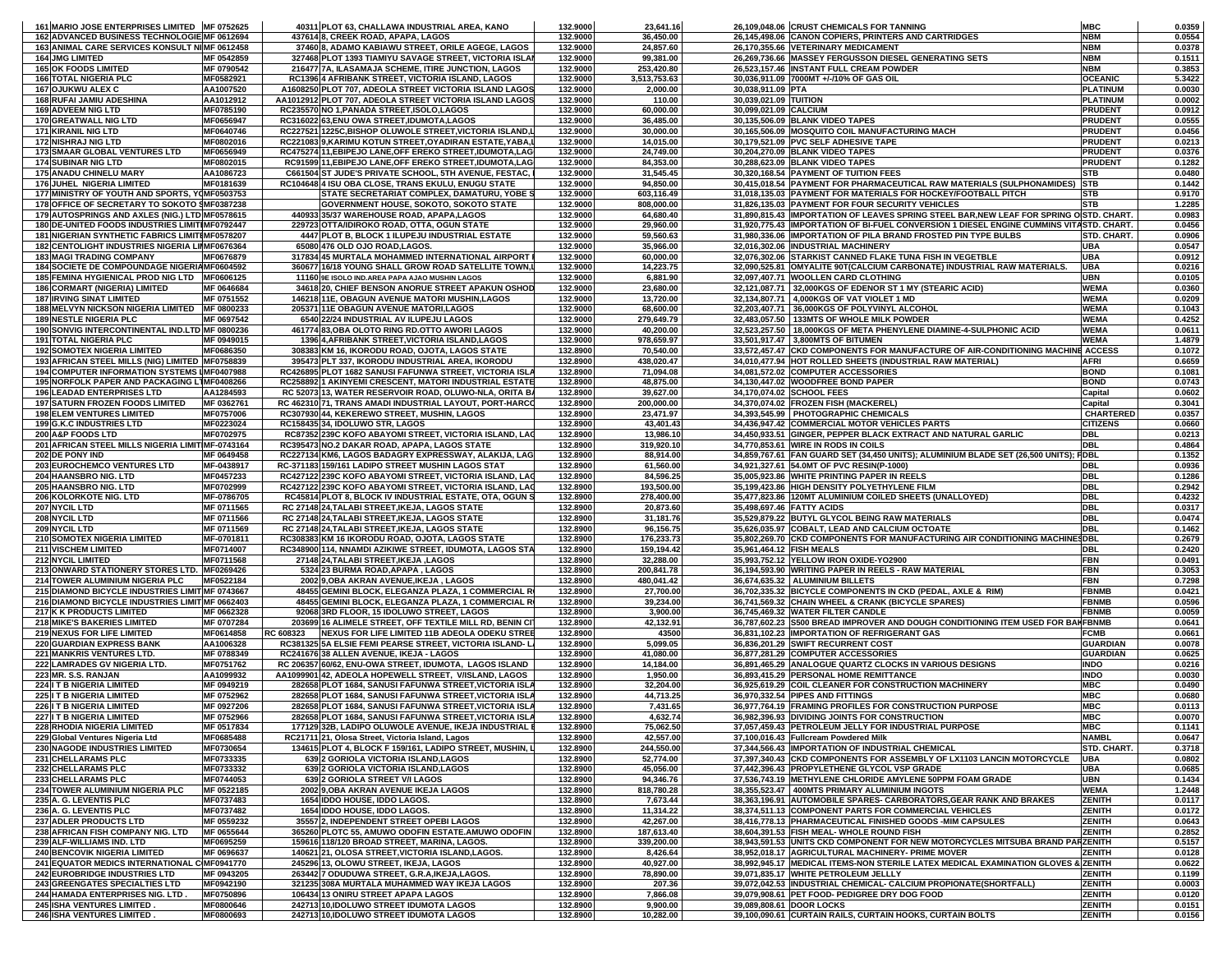| 161 MARIO JOSE ENTERPRISES LIMITED MF 0752625    |            |           | 40311 PLOT 63, CHALLAWA INDUSTRIAL AREA, KANO                                                                     | 132.9000 | 23,641.16    |                           | 26,109,048.06 CRUST CHEMICALS FOR TANNING                                               | <b>MBC</b>       | 0.0359 |
|--------------------------------------------------|------------|-----------|-------------------------------------------------------------------------------------------------------------------|----------|--------------|---------------------------|-----------------------------------------------------------------------------------------|------------------|--------|
| 162 ADVANCED BUSINESS TECHNOLOGIE MF 0612694     |            |           | 437614 8, CREEK ROAD, APAPA, LAGOS                                                                                | 132.9000 | 36,450.00    |                           | 26,145,498.06 CANON COPIERS, PRINTERS AND CARTRIDGES                                    | <b>NBM</b>       | 0.0554 |
| 163 ANIMAL CARE SERVICES KONSULT NI MF 0612458   |            |           | 37460 8, ADAMO KABIAWU STREET, ORILE AGEGE, LAGOS                                                                 | 132.9000 | 24,857.60    |                           | 26,170,355.66 VETERINARY MEDICAMENT                                                     | <b>NBM</b>       | 0.0378 |
| <b>164 JMG LIMITED</b>                           | MF 0542859 |           | 327468 PLOT 1393 TIAMIYU SAVAGE STREET, VICTORIA ISLAN                                                            | 132.9000 | 99,381.00    |                           | 26,269,736.66 MASSEY FERGUSSON DIESEL GENERATING SETS                                   | <b>NBM</b>       | 0.1511 |
| <b>165 OK FOODS LIMITED</b>                      | MF 0790542 |           | 216477 7A, ILASAMAJA SCHEME, ITIRE JUNCTION, LAGOS                                                                | 132.9000 | 253,420.80   |                           | 26,523,157.46 INSTANT FULL CREAM POWDER                                                 | <b>NBM</b>       | 0.3853 |
| <b>166 TOTAL NIGERIA PLC</b>                     | MF0582921  |           | RC1396 4 AFRIBANK STREET, VICTORIA ISLAND, LAGOS                                                                  | 132.9000 | 3,513,753.63 |                           | 30,036,911.09 7000MT +/-/10% OF GAS OIL                                                 | <b>OCEANIC</b>   | 5.3422 |
| 167 OJUKWU ALEX C                                | AA1007520  |           | A1608250 PLOT 707, ADEOLA STREET VICTORIA ISLAND LAGOS                                                            | 132.9000 | 2,000.00     | 30,038,911.09 PTA         |                                                                                         | <b>PLATINUM</b>  | 0.0030 |
| <b>168 RUFAI JAMIU ADESHINA</b>                  | AA1012912  |           | AA1012912 PLOT 707, ADEOLA STREET VICTORIA ISLAND LAGOS                                                           | 132.9000 | 110.00       | 30,039,021.09 TUITION     |                                                                                         | <b>PLATINUM</b>  | 0.0002 |
| <b>169 ADVEEM NIG LTD</b>                        | MF0785190  |           | RC235570 NO 1, PANADA STREET, ISOLO, LAGOS                                                                        | 132.9000 | 60,000.00    | 30,099,021.09 CALCIUM     |                                                                                         | <b>PRUDENT</b>   | 0.0912 |
| 170 GREATWALL NIG LTD                            | MF0656947  |           | RC316022 63,ENU OWA STREET,IDUMOTA,LAGOS                                                                          | 132.9000 | 36,485.00    |                           | 30,135,506.09 BLANK VIDEO TAPES                                                         | <b>PRUDENT</b>   | 0.0555 |
| <b>171 KIRANIL NIG LTD</b>                       | MF0640746  |           | RC227521 1225C, BISHOP OLUWOLE STREET, VICTORIA ISLAND, L                                                         | 132.9000 | 30,000.00    |                           | 30,165,506.09 MOSQUITO COIL MANUFACTURING MACH                                          | <b>PRUDENT</b>   | 0.0456 |
| <b>172 NISHRAJ NIG LTD</b>                       | MF0802016  |           | RC221083 9, KARIMU KOTUN STREET, OYADIRAN ESTATE, YABA, I                                                         | 132.9000 | 14,015.00    |                           | 30,179,521.09 PVC SELF ADHESIVE TAPE                                                    | <b>PRUDENT</b>   | 0.0213 |
| 173 SMAAR GLOBAL VENTURES LTD                    | MF0656949  |           |                                                                                                                   | 132.9000 | 24,749.00    |                           | 30,204,270.09 BLANK VIDEO TAPES                                                         | <b>PRUDENT</b>   | 0.0376 |
|                                                  |            |           | RC475274 11, EBIPEJO LANE, OFF EREKO STREET, IDUMOTA, LAG                                                         | 132.9000 |              |                           |                                                                                         | <b>PRUDENT</b>   | 0.1282 |
| <b>174 SUBINAR NIG LTD</b>                       | MF0802015  |           | RC91599 11, EBIPEJO LANE, OFF EREKO STREET, IDUMOTA, LAG<br>C661504 ST JUDE'S PRIVATE SCHOOL, 5TH AVENUE, FESTAC, |          | 84,353.00    |                           | 30,288,623.09 BLANK VIDEO TAPES                                                         |                  |        |
| 175 ANADU CHINELU MARY                           | AA1086723  |           |                                                                                                                   | 132.9000 | 31,545.45    |                           | 30,320,168.54 PAYMENT OF TUITION FEES                                                   | <b>STB</b>       | 0.0480 |
| 176 JUHEL NIGERIA LIMITED                        | MF0181639  |           | RC104648 4 ISU OBA CLOSE, TRANS EKULU, ENUGU STATE                                                                | 132.9000 | 94,850.00    |                           | 30,415,018.54 PAYMENT FOR PHARMACEUTICAL RAW MATERIALS (SULPHONAMIDES) STB              |                  | 0.1442 |
| 177 MINISTRY OF YOUTH AND SPORTS, YOMF0503753    |            |           | STATE SECRETARIAT COMPLEX, DAMATURU, YOBE S                                                                       | 132.9000 | 603,116.49   |                           | 31,018,135.03 PAYMENT FOR MATERIALS FOR HOCKEY/FOOTBALL PITCH                           | <b>STB</b>       | 0.9170 |
| 178 OFFICE OF SECRETARY TO SOKOTO SMF0387238     |            |           | GOVERNMENT HOUSE, SOKOTO, SOKOTO STATE                                                                            | 132.9000 | 808,000.00   |                           | 31,826,135.03 PAYMENT FOR FOUR SECURITY VEHICLES                                        | <b>STB</b>       | 1.2285 |
| 179 AUTOSPRINGS AND AXLES (NIG.) LTD MF0578615   |            |           | 440933 35/37 WAREHOUSE ROAD, APAPA,LAGOS                                                                          | 132.9000 | 64,680.40    |                           | 31,890,815.43 IMPORTATION OF LEAVES SPRING STEEL BAR, NEW LEAF FOR SPRING O STD. CHART. |                  | 0.0983 |
| 180 DE-UNITED FOODS INDUSTRIES LIMITIMF0792447   |            |           | 229723 OTTA/IDIROKO ROAD, OTTA, OGUN STATE                                                                        | 132.9000 | 29,960.00    |                           | 31,920,775.43 IMPORTATION OF BI-FUEL CONVERSION 1 DIESEL ENGINE CUMMINS VITASTD. CHART. |                  | 0.0456 |
| 181 NIGERIAN SYNTHETIC FABRICS LIMITIMF0578207   |            |           | 4447 PLOT B, BLOCK 1 ILUPEJU INDUSTRIAL ESTATE                                                                    | 132.9000 | 59,560.63    |                           | 31,980,336.06 IMPORTATION OF PILA BRAND FROSTED PIN TYPE BULBS                          | STD. CHART.      | 0.0906 |
| 182 CENTOLIGHT INDUSTRIES NIGERIA LIIMF0676364   |            |           | 65080 476 OLD OJO ROAD, LAGOS.                                                                                    | 132.9000 | 35,966.00    |                           | 32,016,302.06 INDUSTRIAL MACHINERY                                                      | <b>UBA</b>       | 0.0547 |
| <b>183 MAGI TRADING COMPANY</b>                  | MF0676879  |           | 317834 45 MURTALA MOHAMMED INTERNATIONAL AIRPORT I                                                                | 132.9000 | 60,000.00    |                           | 32,076,302.06 STARKIST CANNED FLAKE TUNA FISH IN VEGETBLE                               | <b>UBA</b>       | 0.0912 |
| 184 SOCIETE DE COMPOUNDAGE NIGERIA MF0604592     |            |           | 360677 16/18 YOUNG SHALL GROW ROAD SATELLITE TOWN,L                                                               | 132.9000 | 14,223.75    |                           | 32,090,525.81 OMYALITE 90T(CALCIUM CARBONATE) INDUSTRIAL RAW MATERIALS.                 | <b>UBA</b>       | 0.0216 |
| 185 FEMINA HYGIENICAL PROD NIG LTD MF0606125     |            |           | 11160 9E ISOLO IND.AREA PAPA AJAO MUSHIN LAGOS                                                                    | 132.9000 | 6,881.90     |                           | 32,097,407.71 WOOLLEN CARD CLOTHING                                                     | <b>UBN</b>       | 0.0105 |
| <b>186 CORMART (NIGERIA) LIMITED</b>             | MF 0646684 |           | 34618 20, CHIEF BENSON ANORUE STREET APAKUN OSHOD                                                                 | 132.9000 | 23,680.00    |                           | 32,121,087.71 32,000KGS OF EDENOR ST 1 MY (STEARIC ACID)                                | <b>WEMA</b>      | 0.0360 |
| <b>187 IRVING SINAT LIMITED</b>                  | MF 0751552 |           | 146218 11E, OBAGUN AVENUE MATORI MUSHIN, LAGOS                                                                    | 132.9000 | 13,720.00    |                           | 32,134,807.71 4,000KGS OF VAT VIOLET 1 MD                                               | <b>WEMA</b>      | 0.0209 |
| 188 MELVYN NICKSON NIGERIA LIMITED MF 0800233    |            |           | 205371 11E OBAGUN AVENUE MATORI,LAGOS                                                                             | 132.9000 | 68,600.00    |                           | 32,203,407.71 36,000KGS OF POLYVINYL ALCOHOL                                            | <b>WEMA</b>      | 0.1043 |
| <b>189 NESTLE NIGERIA PLC</b>                    | MF 0697542 |           | 6540 22/24 INDUSTRIAL AV ILUPEJU LAGOS                                                                            | 132.9000 | 279,649.79   |                           | 32,483,057.50   133MTS OF WHOLE MILK POWDER                                             | <b>WEMA</b>      | 0.4252 |
| 190 SONVIG INTERCONTINENTAL IND.LTD MF 0800236   |            |           | 461774 83, OBA OLOTO RING RD.OTTO AWORI LAGOS                                                                     | 132.9000 | 40,200.00    |                           | 32,523,257.50 18,000KGS OF META PHENYLENE DIAMINE-4-SULPHONIC ACID                      | <b>WEMA</b>      | 0.0611 |
| <b>191 TOTAL NIGERIA PLC</b>                     | MF 0949015 |           | 1396 4, AFRIBANK STREET, VICTORIA ISLAND, LAGOS                                                                   | 132.9000 | 978,659.97   |                           | 33,501,917.47 3,800MTS OF BITUMEN                                                       | <b>WEMA</b>      | 1.4879 |
| <b>192 SOMOTEX NIGERIA LIMITED</b>               | MF0686350  |           | 308383 KM 16, IKORODU ROAD, OJOTA, LAGOS STATE                                                                    | 132.8900 | 70,540.00    |                           | 33,572,457.47 CKD COMPONENTS FOR MANUFACTURE OF AIR-CONDITIONING MACHINE ACCESS         |                  | 0.1072 |
| 193 AFRICAN STEEL MILLS (NIG) LIMITED MF0758839  |            |           | 395473 PLT 337, IKORODU INDUSTRIAL AREA, IKORODU                                                                  | 132.8900 | 438,020.47   |                           | 34,010,477.94 HOT ROLLED SHEETS (INDUSTRIAL RAW MATERIAL)                               | <b>AFRI</b>      | 0.6659 |
| 194 COMPUTER INFORMATION SYSTEMS IMF0407988      |            |           | RC426895 PLOT 1682 SANUSI FAFUNWA STREET, VICTORIA ISLA                                                           | 132.8900 | 71,094.08    |                           | 34,081,572.02 COMPUTER ACCESSORIES                                                      | <b>BOND</b>      | 0.1081 |
| 195 NORFOLK PAPER AND PACKAGING L1MF0408266      |            |           | RC258892 1 AKINYEMI CRESCENT, MATORI INDUSTRIAL ESTATE                                                            | 132.8900 | 48,875.00    |                           | 34,130,447.02 WOODFREE BOND PAPER                                                       | <b>BOND</b>      | 0.0743 |
| <b>196 LEADAD ENTERPRISES LTD</b>                | AA1284593  |           | RC 52073 13, WATER RESERVOIR ROAD, OLUWO-NLA, ORITA BA                                                            | 132.8900 | 39,627.00    |                           | 34,170,074.02 SCHOOL FEES                                                               | Capital          | 0.0602 |
| <b>197 SATURN FROZEN FOODS LIMITED</b>           | MF 0362761 |           | RC 462310 71, TRANS AMADI INDUSTRIAL LAYOUT, PORT-HARCO                                                           | 132.8900 | 200,000.00   |                           | 34,370,074.02 FROZEN FISH (MACKEREL)                                                    | Capital          | 0.3041 |
| <b>198 ELEM VENTURES LIMITED</b>                 | MF0757006  |           | RC307930 44, KEKEREWO STREET, MUSHIN, LAGOS                                                                       | 132.8900 | 23,471.97    |                           | 34,393,545.99 PHOTOGRAPHIC CHEMICALS                                                    | <b>CHARTERED</b> | 0.0357 |
| 199 G.K.C INDUSTRIES LTD                         | MF0223024  |           | RC158435 34, IDOLUWO STR, LAGOS                                                                                   | 132.8900 | 43,401.43    |                           | 34,436,947.42 COMMERCIAL MOTOR VEHICLES PARTS                                           | <b>CITIZENS</b>  | 0.0660 |
| 200 A&P FOODS LTD                                | MF0702975  |           | RC87352 239C KOFO ABAYOMI STREET, VICTORIA ISLAND, LAC                                                            | 132.8900 | 13,986.10    |                           | 34,450,933.51 GINGER, PEPPER BLACK EXTRACT AND NATURAL GARLIC                           | <b>DBL</b>       | 0.0213 |
| 201 AFRICAN STEEL MILLS NIGERIA LIMIT MF-0743164 |            |           | RC395473 NO.2 DAKAR ROAD, APAPA, LAGOS STATE                                                                      | 132.8900 | 319,920.10   |                           | 34,770,853.61 WIRE IN RODS IN COILS                                                     | <b>DBL</b>       | 0.4864 |
| 202 DE PONY IND                                  | MF 0649458 |           | RC227134 KM6, LAGOS BADAGRY EXPRESSWAY, ALAKIJA, LAG                                                              | 132.8900 | 88,914.00    |                           | 34,859,767.61 FAN GUARD SET (34,450 UNITS); ALUMINIUM BLADE SET (26,500 UNITS)          | FDBL             | 0.1352 |
| 203 EUROCHEMCO VENTURES LTD                      | MF-0438917 |           | RC-371183 159/161 LADIPO STREET MUSHIN LAGOS STAT                                                                 | 132.8900 | 61,560.00    |                           | 34,921,327.61 54.0MT OF PVC RESIN(P-1000)                                               | <b>DBL</b>       | 0.0936 |
| 204 HAANSBRO NIG. LTD                            | MF0457233  |           | RC427122 239C KOFO ABAYOMI STREET, VICTORIA ISLAND, LAC                                                           | 132.8900 | 84,596.25    |                           | 35,005,923.86 WHITE PRINTING PAPER IN REELS                                             | <b>DBL</b>       | 0.1286 |
| 205 HAANSBRO NIG. LTD                            | MF0702999  |           | RC427122 239C KOFO ABAYOMI STREET, VICTORIA ISLAND, LAC                                                           | 132.8900 | 193,500.00   |                           | 35,199,423.86 HIGH DENSITY POLYETHYLENE FILM                                            | <b>DBL</b>       | 0.2942 |
| 206 KOLORKOTE NIG. LTD                           | MF-0786705 |           | RC45814 PLOT 8, BLOCK IV INDUSTRIAL ESTATE, OTA, OGUN S                                                           | 132.8900 | 278,400.00   |                           | 35,477,823.86 120MT ALUMINIUM COILED SHEETS (UNALLOYED)                                 | <b>DBL</b>       | 0.4232 |
| 207 NYCIL LTD                                    | MF 0711565 |           | RC 27148 24, TALABI STREET, IKEJA, LAGOS STATE                                                                    | 132.8900 | 20,873.60    | 35,498,697.46 FATTY ACIDS |                                                                                         | <b>DBL</b>       | 0.0317 |
| 208 NYCIL LTD                                    | MF 0711566 |           | RC 27148 24, TALABI STREET, IKEJA, LAGOS STATE                                                                    | 132.8900 | 31,181.76    |                           | 35,529,879.22 BUTYL GLYCOL BEING RAW MATERIALS                                          | <b>DBL</b>       | 0.0474 |
| 209 NYCIL LTD                                    | MF 0711569 |           | RC 27148 24, TALABI STREET, IKEJA, LAGOS STATE                                                                    | 132.8900 | 96,156.75    |                           | 35,626,035.97 COBALT, LEAD AND CALCIUM OCTOATE                                          | <b>DBL</b>       | 0.1462 |
| 210 SOMOTEX NIGERIA LIMITED                      | MF-0701811 |           | RC308383 KM 16 IKORODU ROAD, OJOTA, LAGOS STATE                                                                   | 132.8900 | 176,233.73   |                           | 35,802,269.70 CKD COMPONENTS FOR MANUFACTURING AIR CONDITIONING MACHINESDBL             |                  | 0.2679 |
| 211 VISCHEM LIMITED                              | MF0714007  |           | RC348900 114, NNAMDI AZIKIWE STREET, IDUMOTA, LAGOS STA                                                           | 132.8900 | 159,194.42   | 35,961,464.12 FISH MEALS  |                                                                                         | <b>DBL</b>       | 0.2420 |
| <b>212 NYCIL LIMITED</b>                         | MF0711568  |           | 27148 24, TALABI STREET, IKEJA, LAGOS                                                                             | 132.8900 | 32,288.00    |                           | 35,993,752.12 YELLOW IRON OXIDE-YO2900                                                  | <b>FBN</b>       | 0.0491 |
| 213 ONWARD STATIONERY STORES LTD. MF0269426      |            |           | 5324 23 BURMA ROAD, APAPA, LAGOS                                                                                  | 132.8900 | 200,841.78   |                           | 36,194,593.90 WRITING PAPER IN REELS - RAW MATERIAL                                     | <b>FBN</b>       | 0.3053 |
| 214 TOWER ALUMINIUM NIGERIA PLC                  | MF0522184  |           | 2002 9, OBA AKRAN AVENUE, IKEJA, LAGOS                                                                            | 132.8900 | 480,041.42   |                           | 36,674,635.32 ALUMINIUM BILLETS                                                         | <b>FBN</b>       | 0.7298 |
| 215 DIAMOND BICYCLE INDUSTRIES LIMIT MF 0743667  |            |           | 48455 GEMINI BLOCK, ELEGANZA PLAZA, 1 COMMERCIAL R                                                                | 132.8900 | 27,700.00    |                           | 36,702,335.32 BICYCLE COMPONENTS IN CKD (PEDAL, AXLE & RIM)                             | <b>FBNMB</b>     | 0.0421 |
| 216 DIAMOND BICYCLE INDUSTRIES LIMIT MF 0662403  |            |           | 48455 GEMINI BLOCK, ELEGANZA PLAZA, 1 COMMERCIAL R                                                                | 132.8900 | 39,234.00    |                           | 36,741,569.32 CHAIN WHEEL & CRANK (BICYCLE SPARES)                                      | <b>FBNMB</b>     | 0.0596 |
| 217 K K PRODUCTS LIMITED                         | MF 0662328 |           | 92068 3RD FLOOR, 15 IDOLUWO STREET, LAGOS                                                                         | 132.8900 | 3,900.00     |                           | 36,745,469.32 WATER FILTER CANDLE                                                       | <b>FBNMB</b>     | 0.0059 |
| 218 MIKE'S BAKERIES LIMITED                      | MF 0707284 |           | 203699 16 ALIMELE STREET, OFF TEXTILE MILL RD, BENIN CI                                                           | 132.8900 | 42,132.91    |                           | 36,787,602.23 S500 BREAD IMPROVER AND DOUGH CONDITIONING ITEM USED FOR BAKFBNMB         |                  | 0.0641 |
| 219 NEXUS FOR LIFE LIMITED                       | MF0614858  | RC 608323 | NEXUS FOR LIFE LIMITED 11B ADEOLA ODEKU STREE                                                                     | 132.8900 | 43500        |                           | 36,831,102.23 IMPORTATION OF REFRIGERANT GAS                                            | <b>FCMB</b>      | 0.0661 |
| 220 GUARDIAN EXPRESS BANK                        | AA1006328  |           | RC381325 5A ELSIE FEMI PEARSE STREET, VICTORIA ISLAND-L.                                                          | 132.8900 | 5,099.05     |                           | 36,836,201.29 SWIFT RECURRENT COST                                                      | <b>GUARDIAN</b>  | 0.0078 |
| 221 MANKRIS VENTURES LTD.                        | MF 0788349 |           | RC241676 38 ALLEN AVENUE, IKEJA - LAGOS                                                                           | 132.8900 | 41,080.00    |                           | 36,877,281.29 COMPUTER ACCESSORIES                                                      | <b>GUARDIAN</b>  | 0.0625 |
| 222 LAMRADES GV NIGERIA LTD.                     | MF0751762  |           | RC 206357 60/62, ENU-OWA STREET, IDUMOTA, LAGOS ISLAND                                                            | 132.8900 | 14,184.00    |                           | 36,891,465.29 ANALOGUE QUARTZ CLOCKS IN VARIOUS DESIGNS                                 | <b>INDO</b>      | 0.0216 |
| 223 MR. S.S. RANJAN                              | AA1099932  |           | AA1099901 42, ADEOLA HOPEWELL STREET, V/ISLAND, LAGOS                                                             | 132.8900 | 1,950.00     |                           | 36,893,415.29 PERSONAL HOME REMITTANCE                                                  | <b>INDO</b>      | 0.0030 |
| 224 I T B NIGERIA LIMITED                        | MF 0949219 |           | 282658 PLOT 1684, SANUSI FAFUNWA STREET, VICTORIA ISLA                                                            | 132.8900 | 32,204.00    |                           | 36,925,619.29 COIL CLEANER FOR CONSTRUCTION MACHINERY                                   | <b>MBC</b>       | 0.0490 |
| 225 I T B NIGERIA LIMITED                        | MF 0752962 |           | 282658 PLOT 1684, SANUSI FAFUNWA STREET, VICTORIA ISLA                                                            | 132.8900 | 44,713.25    |                           | 36,970,332.54 PIPES AND FITTINGS                                                        | <b>MBC</b>       | 0.0680 |
| 226 I T B NIGERIA LIMITED                        | MF 0927206 |           | 282658 PLOT 1684, SANUSI FAFUNWA STREET, VICTORIA ISLA                                                            | 132.8900 | 7,431.65     |                           | 36,977,764.19 FRAMING PROFILES FOR CONSTRUCTION PURPOSE                                 | <b>MBC</b>       | 0.0113 |
| 227 I T B NIGERIA LIMITED                        | MF 0752966 |           | 282658 PLOT 1684 SANUSI FAFUNWA STREET VICTORIA ISLA                                                              | 132.8900 | 4.632.74     |                           | 36.982.396.93 DIVIDING JOINTS FOR CONSTRUCTION                                          | <b>MBC</b>       | 0.0070 |
| 228 RHODIA NIGERIA LIMITED                       | MF 0517834 |           | 177129 32B, LADIPO OLUWOLE AVENUE, IKEJA INDUSTRIAL E                                                             | 132.8900 | 75,062.50    |                           | 37,057,459.43 PETROLEUM JELLY FOR INDUSTRIAL PURPOSE                                    | <b>MBC</b>       | 0.1141 |
| 229 Global Ventures Nigeria Ltd                  | MF0685488  |           | RC21711 21, Olosa Street, Victoria Island, Lagos                                                                  | 132.8900 | 42,557.00    |                           | 37,100,016.43 Fullcream Powdered Milk                                                   | <b>NAMBL</b>     | 0.0647 |
| 230 NAGODE INDUSTRIES LIMITED                    | MF0730654  |           | 134615 PLOT 4, BLOCK F 159/161, LADIPO STREET, MUSHIN, L                                                          | 132.8900 | 244,550.00   |                           | 37,344,566.43 IMPORTATION OF INDUSTRIAL CHEMICAL                                        | STD. CHART.      | 0.3718 |
| 231 CHELLARAMS PLC                               | MF0733335  |           | 639 2 GORIOLA VICTORIA ISLAND LAGOS                                                                               | 132.8900 | 52,774.00    |                           | 37,397,340.43 CKD COMPONENTS FOR ASSEMBLY OF LX1103 LANCIN MOTORCYCLE                   | <b>UBA</b>       | 0.0802 |
| 232 CHELLARAMS PLC                               | MF0733332  |           | 639 2 GORIOLA VICTORIA ISLAND, LAGOS                                                                              | 132.8900 | 45,056.00    |                           | 37,442,396.43 PROPYLETHENE GLYCOL VSP GRADE                                             | <b>UBA</b>       | 0.0685 |
| 233 CHELLARAMS PLC                               | MF0744053  |           | 639 2 GORIOLA STREET V/I LAGOS                                                                                    | 132.8900 | 94,346.76    |                           | 37,536,743.19 METHYLENE CHLORIDE AMYLENE 50PPM FOAM GRADE                               | <b>UBN</b>       | 0.1434 |
| 234 TOWER ALUMINIUM NIGERIA PLC                  | MF 0522185 |           | 2002 9, OBA AKRAN AVENUE IKEJA LAGOS                                                                              | 132.8900 | 818,780.28   |                           | 38,355,523.47 400MTS PRIMARY ALUMINIUM INGOTS                                           | <b>WEMA</b>      | 1.2448 |
| 235 A. G. LEVENTIS PLC                           | MF0737483  |           | 1654 IDDO HOUSE, IDDO LAGOS.                                                                                      | 132.8900 | 7,673.44     |                           | 38,363,196.91 AUTOMOBILE SPARES- CARBORATORS, GEAR RANK AND BRAKES                      | <b>ZENITH</b>    | 0.0117 |
| 236 A. G. LEVENTIS PLC                           | MF0737482  |           | 1654 IDDO HOUSE, IDDO LAGOS.                                                                                      | 132.8900 | 11,314.22    |                           | 38,374,511.13 COMPONENT PARTS FOR COMMERCIAL VEHICLES                                   | ZENITH           | 0.0172 |
| 237 ADLER PRODUCTS LTD                           | MF 0559232 |           | 35557 2. INDEPENDENT STREET OPEBI LAGOS                                                                           | 132.8900 | 42,267.00    |                           | 38,416,778.13 PHARMACEUTICAL FINISHED GOODS -MIM CAPSULES                               | <b>ZENITH</b>    | 0.0643 |
| 238 AFRICAN FISH COMPANY NIG. LTD                | MF 0655644 |           | 365260 PLOTC 55, AMUWO ODOFIN ESTATE.AMUWO ODOFIN                                                                 | 132.8900 | 187,613.40   |                           | 38,604,391.53 FISH MEAL-WHOLE ROUND FISH                                                | <b>ZENITH</b>    | 0.2852 |
| 239 ALF-WILLIAMS IND. LTD                        | MF0695259  |           | 159616 118/120 BROAD STREET, MARINA, LAGOS.                                                                       | 132.8900 | 339,200.00   |                           | 38.943.591.53 UNITS CKD COMPONENT FOR NEW MOTORCYCLES MITSUBA BRAND PARZENITH           |                  | 0.5157 |
| <b>240 BENCOVIK NIGERIA LIMITED</b>              | MF 0696637 |           | 140621 21, OLOSA STREET, VICTORIA ISLAND, LAGOS.                                                                  | 132.8900 | 8,426.64     |                           | 38,952,018.17 AGRICULTURAL MACHINERY- PRIME MOVER                                       | <b>ZENITH</b>    | 0.0128 |
| 241 EQUATOR MEDICS INTERNATIONAL C MF0941770     |            |           | 245296 13, OLOWU STREET, IKEJA, LAGOS                                                                             | 132.8900 | 40,927.00    |                           | 38,992,945.17  MEDICAL ITEMS-NON STERILE LATEX MEDICAL EXAMINATION GLOVES & ZENITH      |                  | 0.0622 |
| <b>242 EUROBRIDGE INDUSTRIES LTD</b>             | MF 0943205 |           | 263442 7 ODUDUWA STREET, G.R.A.IKEJA,LAGOS.                                                                       | 132.8900 | 78,890.00    |                           | 39,071,835.17 WHITE PETROLEUM JELLLY                                                    | <b>ZENITH</b>    | 0.1199 |
| 243 GREENGATES SPECIALTIES LTD                   | MF0942190  |           | 321235 308A MURTALA MUHAMMED WAY IKEJA LAGOS                                                                      | 132.8900 | 207.36       |                           | 39,072,042.53 INDUSTRIAL CHEMICAL- CALCIUM PROPIONATE(SHORTFALL)                        | <b>ZENITH</b>    | 0.0003 |
| 244 HAMADA ENTERPRISES NIG. LTD.                 | MF0750896  |           | 106434 13 ONIRU STREET APAPA LAGOS                                                                                | 132.8900 | 7,866.08     |                           | 39,079,908.61 PET FOOD- PEDIGREE DRY DOG FOOD                                           | <b>ZENITH</b>    | 0.0120 |
| <b>245 ISHA VENTURES LIMITED</b>                 | MF0800646  |           | 242713 10, IDOLUWO STREET IDUMOTA LAGOS                                                                           | 132.8900 | 9,900.00     | 39,089,808.61 DOOR LOCKS  |                                                                                         | <b>ZENITH</b>    | 0.0151 |
| 246 ISHA VENTURES LIMITED.                       | MF0800693  |           | 242713 10, IDOLUWO STREET IDUMOTA LAGOS                                                                           | 132.8900 | 10,282.00    |                           | 39.100.090.61 CURTAIN RAILS, CURTAIN HOOKS, CURTAIN BOLTS                               | <b>ZENITH</b>    | 0.0156 |
|                                                  |            |           |                                                                                                                   |          |              |                           |                                                                                         |                  |        |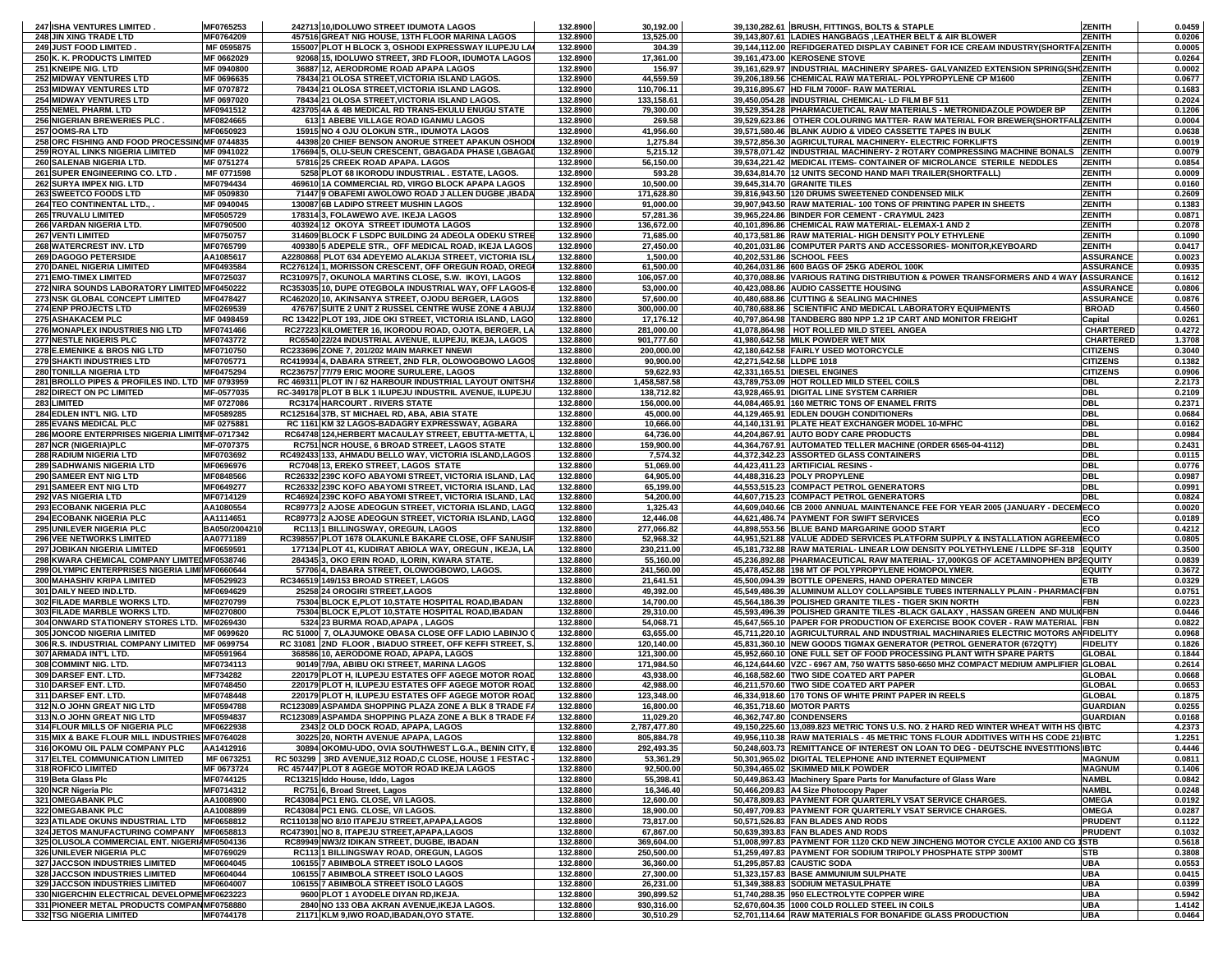| <b>247 ISHA VENTURES LIMITED</b>                                      | MF0765253     | 242713 10, IDOLUWO STREET IDUMOTA LAGOS                                                 | 132.8900             | 30,192.00               |                          | 39,130,282.61 BRUSH, FITTINGS, BOLTS & STAPLE                                                                     | <b>ZENITH</b>                  | 0.0459           |
|-----------------------------------------------------------------------|---------------|-----------------------------------------------------------------------------------------|----------------------|-------------------------|--------------------------|-------------------------------------------------------------------------------------------------------------------|--------------------------------|------------------|
| 248 JIN XING TRADE LTD                                                | MF0764209     | 457516 GREAT NIG HOUSE, 13TH FLOOR MARINA LAGOS                                         | 132.8900             | 13,525.00               |                          | 39,143,807.61 LADIES HANGBAGS, LEATHER BELT & AIR BLOWER                                                          | <b>ZENITH</b>                  | 0.0206           |
| 249 JUST FOOD LIMITED                                                 | MF 0595875    | 155007 PLOT H BLOCK 3, OSHODI EXPRESSWAY ILUPEJU LA                                     | 132.8900             | 304.39                  |                          | 39,144,112.00 REFIDGERATED DISPLAY CABINET FOR ICE CREAM INDUSTRY(SHORTFAIZENITH                                  |                                | 0.0005           |
| 250 K. K. PRODUCTS LIMITED                                            | MF 0662029    | 92068 15, IDOLUWO STREET, 3RD FLOOR, IDUMOTA LAGOS                                      | 132.8900             | 17,361.00               |                          | 39,161,473.00 KEROSENE STOVE                                                                                      | <b>ZENITH</b>                  | 0.0264           |
| 251 KNEIPE NIG. LTD                                                   | MF 0940800    | 36887 12, AERODROME ROAD APAPA LAGOS                                                    | 132.8900             | 156.97                  |                          | 39,161,629.97 INDUSTRIAL MACHINERY SPARES- GALVANIZED EXTENSION SPRING(SHCZENITH                                  |                                | 0.0002           |
| 252 MIDWAY VENTURES LTD                                               | MF 0696635    | 78434 21 OLOSA STREET, VICTORIA ISLAND LAGOS.                                           | 132.8900             | 44,559.59               |                          | 39,206,189.56 CHEMICAL RAW MATERIAL- POLYPROPYLENE CP M1600                                                       | <b>ZENITH</b>                  | 0.0677           |
| <b>253 MIDWAY VENTURES LTD</b>                                        | MF 0707872    | 78434 21 OLOSA STREET, VICTORIA ISLAND LAGOS.                                           | 132.8900             | 110,706.11              |                          | 39,316,895.67 HD FILM 7000F- RAW MATERIAL                                                                         | <b>ZENITH</b>                  | 0.1683           |
| <b>254 MIDWAY VENTURES LTD</b>                                        | MF 0697020    | 78434 21 OLOSA STREET, VICTORIA ISLAND LAGOS.                                           | 132.8900             | 133,158.61              |                          | 39,450,054.28 INDUSTRIAL CHEMICAL- LD FILM BF 511                                                                 | <b>ZENITH</b>                  | 0.2024           |
| 255 NEMEL PHARM. LTD                                                  | MF0941512     | 423705 4A & 4B MEDICAL RD TRANS-EKULU ENUGU STATE                                       | 132.8900             | 79,300.00               |                          | 39,529,354.28 PHARMACUETICAL RAW MATERIALS - METRONIDAZOLE POWDER BP                                              | <b>ZENITH</b>                  | 0.1206           |
| 256 NIGERIAN BREWERIES PLC.                                           | MF0824665     | 613 1 ABEBE VILLAGE ROAD IGANMU LAGOS                                                   | 132.8900             | 269.58                  |                          | 39,529,623.86   OTHER COLOURING MATTER- RAW MATERIAL FOR BREWER(SHORTFALIZENITH                                   |                                | 0.0004           |
| 257 OOMS-RALTD                                                        | MF0650923     | 15915 NO 4 OJU OLOKUN STR., IDUMOTA LAGOS                                               | 132.8900             | 41,956.60               |                          | 39,571,580.46 BLANK AUDIO & VIDEO CASSETTE TAPES IN BULK                                                          | <b>ZENITH</b>                  | 0.0638           |
| 258 ORC FISHING AND FOOD PROCESSING MF 0744835                        |               | 44398 20 CHIEF BENSON ANORUE STREET APAKUN OSHODI                                       | 132.8900             | 1,275.84                |                          | 39,572,856.30 AGRICULTURAL MACHINERY- ELECTRIC FORKLIFTS                                                          | <b>ZENITH</b>                  | 0.0019           |
| 259 ROYAL LINKS NIGERIA LIMITED                                       | MF 0941022    | 176694 5, OLU-SEUN CRESCENT, GBAGADA PHASE I,GBAGAD                                     | 132.8900             | 5,215.12                |                          | 39,578,071.42 INDUSTRIAL MACHINERY- 2 ROTARY COMPRESSING MACHINE BONALS                                           | <b>ZENITH</b>                  | 0.0079           |
| 260 SALENAB NIGERIA LTD.                                              | MF 0751274    | 57816 25 CREEK ROAD APAPA. LAGOS                                                        | 132.8900             | 56,150.00               |                          | 39,634,221.42 MEDICAL ITEMS- CONTAINER OF MICROLANCE STERILE NEDDLES                                              | <b>ZENITH</b>                  | 0.0854           |
| 261 SUPER ENGINEERING CO. LTD.                                        | MF 0771598    | 5258 PLOT 68 IKORODU INDUSTRIAL . ESTATE, LAGOS.                                        | 132.8900             | 593.28                  |                          | 39,634,814.70 12 UNITS SECOND HAND MAFI TRAILER(SHORTFALL)                                                        | <b>ZENITH</b>                  | 0.0009           |
|                                                                       | MF0794434     |                                                                                         |                      |                         |                          | 39.645.314.70 GRANITE TILES                                                                                       | <b>ZENITH</b>                  | 0.0160           |
| 262 SURYA IMPEX NIG. LTD                                              |               | 469610 1A COMMERCIAL RD, VIRGO BLOCK APAPA LAGOS                                        | 132.8900             | 10,500.00               |                          |                                                                                                                   |                                |                  |
| 263 SWEETCO FOODS LTD                                                 | MF 0509830    | 71447 9 OBAFEMI AWOLOWO ROAD J ALLEN DUGBE , IBADA                                      | 132.8900             | 171,628.80              |                          | 39,816,943.50 120 DRUMS SWEETENED CONDENSED MILK                                                                  | <b>ZENITH</b>                  | 0.2609           |
| 264 TEO CONTINENTAL LTD.,<br>265 TRUVALU LIMITED                      | MF 0940045    | 130087 6B LADIPO STREET MUSHIN LAGOS                                                    | 132.8900<br>132.8900 | 91,000.00               |                          | 39,907,943.50 RAW MATERIAL-100 TONS OF PRINTING PAPER IN SHEETS<br>39,965,224.86 BINDER FOR CEMENT - CRAYMUL 2423 | <b>ZENITH</b><br><b>ZENITH</b> | 0.1383           |
|                                                                       | MF0505729     | 178314 3, FOLAWEWO AVE. IKEJA LAGOS                                                     |                      | 57,281.36               |                          |                                                                                                                   |                                | 0.0871           |
| <b>266 VARDAN NIGERIA LTD.</b>                                        | MF0790500     | 403924 12 OKOYA STREET IDUMOTA LAGOS                                                    | 132.8900             | 136,672.00              |                          | 40,101,896.86 CHEMICAL RAW MATERIAL- ELEMAX-1 AND 2                                                               | <b>ZENITH</b>                  | 0.2078           |
| 267 VENTI LIMITED                                                     | MF0750757     | 314609 BLOCK F LSDPC BUILDING 24 ADEOLA ODEKU STREE                                     | 132.8900             | 71,685.00               |                          | 40,173,581.86 RAW MATERIAL- HIGH DENSITY POLY ETHYLENE                                                            | <b>ZENITH</b>                  | 0.1090           |
| 268 WATERCREST INV. LTD                                               | MF0765799     | 409380 5 ADEPELE STR., OFF MEDICAL ROAD, IKEJA LAGOS                                    | 132.8900             | 27,450.00               |                          | 40,201,031.86 COMPUTER PARTS AND ACCESSORIES- MONITOR, KEYBOARD                                                   | <b>ZENITH</b>                  | 0.0417           |
| 269 DAGOGO PETERSIDE                                                  | AA1085617     | A2280868 PLOT 634 ADEYEMO ALAKIJA STREET, VICTORIA ISLA                                 | 132.8800             | 1,500.00                |                          | 40,202,531.86 SCHOOL FEES                                                                                         | <b>ASSURANCE</b>               | 0.0023           |
| 270 DANEL NIGERIA LIMITED                                             | MF0493584     | RC276124 1, MORISSON CRESCENT, OFF OREGUN ROAD, OREGU                                   | 132.8800             | 61,500.00               |                          | 40,264,031.86 600 BAGS OF 25KG ADEROL 100K                                                                        | <b>ASSURANCE</b>               | 0.0935           |
| 271 EMO-TIMEX LIMITED                                                 | MF0725037     | RC310975 7, OKUNOLA MARTINS CLOSE, S.W. IKOYI, LAGOS                                    | 132.8800             | 106,057.00              |                          | 40,370,088.86 VARIOUS RATING DISTRIBUTION & POWER TRANSFORMERS AND 4 WAY IASSURANCE                               |                                | 0.1612           |
| 272 NIRA SOUNDS LABORATORY LIMITED MF0450222                          |               | RC353035 10, DUPE OTEGBOLA INDUSTRIAL WAY, OFF LAGOS-                                   | 132.8800             | 53,000.00               |                          | 40,423,088.86 AUDIO CASSETTE HOUSING                                                                              | <b>ASSURANCE</b>               | 0.0806           |
| 273 NSK GLOBAL CONCEPT LIMITED                                        | MF0478427     | RC462020 10, AKINSANYA STREET, OJODU BERGER, LAGOS                                      | 132.8800             | 57,600.00               |                          | 40,480,688.86 CUTTING & SEALING MACHINES                                                                          | <b>ASSURANCE</b>               | 0.0876           |
| 274 ENP PROJECTS LTD                                                  | MF0269539     | 476767 SUITE 2 UNIT 2 RUSSEL CENTRE WUSE ZONE 4 ABUJ/                                   | 132.8800             | 300,000.00              |                          | 40,780,688.86 SCIENTIFIC AND MEDICAL LABORATORY EQUIPMENTS                                                        | <b>BROAD</b>                   | 0.4560           |
| 275 ASHAKACEM PLC                                                     | MF 0498459    | RC 13422 PLOT 193, JIDE OKI STREET, VICTORIA ISLAND, LAGO                               | 132.8800             | 17,176.12               |                          | 40,797,864.98 TANDBERG 880 NPP 1.2 1P CART AND MONITOR FREIGHT                                                    | Capital                        | 0.0261           |
| 276 MONAPLEX INDUSTRIES NIG LTD                                       | MF0741466     | RC27223 KILOMETER 16, IKORODU ROAD, OJOTA, BERGER, LA                                   | 132.8800             | 281,000.00              |                          | 41,078,864.98   HOT ROLLED MILD STEEL ANGEA                                                                       | <b>CHARTERED</b>               | 0.4272           |
| 277 NESTLE NIGERIS PLC                                                | MF0743772     | RC6540 22/24 INDUSTRIAL AVENUE, ILUPEJU, IKEJA, LAGOS                                   | 132.8800             | 901,777.60              |                          | 41,980,642.58 MILK POWDER WET MIX                                                                                 | <b>CHARTERED</b>               | 1.3708           |
| 278 E.EMENIKE & BROS NIG LTD                                          | MF0710750     | RC233696 ZONE 7, 201/202 MAIN MARKET NNEWI                                              | 132.8800             | 200,000.00              |                          | 42,180,642.58 FAIRLY USED MOTORCYCLE                                                                              | <b>CITIZENS</b>                | 0.3040           |
| 279 SHAKTI INDUSTRIES LTD                                             | MF0705771     | RC419934 4, DABARA STREET, 2ND FLR, OLOWOGBOWO LAGOS                                    | 132.8800             | 90,900.00               | 42,271,542.58 LLDPE 1018 |                                                                                                                   | <b>CITIZENS</b>                | 0.1382           |
| 280 TONILLA NIGERIA LTD                                               | MF0475294     | RC236757 77/79 ERIC MOORE SURULERE, LAGOS                                               | 132.8800             | 59,622.93               |                          | 42,331,165.51 DIESEL ENGINES                                                                                      | <b>CITIZENS</b>                | 0.0906           |
| 281 BROLLO PIPES & PROFILES IND. LTD MF 0793959                       |               | RC 469311 PLOT IN / 62 HARBOUR INDUSTRIAL LAYOUT ONITSHA                                | 132.8800             | 1,458,587.58            |                          | 43,789,753.09 HOT ROLLED MILD STEEL COILS                                                                         | <b>DBL</b>                     | 2.2173           |
| 282 DIRECT ON PC LIMITED                                              | MF-0577035    | RC-349178 PLOT B BLK 1 ILUPEJU INDUSTRIL AVENUE, ILUPEJU                                | 132.8800             | 138,712.82              |                          | 43,928,465.91 DIGITAL LINE SYSTEM CARRIER                                                                         | <b>DBL</b>                     | 0.2109           |
| 283 LIMITED                                                           | MF 0727086    | <b>RC3174 HARCOURT. RIVERS STATE</b>                                                    | 132.8800             | 156,000.00              |                          | 44,084,465.91 160 METRIC TONS OF ENAMEL FRITS                                                                     | <b>DBL</b>                     | 0.2371           |
| 284 EDLEN INT'L NIG. LTD                                              | MF0589285     | RC125164 37B, ST MICHAEL RD, ABA, ABIA STATE                                            | 132.8800             | 45,000.00               |                          | 44,129,465.91 EDLEN DOUGH CONDITIONERs                                                                            | <b>DBL</b>                     | 0.0684           |
| 285 EVANS MEDICAL PLC                                                 | MF 0275881    | RC 1161 KM 32 LAGOS-BADAGRY EXPRESSWAY, AGBARA                                          | 132.8800             | 10,666.00               |                          | 44,140,131.91 PLATE HEAT EXCHANGER MODEL 10-MFHC                                                                  | <b>DBL</b>                     | 0.0162           |
| 286 MOORE ENTERPRISES NIGERIA LIMITIMF-0717342                        |               | RC64748 124, HERBERT MACAULAY STREET, EBUTTA-METTA, L                                   | 132.8800             | 64,736.00               |                          | 44,204,867.91 AUTO BODY CARE PRODUCTS                                                                             | <b>DBL</b>                     | 0.0984           |
| 287 NCR (NIGERIA) PLC                                                 | MF-0707375    | RC751 NCR HOUSE, 6 BROAD STREET, LAGOS STATE                                            | 132.8800             | 159,900.00              |                          | 44,364,767.91 AUTOMATED TELLER MACHINE (ORDER 6565-04-4112)                                                       | <b>DBL</b>                     | 0.2431           |
| 288 RADIUM NIGERIA LTD                                                | MF0703692     | RC492433 133, AHMADU BELLO WAY, VICTORIA ISLAND, LAGOS                                  | 132.8800             | 7,574.32                |                          | 44,372,342.23 ASSORTED GLASS CONTAINERS                                                                           | <b>DBL</b>                     | 0.0115           |
| 289 SADHWANIS NIGERIA LTD                                             | MF0696976     | RC7048 13, EREKO STREET, LAGOS STATE                                                    | 132.8800             | 51,069.00               |                          | 44,423,411.23 ARTIFICIAL RESINS -                                                                                 | <b>DBL</b>                     | 0.0776           |
| 290 SAMEER ENT NIG LTD                                                | MF0848566     | RC26332 239C KOFO ABAYOMI STREET, VICTORIA ISLAND, LAC                                  | 132.8800             | 64,905.00               |                          | 44,488,316.23 POLY PROPYLENE                                                                                      | <b>DBL</b>                     | 0.0987           |
| 291 SAMEER ENT NIG LTD                                                | MF0649277     | RC26332 239C KOFO ABAYOMI STREET, VICTORIA ISLAND, LAG                                  | 132.8800             | 65,199.00               |                          | 44,553,515.23 COMPACT PETROL GENERATORS                                                                           | <b>DBL</b>                     | 0.0991           |
| 292 VAS NIGERIA LTD                                                   | MF0714129     | RC46924 239C KOFO ABAYOMI STREET, VICTORIA ISLAND, LAC                                  | 132.8800             | 54,200.00               |                          | 44,607,715.23 COMPACT PETROL GENERATORS                                                                           | <b>DBL</b>                     | 0.0824           |
| 293 ECOBANK NIGERIA PLC                                               | AA1080554     | RC89773 2 AJOSE ADEOGUN STREET, VICTORIA ISLAND, LAGO                                   | 132.8800             | 1,325.43                |                          | 44,609,040.66 CB 2000 ANNUAL MAINTENANCE FEE FOR YEAR 2005 (JANUARY - DECEMECO                                    |                                | 0.0020           |
| <b>294 ECOBANK NIGERIA PLC</b>                                        | AA1114651     | RC89773 2 AJOSE ADEOGUN STREET, VICTORIA ISLAND, LAGO                                   | 132.8800             | 12,446.08               |                          | 44,621,486.74 PAYMENT FOR SWIFT SERVICES                                                                          | ECO                            | 0.0189           |
| 295 UNILEVER NIGERIA PLC                                              | BA050/2004210 | RC113 1 BILLINGSWAY, OREGUN, LAGOS                                                      | 132.8800             | 277,066.82              |                          | 44,898,553.56 BLUE BAND MARGARINE GOOD START                                                                      | ECO                            | 0.4212           |
| 296 VEE NETWORKS LIMITED                                              | AA0771189     | RC398557 PLOT 1678 OLAKUNLE BAKARE CLOSE, OFF SANUSIF                                   | 132.8800             | 52,968.32               |                          | 44,951,521.88 VALUE ADDED SERVICES PLATFORM SUPPLY & INSTALLATION AGREEMIECO                                      |                                | 0.0805           |
| 297 JOBIKAN NIGERIA LIMITED                                           | MF0659591     | 177134 PLOT 41, KUDIRAT ABIOLA WAY, OREGUN, IKEJA, LA                                   | 132.8800             | 230,211.00              |                          | 45,181,732.88 RAW MATERIAL- LINEAR LOW DENSITY POLYETHYLENE / LLDPE SF-318 EQUITY                                 |                                | 0.3500           |
| 298 KWARA CHEMICAL COMPANY LIMITED MF0538746                          |               | 284345 3, OKO ERIN ROAD, ILORIN, KWARA STATE.                                           | 132.8800             | 55,160.00               |                          | 45,236,892.88 PHARMACEUTICAL RAW MATERIAL-17,000KGS OF ACETAMINOPHEN BP2EQUITY                                    |                                | 0.0839           |
| 299 OLYMPIC ENTERPRISES NIGERIA LIMI MF0660644                        |               | 57706 4, DABARA STREET, OLOWOGBOWO, LAGOS                                               | 132.8800             | 241,560.00              |                          | 45,478,452.88 198 MT OF POLYPROPYLENE HOMOPOLYMER.                                                                | <b>EQUITY</b>                  | 0.3672           |
| 300 MAHASHIV KRIPA LIMITED                                            | MF0529923     | RC346519 149/153 BROAD STREET, LAGOS                                                    | 132.8800             | 21,641.51               |                          | 45,500,094.39 BOTTLE OPENERS, HAND OPERATED MINCER                                                                | <b>ETB</b>                     | 0.0329           |
| 301 DAILY NEED IND.LTD.                                               | MF0694629     | 25258 24 OROGIRI STREET, LAGOS                                                          | 132.8800             | 49,392.00               |                          | 45,549,486.39 ALUMINUM ALLOY COLLAPSIBLE TUBES INTERNALLY PLAIN - PHARMACIFBN                                     |                                | 0.0751           |
| 302 FILADE MARBLE WORKS LTD.                                          | MF0270799     | 75304 BLOCK E, PLOT 10, STATE HOSPITAL ROAD, IBADAN                                     | 132.8800             | 14,700.00               |                          | 45,564,186.39 POLISHED GRANITE TILES - TIGER SKIN NORTH                                                           | <b>FBN</b>                     | 0.0223           |
| 303 FILADE MARBLE WORKS LTD.                                          | MF0270800     | 75304 BLOCK E, PLOT 10, STATE HOSPITAL ROAD, IBADAN                                     | 132.8800             | 29,310.00               |                          | 45,593,496.39 POLISHED GRANITE TILES -BLACK GALAXY , HASSAN GREEN AND MULI(FBN                                    |                                | 0.0446           |
| 304 ONWARD STATIONERY STORES LTD. MF0269430                           |               | 5324 23 BURMA ROAD, APAPA, LAGOS                                                        | 132.8800             | 54,068.71               |                          | 45,647,565.10 PAPER FOR PRODUCTION OF EXERCISE BOOK COVER - RAW MATERIAL FBN                                      |                                | 0.0822           |
| 305 JONCOD NIGERIA LIMITED                                            | MF 0699620    | RC 51000 7, OLAJUMOKE OBASA CLOSE OFF LADIO LABINJO                                     | 132.8800             | 63,655.00               |                          | 45,711,220.10 AGRICULTURRAL AND INDUSTRIAL MACHINARIES ELECTRIC MOTORS ANFIDELITY                                 |                                | 0.0968           |
| 306 R.S. INDUSTRIAL COMPANY LIMITED MF 0699754                        |               | RC 31081   2ND FLOOR, BIADUO STREET, OFF KEFFI STREET, S.                               | 132.8800             | 120,140.00              |                          | 45,831,360.10 NEW GOODS TIGMAX GENERATOR (PETROL GENERATOR (672QTY)                                               | <b>FIDELITY</b>                | 0.1826           |
| 307 ARMADA INT'L LTD.                                                 | MF0591964     | 368586 10, AERODOME ROAD, APAPA, LAGOS                                                  | 132.8800             | 121,300.00              |                          | 45,952,660.10 ONE FULL SET OF FOOD PROCESSING PLANT WITH SPARE PARTS                                              | <b>GLOBAL</b>                  | 0.1844           |
| 308 COMMINT NIG. LTD.                                                 | MF0734113     | 90149 7/9A, ABIBU OKI STREET, MARINA LAGOS                                              | 132.8800             | 171,984.50              |                          | 46,124,644.60 VZC - 6967 AM, 750 WATTS 5850-6650 MHZ COMPACT MEDIUM AMPLIFIER GLOBAL                              |                                | 0.2614           |
| 309 DARSEF ENT. LTD.                                                  | MF734282      | 220179 PLOT H, ILUPEJU ESTATES OFF AGEGE MOTOR ROAD                                     | 132.8800             | 43,938.00               |                          | 46,168,582.60 TWO SIDE COATED ART PAPER                                                                           | <b>GLOBAL</b>                  | 0.0668           |
| 310 DARSEF ENT. LTD.                                                  | MF0748450     | 220179 PLOT H, ILUPEJU ESTATES OFF AGEGE MOTOR ROAD                                     | 132.8800             | 42,988.00               |                          | 46,211,570.60 TWO SIDE COATED ART PAPER                                                                           | <b>GLOBAL</b>                  | 0.0653           |
| 311 DARSEF ENT. LTD.                                                  | MF0748448     | 220179 PLOT H, ILUPEJU ESTATES OFF AGEGE MOTOR ROAD                                     | 132.8800             | 123,348.00              |                          | 46,334,918.60 170 TONS OF WHITE PRINT PAPER IN REELS                                                              | <b>GLOBAL</b>                  | 0.1875           |
| 312 N.O JOHN GREAT NIG LTD                                            | MF0594788     | RC123089 ASPAMDA SHOPPING PLAZA ZONE A BLK 8 TRADE FA                                   | 132.8800             | 16,800.00               |                          | 46,351,718.60 MOTOR PARTS                                                                                         | <b>GUARDIAN</b>                | 0.0255           |
| 313 N.O JOHN GREAT NIG LTD                                            | MF0594837     | RC123089 ASPAMDA SHOPPING PLAZA ZONE A BLK 8 TRADE FA                                   | 132.8800             | 11,029.20               | 46,362,747.80 CONDENSERS |                                                                                                                   | <b>GUARDIAN</b>                | 0.0168           |
| 314 FLOUR MILLS OF NIGERIA PLC                                        | MF0622938     | 2343 2 OLD DOCK ROAD, APAPA, LAGOS                                                      | 132.8800             | 2,787,477.80            |                          | 49.150.225.60 13.089.823 METRIC TONS U.S. NO. 2 HARD RED WINTER WHEAT WITH HS (IBTC                               |                                | 4.2373           |
| 315 MIX & BAKE FLOUR MILL INDUSTRIES MF0764028                        |               | 30225 20, NORTH AVENUE APAPA, LAGOS                                                     | 132.8800             | 805,884.78              |                          | 49,956,110.38 RAW MATERIALS - 45 METRIC TONS FLOUR ADDITIVES WITH HS CODE 21(IBTC                                 |                                | 1.2251           |
| 316 OKOMU OIL PALM COMPANY PLC                                        | AA1412916     | 30894 OKOMU-UDO, OVIA SOUTHWEST L.G.A., BENIN CITY, E                                   | 132.8800             | 292,493.35              |                          | 50,248,603.73 REMITTANCE OF INTEREST ON LOAN TO DEG - DEUTSCHE INVESTITIONS IBTC                                  |                                | 0.4446           |
| <b>317 ELTEL COMMUNICATION LIMITED</b>                                | MF 0673251    | RC 503299 3RD AVENUE, 312 ROAD, C CLOSE, HOUSE 1 FESTAC                                 | 132.8800             | 53,361.29               |                          | 50.301.965.02 DIGITAL TELEPHONE AND INTERNET EQUIPMENT                                                            | <b>MAGNUM</b>                  | 0.0811           |
|                                                                       |               | RC 457447 PLOT 8 AGEGE MOTOR ROAD IKEJA LAGOS                                           | 132.8800             | 92,500.00               |                          | 50,394,465.02 SKIMMED MILK POWDER                                                                                 | <b>MAGNUM</b>                  | 0.1406           |
| 318 ROFICO LIMITED                                                    | MF 0673724    |                                                                                         |                      |                         |                          |                                                                                                                   |                                | 0.0842           |
| 319 Beta Glass Plc                                                    | MF0744125     | RC13215 Iddo House, Iddo, Lagos                                                         | 132.8800             | 55,398.41               |                          | 50,449,863.43 Machinery Spare Parts for Manufacture of Glass Ware                                                 | <b>NAMBL</b>                   |                  |
| 320 NCR Nigeria Plc                                                   | MF0714312     | RC751 6, Broad Street, Lagos                                                            | 132.8800             | 16,346.40               |                          | 50,466,209.83 A4 Size Photocopy Paper                                                                             | <b>NAMBL</b>                   | 0.0248           |
| 321 OMEGABANK PLC                                                     | AA1008900     | RC43084 PC1 ENG. CLOSE, V/I LAGOS.                                                      | 132.8800             | 12,600.00               |                          | 50,478,809.83 PAYMENT FOR QUARTERLY VSAT SERVICE CHARGES.                                                         | <b>OMEGA</b>                   | 0.0192           |
| 322 OMEGABANK PLC                                                     | AA1008899     | RC43084 PC1 ENG. CLOSE. V/I LAGOS.                                                      | 132.8800             | 18,900.00               |                          | 50,497,709.83 PAYMENT FOR QUARTERLY VSAT SERVICE CHARGES.                                                         | <b>OMEGA</b>                   | 0.0287           |
| 323 ATILADE OKUNS INDUSTRIAL LTD                                      | MF0658812     | RC110138 NO 8/10 ITAPEJU STREET, APAPA, LAGOS                                           | 132.8800             | 73,817.00               |                          | 50,571,526.83 FAN BLADES AND RODS                                                                                 | <b>PRUDENT</b>                 | 0.1122           |
| 324 JETOS MANUFACTURING COMPANY MF0658813                             |               | RC473901 NO 8, ITAPEJU STREET, APAPA, LAGOS                                             | 132.8800             | 67,867.00               |                          | 50,639,393.83 FAN BLADES AND RODS                                                                                 | <b>PRUDENT</b>                 | 0.1032           |
| 325 OLUSOLA COMMERCIAL ENT. NIGERIAMF0504136                          |               | RC89949 NW3/2 IDIKAN STREET, DUGBE, IBADAN                                              | 132.8800             | 369,604.00              |                          | 51,008,997.83 PAYMENT FOR 1120 CKD NEW JINCHENG MOTOR CYCLE AX100 AND CG 1STB                                     |                                | 0.5618           |
| 326 UNILEVER NIGERIA PLC                                              | MF0769029     | <b>RC1131 BILLINGSWAY ROAD, OREGUN, LAGOS</b>                                           | 132.8800             | 250,500.00              |                          | 51,259,497.83 PAYMENT FOR SODIUM TRIPOLY PHOSPHATE STPP 300MT                                                     | <b>STB</b>                     | 0.3808           |
| 327 JACCSON INDUSTRIES LIMITED                                        | MF0604045     | 106155 7 ABIMBOLA STREET ISOLO LAGOS                                                    | 132.8800             | 36,360.00               |                          | 51,295,857.83 CAUSTIC SODA                                                                                        | <b>UBA</b>                     | 0.0553           |
| 328 JACCSON INDUSTRIES LIMITED                                        | MF0604044     | 106155 7 ABIMBOLA STREET ISOLO LAGOS                                                    | 132.8800             | 27,300.00               |                          | 51,323,157.83 BASE AMMUNIUM SULPHATE                                                                              | <b>UBA</b>                     | 0.0415           |
| <b>329 JACCSON INDUSTRIES LIMITED</b>                                 | MF0604007     | 106155 7 ABIMBOLA STREET ISOLO LAGOS                                                    | 132.8800             | 26,231.00               |                          | 51,349,388.83 SODIUM METASULPHATE                                                                                 | <b>UBA</b>                     | 0.0399           |
| 330 NIGERCHIN ELECTRICAL DEVELOPME MF0623223                          |               | 9600 PLOT 1 AYODELE DIYAN RD, IKEJA.                                                    | 132.8800             | 390,899.52              |                          | 51,740,288.35 950 ELECTROLYTE COPPER WIRE                                                                         | <b>UBA</b>                     | 0.5942           |
| 331 PIONEER METAL PRODUCTS COMPANMF0758880<br>332 TSG NIGERIA LIMITED | MF0744178     | 2840 NO 133 OBA AKRAN AVENUE, IKEJA LAGOS.<br>21171 KLM 9, IWO ROAD, IBADAN, OYO STATE. | 132.8800<br>132.8800 | 930,316.00<br>30,510.29 |                          | 52,670,604.35 1000 COLD ROLLED STEEL IN COILS<br>52,701,114.64 RAW MATERIALS FOR BONAFIDE GLASS PRODUCTION        | <b>UBA</b><br><b>UBA</b>       | 1.4142<br>0.0464 |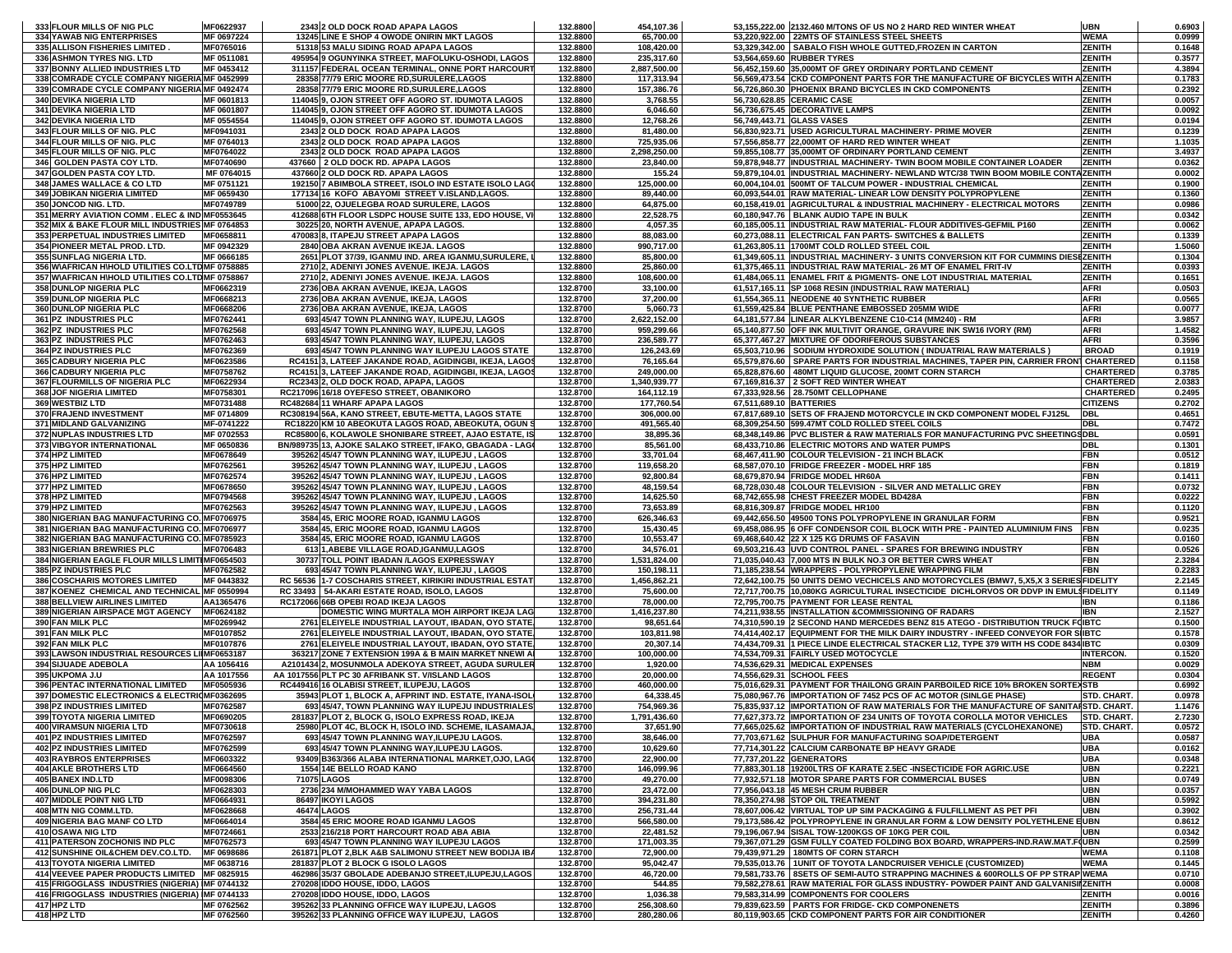| 333 FLOUR MILLS OF NIG PLC                        | MF0622937              |             | 2343 2 OLD DOCK ROAD APAPA LAGOS                                                                 | 132.8800             | 454,107.36               |                         | 53,155,222.00 2132.460 M/TONS OF US NO 2 HARD RED WINTER WHEAT                                                             | <b>UBN</b>               | 0.6903           |
|---------------------------------------------------|------------------------|-------------|--------------------------------------------------------------------------------------------------|----------------------|--------------------------|-------------------------|----------------------------------------------------------------------------------------------------------------------------|--------------------------|------------------|
| 334 YAWAB NIG ENTERPRISES                         | MF 0697224             |             | 13245 LINE E SHOP 4 OWODE ONIRIN MKT LAGOS                                                       | 132.8800             | 65,700.00                |                         | 53,220,922.00 22MTS OF STAINLESS STEEL SHEETS                                                                              | <b>WEMA</b>              | 0.0999           |
| 335 ALLISON FISHERIES LIMITED.                    | MF0765016              |             | 51318 53 MALU SIDING ROAD APAPA LAGOS                                                            | 132.8800             | 108,420.00               |                         | 53.329.342.00 SABALO FISH WHOLE GUTTED FROZEN IN CARTON                                                                    | <b>ZENITH</b>            | 0.1648           |
| 336 ASHMON TYRES NIG. LTD                         | MF 0511081             |             | 495954 9 OGUNYINKA STREET, MAFOLUKU-OSHODI, LAGOS                                                | 132.8800             | 235,317.60               |                         | 53,564,659.60 RUBBER TYRES                                                                                                 | <b>ZENITH</b>            | 0.3577           |
| 337 BONNY ALLIED INDUSTRIES LTD                   | MF 0453412             |             | 311157 FEDERAL OCEAN TERMINAL, ONNE PORT HARCOURT                                                | 132.8800             | 2,887,500.00             |                         | 56,452,159.60 35,000MT OF GREY ORDINARY PORTLAND CEMENT                                                                    | <b>ZENITH</b>            | 4.3894           |
| 338 COMRADE CYCLE COMPANY NIGERIA MF 0452999      |                        |             | 28358 77/79 ERIC MOORE RD, SURULERE, LAGOS                                                       | 132.8800             | 117,313.94               |                         | 56,569,473.54 CKD COMPONENT PARTS FOR THE MANUFACTURE OF BICYCLES WITH A ZENITH                                            |                          | 0.1783           |
| 339 COMRADE CYCLE COMPANY NIGERIA MF 0492474      |                        |             | 28358 77/79 ERIC MOORE RD, SURULERE, LAGOS                                                       | 132.8800             | 157,386.76               |                         | 56,726,860.30 PHOENIX BRAND BICYCLES IN CKD COMPONENTS                                                                     | ZENITH                   | 0.2392           |
| 340 DEVIKA NIGERIA LTD                            | MF 0601813             |             | 114045 9, OJON STREET OFF AGORO ST. IDUMOTA LAGOS                                                | 132.8800             | 3,768.55                 |                         | 56,730,628.85 CERAMIC CASE                                                                                                 | <b>ZENITH</b>            | 0.0057           |
| <b>341 DEVIKA NIGERIA LTD</b>                     | MF 0601807             |             | 114045 9, OJON STREET OFF AGORO ST. IDUMOTA LAGOS                                                | 132.8800             | 6,046.60                 |                         | 56,736,675.45 DECORATIVE LAMPS                                                                                             | <b>ZENITH</b>            | 0.0092           |
| 342 DEVIKA NIGERIA LTD                            | MF 0554554             |             | 114045 9, OJON STREET OFF AGORO ST. IDUMOTA LAGOS                                                | 132.8800             | 12,768.26                |                         | 56,749,443.71 GLASS VASES                                                                                                  | <b>ZENITH</b>            | 0.0194           |
| 343 FLOUR MILLS OF NIG. PLC                       | MF0941031              |             | 2343 2 OLD DOCK ROAD APAPA LAGOS                                                                 | 132.8800             | 81,480.00                |                         | 56,830,923.71   USED AGRICULTURAL MACHINERY- PRIME MOVER                                                                   | <b>ZENITH</b>            | 0.1239           |
| 344 FLOUR MILLS OF NIG. PLC                       | MF 0764013             |             | 2343 2 OLD DOCK ROAD APAPA LAGOS                                                                 | 132.8800             | 725,935.06               |                         | 57,556,858.77 22,000MT OF HARD RED WINTER WHEAT                                                                            | <b>ZENITH</b>            | 1.1035           |
| 345 FLOUR MILLS OF NIG. PLC                       | MF0764022              |             | 2343 2 OLD DOCK ROAD APAPA LAGOS                                                                 | 132.8800             | 2,298,250.00             |                         | 59,855,108.77 35,000MT OF ORDINARY PORTLAND CEMENT                                                                         | <b>ZENITH</b>            | 3.4937           |
| 346 GOLDEN PASTA COY LTD.                         | MF0740690              |             | 437660 2 OLD DOCK RD. APAPA LAGOS                                                                | 132.8800             | 23,840.00                |                         | 59,878,948.77 INDUSTRIAL MACHINERY- TWIN BOOM MOBILE CONTAINER LOADER                                                      | <b>ZENITH</b>            | 0.0362           |
| 347 GOLDEN PASTA COY LTD.                         | MF 0764015             |             | 437660 2 OLD DOCK RD. APAPA LAGOS                                                                | 132.8800             | 155.24                   |                         | 59,879,104.01 INDUSTRIAL MACHINERY- NEWLAND WTC/38 TWIN BOOM MOBILE CONTAZENITH                                            |                          | 0.0002           |
| 348 JAMES WALLACE & CO LTD                        | MF 0751121             |             | 192150 7 ABIMBOLA STREET, ISOLO IND ESTATE ISOLO LAGO                                            | 132.8800             | 125,000.00               |                         | 60,004,104.01 500MT OF TALCUM POWER - INDUSTRIAL CHEMICAL                                                                  | <b>ZENITH</b>            | 0.1900           |
| 349 JOBIKAN NIGERIA LIMITED                       | MF 0659430             |             | 177134 16 KOFO ABAYOMI STREET V.ISLAND,LAGOS.                                                    | 132.8800             | 89,440.00                |                         | 60,093,544.01 RAW MATERIAL- LINEAR LOW DENSITY POLYPROPYLENE                                                               | <b>ZENITH</b>            | 0.1360           |
| 350 JONCOD NIG. LTD.                              | MF0749789              |             | 51000 22, OJUELEGBA ROAD SURULERE, LAGOS                                                         | 132.8800             | 64,875.00                |                         | 60,158,419.01 AGRICULTURAL & INDUSTRIAL MACHINERY - ELECTRICAL MOTORS                                                      | <b>ZENITH</b>            | 0.0986           |
| 351 MERRY AVIATION COMM. ELEC & IND MF0553645     |                        |             | 412688 6TH FLOOR LSDPC HOUSE SUITE 133, EDO HOUSE, VI                                            | 132.8800             | 22,528.75                |                         | 60,180,947.76   BLANK AUDIO TAPE IN BULK                                                                                   | <b>ZENITH</b>            | 0.0342           |
| 352 MIX & BAKE FLOUR MILL INDUSTRIES MF 0764853   |                        |             | 30225 20. NORTH AVENUE. APAPA LAGOS.                                                             | 132.8800             | 4,057.35                 |                         | 60,185,005.11 IINDUSTRIAL RAW MATERIAL- FLOUR ADDITIVES-GEFMIL P160                                                        | <b>ZENITH</b>            | 0.0062           |
| 353 PERPETUAL INDUSTRIES LIMITED                  | MF0658811              |             | 470083 8, ITAPEJU STREET APAPA LAGOS                                                             | 132.8800             | 88,083.00                |                         | 60,273,088.11 ELECTRICAL FAN PARTS- SWITCHES & BALLETS                                                                     | <b>ZENITH</b>            | 0.1339           |
| 354 PIONEER METAL PROD. LTD.                      | MF 0942329             |             | 2840 OBA AKRAN AVENUE IKEJA. LAGOS                                                               | 132.8800             | 990,717.00               |                         | 61,263,805.11 1700MT COLD ROLLED STEEL COIL                                                                                | <b>ZENITH</b>            | 1.5060           |
| 355 SUNFLAG NIGERIA LTD.                          | MF 0666185             |             | 2651 PLOT 37/39, IGANMU IND. AREA IGANMU, SURULERE, I                                            | 132.8800             | 85,800.00                |                         | 61,349,605.11 INDUSTRIAL MACHINERY- 3 UNITS CONVERSION KIT FOR CUMMINS DIESEZENITH                                         |                          | 0.1304           |
| 356 WAFRICAN H\HOLD UTILITIES CO.LTD MF 0758885   |                        |             | 2710 2, ADENIYI JONES AVENUE. IKEJA. LAGOS                                                       | 132.8800             | 25,860.00                |                         | 61,375,465.11 INDUSTRIAL RAW MATERIAL- 26 MT OF ENAMEL FRIT-IV                                                             | <b>ZENITH</b>            | 0.0393           |
| 357 W\AFRICAN H\HOLD UTILITIES CO.LTD MF 0758867  |                        |             | 2710 2, ADENIYI JONES AVENUE. IKEJA. LAGOS                                                       | 132.8800             | 108,600.00               |                         | 61,484,065.11 ENAMEL FRIT & PIGMENTS- ONE LOT INDUSTRIAL MATERIAL                                                          | <b>ZENITH</b>            | 0.1651           |
| 358 DUNLOP NIGERIA PLC                            | MF0662319              |             | 2736 OBA AKRAN AVENUE, IKEJA, LAGOS                                                              | 132.8700             | 33,100.00                |                         | 61,517,165.11 SP 1068 RESIN (INDUSTRIAL RAW MATERIAL)                                                                      | <b>AFRI</b>              | 0.0503           |
| 359 DUNLOP NIGERIA PLC                            | MF0668213              |             | 2736 OBA AKRAN AVENUE, IKEJA, LAGOS                                                              | 132.8700             | 37,200.00                |                         | 61,554,365.11 NEODENE 40 SYNTHETIC RUBBER                                                                                  | <b>AFRI</b>              | 0.0565           |
| 360 DUNLOP NIGERIA PLC                            | MF0668206              |             | 2736 OBA AKRAN AVENUE, IKEJA, LAGOS                                                              | 132.8700             | 5,060.73                 |                         | 61,559,425.84 BLUE PENTHANE EMBOSSED 205MM WIDE                                                                            | <b>AFRI</b>              | 0.0077           |
| 361 PZ INDUSTRIES PLC                             | MF0762441              |             | 693 45/47 TOWN PLANNING WAY, ILUPEJU, LAGOS                                                      | 132.8700             | 2,622,152.00             |                         | 64,181,577.84 LINEAR ALKYLBENZENE C10-C14 (MM240) - RM                                                                     | <b>AFRI</b>              | 3.9857           |
| 362 PZ INDUSTRIES PLC                             | MF0762568              |             | 693 45/47 TOWN PLANNING WAY, ILUPEJU, LAGOS                                                      | 132.8700             | 959,299.66               |                         | 65,140,877.50 OFF INK MULTIVIT ORANGE, GRAVURE INK SW16 IVORY (RM)                                                         | <b>AFRI</b>              | 1.4582           |
| 363 PZ INDUSTRIES PLC                             | MF0762463              |             | 693 45/47 TOWN PLANNING WAY, ILUPEJU, LAGOS                                                      | 132.8700             | 236,589.77               |                         | 65,377,467.27 MIXTURE OF ODORIFEROUS SUBSTANCES                                                                            | <b>AFRI</b>              | 0.3596           |
| 364 PZ INDUSTRIES PLC                             | MF0762369              |             | 693 45/47 TOWN PLANNING WAY ILUPEJU LAGOS STATE                                                  | 132.8700             | 126,243.69               |                         | 65,503,710.96 SODIUM HYDROXIDE SOLUTION (INDUATRIAL RAW MATERIALS)                                                         | <b>BROAD</b>             | 0.1919           |
| 365 CADBURY NIGERIA PLC                           | MF0623586              |             | RC4151 3, LATEEF JAKANDE ROAD, AGIDINGBI, IKEJA, LAGOS                                           | 132.8700             | 76,165.64                |                         | 65,579,876.60 SPARE PARTS FOR INDUSTRIAL MACHINES, TAPER PIN, CARRIER FRONT CHARTERED                                      |                          | 0.1158           |
| 366 CADBURY NIGERIA PLC                           | MF0758762              |             | RC4151 3, LATEEF JAKANDE ROAD, AGIDINGBI, IKEJA, LAGOS                                           | 132.8700             | 249,000.00               |                         | 65,828,876.60 480MT LIQUID GLUCOSE, 200MT CORN STARCH                                                                      | <b>CHARTERED</b>         | 0.3785           |
| 367 FLOURMILLS OF NIGERIA PLC                     | MF0622934              |             | RC2343 2, OLD DOCK ROAD, APAPA, LAGOS                                                            | 132.8700             | 1,340,939.77             |                         | 67,169,816.37 2 SOFT RED WINTER WHEAT                                                                                      | <b>CHARTERED</b>         | 2.0383           |
| 368 JOF NIGERIA LIMITED                           | MF0758301              |             | RC217096 16/18 OYEFESO STREET, OBANIKORO                                                         | 132.8700             | 164,112.19               |                         | 67,333,928.56 28.750MT CELLOPHANE                                                                                          | <b>CHARTERED</b>         | 0.2495           |
| 369 WESTBIZ LTD                                   | MF0731488              |             | RC482684 11 WHARF APAPA LAGOS                                                                    | 132.8700             | 177,760.54               | 67,511,689.10 BATTERIES |                                                                                                                            | <b>CITIZENS</b>          | 0.2702           |
| 370 FRAJEND INVESTMENT                            | MF 0714809             |             | RC308194 56A, KANO STREET, EBUTE-METTA, LAGOS STATE                                              | 132.8700             | 306,000.00               |                         | 67,817,689.10 SETS OF FRAJEND MOTORCYCLE IN CKD COMPONENT MODEL FJ125L                                                     | <b>DBL</b>               | 0.4651           |
| 371 MIDLAND GALVANIZING                           | MF-0741222             |             | RC18220 KM 10 ABEOKUTA LAGOS ROAD, ABEOKUTA, OGUN S                                              | 132.8700             | 491,565.40               |                         | 68,309,254.50 599.47MT COLD ROLLED STEEL COILS                                                                             | <b>DBL</b>               | 0.7472           |
| 372 NUPLAS INDUSTRIES LTD                         | MF 0702553             |             | RC85800 6, KOLAWOLE SHONIBARE STREET, AJAO ESTATE, IS                                            | 132.8700             | 38,895.36                |                         | 68,348,149.86 PVC BLISTER & RAW MATERIALS FOR MANUFACTURING PVC SHEETINGSDBL                                               |                          | 0.0591           |
| 373 VIBGYOR INTERNATIONAL                         | MF 0650836             |             | BN/989735 13, AJOKE SALAKO STREET, IFAKO, GBAGADA - LAGO                                         | 132.8700             | 85,561.00                |                         | 68,433,710.86 ELECTRIC MOTORS AND WATER PUMPS                                                                              | <b>DBL</b>               | 0.1301           |
| 374 HPZ LIMITED                                   | MF0678649              |             | 395262 45/47 TOWN PLANNING WAY, ILUPEJU, LAGOS                                                   | 132.8700             | 33,701.04                |                         | 68,467,411.90 COLOUR TELEVISION - 21 INCH BLACK                                                                            | <b>FBN</b>               | 0.0512           |
| 375 HPZ LIMITED                                   | MF0762561              |             | 395262 45/47 TOWN PLANNING WAY, ILUPEJU, LAGOS                                                   | 132.8700             | 119,658.20               |                         | 68,587,070.10 FRIDGE FREEZER - MODEL HRF 185                                                                               | <b>FBN</b>               | 0.1819           |
| 376 HPZ LIMITED                                   | MF0762574<br>MF0678650 |             | 395262 45/47 TOWN PLANNING WAY, ILUPEJU, LAGOS<br>395262 45/47 TOWN PLANNING WAY, ILUPEJU, LAGOS | 132.8700             | 92,800.84                |                         | 68,679,870.94 FRIDGE MODEL HR60A                                                                                           | <b>FBN</b>               | 0.1411           |
| 377 HPZ LIMITED                                   |                        |             |                                                                                                  |                      |                          |                         |                                                                                                                            |                          |                  |
|                                                   |                        |             |                                                                                                  | 132.8700             | 48,159.54                |                         | 68,728,030.48 COLOUR TELEVISION - SILVER AND METALLIC GREY                                                                 | <b>FBN</b>               | 0.0732           |
| 378 HPZ LIMITED                                   | MF0794568              |             | 395262 45/47 TOWN PLANNING WAY, ILUPEJU, LAGOS                                                   | 132.8700             | 14,625.50                |                         | 68,742,655.98 CHEST FREEZER MODEL BD428A                                                                                   | <b>FBN</b>               | 0.0222           |
| 379 HPZ LIMITED                                   | MF0762563              |             | 395262 45/47 TOWN PLANNING WAY, ILUPEJU, LAGOS                                                   | 132.8700             | 73,653.89                |                         | 68,816,309.87 FRIDGE MODEL HR100                                                                                           | <b>FBN</b>               | 0.1120           |
| 380 NIGERIAN BAG MANUFACTURING CO. MF0706975      |                        |             | 3584 45, ERIC MOORE ROAD, IGANMU LAGOS                                                           | 132.8700             | 626,346.63               |                         | 69,442,656.50 49500 TONS POLYPROPYLENE IN GRANULAR FORM                                                                    | <b>FBN</b>               | 0.9521           |
| 381 NIGERIAN BAG MANUFACTURING CO. MF0706977      |                        |             | 3584 45, ERIC MOORE ROAD, IGANMU LAGOS                                                           | 132.8700             | 15,430.45                |                         | 69,458,086.95 6 OFF CONDENSOR COIL BLOCK WITH PRE - PAINTED ALUMINIUM FINS                                                 | <b>FBN</b>               | 0.0235           |
| 382 NIGERIAN BAG MANUFACTURING CO. MF0785923      |                        |             | 3584 45, ERIC MOORE ROAD, IGANMU LAGOS                                                           | 132.8700             | 10,553.47                |                         | 69,468,640.42 22 X 125 KG DRUMS OF FASAVIN                                                                                 | <b>FBN</b>               | 0.0160           |
| 383 NIGERIAN BREWRIES PLC                         | MF0706483              |             | 613 1, ABEBE VILLAGE ROAD, IGANMU, LAGOS                                                         | 132.8700             | 34,576.01                |                         | 69,503,216.43 UVD CONTROL PANEL - SPARES FOR BREWING INDUSTRY                                                              | <b>FBN</b>               | 0.0526           |
| 384 NIGERIAN EAGLE FLOUR MILLS LIMITIMF0654503    |                        |             | 30737 TOLL POINT IBADAN /LAGOS EXPRESSWAY                                                        | 132.8700             | 1,531,824.00             |                         | 71,035,040.43 7,000 MTS IN BULK NO.3 OR BETTER CWRS WHEAT                                                                  | <b>FBN</b>               | 2.3284           |
| 385 PZ INDUSTRIES PLC                             | MF0762582              |             | 693 45/47 TOWN PLANNING WAY, ILUPEJU, LAGOS                                                      | 132.8700             | 150,198.11               |                         | 71,185,238.54 WRAPPERS - POLYPROPYLENE WRAPPING FILM                                                                       | <b>FBN</b>               | 0.2283           |
| 386 COSCHARIS MOTORES LIMITED                     | MF 0443832             |             | RC 56536 1-7 COSCHARIS STREET, KIRIKIRI INDUSTRIAL ESTATI                                        | 132.8700             | 1,456,862.21             |                         | 72,642,100.75 50 UNITS DEMO VECHICELS AND MOTORCYCLES (BMW7, 5,X5,X 3 SERIES FIDELITY                                      |                          | 2.2145           |
| 387 KOENEZ CHEMICAL AND TECHNICAL MF 0550994      |                        |             | RC 33493   54-AKARI ESTATE ROAD, ISOLO, LAGOS                                                    | 132.8700             | 75,600.00                |                         | 72,717,700.75 10,080KG AGRICULTURAL INSECTICIDE DICHLORVOS OR DDVP IN EMUL\$FIDELITY                                       |                          | 0.1149           |
| 388 BELLVIEW AIRLINES LIMITED                     | AA1365476              |             | RC172066 66B OPEBI ROAD IKEJA LAGOS                                                              | 132.8700             | 78,000.00                |                         | 72,795,700.75 PAYMENT FOR LEASE RENTAL                                                                                     | <b>IBN</b>               | 0.1186           |
| 389 NIGERIAN AIRSPACE MGT AGENCY MF0624182        |                        |             | DOMESTIC WING MURTALA MOH AIRPORT IKEJA LAG                                                      | 132.8700             | 1,416,237.80             |                         | 74,211,938.55 INSTALLATION &COMMISSIONING OF RADARS                                                                        | <b>IBN</b>               | 2.1527           |
| 390 FAN MILK PLC                                  | MF0269942              |             | 2761 ELEIYELE INDUSTRIAL LAYOUT, IBADAN, OYO STATE,                                              | 132.8700             | 98,651.64                |                         | 74,310,590.19 2 SECOND HAND MERCEDES BENZ 815 ATEGO - DISTRIBUTION TRUCK FOIBTC                                            |                          | 0.1500           |
| 391 FAN MILK PLC                                  | MF0107852              |             | 2761 ELEIYELE INDUSTRIAL LAYOUT, IBADAN, OYO STATE,                                              | 132.8700             | 103,811.98               |                         | 74,414,402.17 EQUIPMENT FOR THE MILK DAIRY INDUSTRY - INFEED CONVEYOR FOR SIIBTC                                           |                          | 0.1578           |
| 392 FAN MILK PLC                                  | MF0107876              |             | 2761 ELEIYELE INDUSTRIAL LAYOUT, IBADAN, OYO STATE                                               | 132.8700             | 20,307.14                |                         | 74,434,709.31 1 PIECE LINDE ELECTRICAL STACKER L12, TYPE 379 WITH HS CODE 8434 IBTC                                        |                          | 0.0309           |
| 393 LAWSON INDUSTRIAL RESOURCES LIMF0653187       |                        |             | 363217 ZONE 7 EXTENSION 199A & B MAIN MARKET NNEWI A                                             | 132.8700             | 100,000.00               |                         | 74,534,709.31 FAIRLY USED MOTOCYCLE                                                                                        | <b>INTERCON.</b>         | 0.1520           |
| 394 SIJUADE ADEBOLA                               | AA 1056416             |             | A2101434 2, MOSUNMOLA ADEKOYA STREET, AGUDA SURULER                                              | 132.8700             | 1,920.00                 |                         | 74,536,629.31 MEDICAL EXPENSES                                                                                             | <b>NBM</b>               | 0.0029           |
| 395 UKPOMA J.U                                    | AA 1017556             |             | AA 1017556 PLT PC 30 AFRIBANK ST. V/ISLAND LAGOS                                                 | 132.8700             | 20,000.00                |                         | 74,556,629.31 SCHOOL FEES                                                                                                  | <b>REGENT</b>            | 0.0304           |
| 396 PENTAC INTERNATIONAL LIMITED                  | MF0505936              |             | RC449416 16 OLABISI STREET, ILUPEJU, LAGOS                                                       | 132.8700             | 460,000.00               |                         | 75,016,629.31 PAYMENT FOR THAILONG GRAIN PARBOILED RICE 10% BROKEN SORTEXSTB                                               |                          | 0.6992           |
| 397 DOMESTIC ELECTRONICS & ELECTRIOMF0362695      |                        |             | 35943 PLOT 1, BLOCK A, AFPRINT IND. ESTATE, IYANA-ISOL                                           | 132.8700             | 64,338.45                |                         | 75,080,967.76 IMPORTATION OF 7452 PCS OF AC MOTOR (SINLGE PHASE)                                                           | STD. CHART.              | 0.0978           |
| 398 PZ INDUSTRIES LIMITED                         | MF0762587              |             | 693 45/47, TOWN PLANNING WAY ILUPEJU INDUSTRIALES'                                               | 132.8700             | 754,969.36               |                         | 75,835,937.12 IMPORTATION OF RAW MATERIALS FOR THE MANUFACTURE OF SANITARSTD. CHART.                                       |                          | 1.1476           |
| 399 TOYOTA NIGERIA LIMITED                        | MF0690205              |             | 281837 PLOT 2, BLOCK G, ISOLO EXPRESS ROAD, IKEJA                                                | 132.8700             | 1,791,436.60             |                         | 77,627,373.72 IMPORTATION OF 234 UNITS OF TOYOTA COROLLA MOTOR VEHICLES STD. CHART.                                        |                          | 2.7230           |
| <b>400 VIRAMSUN NIGERIA LTD</b>                   | MF0730618              |             | 25980 PLOT 4C, BLOCK H, ISOLO IND. SCHEME, ILASAMAJA,                                            | 132.8700             | 37,651.90                |                         | 77,665,025.62 IMPORTATION OF INDUSTRIAL RAW MATERIALS (CYCLOHEXANONE)                                                      | STD. CHART.              | 0.0572           |
| <b>401 PZ INDUSTRIES LIMITED</b>                  | MF0762597              |             | 693 45/47 TOWN PLANNING WAY, ILUPEJU LAGOS.                                                      | 132.8700             | 38,646.00                |                         | 77,703,671.62 SULPHUR FOR MANUFACTURING SOAP/DETERGENT<br>77.714.301.22 CALCIUM CARBONATE BP HEAVY GRADE                   | <b>UBA</b>               | 0.0587           |
| 402 PZ INDUSTRIES LIMITED                         | MF0762599              |             | 693 45/47 TOWN PLANNING WAY, ILUPEJU LAGOS.                                                      | 132.8700             | 10,629.60                |                         |                                                                                                                            | <b>UBA</b>               | 0.0162           |
| <b>403 RAYBROS ENTERPRISES</b>                    | MF0603322<br>MF0664560 |             | 93409 B363/366 ALABA INTERNATIONAL MARKET, OJO, LAGO                                             | 132.8700             | 22,900.00                |                         | 77,737,201.22 GENERATORS                                                                                                   | <b>UBA</b>               | 0.0348           |
| <b>404 AKLE BROTHERS LTD</b>                      |                        | 71075 LAGOS | 1554 14E BELLO ROAD KANO                                                                         | 132.8700             | 146,099.96               |                         | 77,883,301.18 19200LTRS OF KARATE 2.5EC -INSECTICIDE FOR AGRIC.USE<br>77,932,571.18 MOTOR SPARE PARTS FOR COMMERCIAL BUSES | <b>UBN</b><br><b>UBN</b> | 0.2221           |
| 405 BANEX IND.LTD<br>406 DUNLOP NIG PLC           | MF0098306<br>MF0628303 |             | 2736 234 M/MOHAMMED WAY YABA LAGOS                                                               | 132.8700<br>132.8700 | 49,270.00                |                         | 77.956.043.18 45 MESH CRUM RUBBER                                                                                          | <b>UBN</b>               | 0.0749           |
|                                                   |                        |             | 86497 IKOYI LAGOS                                                                                |                      | 23,472.00                |                         |                                                                                                                            |                          | 0.0357           |
| 407 MIDDLE POINT NIG LTD<br>408 MTN NIG COMM.LTD. | MF0664931<br>MF0628668 |             | <b>46474 LAGOS</b>                                                                               | 132.8700<br>132.8700 | 394,231.80<br>256,731.44 |                         | 78,350,274.98 STOP OIL TREATMENT<br>78.607.006.42 VIRTUAL TOP UP SIM PACKAGING & FULFILLMENT AS PET PFI                    | <b>UBN</b><br><b>UBN</b> | 0.5992<br>0.3902 |
| 409 NIGERIA BAG MANF CO LTD                       | MF0664014              |             |                                                                                                  |                      |                          |                         | 79,173,586.42 POLYPROPYLENE IN GRANULAR FORM & LOW DENSITY POLYETHLENE EUBN                                                |                          |                  |
| 410 OSAWA NIG LTD                                 | MF0724661              |             | 3584 45 ERIC MOORE ROAD IGANMU LAGOS<br>2533 216/218 PORT HARCOURT ROAD ABA ABIA                 | 132.8700<br>132.8700 | 566,580.00<br>22,481.52  |                         | 79,196,067.94 SISAL TOW-1200KGS OF 10KG PER COIL                                                                           | UBN                      | 0.8612<br>0.0342 |
| 411 PATERSON ZOCHONIS IND PLC                     | MF0762573              |             | 693 45/47 TOWN PLANNING WAY ILUPEJU LAGOS                                                        | 132.8700             | 171,003.35               |                         | 79,367,071.29 GSM FULLY COATED FOLDING BOX BOARD, WRAPPERS-IND.RAW.MAT.F(UBN                                               |                          | 0.2599           |
| 412 SUNSHINE OIL&CHEM DEV.CO.LTD.                 | MF 0698686             |             | 261871 PLOT 2.BLK A&B SALIMONU STREET NEW BODIJA IBA                                             | 132.8700             | 72,900.00                |                         | 79.439.971.29 180MTS OF CORN STARCH                                                                                        | <b>WEMA</b>              | 0.1108           |
| <b>413 TOYOTA NIGERIA LIMITED</b>                 | MF 0638716             |             | 281837 PLOT 2 BLOCK G ISOLO LAGOS                                                                | 132.8700             | 95,042.47                |                         | 79,535,013.76   1UNIT OF TOYOTA LANDCRUISER VEHICLE (CUSTOMIZED)                                                           | <b>WEMA</b>              | 0.1445           |
| 414 VEEVEE PAPER PRODUCTS LIMITED MF 0825915      |                        |             | 462986 35/37 GBOLADE ADEBANJO STREET, ILUPEJU, LAGOS                                             | 132.8700             | 46,720.00                |                         | 79,581,733.76 8SETS OF SEMI-AUTO STRAPPING MACHINES & 600ROLLS OF PP STRAP WEMA                                            |                          | 0.0710           |
| 415 FRIGOGLASS INDUSTRIES (NIGERIA) MF 0744132    |                        |             | 270208 IDDO HOUSE, IDDO, LAGOS                                                                   | 132.8700             | 544.85                   |                         | 79,582,278.61 RAW MATERIAL FOR GLASS INDUSTRY- POWDER PAINT AND GALVANISIIZENITH                                           |                          | 0.0008           |
| 416 FRIGOGLASS INDUSTRIES (NIGERIA) MF 0744133    |                        |             | 270208 IDDO HOUSE, IDDO, LAGOS                                                                   | 132.8700             | 1,036.38                 |                         | 79.583.314.99 COMPONENTS FOR COOLERS                                                                                       | <b>ZENITH</b>            | 0.0016           |
| 417 HPZ LTD<br>418 HPZ LTD                        | MF 0762562             |             | 395262 33 PLANNING OFFICE WAY ILUPEJU, LAGOS<br>395262 33 PLANNING OFFICE WAY ILUPEJU. LAGOS     | 132.8700             | 256,308.60<br>280.280.06 |                         | 79,839,623.59 PARTS FOR FRIDGE- CKD COMPONENETS                                                                            | <b>ZENITH</b>            | 0.3896           |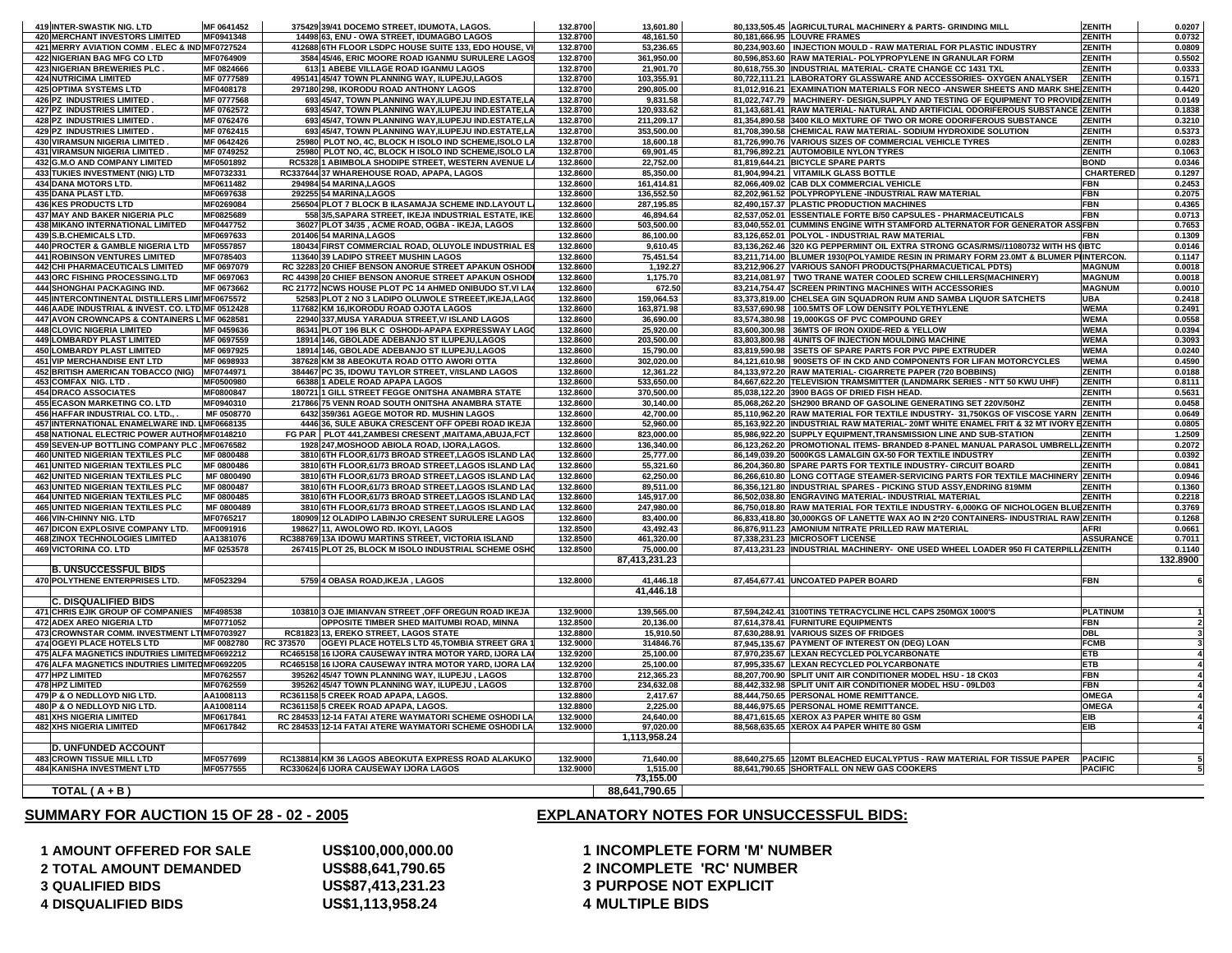**AMOUNT OFFERED FOR SALE QUALIFIED BIDS DISQUALIFIED BIDS**

**SUMMARY FOR AUCTION 15 OF 28 - 02 - 2005**

**US\$1,113,958.24 4 MULTIPLE BIDS**

# **US\$100,000,000.00 1 INCOMPLETE FORM 'M' NUMBER TOTAL AMOUNT DEMANDED US\$88,641,790.65 2 INCOMPLETE 'RC' NUMBER US\$87,413,231.23 3 PURPOSE NOT EXPLICIT**

## **EXPLANATORY NOTES FOR UNSUCCESSFUL BIDS:**

| 419 INTER-SWASTIK NIG. LTD                                                   | MF 0641452               | 375429 39/41 DOCEMO STREET, IDUMOTA, LAGOS.                                                                | 132.8700             | 13.601.80               | 80,133,505.45 AGRICULTURAL MACHINERY & PARTS- GRINDING MILL                                                                                                              | <b>ZENITH</b>                  | 0.0207           |
|------------------------------------------------------------------------------|--------------------------|------------------------------------------------------------------------------------------------------------|----------------------|-------------------------|--------------------------------------------------------------------------------------------------------------------------------------------------------------------------|--------------------------------|------------------|
| <b>420 MERCHANT INVESTORS LIMITED</b>                                        | MF0941348                | 14498 63. ENU - OWA STREET. IDUMAGBO LAGOS                                                                 | 132.8700<br>132.8700 | 48.161.50<br>53,236.65  | 80.181.666.95 LOUVRE FRAMES                                                                                                                                              | <b>ZENITH</b><br><b>ZENITH</b> | 0.0732           |
| 421 MERRY AVIATION COMM. ELEC & IND MF0727524<br>422 NIGERIAN BAG MFG CO LTD | MF0764909                | 412688 6TH FLOOR LSDPC HOUSE SUITE 133, EDO HOUSE, VI<br>3584 45/46, ERIC MOORE ROAD IGANMU SURULERE LAGOS | 132.8700             | 361,950.00              | 80,234,903.60   INJECTION MOULD - RAW MATERIAL FOR PLASTIC INDUSTRY<br>80,596,853.60 RAW MATERIAL- POLYPROPYLENE IN GRANULAR FORM                                        | <b>ZENITH</b>                  | 0.0809<br>0.5502 |
| <b>423 NIGERIAN BREWERIES PLC</b>                                            | MF 0824666               | 613 1 ABEBE VILLAGE ROAD IGANMU LAGOS                                                                      | 132.8700             | 21,901.70               | 80,618,755.30 INDUSTRIAL MATERIAL- CRATE CHANGE CC 1431 TXL                                                                                                              | <b>ZENITH</b>                  | 0.0333           |
| <b>424 NUTRICIMA LIMITED</b>                                                 | MF 0777589               | 495141 45/47 TOWN PLANNING WAY, ILUPEJU,LAGOS                                                              | 132.8700             | 103,355.91              | 80,722,111.21 LABORATORY GLASSWARE AND ACCESSORIES- OXYGEN ANALYSER                                                                                                      | <b>ZENITH</b>                  | 0.1571           |
| 425 OPTIMA SYSTEMS LTD                                                       | MF0408178                | 297180 298, IKORODU ROAD ANTHONY LAGOS                                                                     | 132.8700             | 290,805.00              | 81,012,916.21 EXAMINATION MATERIALS FOR NECO-ANSWER SHEETS AND MARK SHEIZENITH                                                                                           |                                | 0.4420           |
| 426 PZ INDUSTRIES LIMITED.                                                   | MF 0777568               | 693 45/47, TOWN PLANNING WAY, ILUPEJU IND ESTATE, LA                                                       | 132.8700             | 9,831.58                | 81,022,747.79   MACHINERY- DESIGN, SUPPLY AND TESTING OF EQUIPMENT TO PROVIDEZENITH                                                                                      |                                | 0.0149           |
| 427 PZ INDUSTRIES LIMITED                                                    | MF 0762572               | 693 45/47, TOWN PLANNING WAY, ILUPEJU IND.ESTATE, LA                                                       | 132.8700             | 120,933.62              | 81,143,681.41 RAW MATERIAL- NATURAL AND ARTIFICIAL ODORIFEROUS SUBSTANCE ZENITH                                                                                          |                                | 0.1838           |
| 428 PZ INDUSTRIES LIMITED.                                                   | MF 0762476               | 693 45/47, TOWN PLANNING WAY, ILUPEJU IND.ESTATE, LA                                                       | 132.8700             | 211,209.17              | 81,354,890.58 3400 KILO MIXTURE OF TWO OR MORE ODORIFEROUS SUBSTANCE                                                                                                     | ZENITH                         | 0.3210           |
| 429 PZ INDUSTRIES LIMITED                                                    | MF 0762415               | 693 45/47, TOWN PLANNING WAY, ILUPEJU IND.ESTATE, LA                                                       | 132.8700             | 353,500.00              | 81,708,390.58 CHEMICAL RAW MATERIAL- SODIUM HYDROXIDE SOLUTION                                                                                                           | <b>ZENITH</b>                  | 0.5373           |
| 430 VIRAMSUN NIGERIA LIMITED                                                 | MF 0642426               | 25980 PLOT NO, 4C, BLOCK H ISOLO IND SCHEME, ISOLO LA                                                      | 132.8700             | 18,600.18               | 81,726,990.76 VARIOUS SIZES OF COMMERCIAL VEHICLE TYRES                                                                                                                  | <b>ZENITH</b>                  | 0.0283           |
| <b>431 VIRAMSUN NIGERIA LIMITED</b>                                          | MF 0749252               | 25980 PLOT NO, 4C, BLOCK H ISOLO IND SCHEME, ISOLO LA                                                      | 132.8700             | 69,901.45               | 81,796,892.21 AUTOMOBILE NYLON TYRES                                                                                                                                     | <b>ZENITH</b>                  | 0.1063           |
| 432 G.M.O AND COMPANY LIMITED                                                | MF0501892                | RC5328 1 ABIMBOLA SHODIPE STREET, WESTERN AVENUE LA                                                        | 132.8600             | 22,752.00               | 81,819,644.21 BICYCLE SPARE PARTS                                                                                                                                        | <b>BOND</b>                    | 0.0346           |
| 433 TUKIES INVESTMENT (NIG) LTD<br>434 DANA MOTORS LTD.                      | MF0732331<br>MF0611482   | RC337644 37 WHAREHOUSE ROAD, APAPA, LAGOS<br>294984 54 MARINA, LAGOS                                       | 132.8600<br>132.8600 | 85,350.00<br>161,414.81 | 81,904,994.21   VITAMILK GLASS BOTTLE<br>82,066,409.02 CAB DLX COMMERCIAL VEHICLE                                                                                        | <b>CHARTERED</b><br><b>FBN</b> | 0.1297<br>0.2453 |
| 435 DANA PLAST LTD.                                                          | MF0697638                | 292255 54 MARINA, LAGOS                                                                                    | 132.8600             | 136,552.50              | 82,202,961.52 POLYPROPYLENE -INDUSTRIAL RAW MATERIAL                                                                                                                     | <b>FBN</b>                     | 0.2075           |
| <b>436 KES PRODUCTS LTD</b>                                                  | MF0269084                | 256504 PLOT 7 BLOCK B ILASAMAJA SCHEME IND.LAYOUT LA                                                       | 132.8600             | 287,195.85              | 82,490,157.37 PLASTIC PRODUCTION MACHINES                                                                                                                                | <b>FBN</b>                     | 0.4365           |
| 437 MAY AND BAKER NIGERIA PLC                                                | MF0825689                | 558 3/5, SAPARA STREET, IKEJA INDUSTRIAL ESTATE, IKE.                                                      | 132.8600             | 46,894.64               | 82,537,052.01 ESSENTIALE FORTE B/50 CAPSULES - PHARMACEUTICALS                                                                                                           | <b>FBN</b>                     | 0.0713           |
| 438 MIKANO INTERNATIONAL LIMITED                                             | MF0447752                | 36027 PLOT 34/35, ACME ROAD, OGBA - IKEJA, LAGOS                                                           | 132.8600             | 503,500.00              | 83,040,552.01 CUMMINS ENGINE WITH STAMFORD ALTERNATOR FOR GENERATOR ASSFBN                                                                                               |                                | 0.7653           |
| 439 S.B.CHEMICALS LTD.                                                       | MF0697633                | 201406 54 MARINA, LAGOS                                                                                    | 132.8600             | 86,100.00               | 83,126,652.01 POLYOL - INDUSTRIAL RAW MATERIAL                                                                                                                           | <b>FBN</b>                     | 0.1309           |
| 440 PROCTER & GAMBLE NIGERIA LTD                                             | MF0557857                | 180434 FIRST COMMERCIAL ROAD, OLUYOLE INDUSTRIAL ES                                                        | 132.8600             | 9,610.45                | 83,136,262.46 320 KG PEPPERMINT OIL EXTRA STRONG GCAS/RMS//11080732 WITH HS (IBTC                                                                                        |                                | 0.0146           |
| <b>441 ROBINSON VENTURES LIMITED</b>                                         | MF0785403                | 113640 39 LADIPO STREET MUSHIN LAGOS                                                                       | 132.8600             | 75,451.54               | 83,211,714.00 BLUMER 1930(POLYAMIDE RESIN IN PRIMARY FORM 23.0MT & BLUMER PIINTERCON.                                                                                    |                                | 0.1147           |
| 442 CHI PHARMACEUTICALS LIMITED                                              | MF 0697079               | RC 32283 20 CHIEF BENSON ANORUE STREET APAKUN OSHODI                                                       | 132.8600             | 1,192.27                | 83,212,906.27 VARIOUS SANOFI PRODUCTS(PHARMACUETICAL PDTS)                                                                                                               | <b>MAGNUM</b>                  | 0.0018           |
| 443 ORC FISHING PROCESSING.LTD                                               | MF 0697063               | RC 44398 20 CHIEF BENSON ANORUE STREET APAKUN OSHODI                                                       | 132.8600             | 1,175.70                | 83,214,081.97 TWO TRANE WATER COOLED SCREW CHILLERS(MACHINERY)                                                                                                           | <b>MAGNUM</b>                  | 0.0018           |
| 444 SHONGHAI PACKAGING IND.                                                  | MF 0673662               | RC 21772 NCWS HOUSE PLOT PC 14 AHMED ONIBUDO ST.VI LAC                                                     | 132.8600             | 672.50                  | 83,214,754.47 SCREEN PRINTING MACHINES WITH ACCESSORIES                                                                                                                  | <b>MAGNUM</b>                  | 0.0010           |
| 445 INTERCONTINENTAL DISTILLERS LIMI MF0675572                               |                          | 52583 PLOT 2 NO 3 LADIPO OLUWOLE STREEET, IKEJA, LAGO                                                      | 132.8600             | 159,064.53              | 83,373,819.00 CHELSEA GIN SQUADRON RUM AND SAMBA LIQUOR SATCHETS                                                                                                         | <b>UBA</b>                     | 0.2418           |
| 446 AADE INDUSTRIAL & INVEST. CO. LTD MF 0512428                             |                          | 117682 KM 16, IKORODU ROAD OJOTA LAGOS                                                                     | 132.8600             | 163,871.98              | 83,537,690.98 100.5MTS OF LOW DENSITY POLYETHYLENE                                                                                                                       | <b>WEMA</b>                    | 0.2491           |
| 447 AVON CROWNCAPS & CONTAINERS LIMF 0628581                                 |                          | 22940 337, MUSA YARADUA STREET, V/ ISLAND LAGOS                                                            | 132.8600             | 36,690.00               | 83,574,380.98 19,000KGS OF PVC COMPOUND GREY                                                                                                                             | <b>WEMA</b>                    | 0.0558           |
| <b>448 CLOVIC NIGERIA LIMITED</b>                                            | MF 0459636<br>MF 0697559 | 86341 PLOT 196 BLK C OSHODI-APAPA EXPRESSWAY LAGO                                                          | 132.8600<br>132.8600 | 25,920.00               | 83,600,300.98 36MTS OF IRON OXIDE-RED & YELLOW<br>83,803,800.98 4UNITS OF INJECTION MOULDING MACHINE                                                                     | <b>WEMA</b><br><b>WEMA</b>     | 0.0394           |
| <b>449 LOMBARDY PLAST LIMITED</b><br><b>450 LOMBARDY PLAST LIMITED</b>       | MF 0697925               | 18914 146, GBOLADE ADEBANJO ST ILUPEJU,LAGOS<br>18914 146, GBOLADE ADEBANJO ST ILUPEJU,LAGOS               | 132.8600             | 203,500.00<br>15,790.00 | 83,819,590.98 3SETS OF SPARE PARTS FOR PVC PIPE EXTRUDER                                                                                                                 | <b>WEMA</b>                    | 0.3093<br>0.0240 |
| <b>451 VIP MERCHANDISE ENT LTD</b>                                           | MF 0698933               | 387628 KM 38 ABEOKUTA ROAD OTTO AWORI OTTA                                                                 | 132.8600             | 302,020.00              | 84,121,610.98 900SETS OF IN CKD AND COMPONENTS FOR LIFAN MOTORCYCLES                                                                                                     | <b>WEMA</b>                    | 0.4590           |
| <b>452 BRITISH AMERICAN TOBACCO (NIG)</b>                                    | MF0744971                | 384467 PC 35, IDOWU TAYLOR STREET, V/ISLAND LAGOS                                                          | 132.8600             | 12,361.22               | 84,133,972.20 RAW MATERIAL- CIGARRETE PAPER (720 BOBBINS)                                                                                                                | <b>ZENITH</b>                  | 0.0188           |
| 453 COMFAX NIG. LTD                                                          | MF0500980                | 66388 1 ADELE ROAD APAPA LAGOS                                                                             | 132.8600             | 533,650.00              | 84,667,622.20 TELEVISION TRAMSMITTER (LANDMARK SERIES - NTT 50 KWU UHF)                                                                                                  | <b>ZENITH</b>                  | 0.8111           |
| <b>454 DRACO ASSOCIATES</b>                                                  | MF0800847                | 180721 1 GILL STREET FEGGE ONITSHA ANAMBRA STATE                                                           | 132.8600             | 370,500.00              | 85,038,122.20 3900 BAGS OF DRIED FISH HEAD.                                                                                                                              | <b>ZENITH</b>                  | 0.5631           |
| <b>455 ECASON MARKETING CO. LTD</b>                                          | MF0940310                | 217866 75 VENN ROAD SOUTH ONITSHA ANAMBRA STATE                                                            | 132.8600             | 30,140.00               | 85,068,262.20 SH2900 BRAND OF GASOLINE GENERATING SET 220V/50HZ                                                                                                          | <b>ZENITH</b>                  | 0.0458           |
| 456 HAFFAR INDUSTRIAL CO. LTD.                                               | MF 0508770               | 6432 359/361 AGEGE MOTOR RD. MUSHIN LAGOS                                                                  | 132.8600             | 42,700.00               | 85,110,962.20 RAW MATERIAL FOR TEXTILE INDUSTRY- 31,750KGS OF VISCOSE YARN ZENITH                                                                                        |                                | 0.0649           |
| 457 INTERNATIONAL ENAMELWARE IND. LMF0668135                                 |                          | 4446 36, SULE ABUKA CRESCENT OFF OPEBI ROAD IKEJA                                                          | 132.8600             | 52,960.00               | 85,163,922.20 INDUSTRIAL RAW MATERIAL- 20MT WHITE ENAMEL FRIT & 32 MT IVORY EZENITH                                                                                      |                                | 0.0805           |
| 458 NATIONAL ELECTRIC POWER AUTHORMF0148210                                  |                          | FG PAR PLOT 441, ZAMBESI CRESENT, MAITAMA, ABUJA, FCT                                                      | 132.8600             | 823,000.00              | 85,986,922.20 SUPPLY EQUIPMENT, TRANSMISSION LINE AND SUB-STATION                                                                                                        | <b>ZENITH</b>                  | 1.2509           |
| 459 SEVEN-UP BOTTLING COMPANY PLC . MF0676582                                |                          | 1928 247, MOSHOOD ABIOLA ROAD, IJORA, LAGOS.                                                               | 132.8600             | 136,340.00              | 86,123,262.20 PROMOTIONAL ITEMS- BRANDED 8-PANEL MANUAL PARASOL UMBRELL ZENITH                                                                                           |                                | 0.2072           |
| 460 UNITED NIGERIAN TEXTILES PLC                                             | MF 0800488               | 3810 6TH FLOOR, 61/73 BROAD STREET, LAGOS ISLAND LAC                                                       | 132.8600             | 25,777.00               | 86,149,039.20 5000KGS LAMALGIN GX-50 FOR TEXTILE INDUSTRY                                                                                                                | <b>ZENITH</b>                  | 0.0392           |
| <b>461 UNITED NIGERIAN TEXTILES PLC</b>                                      | MF 0800486               | 3810 6TH FLOOR, 61/73 BROAD STREET, LAGOS ISLAND LAC                                                       | 132.8600             | 55,321.60               | 86,204,360.80 SPARE PARTS FOR TEXTILE INDUSTRY- CIRCUIT BOARD                                                                                                            | <b>ZENITH</b>                  | 0.0841           |
| <b>462 UNITED NIGERIAN TEXTILES PLC</b>                                      | MF 0800490               | 3810 6TH FLOOR, 61/73 BROAD STREET, LAGOS ISLAND LAG                                                       | 132.8600             | 62,250.00               | 86,266,610.80 LONG COTTAGE STEAMER-SERVICING PARTS FOR TEXTILE MACHINERY ZENITH                                                                                          |                                | 0.0946           |
| <b>463 UNITED NIGERIAN TEXTILES PLC</b>                                      | MF 0800487               | 3810 6TH FLOOR, 61/73 BROAD STREET, LAGOS ISLAND LAG                                                       | 132.8600             | 89,511.00               | 86,356,121.80 INDUSTRIAL SPARES - PICKING STUD ASSY, ENDRING 819MM                                                                                                       | <b>ZENITH</b>                  | 0.1360           |
| <b>464 UNITED NIGERIAN TEXTILES PLC</b>                                      | MF 0800485               | 3810 6TH FLOOR, 61/73 BROAD STREET, LAGOS ISLAND LAG                                                       | 132.8600             | 145,917.00              | 86,502,038.80 ENGRAVING MATERIAL- INDUSTRIAL MATERIAL                                                                                                                    | <b>ZENITH</b>                  | 0.2218           |
| <b>465 UNITED NIGERIAN TEXTILES PLC</b><br>466 VIN-CHINNY NIG. LTD           | MF 0800489<br>MF0765217  | 3810 6TH FLOOR, 61/73 BROAD STREET, LAGOS ISLAND LAC<br>180909 12 OLADIPO LABINJO CRESENT SURULERE LAGOS   | 132.8600<br>132.8600 | 247,980.00<br>83,400.00 | 86,750,018.80 RAW MATERIAL FOR TEXTILE INDUSTRY- 6,000KG OF NICHOLOGEN BLUEZENITH<br>86,833,418.80 30,000KGS OF LANETTE WAX AO IN 2*20 CONTAINERS- INDUSTRIAL RAW ZENITH |                                | 0.3769<br>0.1268 |
| <b>467 DICON EXPLOSIVE COMPANY LTD.</b>                                      | MF0091916                | 198627 11, AWOLOWO RD. IKOYI, LAGOS                                                                        | 132.8500             | 43,492.43               | 86,876,911.23 AMONIUM NITRATE PRILLED RAW MATERIAL                                                                                                                       | <b>AFRI</b>                    | 0.0661           |
| <b>468 ZINOX TECHNOLOGIES LIMITED</b>                                        | AA1381076                | RC388769 13A IDOWU MARTINS STREET, VICTORIA ISLAND                                                         | 132.8500             | 461,320.00              | 87,338,231.23 MICROSOFT LICENSE                                                                                                                                          | <b>ASSURANCE</b>               | 0.7011           |
| 469 VICTORINA CO. LTD                                                        | MF 0253578               | 267415 PLOT 25, BLOCK M ISOLO INDUSTRIAL SCHEME OSHO                                                       | 132.8500             | 75,000.00               | 87,413,231.23 INDUSTRIAL MACHINERY- ONE USED WHEEL LOADER 950 FI CATERPILL/ZENITH                                                                                        |                                | 0.1140           |
|                                                                              |                          |                                                                                                            |                      | 87,413,231.23           |                                                                                                                                                                          |                                | 132.8900         |
| <b>B. UNSUCCESSFUL BIDS</b>                                                  |                          |                                                                                                            |                      |                         |                                                                                                                                                                          |                                |                  |
| 470 POLYTHENE ENTERPRISES LTD.                                               | MF0523294                | 5759 4 OBASA ROAD, IKEJA, LAGOS                                                                            | 132.8000             | 41,446.18               | 87,454,677.41 UNCOATED PAPER BOARD                                                                                                                                       | <b>FBN</b>                     |                  |
|                                                                              |                          |                                                                                                            |                      | 41,446.18               |                                                                                                                                                                          |                                |                  |
| <b>C. DISQUALIFIED BIDS</b>                                                  |                          |                                                                                                            |                      |                         |                                                                                                                                                                          |                                |                  |
| <b>471 CHRIS EJIK GROUP OF COMPANIES</b>                                     | MF498538                 | 103810 3 OJE IMIANVAN STREET , OFF OREGUN ROAD IKEJA                                                       | 132.9000             | 139,565.00              | 87.594.242.41 3100TINS TETRACYCLINE HCL CAPS 250MGX 1000'S                                                                                                               | <b>PLATINUM</b>                |                  |
| <b>472 ADEX AREO NIGERIA LTD</b>                                             | MF0771052                | OPPOSITE TIMBER SHED MAITUMBI ROAD, MINNA                                                                  | 132.8500             | 20.136.00               | 87.614.378.41 FURNITURE EQUIPMENTS                                                                                                                                       | <b>FBN</b>                     |                  |
| 473 CROWNSTAR COMM. INVESTMENT LTIMF0703927                                  |                          | RC81823 13, EREKO STREET, LAGOS STATE                                                                      | 132.8800             | 15,910.50               | 87.630.288.91 VARIOUS SIZES OF FRIDGES                                                                                                                                   | <b>DBL</b>                     |                  |
| <b>474 OGEYI PLACE HOTELS LTD</b>                                            | MF 0082780               | RC 373570<br>OGEYI PLACE HOTELS LTD 45, TOMBIA STREET GRA 1                                                | 132.9000             | 314846.76               | 87,945,135.67 PAYMENT OF INTEREST ON (DEG) LOAN                                                                                                                          | <b>FCMB</b>                    |                  |
| 475 ALFA MAGNETICS INDUTRIES LIMITED MF0692212                               |                          | RC465158 16 JJORA CAUSEWAY INTRA MOTOR YARD. JJORA LAC                                                     | 132.9200             | 25.100.00               | 87,970,235.67 LEXAN RECYCLED POLYCARBONATE                                                                                                                               | <b>ETB</b>                     |                  |
| 476 ALFA MAGNETICS INDUTRIES LIMITED MF0692205                               |                          | RC465158 16 IJORA CAUSEWAY INTRA MOTOR YARD, IJORA LAO                                                     | 132.9200             | 25.100.00               | 87,995,335.67 LEXAN RECYCLED POLYCARBONATE                                                                                                                               | <b>ETB</b>                     |                  |
| 477 HPZ LIMITED                                                              | MF0762557                | 395262 45/47 TOWN PLANNING WAY, ILUPEJU, LAGOS                                                             | 132.8700             | 212.365.23              | 88,207,700.90 SPLIT UNIT AIR CONDITIONER MODEL HSU - 18 CK03                                                                                                             | <b>FBN</b>                     |                  |
| 478 HPZ LIMITED                                                              | MF0762559<br>AA1008113   | 395262 45/47 TOWN PLANNING WAY, ILUPEJU, LAGOS                                                             | 132.8700<br>132.8800 | 234,632.08              | 88,442,332.98 SPLIT UNIT AIR CONDITIONER MODEL HSU - 09LD03<br>88,444,750.65 PERSONAL HOME REMITTANCE.                                                                   | <b>FBN</b><br><b>OMEGA</b>     |                  |
| 479 P & O NEDLLOYD NIG LTD.<br>480 P & O NEDLLOYD NIG LTD.                   | AA1008114                | RC361158 5 CREEK ROAD APAPA, LAGOS.<br>RC361158 5 CREEK ROAD APAPA, LAGOS.                                 | 132.8800             | 2,417.67<br>2,225.00    | 88,446,975.65 PERSONAL HOME REMITTANCE.                                                                                                                                  | <b>OMEGA</b>                   |                  |
| <b>481 XHS NIGERIA LIMITED</b>                                               | MF0617841                | RC 284533 12-14 FATAI ATERE WAYMATORI SCHEME OSHODI LA                                                     | 132.9000             | 24,640.00               | 88,471,615.65 XEROX A3 PAPER WHITE 80 GSM                                                                                                                                | EIB                            |                  |
| <b>482 XHS NIGERIA LIMITED</b>                                               | MF0617842                | RC 284533 12-14 FATAI ATERE WAYMATORI SCHEME OSHODI LA                                                     | 132.9000             | 97,020.00               | 88,568,635.65 XEROX A4 PAPER WHITE 80 GSM                                                                                                                                | EIB                            |                  |
|                                                                              |                          |                                                                                                            |                      | 1,113,958.24            |                                                                                                                                                                          |                                |                  |
| <b>D. UNFUNDED ACCOUNT</b>                                                   |                          |                                                                                                            |                      |                         |                                                                                                                                                                          |                                |                  |
| <b>483 CROWN TISSUE MILL LTD</b>                                             | MF0577699                | RC138814 KM 36 LAGOS ABEOKUTA EXPRESS ROAD ALAKUKO                                                         | 132.9000             | 71,640.00               | 88,640,275.65 120MT BLEACHED EUCALYPTUS - RAW MATERIAL FOR TISSUE PAPER                                                                                                  | <b>PACIFIC</b>                 |                  |
| <b>484 KANISHA INVESTMENT LTD</b>                                            | MF0577555                | RC330624 6 IJORA CAUSEWAY IJORA LAGOS                                                                      | 132.9000             | 1,515.00                | 88,641,790.65 SHORTFALL ON NEW GAS COOKERS                                                                                                                               | <b>PACIFIC</b>                 |                  |
|                                                                              |                          |                                                                                                            |                      | 73,155.00               |                                                                                                                                                                          |                                |                  |
| TOTAL ( A + B )                                                              |                          |                                                                                                            |                      | 88,641,790.65           |                                                                                                                                                                          |                                |                  |
|                                                                              |                          |                                                                                                            |                      |                         |                                                                                                                                                                          |                                |                  |